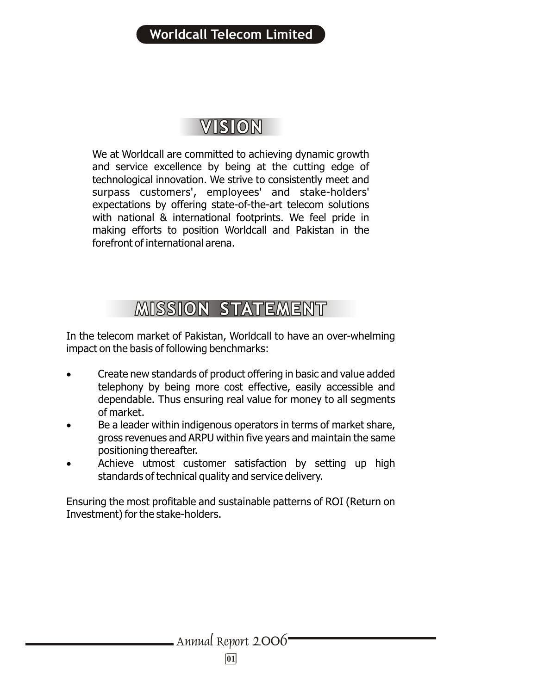# **VISION**

We at Worldcall are committed to achieving dynamic growth and service excellence by being at the cutting edge of technological innovation. We strive to consistently meet and surpass customers', employees' and stake-holders' expectations by offering state-of-the-art telecom solutions with national & international footprints. We feel pride in making efforts to position Worldcall and Pakistan in the forefront of international arena.

# MISSION STATEMENT

In the telecom market of Pakistan, Worldcall to have an over-whelming impact on the basis of following benchmarks:

- · Create new standards of product offering in basic and value added telephony by being more cost effective, easily accessible and dependable. Thus ensuring real value for money to all segments of market.
- Be a leader within indigenous operators in terms of market share, gross revenues and ARPU within five years and maintain the same positioning thereafter.
- · Achieve utmost customer satisfaction by setting up high standards of technical quality and service delivery.

Ensuring the most profitable and sustainable patterns of ROI (Return on Investment) for the stake-holders.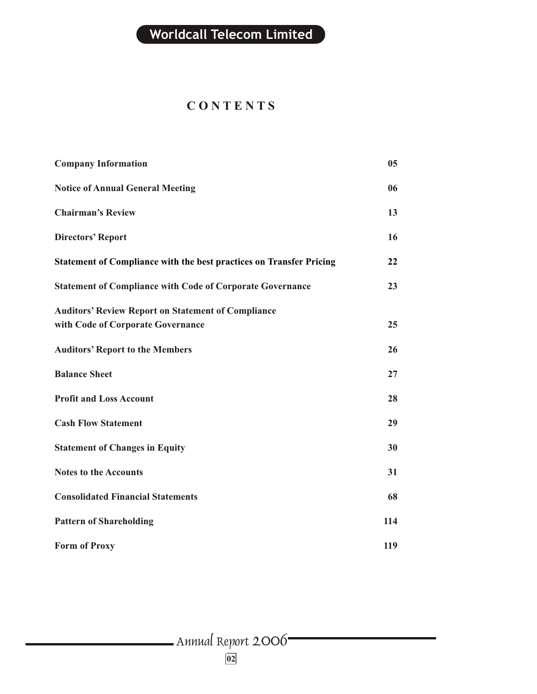# **C O N T E N T S**

| <b>Company Information</b>                                                 | 05  |
|----------------------------------------------------------------------------|-----|
| <b>Notice of Annual General Meeting</b>                                    | 06  |
| <b>Chairman's Review</b>                                                   | 13  |
| <b>Directors' Report</b>                                                   | 16  |
| <b>Statement of Compliance with the best practices on Transfer Pricing</b> | 22  |
| <b>Statement of Compliance with Code of Corporate Governance</b>           | 23  |
| <b>Auditors' Review Report on Statement of Compliance</b>                  |     |
| with Code of Corporate Governance                                          | 25  |
| <b>Auditors' Report to the Members</b>                                     | 26  |
| <b>Balance Sheet</b>                                                       | 27  |
| <b>Profit and Loss Account</b>                                             | 28  |
| <b>Cash Flow Statement</b>                                                 | 29  |
| <b>Statement of Changes in Equity</b>                                      | 30  |
| <b>Notes to the Accounts</b>                                               | 31  |
| <b>Consolidated Financial Statements</b>                                   | 68  |
| <b>Pattern of Shareholding</b>                                             | 114 |
| <b>Form of Proxy</b>                                                       | 119 |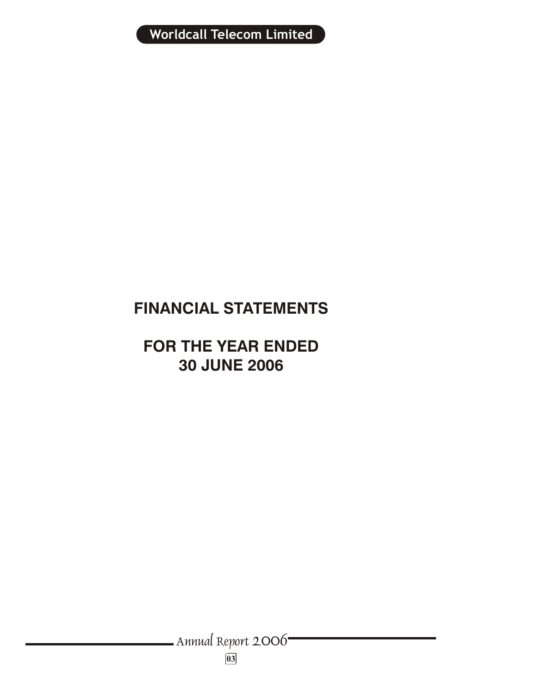# **FINANCIAL STATEMENTS**

# **FOR THE YEAR ENDED 30 JUNE 2006**

 $\_$ Annual Report 2006 $^{\circ}$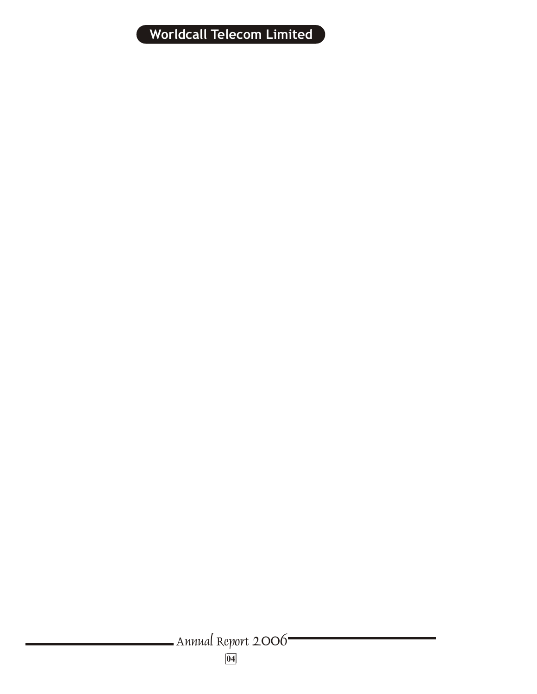$\_$ Annual Report 2006 $^{\circ}$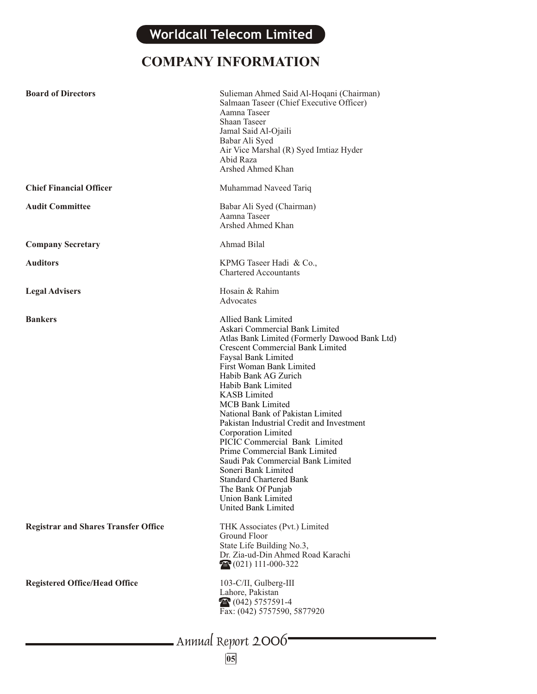# **COMPANY INFORMATION**

| <b>Board of Directors</b>                   | Sulieman Ahmed Said Al-Hoqani (Chairman)<br>Salmaan Taseer (Chief Executive Officer)<br>Aamna Taseer<br>Shaan Taseer<br>Jamal Said Al-Ojaili<br>Babar Ali Syed<br>Air Vice Marshal (R) Syed Imtiaz Hyder<br>Abid Raza<br>Arshed Ahmed Khan                                                                                                                                                                                                                                                                                                                                                                                                              |
|---------------------------------------------|---------------------------------------------------------------------------------------------------------------------------------------------------------------------------------------------------------------------------------------------------------------------------------------------------------------------------------------------------------------------------------------------------------------------------------------------------------------------------------------------------------------------------------------------------------------------------------------------------------------------------------------------------------|
| <b>Chief Financial Officer</b>              | Muhammad Naveed Tariq                                                                                                                                                                                                                                                                                                                                                                                                                                                                                                                                                                                                                                   |
| <b>Audit Committee</b>                      | Babar Ali Syed (Chairman)<br>Aamna Taseer<br>Arshed Ahmed Khan                                                                                                                                                                                                                                                                                                                                                                                                                                                                                                                                                                                          |
| <b>Company Secretary</b>                    | Ahmad Bilal                                                                                                                                                                                                                                                                                                                                                                                                                                                                                                                                                                                                                                             |
| <b>Auditors</b>                             | KPMG Taseer Hadi & Co.,<br><b>Chartered Accountants</b>                                                                                                                                                                                                                                                                                                                                                                                                                                                                                                                                                                                                 |
| <b>Legal Advisers</b>                       | Hosain & Rahim<br>Advocates                                                                                                                                                                                                                                                                                                                                                                                                                                                                                                                                                                                                                             |
| <b>Bankers</b>                              | Allied Bank Limited<br>Askari Commercial Bank Limited<br>Atlas Bank Limited (Formerly Dawood Bank Ltd)<br><b>Crescent Commercial Bank Limited</b><br>Faysal Bank Limited<br>First Woman Bank Limited<br>Habib Bank AG Zurich<br>Habib Bank Limited<br><b>KASB</b> Limited<br><b>MCB Bank Limited</b><br>National Bank of Pakistan Limited<br>Pakistan Industrial Credit and Investment<br>Corporation Limited<br>PICIC Commercial Bank Limited<br>Prime Commercial Bank Limited<br>Saudi Pak Commercial Bank Limited<br>Soneri Bank Limited<br><b>Standard Chartered Bank</b><br>The Bank Of Punjab<br><b>Union Bank Limited</b><br>United Bank Limited |
| <b>Registrar and Shares Transfer Office</b> | THK Associates (Pvt.) Limited<br>Ground Floor<br>State Life Building No.3,<br>Dr. Zia-ud-Din Ahmed Road Karachi<br>$\bullet$ (021) 111-000-322                                                                                                                                                                                                                                                                                                                                                                                                                                                                                                          |
| <b>Registered Office/Head Office</b>        | 103-C/II, Gulberg-III<br>Lahore, Pakistan<br>$\mathbf{R}^{(042)}$ 5757591-4<br>Fax: (042) 5757590, 5877920                                                                                                                                                                                                                                                                                                                                                                                                                                                                                                                                              |
|                                             |                                                                                                                                                                                                                                                                                                                                                                                                                                                                                                                                                                                                                                                         |

 $\_$ Annual Report 2006 $^{\bullet}$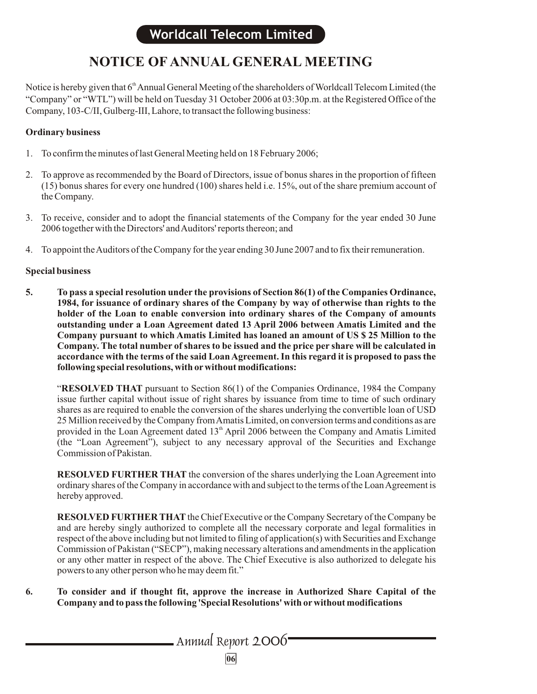# **NOTICE OF ANNUAL GENERAL MEETING**

Notice is hereby given that  $6<sup>th</sup>$  Annual General Meeting of the shareholders of Worldcall Telecom Limited (the "Company" or "WTL") will be held on Tuesday 31 October 2006 at 03:30p.m. at the Registered Office of the Company, 103-C/II, Gulberg-III, Lahore, to transact the following business:

# **Ordinary business**

- 1. To confirm the minutes of last General Meeting held on 18 February 2006;
- 2. To approve as recommended by the Board of Directors, issue of bonus shares in the proportion of fifteen (15) bonus shares for every one hundred (100) shares held i.e. 15%, out of the share premium account of the Company.
- 3. To receive, consider and to adopt the financial statements of the Company for the year ended 30 June 2006 together with the Directors' and Auditors' reports thereon; and
- 4. To appoint the Auditors of the Company for the year ending 30 June 2007 and to fix their remuneration.

# **Special business**

**5. To pass a special resolution under the provisions of Section 86(1) of the Companies Ordinance, 1984, for issuance of ordinary shares of the Company by way of otherwise than rights to the holder of the Loan to enable conversion into ordinary shares of the Company of amounts outstanding under a Loan Agreement dated 13 April 2006 between Amatis Limited and the Company pursuant to which Amatis Limited has loaned an amount of US \$ 25 Million to the Company. The total number of shares to be issued and the price per share will be calculated in accordance with the terms of the said Loan Agreement. In this regard it is proposed to pass the following special resolutions, with orwithout modifications:** 

"**RESOLVED THAT** pursuant to Section 86(1) of the Companies Ordinance, 1984 the Company issue further capital without issue of right shares by issuance from time to time of such ordinary shares as are required to enable the conversion of the shares underlying the convertible loan of USD 25 Million received by the Company from Amatis Limited, on conversion terms and conditions as are provided in the Loan Agreement dated  $13<sup>th</sup>$  April 2006 between the Company and Amatis Limited (the "Loan Agreement"), subject to any necessary approval of the Securities and Exchange Commission of Pakistan.

**RESOLVED FURTHER THAT** the conversion of the shares underlying the Loan Agreement into ordinary shares of the Company in accordance with and subject to the terms of the Loan Agreement is hereby approved.

**RESOLVED FURTHER THAT**the Chief Executive or the Company Secretary of the Company be and are hereby singly authorized to complete all the necessary corporate and legal formalities in respect of the above including but not limited to filing of application(s) with Securities and Exchange Commission of Pakistan ("SECP"), making necessary alterations and amendments in the application or any other matter in respect of the above. The Chief Executive is also authorized to delegate his powers to any other person who he may deem fit."

# **6. To consider and if thought fit, approve the increase in Authorized Share Capital of the Company and to pass the following 'Special Resolutions' with orwithout modifications**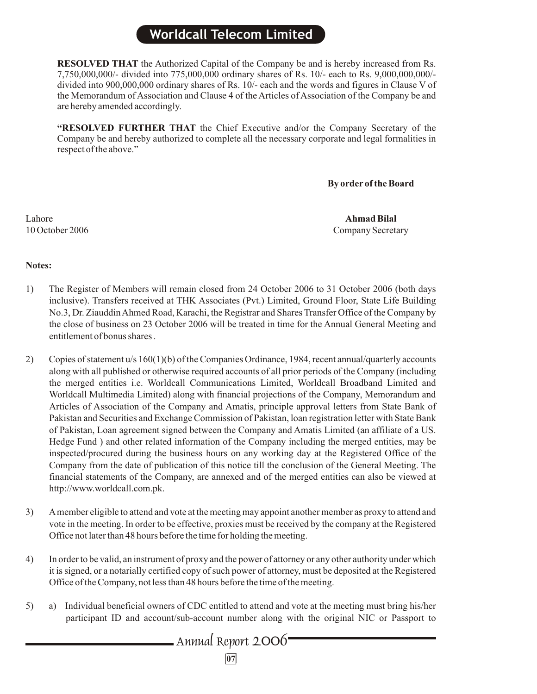**RESOLVED THAT** the Authorized Capital of the Company be and is hereby increased from Rs. 7,750,000,000/- divided into 775,000,000 ordinary shares of Rs. 10/- each to Rs. 9,000,000,000/ divided into 900,000,000 ordinary shares of Rs. 10/- each and the words and figures in Clause V of the Memorandum of Association and Clause 4 of the Articles of Association of the Company be and are hereby amended accordingly.

**"RESOLVED FURTHER THAT** the Chief Executive and/or the Company Secretary of the Company be and hereby authorized to complete all the necessary corporate and legal formalities in respect of the above."

**By order of the Board**

Lahore **Ahmad Bilal**

10 October 2006 Company Secretary

# **Notes:**

- 1) The Register of Members will remain closed from 24 October 2006 to 31 October 2006 (both days inclusive). Transfers received at THK Associates (Pvt.) Limited, Ground Floor, State Life Building No.3, Dr. Ziauddin Ahmed Road, Karachi, the Registrar and Shares Transfer Office of the Company by the close of business on 23 October 2006 will be treated in time for the Annual General Meeting and entitlement of bonus shares .
- 2) Copies of statement u/s 160(1)(b) of the Companies Ordinance, 1984, recent annual/quarterly accounts along with all published or otherwise required accounts of all prior periods of the Company (including the merged entities i.e. Worldcall Communications Limited, Worldcall Broadband Limited and Worldcall Multimedia Limited) along with financial projections of the Company, Memorandum and Articles of Association of the Company and Amatis, principle approval letters from State Bank of Pakistan and Securities and Exchange Commission of Pakistan, loan registration letter with State Bank of Pakistan, Loan agreement signed between the Company and Amatis Limited (an affiliate of a US. Hedge Fund ) and other related information of the Company including the merged entities, may be inspected/procured during the business hours on any working day at the Registered Office of the Company from the date of publication of this notice till the conclusion of the General Meeting. The financial statements of the Company, are annexed and of the merged entities can also be viewed at http://www.worldcall.com.pk.
- 3) Amember eligible to attend and vote at the meeting may appoint another member as proxy to attend and vote in the meeting. In order to be effective, proxies must be received by the company at the Registered Office not later than 48 hours before the time for holding the meeting.
- 4) In order to be valid, an instrument of proxy and the power of attorney or any other authority under which it is signed, or a notarially certified copy of such power of attorney, must be deposited at the Registered Office of the Company, not less than 48 hours before the time of the meeting.
- 5) a) Individual beneficial owners of CDC entitled to attend and vote at the meeting must bring his/her participant ID and account/sub-account number along with the original NIC or Passport to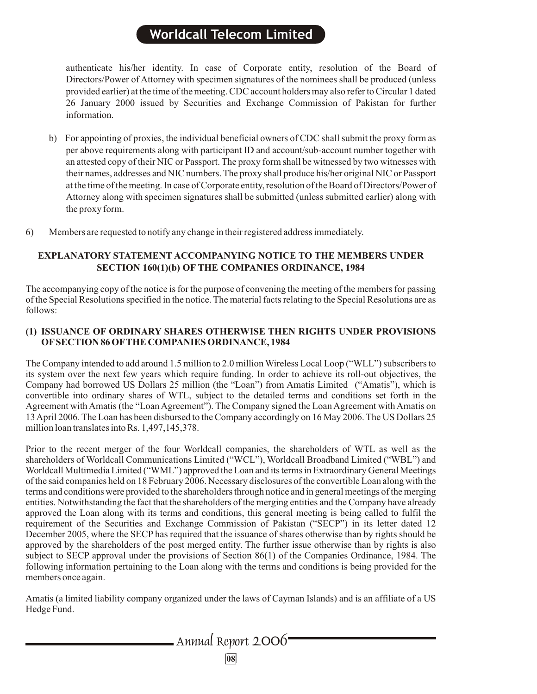authenticate his/her identity. In case of Corporate entity, resolution of the Board of Directors/Power of Attorney with specimen signatures of the nominees shall be produced (unless provided earlier) at the time of the meeting. CDC account holders may also refer to Circular 1 dated 26 January 2000 issued by Securities and Exchange Commission of Pakistan for further information.

- b) For appointing of proxies, the individual beneficial owners of CDC shall submit the proxy form as per above requirements along with participant ID and account/sub-account number together with an attested copy of their NIC or Passport. The proxy form shall be witnessed by two witnesses with their names, addresses and NIC numbers. The proxy shall produce his/her original NIC or Passport at the time of the meeting. In case of Corporate entity, resolution of the Board of Directors/Power of Attorney along with specimen signatures shall be submitted (unless submitted earlier) along with the proxy form.
- 6) Members are requested to notify any change in their registered address immediately.

# **EXPLANATORY STATEMENT ACCOMPANYING NOTICE TO THE MEMBERS UNDER SECTION 160(1)(b) OF THE COMPANIES ORDINANCE, 1984**

The accompanying copy of the notice is for the purpose of convening the meeting of the members for passing of the Special Resolutions specified in the notice. The material facts relating to the Special Resolutions are as follows:

# **(1) ISSUANCE OF ORDINARY SHARES OTHERWISE THEN RIGHTS UNDER PROVISIONS OFSECTION 86 OFTHE COMPANIES ORDINANCE, 1984**

The Company intended to add around 1.5 million to 2.0 million Wireless Local Loop ("WLL") subscribers to its system over the next few years which require funding. In order to achieve its roll-out objectives, the Company had borrowed US Dollars 25 million (the "Loan") from Amatis Limited ("Amatis"), which is convertible into ordinary shares of WTL, subject to the detailed terms and conditions set forth in the Agreement with Amatis (the "Loan Agreement"). The Company signed the Loan Agreement with Amatis on 13 April 2006. The Loan has been disbursed to the Company accordingly on 16 May 2006. The US Dollars 25 million loan translates into Rs. 1,497,145,378.

Prior to the recent merger of the four Worldcall companies, the shareholders of WTL as well as the shareholders of Worldcall Communications Limited ("WCL"), Worldcall Broadband Limited ("WBL") and Worldcall Multimedia Limited ("WML") approved the Loan and its terms in Extraordinary General Meetings of the said companies held on 18 February 2006. Necessary disclosures of the convertible Loan along with the terms and conditions were provided to the shareholders through notice and in general meetings of the merging entities. Notwithstanding the fact that the shareholders of the merging entities and the Company have already approved the Loan along with its terms and conditions, this general meeting is being called to fulfil the requirement of the Securities and Exchange Commission of Pakistan ("SECP") in its letter dated 12 December 2005, where the SECP has required that the issuance of shares otherwise than by rights should be approved by the shareholders of the post merged entity. The further issue otherwise than by rights is also subject to SECP approval under the provisions of Section 86(1) of the Companies Ordinance, 1984. The following information pertaining to the Loan along with the terms and conditions is being provided for the members once again.

Amatis (a limited liability company organized under the laws of Cayman Islands) and is an affiliate of a US Hedge Fund.

 $\_$ Annual Report 2006 $^{\circ}$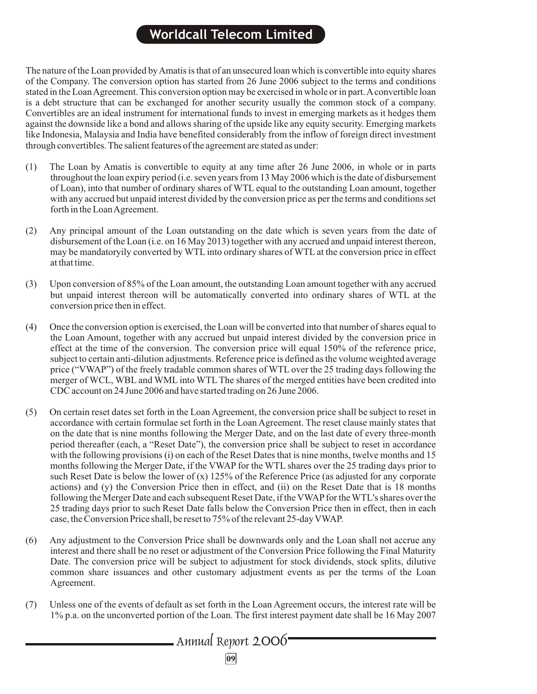The nature of the Loan provided by Amatis is that of an unsecured loan which is convertible into equity shares of the Company. The conversion option has started from 26 June 2006 subject to the terms and conditions stated in the Loan Agreement. This conversion option may be exercised in whole or in part. Aconvertible loan is a debt structure that can be exchanged for another security usually the common stock of a company. Convertibles are an ideal instrument for international funds to invest in emerging markets as it hedges them against the downside like a bond and allows sharing of the upside like any equity security. Emerging markets like Indonesia, Malaysia and India have benefited considerably from the inflow of foreign direct investment through convertibles. The salient features of the agreement are stated as under:

- (1) The Loan by Amatis is convertible to equity at any time after 26 June 2006, in whole or in parts throughout the loan expiry period (i.e. seven years from 13 May 2006 which is the date of disbursement of Loan), into that number of ordinary shares of WTL equal to the outstanding Loan amount, together with any accrued but unpaid interest divided by the conversion price as per the terms and conditions set forth in the Loan Agreement.
- (2) Any principal amount of the Loan outstanding on the date which is seven years from the date of disbursement of the Loan (i.e. on 16 May 2013) together with any accrued and unpaid interest thereon, may be mandatoryily converted by WTL into ordinary shares of WTL at the conversion price in effect at that time.
- (3) Upon conversion of 85% of the Loan amount, the outstanding Loan amount together with any accrued but unpaid interest thereon will be automatically converted into ordinary shares of WTL at the conversion price then in effect.
- (4) Once the conversion option is exercised, the Loan will be converted into that number of shares equal to the Loan Amount, together with any accrued but unpaid interest divided by the conversion price in effect at the time of the conversion. The conversion price will equal 150% of the reference price, subject to certain anti-dilution adjustments. Reference price is defined as the volume weighted average price ("VWAP") of the freely tradable common shares of WTL over the 25 trading days following the merger of WCL, WBL and WML into WTL The shares of the merged entities have been credited into CDC account on 24 June 2006 and have started trading on 26 June 2006.
- (5) On certain reset dates set forth in the Loan Agreement, the conversion price shall be subject to reset in accordance with certain formulae set forth in the Loan Agreement. The reset clause mainly states that on the date that is nine months following the Merger Date, and on the last date of every three-month period thereafter (each, a "Reset Date"), the conversion price shall be subject to reset in accordance with the following provisions (i) on each of the Reset Dates that is nine months, twelve months and 15 months following the Merger Date, if the VWAP for the WTL shares over the 25 trading days prior to such Reset Date is below the lower of  $(x)$  125% of the Reference Price (as adjusted for any corporate actions) and (y) the Conversion Price then in effect, and (ii) on the Reset Date that is 18 months following the Merger Date and each subsequent Reset Date, if the VWAP for the WTL's shares over the 25 trading days prior to such Reset Date falls below the Conversion Price then in effect, then in each case, the Conversion Price shall, be reset to 75% of the relevant 25-day VWAP.
- (6) Any adjustment to the Conversion Price shall be downwards only and the Loan shall not accrue any interest and there shall be no reset or adjustment of the Conversion Price following the Final Maturity Date. The conversion price will be subject to adjustment for stock dividends, stock splits, dilutive common share issuances and other customary adjustment events as per the terms of the Loan Agreement.
- (7) Unless one of the events of default as set forth in the Loan Agreement occurs, the interest rate will be 1% p.a. on the unconverted portion of the Loan. The first interest payment date shall be 16 May 2007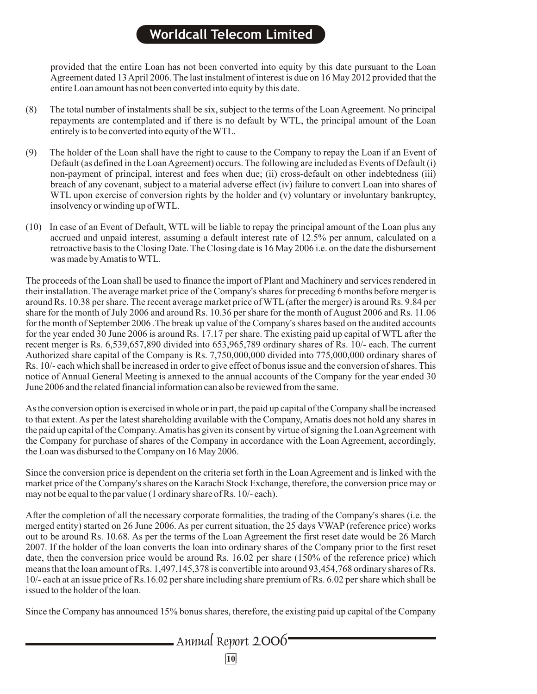provided that the entire Loan has not been converted into equity by this date pursuant to the Loan Agreement dated 13 April 2006. The last instalment of interest is due on 16 May 2012 provided that the entire Loan amount has not been converted into equity by this date.

- (8) The total number of instalments shall be six, subject to the terms of the Loan Agreement. No principal repayments are contemplated and if there is no default by WTL, the principal amount of the Loan entirely is to be converted into equity of the WTL.
- (9) The holder of the Loan shall have the right to cause to the Company to repay the Loan if an Event of Default (as defined in the Loan Agreement) occurs. The following are included as Events of Default (i) non-payment of principal, interest and fees when due; (ii) cross-default on other indebtedness (iii) breach of any covenant, subject to a material adverse effect (iv) failure to convert Loan into shares of WTL upon exercise of conversion rights by the holder and (v) voluntary or involuntary bankruptcy, insolvency or winding up of WTL.
- (10) In case of an Event of Default, WTL will be liable to repay the principal amount of the Loan plus any accrued and unpaid interest, assuming a default interest rate of 12.5% per annum, calculated on a retroactive basis to the Closing Date. The Closing date is 16 May 2006 i.e. on the date the disbursement was made by Amatis to WTL.

The proceeds of the Loan shall be used to finance the import of Plant and Machinery and services rendered in their installation. The average market price of the Company's shares for preceding 6 months before merger is around Rs. 10.38 per share. The recent average market price of WTL(after the merger) is around Rs. 9.84 per share for the month of July 2006 and around Rs. 10.36 per share for the month of August 2006 and Rs. 11.06 for the month of September 2006 .The break up value of the Company's shares based on the audited accounts for the year ended 30 June 2006 is around Rs. 17.17 per share. The existing paid up capital of WTL after the recent merger is Rs. 6,539,657,890 divided into 653,965,789 ordinary shares of Rs. 10/- each. The current Authorized share capital of the Company is Rs. 7,750,000,000 divided into 775,000,000 ordinary shares of Rs. 10/- each which shall be increased in order to give effect of bonus issue and the conversion of shares. This notice of Annual General Meeting is annexed to the annual accounts of the Company for the year ended 30 June 2006 and the related financial information can also be reviewed from the same.

As the conversion option is exercised in whole or in part, the paid up capital of the Company shall be increased to that extent. As per the latest shareholding available with the Company, Amatis does not hold any shares in the paid up capital of the Company. Amatis has given its consent by virtue of signing the Loan Agreement with the Company for purchase of shares of the Company in accordance with the Loan Agreement, accordingly, the Loan was disbursed to the Company on 16 May 2006.

Since the conversion price is dependent on the criteria set forth in the Loan Agreement and is linked with the market price of the Company's shares on the Karachi Stock Exchange, therefore, the conversion price may or may not be equal to the par value (1 ordinary share of Rs. 10/- each).

After the completion of all the necessary corporate formalities, the trading of the Company's shares (i.e. the merged entity) started on 26 June 2006. As per current situation, the 25 days VWAP (reference price) works out to be around Rs. 10.68. As per the terms of the Loan Agreement the first reset date would be 26 March 2007. If the holder of the loan converts the loan into ordinary shares of the Company prior to the first reset date, then the conversion price would be around Rs. 16.02 per share (150% of the reference price) which means that the loan amount of Rs. 1,497,145,378 is convertible into around 93,454,768 ordinary shares of Rs. 10/- each at an issue price of Rs.16.02 per share including share premium of Rs. 6.02 per share which shall be issued to the holder of the loan.

Since the Company has announced 15% bonus shares, therefore, the existing paid up capital of the Company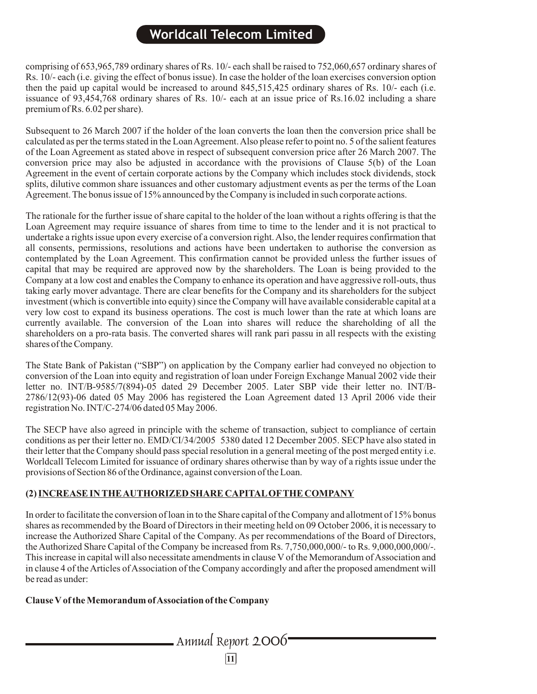comprising of 653,965,789 ordinary shares of Rs. 10/- each shall be raised to 752,060,657 ordinary shares of Rs. 10/- each (i.e. giving the effect of bonus issue). In case the holder of the loan exercises conversion option then the paid up capital would be increased to around 845,515,425 ordinary shares of Rs. 10/- each (i.e. issuance of 93,454,768 ordinary shares of Rs. 10/- each at an issue price of Rs.16.02 including a share premium of Rs. 6.02 per share).

Subsequent to 26 March 2007 if the holder of the loan converts the loan then the conversion price shall be calculated as per the terms stated in the Loan Agreement. Also please refer to point no. 5 of the salient features of the Loan Agreement as stated above in respect of subsequent conversion price after 26 March 2007. The conversion price may also be adjusted in accordance with the provisions of Clause 5(b) of the Loan Agreement in the event of certain corporate actions by the Company which includes stock dividends, stock splits, dilutive common share issuances and other customary adjustment events as per the terms of the Loan Agreement. The bonus issue of 15% announced by the Company is included in such corporate actions.

The rationale for the further issue of share capital to the holder of the loan without a rights offering is that the Loan Agreement may require issuance of shares from time to time to the lender and it is not practical to undertake a rights issue upon every exercise of a conversion right. Also, the lender requires confirmation that all consents, permissions, resolutions and actions have been undertaken to authorise the conversion as contemplated by the Loan Agreement. This confirmation cannot be provided unless the further issues of capital that may be required are approved now by the shareholders. The Loan is being provided to the Company at a low cost and enables the Company to enhance its operation and have aggressive roll-outs, thus taking early mover advantage. There are clear benefits for the Company and its shareholders for the subject investment (which is convertible into equity) since the Company will have available considerable capital at a very low cost to expand its business operations. The cost is much lower than the rate at which loans are currently available. The conversion of the Loan into shares will reduce the shareholding of all the shareholders on a pro-rata basis. The converted shares will rank pari passu in all respects with the existing shares of the Company.

The State Bank of Pakistan ("SBP") on application by the Company earlier had conveyed no objection to conversion of the Loan into equity and registration of loan under Foreign Exchange Manual 2002 vide their letter no. INT/B-9585/7(894)-05 dated 29 December 2005. Later SBP vide their letter no. INT/B-2786/12(93)-06 dated 05 May 2006 has registered the Loan Agreement dated 13 April 2006 vide their registration No. INT/C-274/06 dated 05 May 2006.

The SECP have also agreed in principle with the scheme of transaction, subject to compliance of certain conditions as per their letter no. EMD/CI/34/2005 5380 dated 12 December 2005. SECP have also stated in their letter that the Company should pass special resolution in a general meeting of the post merged entity i.e. Worldcall Telecom Limited for issuance of ordinary shares otherwise than by way of a rights issue under the provisions of Section 86 of the Ordinance, against conversion of the Loan.

# **(2) INCREASE IN THE AUTHORIZED SHARE CAPITALOFTHE COMPANY**

In order to facilitate the conversion of loan in to the Share capital of the Company and allotment of 15% bonus shares as recommended by the Board of Directors in their meeting held on 09 October 2006, it is necessary to increase the Authorized Share Capital of the Company. As per recommendations of the Board of Directors, the Authorized Share Capital of the Company be increased from Rs. 7,750,000,000/- to Rs. 9,000,000,000/-. This increase in capital will also necessitate amendments in clause V of the Memorandum of Association and in clause 4 of the Articles of Association of the Company accordingly and after the proposed amendment will be read as under:

# **Clause Vof the Memorandum of Association of the Company**

 $\,$  Annual Report 2006 $\,$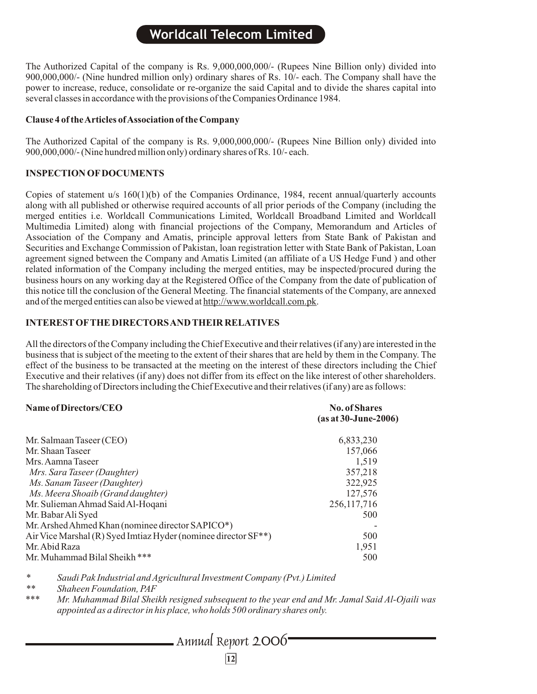The Authorized Capital of the company is Rs. 9,000,000,000/- (Rupees Nine Billion only) divided into 900,000,000/- (Nine hundred million only) ordinary shares of Rs. 10/- each. The Company shall have the power to increase, reduce, consolidate or re-organize the said Capital and to divide the shares capital into several classes in accordance with the provisions of the Companies Ordinance 1984.

# **Clause 4 of the Articles of Association of the Company**

The Authorized Capital of the company is Rs. 9,000,000,000/- (Rupees Nine Billion only) divided into 900,000,000/- (Nine hundred million only) ordinary shares of Rs. 10/- each.

# **INSPECTION OFDOCUMENTS**

Copies of statement u/s 160(1)(b) of the Companies Ordinance, 1984, recent annual/quarterly accounts along with all published or otherwise required accounts of all prior periods of the Company (including the merged entities i.e. Worldcall Communications Limited, Worldcall Broadband Limited and Worldcall Multimedia Limited) along with financial projections of the Company, Memorandum and Articles of Association of the Company and Amatis, principle approval letters from State Bank of Pakistan and Securities and Exchange Commission of Pakistan, loan registration letter with State Bank of Pakistan, Loan agreement signed between the Company and Amatis Limited (an affiliate of a US Hedge Fund ) and other related information of the Company including the merged entities, may be inspected/procured during the business hours on any working day at the Registered Office of the Company from the date of publication of this notice till the conclusion of the General Meeting. The financial statements of the Company, are annexed and of the merged entities can also be viewed at http://www.worldcall.com.pk.

# **INTERESTOFTHE DIRECTORS AND THEIR RELATIVES**

All the directors of the Company including the Chief Executive and their relatives (if any) are interested in the business that is subject of the meeting to the extent of their shares that are held by them in the Company. The effect of the business to be transacted at the meeting on the interest of these directors including the Chief Executive and their relatives (if any) does not differ from its effect on the like interest of other shareholders. The shareholding of Directors including the Chief Executive and their relatives (if any) are as follows:

| Name of Directors/CEO                                                       | <b>No. of Shares</b><br>(as at 30-June-2006) |
|-----------------------------------------------------------------------------|----------------------------------------------|
| Mr. Salmaan Taseer (CEO)                                                    | 6,833,230                                    |
| Mr. Shaan Taseer                                                            | 157,066                                      |
| Mrs. Aamna Taseer                                                           | 1,519                                        |
| Mrs. Sara Taseer (Daughter)                                                 | 357,218                                      |
| Ms. Sanam Taseer (Daughter)                                                 | 322,925                                      |
| Ms. Meera Shoaib (Grand daughter)                                           | 127,576                                      |
| Mr. Sulieman Ahmad Said Al-Hoqani                                           | 256, 117, 716                                |
| Mr. Babar Ali Syed                                                          | 500                                          |
| Mr. Arshed Ahmed Khan (nominee director SAPICO*)                            |                                              |
| Air Vice Marshal (R) Syed Imtiaz Hyder (nominee director SF <sup>**</sup> ) | 500                                          |
| Mr. Abid Raza                                                               | 1,951                                        |
| Mr. Muhammad Bilal Sheikh ***                                               | 500                                          |

*\* Saudi Pak Industrial and Agricultural Investment Company (Pvt.) Limited*

*\*\* Shaheen Foundation, PAF*

\*\*\* *Mr. Muhammad Bilal Sheikh resigned subsequent to the year end and Mr. Jamal Said Al-Ojaili was appointed as a director in his place, who holds 500 ordinary shares only.* 

 $\,$  Annual Report 2006 $\,$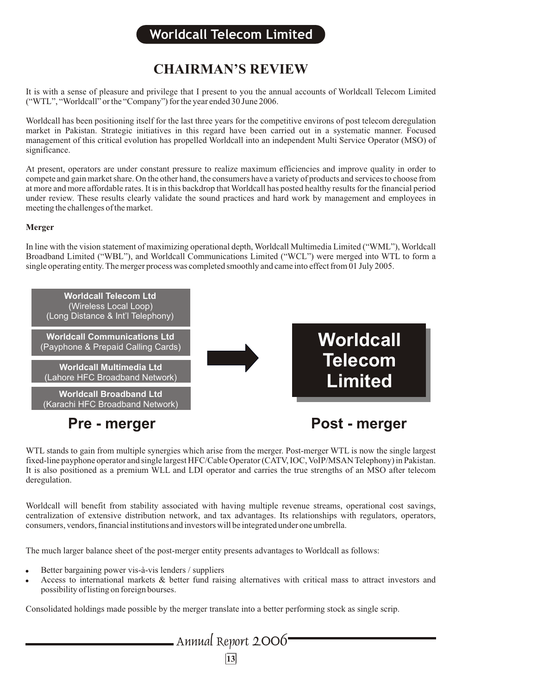# **CHAIRMAN'S REVIEW**

It is with a sense of pleasure and privilege that I present to you the annual accounts of Worldcall Telecom Limited ("WTL", "Worldcall" or the "Company") for the year ended 30 June 2006.

Worldcall has been positioning itself for the last three years for the competitive environs of post telecom deregulation market in Pakistan. Strategic initiatives in this regard have been carried out in a systematic manner. Focused management of this critical evolution has propelled Worldcall into an independent Multi Service Operator (MSO) of significance.

At present, operators are under constant pressure to realize maximum efficiencies and improve quality in order to compete and gain market share. On the other hand, the consumers have a variety of products and services to choose from at more and more affordable rates. It is in this backdrop that Worldcall has posted healthy results for the financial period under review. These results clearly validate the sound practices and hard work by management and employees in meeting the challenges of the market.

# **Merger**

In line with the vision statement of maximizing operational depth, Worldcall Multimedia Limited ("WML"), Worldcall Broadband Limited ("WBL"), and Worldcall Communications Limited ("WCL") were merged into WTL to form a single operating entity. The merger process was completed smoothly and came into effect from 01 July 2005.



WTL stands to gain from multiple synergies which arise from the merger. Post-merger WTL is now the single largest fixed-line payphone operator and single largest HFC/Cable Operator (CATV, IOC, VoIP/MSAN Telephony) in Pakistan. It is also positioned as a premium WLL and LDI operator and carries the true strengths of an MSO after telecom deregulation.

Worldcall will benefit from stability associated with having multiple revenue streams, operational cost savings, centralization of extensive distribution network, and tax advantages. Its relationships with regulators, operators, consumers, vendors, financial institutions and investors will be integrated under one umbrella.

The much larger balance sheet of the post-merger entity presents advantages to Worldcall as follows:

- Better bargaining power vis-à-vis lenders / suppliers
- Access to international markets & better fund raising alternatives with critical mass to attract investors and possibility of listing on foreign bourses.

Consolidated holdings made possible by the merger translate into a better performing stock as single scrip.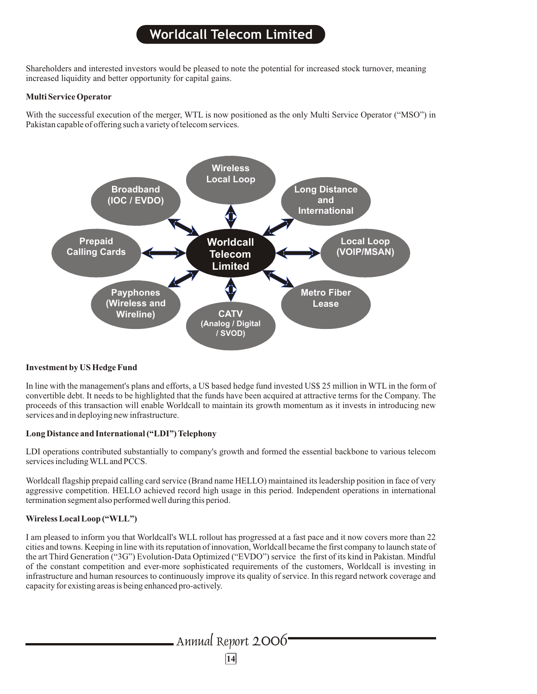Shareholders and interested investors would be pleased to note the potential for increased stock turnover, meaning increased liquidity and better opportunity for capital gains.

# **Multi Service Operator**

With the successful execution of the merger, WTL is now positioned as the only Multi Service Operator ("MSO") in Pakistan capable of offering such a variety of telecom services.



# **Investment by US Hedge Fund**

In line with the management's plans and efforts, a US based hedge fund invested US\$ 25 million in WTL in the form of convertible debt. It needs to be highlighted that the funds have been acquired at attractive terms for the Company. The proceeds of this transaction will enable Worldcall to maintain its growth momentum as it invests in introducing new services and in deploying new infrastructure.

# **Long Distance and International ("LDI") Telephony**

LDI operations contributed substantially to company's growth and formed the essential backbone to various telecom services including WLLand PCCS.

Worldcall flagship prepaid calling card service (Brand name HELLO) maintained its leadership position in face of very aggressive competition. HELLO achieved record high usage in this period. Independent operations in international termination segment also performed well during this period.

# **Wireless Local Loop ("WLL")**

I am pleased to inform you that Worldcall's WLL rollout has progressed at a fast pace and it now covers more than 22 cities and towns. Keeping in line with its reputation of innovation, Worldcall became the first company to launch state of the art Third Generation ("3G") Evolution-Data Optimized ("EVDO") service the first of its kind in Pakistan. Mindful of the constant competition and ever-more sophisticated requirements of the customers, Worldcall is investing in infrastructure and human resources to continuously improve its quality of service. In this regard network coverage and capacity for existing areas is being enhanced pro-actively.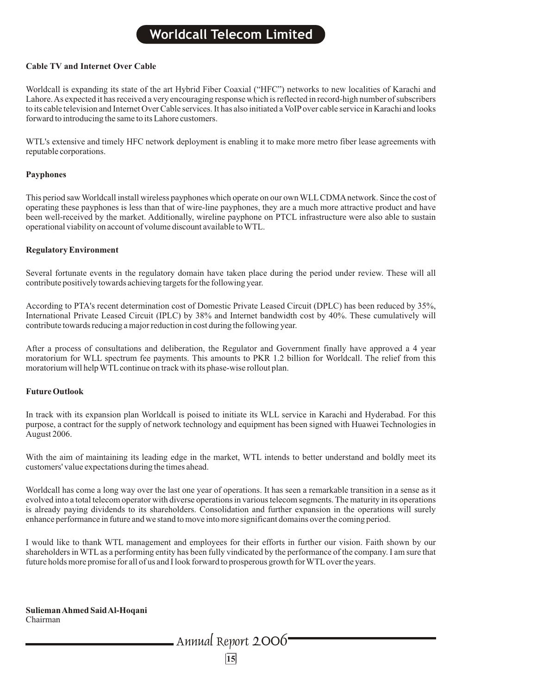# **Cable TV and Internet Over Cable**

Worldcall is expanding its state of the art Hybrid Fiber Coaxial ("HFC") networks to new localities of Karachi and Lahore. As expected it has received a very encouraging response which is reflected in record-high number of subscribers to its cable television and Internet Over Cable services. It has also initiated a VoIPover cable service in Karachi and looks forward to introducing the same to its Lahore customers.

WTL's extensive and timely HFC network deployment is enabling it to make more metro fiber lease agreements with reputable corporations.

### **Payphones**

This period saw Worldcall install wireless payphones which operate on our own WLLCDMAnetwork. Since the cost of operating these payphones is less than that of wire-line payphones, they are a much more attractive product and have been well-received by the market. Additionally, wireline payphone on PTCL infrastructure were also able to sustain operational viability on account of volume discount available to WTL.

### **Regulatory Environment**

Several fortunate events in the regulatory domain have taken place during the period under review. These will all contribute positively towards achieving targets for the following year.

According to PTA's recent determination cost of Domestic Private Leased Circuit (DPLC) has been reduced by 35%, International Private Leased Circuit (IPLC) by 38% and Internet bandwidth cost by 40%. These cumulatively will contribute towards reducing a major reduction in cost during the following year.

After a process of consultations and deliberation, the Regulator and Government finally have approved a 4 year moratorium for WLL spectrum fee payments. This amounts to PKR 1.2 billion for Worldcall. The relief from this moratorium will help WTL continue on track with its phase-wise rollout plan.

### **Future Outlook**

In track with its expansion plan Worldcall is poised to initiate its WLL service in Karachi and Hyderabad. For this purpose, a contract for the supply of network technology and equipment has been signed with Huawei Technologies in August 2006.

With the aim of maintaining its leading edge in the market, WTL intends to better understand and boldly meet its customers' value expectations during the times ahead.

Worldcall has come a long way over the last one year of operations. It has seen a remarkable transition in a sense as it evolved into a total telecom operator with diverse operations in various telecom segments. The maturity in its operations is already paying dividends to its shareholders. Consolidation and further expansion in the operations will surely enhance performance in future and we stand to move into more significant domains over the coming period.

I would like to thank WTL management and employees for their efforts in further our vision. Faith shown by our shareholders in WTLas a performing entity has been fully vindicated by the performance of the company. I am sure that future holds more promise for all of us and I look forward to prosperous growth for WTLover the years.

**Sulieman Ahmed Said Al-Hoqani** Chairman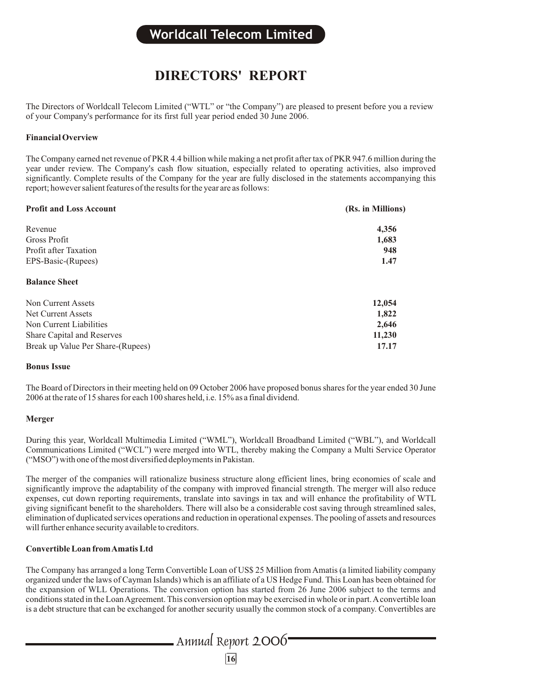# **DIRECTORS' REPORT**

The Directors of Worldcall Telecom Limited ("WTL" or "the Company") are pleased to present before you a review of your Company's performance for its first full year period ended 30 June 2006.

### **Financial Overview**

The Company earned net revenue of PKR 4.4 billion while making a net profit after tax of PKR 947.6 million during the year under review. The Company's cash flow situation, especially related to operating activities, also improved significantly. Complete results of the Company for the year are fully disclosed in the statements accompanying this report; however salient features of the results for the year are as follows:

| <b>Profit and Loss Account</b>    | (Rs. in Millions) |
|-----------------------------------|-------------------|
| Revenue                           | 4,356             |
| Gross Profit                      | 1,683             |
| Profit after Taxation             | 948               |
| EPS-Basic-(Rupees)                | 1.47              |
| <b>Balance Sheet</b>              |                   |
| Non Current Assets                | 12,054            |
| Net Current Assets                | 1,822             |
| Non Current Liabilities           | 2,646             |
| Share Capital and Reserves        | 11,230            |
| Break up Value Per Share-(Rupees) | 17.17             |

### **Bonus Issue**

The Board of Directors in their meeting held on 09 October 2006 have proposed bonus shares for the year ended 30 June 2006 at the rate of 15 shares for each 100 shares held, i.e. 15% as a final dividend.

### **Merger**

During this year, Worldcall Multimedia Limited ("WML"), Worldcall Broadband Limited ("WBL"), and Worldcall Communications Limited ("WCL") were merged into WTL, thereby making the Company a Multi Service Operator ("MSO") with one of the most diversified deployments in Pakistan.

The merger of the companies will rationalize business structure along efficient lines, bring economies of scale and significantly improve the adaptability of the company with improved financial strength. The merger will also reduce expenses, cut down reporting requirements, translate into savings in tax and will enhance the profitability of WTL giving significant benefit to the shareholders. There will also be a considerable cost saving through streamlined sales, elimination of duplicated services operations and reduction in operational expenses. The pooling of assets and resources will further enhance security available to creditors.

# **Convertible Loan from Amatis Ltd**

The Company has arranged a long Term Convertible Loan of US\$ 25 Million from Amatis (a limited liability company organized under the laws of Cayman Islands) which is an affiliate of a US Hedge Fund. This Loan has been obtained for conditions stated in the Loan Agreement. This conversion option may be exercised in whole or in part. Aconvertible loan is a debt structure that can be exchanged for another security usually the common stock of a company. Convertibles are the expansion of WLL Operations. The conversion option has started from 26 June 2006 subject to the terms and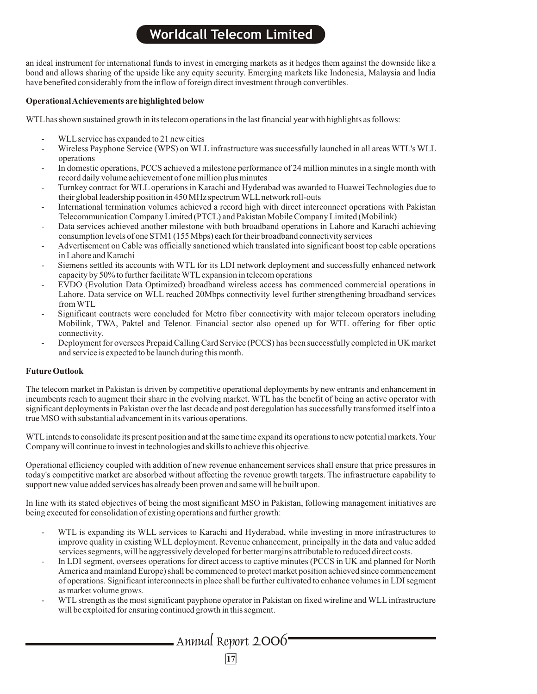an ideal instrument for international funds to invest in emerging markets as it hedges them against the downside like a bond and allows sharing of the upside like any equity security. Emerging markets like Indonesia, Malaysia and India have benefited considerably from the inflow of foreign direct investment through convertibles.

# **Operational Achievements are highlighted below**

WTLhas shown sustained growth in its telecom operations in the last financial year with highlights as follows:

- WLL service has expanded to 21 new cities
- Wireless Payphone Service (WPS) on WLL infrastructure was successfully launched in all areas WTL's WLL operations
- In domestic operations, PCCS achieved a milestone performance of 24 million minutes in a single month with record daily volume achievement of one million plus minutes
- Turnkey contract for WLL operations in Karachi and Hyderabad was awarded to Huawei Technologies due to their global leadership position in 450 MHz spectrum WLL network roll-outs
- International termination volumes achieved a record high with direct interconnect operations with Pakistan Telecommunication Company Limited (PTCL) and Pakistan Mobile Company Limited (Mobilink)
- Data services achieved another milestone with both broadband operations in Lahore and Karachi achieving consumption levels of one STM1 (155 Mbps) each for their broadband connectivity services
- Advertisement on Cable was officially sanctioned which translated into significant boost top cable operations in Lahore and Karachi
- Siemens settled its accounts with WTL for its LDI network deployment and successfully enhanced network capacity by 50% to further facilitate WTLexpansion in telecom operations
- EVDO (Evolution Data Optimized) broadband wireless access has commenced commercial operations in Lahore. Data service on WLL reached 20Mbps connectivity level further strengthening broadband services from WTL
- Significant contracts were concluded for Metro fiber connectivity with major telecom operators including Mobilink, TWA, Paktel and Telenor. Financial sector also opened up for WTL offering for fiber optic connectivity.
- Deployment for oversees Prepaid Calling Card Service (PCCS) has been successfully completed in UK market and service is expected to be launch during this month.

# **Future Outlook**

The telecom market in Pakistan is driven by competitive operational deployments by new entrants and enhancement in incumbents reach to augment their share in the evolving market. WTL has the benefit of being an active operator with significant deployments in Pakistan over the last decade and post deregulation has successfully transformed itself into a true MSO with substantial advancement in its various operations.

WTL intends to consolidate its present position and at the same time expand its operations to new potential markets. Your Company will continue to invest in technologies and skills to achieve this objective.

Operational efficiency coupled with addition of new revenue enhancement services shall ensure that price pressures in today's competitive market are absorbed without affecting the revenue growth targets. The infrastructure capability to support new value added services has already been proven and same will be built upon.

In line with its stated objectives of being the most significant MSO in Pakistan, following management initiatives are being executed for consolidation of existing operations and further growth:

- WTL is expanding its WLL services to Karachi and Hyderabad, while investing in more infrastructures to improve quality in existing WLL deployment. Revenue enhancement, principally in the data and value added services segments, will be aggressively developed for better margins attributable to reduced direct costs.
- In LDI segment, oversees operations for direct access to captive minutes (PCCS in UK and planned for North America and mainland Europe) shall be commenced to protect market position achieved since commencement of operations. Significant interconnects in place shall be further cultivated to enhance volumes in LDI segment as market volume grows.
- WTL strength as the most significant payphone operator in Pakistan on fixed wireline and WLL infrastructure will be exploited for ensuring continued growth in this segment.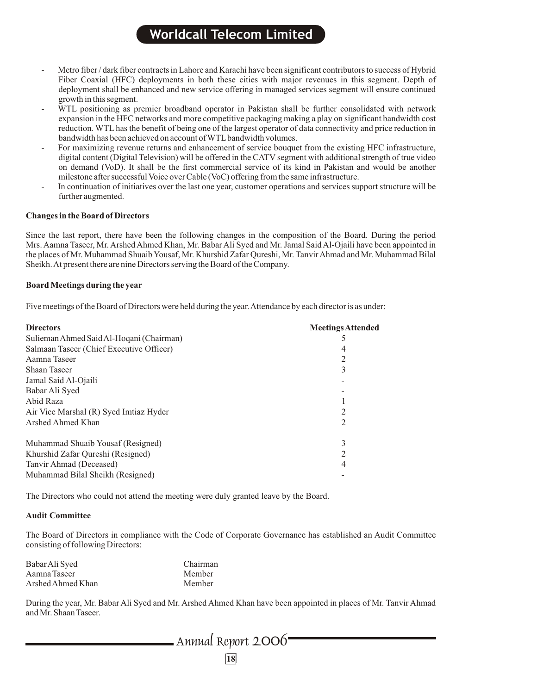- Metro fiber / dark fiber contracts in Lahore and Karachi have been significant contributors to success of Hybrid Fiber Coaxial (HFC) deployments in both these cities with major revenues in this segment. Depth of deployment shall be enhanced and new service offering in managed services segment will ensure continued growth in this segment.
- WTL positioning as premier broadband operator in Pakistan shall be further consolidated with network expansion in the HFC networks and more competitive packaging making a play on significant bandwidth cost reduction. WTL has the benefit of being one of the largest operator of data connectivity and price reduction in bandwidth has been achieved on account of WTL bandwidth volumes.
- For maximizing revenue returns and enhancement of service bouquet from the existing HFC infrastructure, digital content (Digital Television) will be offered in the CATV segment with additional strength of true video on demand (VoD). It shall be the first commercial service of its kind in Pakistan and would be another milestone after successful Voice over Cable (VoC) offering from the same infrastructure.
- In continuation of initiatives over the last one year, customer operations and services support structure will be further augmented.

### **Changes in the Board of Directors**

Since the last report, there have been the following changes in the composition of the Board. During the period Mrs. Aamna Taseer, Mr. Arshed Ahmed Khan, Mr. Babar Ali Syed and Mr. Jamal Said Al-Ojaili have been appointed in the places of Mr. Muhammad Shuaib Yousaf, Mr. Khurshid Zafar Qureshi, Mr. Tanvir Ahmad and Mr. Muhammad Bilal Sheikh. At present there are nine Directors serving the Board of the Company.

### **Board Meetings during the year**

Five meetings of the Board of Directors were held during the year. Attendance by each director is as under:

| <b>Directors</b>                         | <b>Meetings Attended</b> |
|------------------------------------------|--------------------------|
| Sulieman Ahmed Said Al-Hoqani (Chairman) |                          |
| Salmaan Taseer (Chief Executive Officer) | 4                        |
| Aamna Taseer                             | 2                        |
| Shaan Taseer                             | 3                        |
| Jamal Said Al-Ojaili                     |                          |
| Babar Ali Syed                           |                          |
| Abid Raza                                |                          |
| Air Vice Marshal (R) Syed Imtiaz Hyder   | 2                        |
| Arshed Ahmed Khan                        | 2                        |
| Muhammad Shuaib Yousaf (Resigned)        | 3                        |
| Khurshid Zafar Qureshi (Resigned)        | 2                        |
| Tanvir Ahmad (Deceased)                  | 4                        |
| Muhammad Bilal Sheikh (Resigned)         |                          |

The Directors who could not attend the meeting were duly granted leave by the Board.

### **Audit Committee**

The Board of Directors in compliance with the Code of Corporate Governance has established an Audit Committee consisting of following Directors:

| Babar Ali Syed    | Chairman |
|-------------------|----------|
| Aamna Taseer      | Member   |
| Arshed Ahmed Khan | Member   |

During the year, Mr. Babar Ali Syed and Mr. Arshed Ahmed Khan have been appointed in places of Mr. Tanvir Ahmad and Mr. Shaan Taseer.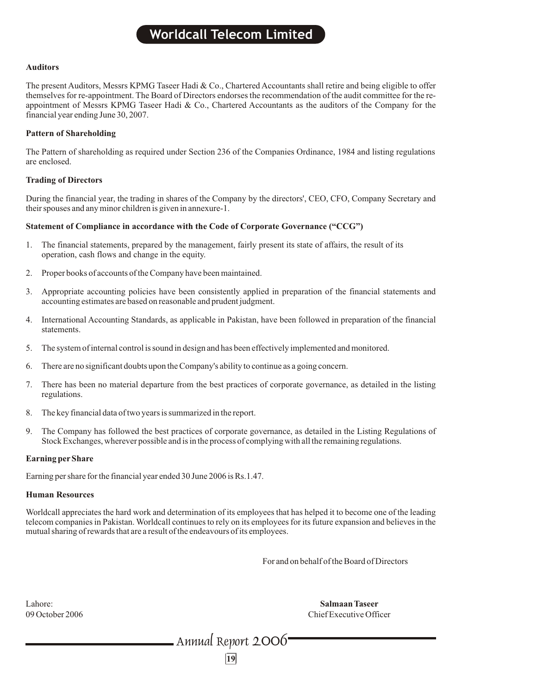### **Auditors**

The present Auditors, Messrs KPMG Taseer Hadi & Co., Chartered Accountants shall retire and being eligible to offer themselves for re-appointment. The Board of Directors endorses the recommendation of the audit committee for the reappointment of Messrs KPMG Taseer Hadi & Co., Chartered Accountants as the auditors of the Company for the financial year ending June 30, 2007.

### **Pattern of Shareholding**

The Pattern of shareholding as required under Section 236 of the Companies Ordinance, 1984 and listing regulations are enclosed.

# **Trading of Directors**

During the financial year, the trading in shares of the Company by the directors', CEO, CFO, Company Secretary and their spouses and any minor children is given in annexure-1.

### **Statement of Compliance in accordance with the Code of Corporate Governance ("CCG")**

- 1. The financial statements, prepared by the management, fairly present its state of affairs, the result of its operation, cash flows and change in the equity.
- 2. Proper books of accounts of the Company have been maintained.
- 3. Appropriate accounting policies have been consistently applied in preparation of the financial statements and accounting estimates are based on reasonable and prudent judgment.
- 4. International Accounting Standards, as applicable in Pakistan, have been followed in preparation of the financial statements.
- 5. The system of internal control is sound in design and has been effectively implemented and monitored.
- 6. There are no significant doubts upon the Company's ability to continue as a going concern.
- 7. There has been no material departure from the best practices of corporate governance, as detailed in the listing regulations.
- 8. The key financial data of two years is summarized in the report.
- 9. The Company has followed the best practices of corporate governance, as detailed in the Listing Regulations of Stock Exchanges, wherever possible and is in the process of complying with all the remaining regulations.

### **Earning perShare**

Earning per share for the financial year ended 30 June 2006 is Rs.1.47.

### **Human Resources**

Worldcall appreciates the hard work and determination of its employees that has helped it to become one of the leading telecom companies in Pakistan. Worldcall continues to rely on its employees for its future expansion and believes in the mutual sharing of rewards that are a result of the endeavours of its employees.

For and on behalf of the Board of Directors

Lahore: **Salmaan Taseer** 09 October 2006 Chief Executive Officer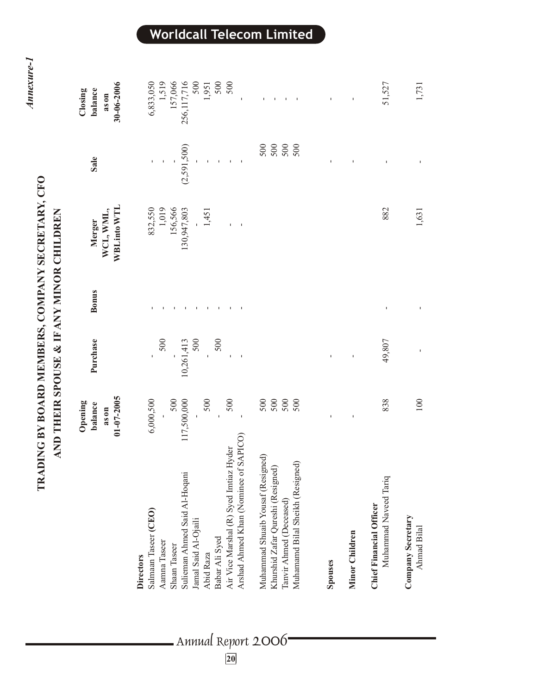# TRADING BY BOARD MEMBERS, COMPANY SECRETARY, CFO **TRADING BY BOARD MEMBERS, COMPANY SECRETARY, CFO** AND THEIR SPOUSE & IF ANY MINOR CHILDREN **AND THEIR SPOUSE & IF ANY MINOR CHILDREN**

|                                                         | Opening            |              |              |                                            |                                               | Closing                         |
|---------------------------------------------------------|--------------------|--------------|--------------|--------------------------------------------|-----------------------------------------------|---------------------------------|
|                                                         | balance<br>ason    | Purchase     | <b>Bonus</b> | WCL, WML,<br>Merger                        | Sale                                          | balance<br>as on                |
|                                                         | $01 - 07 - 2005$   |              |              | WBL into WTL                               |                                               | 30-06-2006                      |
| <b>Directors</b>                                        |                    |              |              |                                            |                                               |                                 |
| Salmaan Taseer (CEO)                                    | 6,000,500          |              |              |                                            |                                               | 6,833,050                       |
| Aamna Taseer                                            | $\overline{1}$     | 500          |              |                                            | $\frac{1}{2}$                                 |                                 |
| Shaan Taseer                                            |                    |              |              |                                            |                                               |                                 |
| Sulieman Ahmed Said Al-Hoqani                           | 500<br>117,500,000 | 10,261,413   |              | 832,550<br>1,019<br>156,566<br>130,947,803 | (2,591,500)                                   | 1,519<br>157,066<br>256,117,716 |
| Jamal Said Al-Ojaili                                    |                    | 500          |              |                                            |                                               |                                 |
| Abid Raza                                               | 500                |              |              | 1,451                                      | ï                                             | 500<br>1,951                    |
| Babar Ali Syed                                          | $\frac{1}{1}$      | 500          |              |                                            | $\tilde{\mathcal{A}}$ , $\tilde{\mathcal{A}}$ | 500<br>500                      |
| Air Vice Marshal (R) Syed Imtiaz Hyder                  | 500                |              |              | $\bar{1}$                                  |                                               |                                 |
| Arshad Ahmed Khan (Nominee of S                         | APICO)             |              |              | $\mathbf{I}$                               |                                               |                                 |
|                                                         |                    |              |              |                                            |                                               |                                 |
| Muhammad Shuaib Yousaf (Resigned)                       |                    |              |              |                                            |                                               |                                 |
| Khurshid Zafar Qureshi (Resigned)                       |                    |              |              |                                            |                                               |                                 |
| Tanvir Ahmed (Deceased)                                 |                    |              |              |                                            |                                               |                                 |
| Muhamamd Bilal Sheikh (Resigned)                        |                    |              |              |                                            |                                               |                                 |
|                                                         |                    |              |              |                                            |                                               |                                 |
| Spouses                                                 |                    | I.           |              |                                            |                                               |                                 |
| Minor Children                                          |                    | $\mathbf I$  |              |                                            |                                               |                                 |
| Muhammad Naveed Tariq<br><b>Chief Financial Officer</b> | 838                | 49,807       |              | 882                                        |                                               | 51,527                          |
|                                                         |                    |              |              |                                            |                                               |                                 |
| Company Secretary<br>Ahmad Bilal                        | 100                | $\mathbf{I}$ |              | 1,631                                      |                                               | 1,731                           |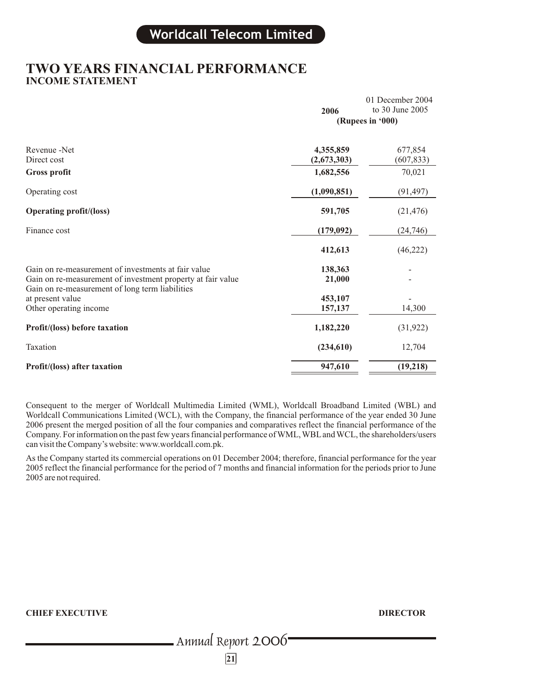# **TWO YEARS FINANCIAL PERFORMANCE INCOME STATEMENT**

|                                                                                                                                                                       | 2006                     | 01 December 2004<br>to 30 June 2005<br>(Rupees in '000) |
|-----------------------------------------------------------------------------------------------------------------------------------------------------------------------|--------------------------|---------------------------------------------------------|
| Revenue -Net<br>Direct cost                                                                                                                                           | 4,355,859<br>(2,673,303) | 677,854<br>(607, 833)                                   |
| <b>Gross profit</b>                                                                                                                                                   | 1,682,556                | 70,021                                                  |
| Operating cost                                                                                                                                                        | (1,090,851)              | (91, 497)                                               |
| <b>Operating profit/(loss)</b>                                                                                                                                        | 591,705                  | (21, 476)                                               |
| Finance cost                                                                                                                                                          | (179,092)                | (24, 746)                                               |
|                                                                                                                                                                       | 412,613                  | (46, 222)                                               |
| Gain on re-measurement of investments at fair value<br>Gain on re-measurement of investment property at fair value<br>Gain on re-measurement of long term liabilities | 138,363<br>21,000        |                                                         |
| at present value<br>Other operating income                                                                                                                            | 453,107<br>157,137       | 14,300                                                  |
| Profit/(loss) before taxation                                                                                                                                         | 1,182,220                | (31, 922)                                               |
| Taxation                                                                                                                                                              | (234, 610)               | 12,704                                                  |
| Profit/(loss) after taxation                                                                                                                                          | 947,610                  | (19,218)                                                |

Consequent to the merger of Worldcall Multimedia Limited (WML), Worldcall Broadband Limited (WBL) and Worldcall Communications Limited (WCL), with the Company, the financial performance of the year ended 30 June 2006 present the merged position of all the four companies and comparatives reflect the financial performance of the Company. For information on the past few years financial performance of WML, WBLand WCL, the shareholders/users can visit the Company's website: www.worldcall.com.pk.

As the Company started its commercial operations on 01 December 2004; therefore, financial performance for the year 2005 reflect the financial performance for the period of 7 months and financial information for the periods prior to June 2005 are not required.

**CHIEF EXECUTIVE DIRECTOR**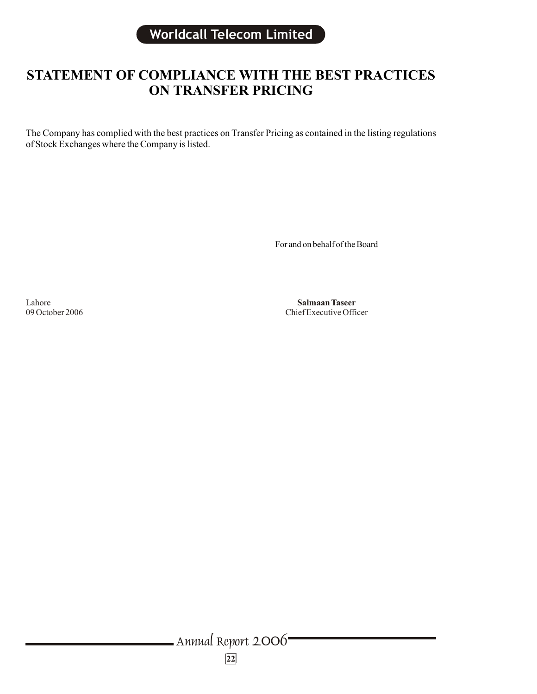# **STATEMENT OF COMPLIANCE WITH THE BEST PRACTICES ON TRANSFER PRICING**

The Company has complied with the best practices on Transfer Pricing as contained in the listing regulations of Stock Exchanges where the Company is listed.

For and on behalf of the Board

Lahore **Salmaan Taseer**<br>
09 October 2006 **Salmaan Taseer**<br>
Chief Executive Office Chief Executive Officer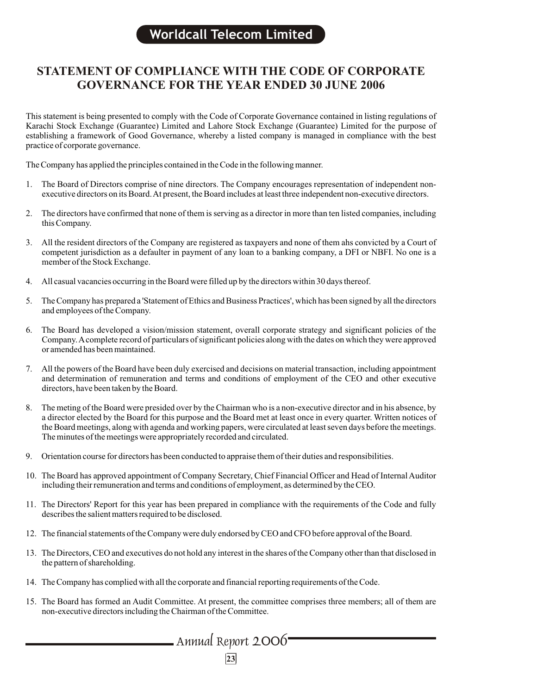# **STATEMENT OF COMPLIANCE WITH THE CODE OF CORPORATE GOVERNANCE FOR THE YEAR ENDED 30 JUNE 2006**

This statement is being presented to comply with the Code of Corporate Governance contained in listing regulations of Karachi Stock Exchange (Guarantee) Limited and Lahore Stock Exchange (Guarantee) Limited for the purpose of establishing a framework of Good Governance, whereby a listed company is managed in compliance with the best practice of corporate governance.

The Company has applied the principles contained in the Code in the following manner.

- 1. The Board of Directors comprise of nine directors. The Company encourages representation of independent nonexecutive directors on its Board. At present, the Board includes at least three independent non-executive directors.
- 2. The directors have confirmed that none of them is serving as a director in more than ten listed companies, including this Company.
- 3. All the resident directors of the Company are registered as taxpayers and none of them ahs convicted by a Court of competent jurisdiction as a defaulter in payment of any loan to a banking company, a DFI or NBFI. No one is a member of the Stock Exchange.
- 4. All casual vacancies occurring in the Board were filled up by the directors within 30 days thereof.
- 5. The Company has prepared a 'Statement of Ethics and Business Practices', which has been signed by all the directors and employees of the Company.
- 6. The Board has developed a vision/mission statement, overall corporate strategy and significant policies of the Company. Acomplete record of particulars of significant policies along with the dates on which they were approved or amended has been maintained.
- 7. All the powers of the Board have been duly exercised and decisions on material transaction, including appointment and determination of remuneration and terms and conditions of employment of the CEO and other executive directors, have been taken by the Board.
- 8. The meting of the Board were presided over by the Chairman who is a non-executive director and in his absence, by a director elected by the Board for this purpose and the Board met at least once in every quarter. Written notices of the Board meetings, along with agenda and working papers, were circulated at least seven days before the meetings. The minutes of the meetings were appropriately recorded and circulated.
- 9. Orientation course for directors has been conducted to appraise them of their duties and responsibilities.
- 10. The Board has approved appointment of Company Secretary, Chief Financial Officer and Head of Internal Auditor including their remuneration and terms and conditions of employment, as determined by the CEO.
- 11. The Directors' Report for this year has been prepared in compliance with the requirements of the Code and fully describes the salient matters required to be disclosed.
- 12. The financial statements of the Company were duly endorsed by CEO and CFO before approval of the Board.
- 13. The Directors, CEO and executives do not hold any interest in the shares of the Company other than that disclosed in the pattern of shareholding.
- 14. The Company has complied with all the corporate and financial reporting requirements of the Code.
- 15. The Board has formed an Audit Committee. At present, the committee comprises three members; all of them are non-executive directors including the Chairman of the Committee.

 $\_$ Annual Report 2006 $^\bullet$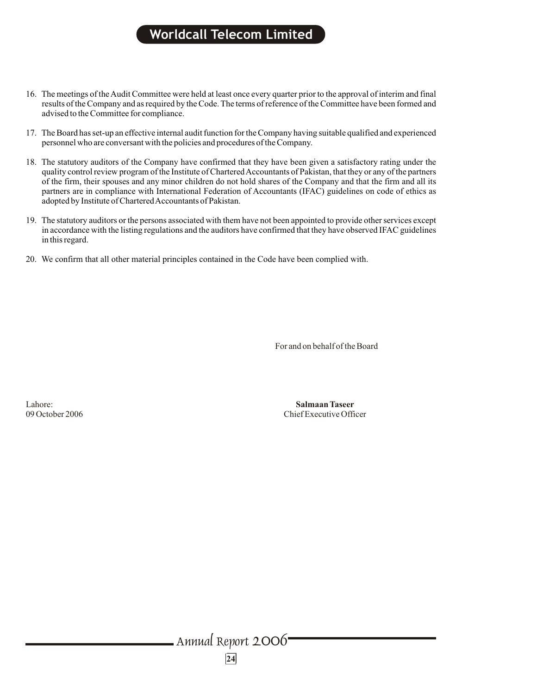- 16. The meetings of the Audit Committee were held at least once every quarter prior to the approval of interim and final results of the Company and as required by the Code. The terms of reference of the Committee have been formed and advised to the Committee for compliance.
- 17. The Board has set-up an effective internal audit function for the Company having suitable qualified and experienced personnel who are conversant with the policies and procedures of the Company.
- 18. The statutory auditors of the Company have confirmed that they have been given a satisfactory rating under the quality control review program of the Institute of Chartered Accountants of Pakistan, that they or any of the partners of the firm, their spouses and any minor children do not hold shares of the Company and that the firm and all its partners are in compliance with International Federation of Accountants (IFAC) guidelines on code of ethics as adopted by Institute of Chartered Accountants of Pakistan.
- 19. The statutory auditors or the persons associated with them have not been appointed to provide other services except in accordance with the listing regulations and the auditors have confirmed that they have observed IFAC guidelines in this regard.
- 20. We confirm that all other material principles contained in the Code have been complied with.

For and on behalf of the Board

Lahore: **Salmaan Taseer**<br>
09 October 2006<br>
Chief Executive Offi Chief Executive Officer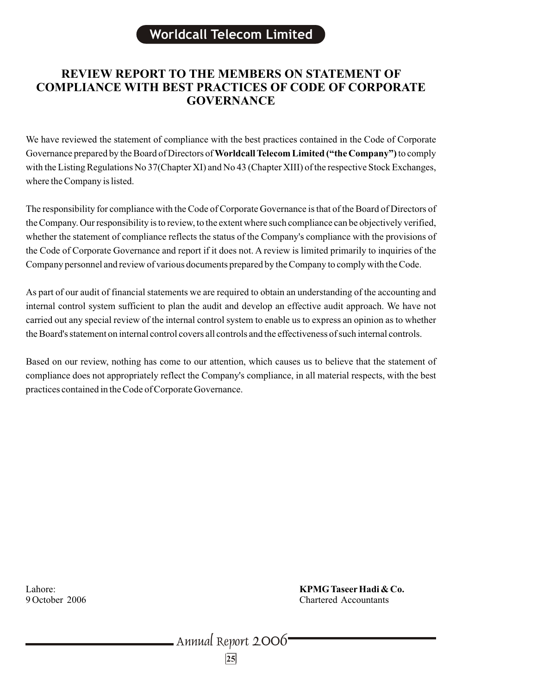# **REVIEW REPORT TO THE MEMBERS ON STATEMENT OF COMPLIANCE WITH BEST PRACTICES OF CODE OF CORPORATE GOVERNANCE**

We have reviewed the statement of compliance with the best practices contained in the Code of Corporate Governance prepared by the Board of Directors of **Worldcall Telecom Limited ("the Company")** to comply with the Listing Regulations No 37(Chapter XI) and No 43 (Chapter XIII) of the respective Stock Exchanges, where the Company is listed.

The responsibility for compliance with the Code of Corporate Governance is that of the Board of Directors of the Company. Our responsibility is to review, to the extent where such compliance can be objectively verified, whether the statement of compliance reflects the status of the Company's compliance with the provisions of the Code of Corporate Governance and report if it does not. A review is limited primarily to inquiries of the Company personnel and review of various documents prepared by the Company to comply with the Code.

As part of our audit of financial statements we are required to obtain an understanding of the accounting and internal control system sufficient to plan the audit and develop an effective audit approach. We have not carried out any special review of the internal control system to enable us to express an opinion as to whether the Board's statement on internal control covers all controls and the effectiveness of such internal controls.

Based on our review, nothing has come to our attention, which causes us to believe that the statement of compliance does not appropriately reflect the Company's compliance, in all material respects, with the best practices contained in the Code of Corporate Governance.

Lahore: **KPMG Taseer Hadi & Co.**<br>
9 October 2006 **Chartered Accountants Chartered Accountants**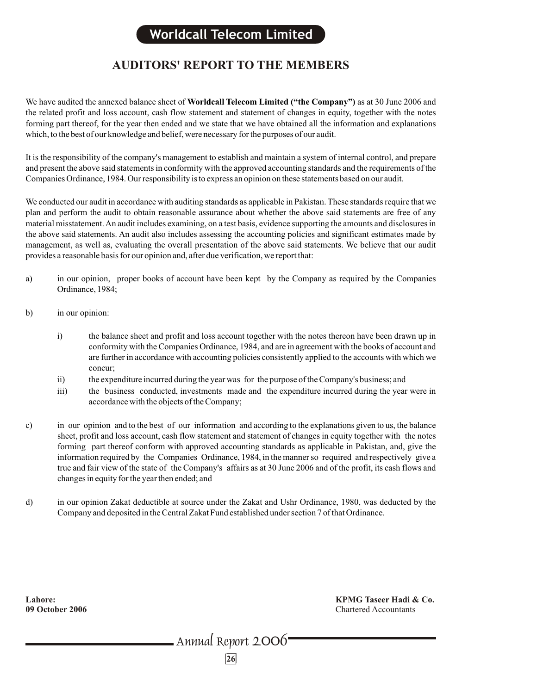# **AUDITORS' REPORT TO THE MEMBERS**

We have audited the annexed balance sheet of **Worldcall Telecom Limited ("the Company")** as at 30 June 2006 and the related profit and loss account, cash flow statement and statement of changes in equity, together with the notes forming part thereof, for the year then ended and we state that we have obtained all the information and explanations which, to the best of our knowledge and belief, were necessary for the purposes of our audit.

It is the responsibility of the company's management to establish and maintain a system of internal control, and prepare and present the above said statements in conformity with the approved accounting standards and the requirements of the Companies Ordinance, 1984. Our responsibility is to express an opinion on these statements based on our audit.

We conducted our audit in accordance with auditing standards as applicable in Pakistan. These standards require that we plan and perform the audit to obtain reasonable assurance about whether the above said statements are free of any material misstatement. An audit includes examining, on a test basis, evidence supporting the amounts and disclosures in the above said statements. An audit also includes assessing the accounting policies and significant estimates made by management, as well as, evaluating the overall presentation of the above said statements. We believe that our audit provides a reasonable basis for our opinion and, after due verification, we report that:

- a) in our opinion, proper books of account have been kept by the Company as required by the Companies Ordinance, 1984;
- b) in our opinion:
	- i) the balance sheet and profit and loss account together with the notes thereon have been drawn up in conformity with the Companies Ordinance, 1984, and are in agreement with the books of account and are further in accordance with accounting policies consistently applied to the accounts with which we concur;
	- ii) the expenditure incurred during the year was for the purpose of the Company's business; and
	- iii) the business conducted, investments made and the expenditure incurred during the year were in accordance with the objects of the Company;
- c) in our opinion and to the best of our information and according to the explanations given to us, the balance sheet, profit and loss account, cash flow statement and statement of changes in equity together with the notes forming part thereof conform with approved accounting standards as applicable in Pakistan, and, give the information required by the Companies Ordinance, 1984, in the manner so required and respectively give a true and fair view of the state of the Company's affairs as at 30 June 2006 and of the profit, its cash flows and changes in equity for the year then ended; and
- d) in our opinion Zakat deductible at source under the Zakat and Ushr Ordinance, 1980, was deducted by the Company and deposited in the Central Zakat Fund established under section 7 of that Ordinance.

**Lahore:** KPMG Taseer Hadi & Co.<br> **Co.** 09 October 2006 **Chartered Accountants**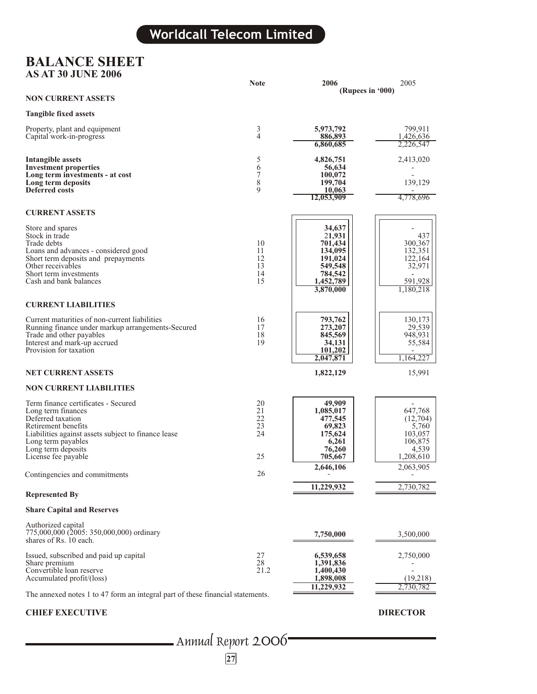# **BALANCE SHEET AS AT 30 JUNE 2006**

|                                                                                                    | <b>Note</b>    | 2006<br>(Rupees in '000) | 2005                   |
|----------------------------------------------------------------------------------------------------|----------------|--------------------------|------------------------|
| <b>NON CURRENT ASSETS</b>                                                                          |                |                          |                        |
| <b>Tangible fixed assets</b>                                                                       |                |                          |                        |
| Property, plant and equipment                                                                      | 3              | 5,973,792                | 799,911                |
| Capital work-in-progress                                                                           | $\overline{4}$ | 886,893<br>6,860,685     | 1,426,636<br>2,226,547 |
| <b>Intangible assets</b>                                                                           | 5              | 4,826,751                | 2,413,020              |
| <b>Investment properties</b><br>Long term investments - at cost                                    | 6<br>7         | 56,634<br>100.072        |                        |
| Long term deposits                                                                                 | 8              | 199,704                  | 139,129                |
| <b>Deferred costs</b>                                                                              | 9              | 10,063<br>12,053,909     | 4,778,696              |
| <b>CURRENT ASSETS</b>                                                                              |                |                          |                        |
| Store and spares                                                                                   |                | 34,637                   |                        |
| Stock in trade                                                                                     |                | 21,931                   | 437                    |
| Trade debts<br>Loans and advances - considered good                                                | 10<br>11       | 701,434<br>134,095       | 300,367<br>132,351     |
| Short term deposits and prepayments                                                                | 12             | 191,024                  | 122,164                |
| Other receivables<br>Short term investments                                                        | 13<br>14       | 549,548<br>784,542       | 32,971                 |
| Cash and bank balances                                                                             | 15             | 1,452,789                | 591,928                |
| <b>CURRENT LIABILITIES</b>                                                                         |                | 3,870,000                | 1,180,218              |
|                                                                                                    |                |                          |                        |
| Current maturities of non-current liabilities<br>Running finance under markup arrangements-Secured | 16<br>17       | 793,762<br>273,207       | 130,173<br>29,539      |
| Trade and other payables                                                                           | 18             | 845,569                  | 948,931                |
| Interest and mark-up accrued<br>Provision for taxation                                             | 19             | 34,131<br>101,202        | 55,584                 |
|                                                                                                    |                | 2,047,871                | 1,164,227              |
| <b>NET CURRENT ASSETS</b>                                                                          |                | 1,822,129                | 15,991                 |
| <b>NON CURRENT LIABILITIES</b>                                                                     |                |                          |                        |
| Term finance certificates - Secured                                                                | 20             | 49,909                   |                        |
| Long term finances<br>Deferred taxation                                                            | 21<br>22       | 1,085,017<br>477,545     | 647,768<br>(12,704)    |
| Retirement benefits                                                                                | 23             | 69,823                   | 5,760                  |
| Liabilities against assets subject to finance lease<br>Long term payables                          | 24             | 175,624<br>6,261         | 103,057<br>106,875     |
| Long term deposits                                                                                 |                | 76,260                   | 4,539                  |
| License fee payable                                                                                | 25             | 705,667<br>2,646,106     | 1,208,610<br>2,063,905 |
| Contingencies and commitments                                                                      | $26\,$         |                          |                        |
| <b>Represented By</b>                                                                              |                | 11,229,932               | 2,730,782              |
| <b>Share Capital and Reserves</b>                                                                  |                |                          |                        |
| Authorized capital                                                                                 |                |                          |                        |
| 775,000,000 (2005: 350,000,000) ordinary<br>shares of Rs. 10 each.                                 |                | 7,750,000                | 3,500,000              |
|                                                                                                    |                |                          |                        |
| Issued, subscribed and paid up capital<br>Share premium                                            | 27<br>28       | 6,539,658<br>1,391,836   | 2,750,000              |
| Convertible loan reserve                                                                           | 21.2           | 1,400,430                |                        |
| Accumulated profit/(loss)                                                                          |                | 1,898,008                | (19,218)               |
|                                                                                                    |                | 11,229,932               | 2.730.782              |

The annexed notes 1 to 47 form an integral part of these financial statements.

# **CHIEF EXECUTIVE DIRECTOR**

 $\_$ Annual Report 2006 $^{\circ}$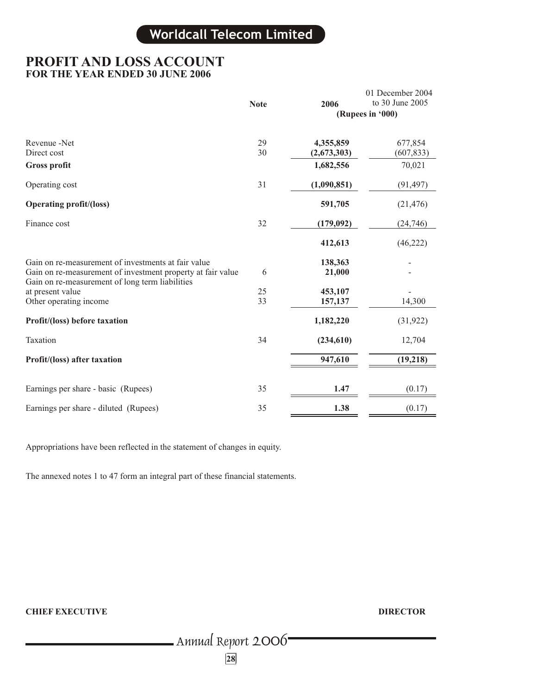# **PROFIT AND LOSS ACCOUNT FOR THE YEAR ENDED 30 JUNE 2006**

|                                                                                                                                                                       | <b>Note</b> | 2006<br>(Rupees in '000) | 01 December 2004<br>to 30 June 2005 |
|-----------------------------------------------------------------------------------------------------------------------------------------------------------------------|-------------|--------------------------|-------------------------------------|
| Revenue -Net<br>Direct cost                                                                                                                                           | 29<br>30    | 4,355,859<br>(2,673,303) | 677,854<br>(607, 833)               |
| <b>Gross profit</b>                                                                                                                                                   |             | 1,682,556                | 70,021                              |
| Operating cost                                                                                                                                                        | 31          | (1,090,851)              | (91, 497)                           |
| <b>Operating profit/(loss)</b>                                                                                                                                        |             | 591,705                  | (21, 476)                           |
| Finance cost                                                                                                                                                          | 32          | (179,092)                | (24,746)                            |
|                                                                                                                                                                       |             | 412,613                  | (46, 222)                           |
| Gain on re-measurement of investments at fair value<br>Gain on re-measurement of investment property at fair value<br>Gain on re-measurement of long term liabilities | 6           | 138,363<br>21,000        |                                     |
| at present value                                                                                                                                                      | 25          | 453,107                  |                                     |
| Other operating income                                                                                                                                                | 33          | 157,137                  | 14,300                              |
| Profit/(loss) before taxation                                                                                                                                         |             | 1,182,220                | (31, 922)                           |
| Taxation                                                                                                                                                              | 34          | (234, 610)               | 12,704                              |
| Profit/(loss) after taxation                                                                                                                                          |             | 947,610                  | (19, 218)                           |
| Earnings per share - basic (Rupees)                                                                                                                                   | 35          | 1.47                     | (0.17)                              |
| Earnings per share - diluted (Rupees)                                                                                                                                 | 35          | 1.38                     | (0.17)                              |

Appropriations have been reflected in the statement of changes in equity.

The annexed notes 1 to 47 form an integral part of these financial statements.

**CHIEF EXECUTIVE DIRECTOR**

 $\blacksquare$ Annual Report 2006 $\blacksquare$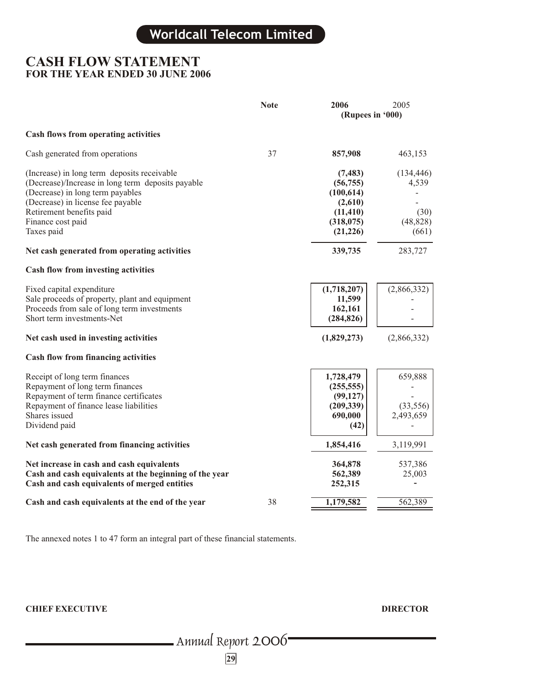# **CASH FLOW STATEMENT FOR THE YEAR ENDED 30 JUNE 2006**

|                                                                                                                                                                                                                                          | <b>Note</b> | 2006<br>(Rupees in '000)                                                              | 2005                                                   |
|------------------------------------------------------------------------------------------------------------------------------------------------------------------------------------------------------------------------------------------|-------------|---------------------------------------------------------------------------------------|--------------------------------------------------------|
| Cash flows from operating activities                                                                                                                                                                                                     |             |                                                                                       |                                                        |
| Cash generated from operations                                                                                                                                                                                                           | 37          | 857,908                                                                               | 463,153                                                |
| (Increase) in long term deposits receivable<br>(Decrease)/Increase in long term deposits payable<br>(Decrease) in long term payables<br>(Decrease) in license fee payable<br>Retirement benefits paid<br>Finance cost paid<br>Taxes paid |             | (7, 483)<br>(56, 755)<br>(100, 614)<br>(2,610)<br>(11, 410)<br>(318,075)<br>(21, 226) | (134, 446)<br>4,539<br>۰<br>(30)<br>(48, 828)<br>(661) |
| Net cash generated from operating activities                                                                                                                                                                                             |             | 339,735                                                                               | 283,727                                                |
| Cash flow from investing activities                                                                                                                                                                                                      |             |                                                                                       |                                                        |
| Fixed capital expenditure<br>Sale proceeds of property, plant and equipment<br>Proceeds from sale of long term investments<br>Short term investments-Net                                                                                 |             | (1,718,207)<br>11,599<br>162,161<br>(284, 826)                                        | (2,866,332)                                            |
| Net cash used in investing activities                                                                                                                                                                                                    |             | (1,829,273)                                                                           | (2,866,332)                                            |
| Cash flow from financing activities                                                                                                                                                                                                      |             |                                                                                       |                                                        |
| Receipt of long term finances<br>Repayment of long term finances<br>Repayment of term finance certificates<br>Repayment of finance lease liabilities<br>Shares issued<br>Dividend paid                                                   |             | 1,728,479<br>(255, 555)<br>(99, 127)<br>(209, 339)<br>690,000<br>(42)                 | 659,888<br>(33, 556)<br>2,493,659                      |
| Net cash generated from financing activities                                                                                                                                                                                             |             | 1,854,416                                                                             | 3,119,991                                              |
| Net increase in cash and cash equivalents<br>Cash and cash equivalents at the beginning of the year<br>Cash and cash equivalents of merged entities                                                                                      |             | 364,878<br>562,389<br>252,315                                                         | 537,386<br>25,003                                      |
| Cash and cash equivalents at the end of the year                                                                                                                                                                                         | 38          | 1,179,582                                                                             | 562,389                                                |

The annexed notes 1 to 47 form an integral part of these financial statements.

# **CHIEF EXECUTIVE DIRECTOR**

 $\blacksquare$  Annual Report 2006 $\blacksquare$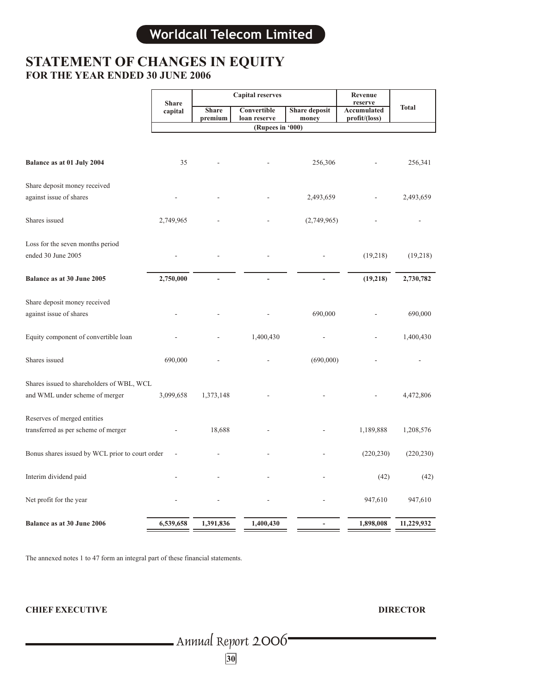# **STATEMENT OF CHANGES IN EQUITY FOR THE YEAR ENDED 30 JUNE 2006**

|                                                         | <b>Share</b> | <b>Capital reserves</b><br>Revenue<br>reserve |                             |                               |                              |              |
|---------------------------------------------------------|--------------|-----------------------------------------------|-----------------------------|-------------------------------|------------------------------|--------------|
|                                                         | capital      | <b>Share</b><br>premium                       | Convertible<br>loan reserve | <b>Share deposit</b><br>money | Accumulated<br>profit/(loss) | <b>Total</b> |
|                                                         |              |                                               | (Rupees in '000)            |                               |                              |              |
| Balance as at 01 July 2004                              | 35           |                                               |                             | 256,306                       |                              | 256,341      |
| Share deposit money received<br>against issue of shares |              |                                               |                             | 2,493,659                     |                              | 2,493,659    |
| Shares issued                                           | 2,749,965    |                                               |                             | (2,749,965)                   |                              |              |
| Loss for the seven months period                        |              |                                               |                             |                               |                              |              |
| ended 30 June 2005                                      |              |                                               |                             |                               | (19, 218)                    | (19,218)     |
| Balance as at 30 June 2005                              | 2,750,000    |                                               |                             |                               | (19, 218)                    | 2,730,782    |
| Share deposit money received                            |              |                                               |                             |                               |                              |              |
| against issue of shares                                 |              |                                               |                             | 690,000                       |                              | 690,000      |
| Equity component of convertible loan                    |              |                                               | 1,400,430                   |                               |                              | 1,400,430    |
| Shares issued                                           | 690,000      |                                               |                             | (690,000)                     |                              |              |
| Shares issued to shareholders of WBL, WCL               |              |                                               |                             |                               |                              |              |
| and WML under scheme of merger                          | 3,099,658    | 1,373,148                                     |                             |                               |                              | 4,472,806    |
| Reserves of merged entities                             |              |                                               |                             |                               |                              |              |
| transferred as per scheme of merger                     |              | 18,688                                        |                             |                               | 1,189,888                    | 1,208,576    |
| Bonus shares issued by WCL prior to court order         |              |                                               |                             |                               | (220, 230)                   | (220, 230)   |
| Interim dividend paid                                   |              |                                               |                             |                               | (42)                         | (42)         |
| Net profit for the year                                 |              |                                               |                             |                               | 947,610                      | 947,610      |
| Balance as at 30 June 2006                              | 6,539,658    | 1,391,836                                     | 1,400,430                   | $\overline{a}$                | 1,898,008                    | 11,229,932   |

The annexed notes 1 to 47 form an integral part of these financial statements.

# **CHIEF EXECUTIVE DIRECTOR**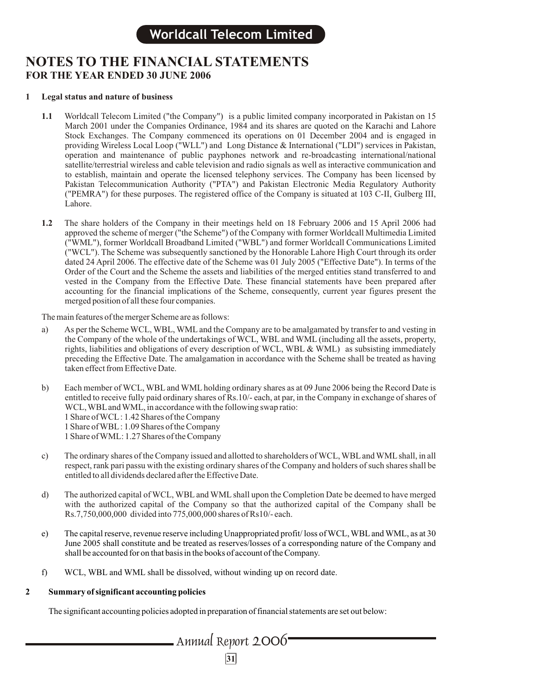# **NOTES TO THE FINANCIAL STATEMENTS FOR THE YEAR ENDED 30 JUNE 2006**

# **1 Legal status and nature of business**

- **1.1** Worldcall Telecom Limited ("the Company") is a public limited company incorporated in Pakistan on 15 March 2001 under the Companies Ordinance, 1984 and its shares are quoted on the Karachi and Lahore Stock Exchanges. The Company commenced its operations on 01 December 2004 and is engaged in providing Wireless Local Loop ("WLL") and Long Distance & International ("LDI") services in Pakistan, operation and maintenance of public payphones network and re-broadcasting international/national satellite/terrestrial wireless and cable television and radio signals as well as interactive communication and to establish, maintain and operate the licensed telephony services. The Company has been licensed by Pakistan Telecommunication Authority ("PTA") and Pakistan Electronic Media Regulatory Authority ("PEMRA") for these purposes. The registered office of the Company is situated at 103 C-II, Gulberg III, Lahore.
- **1.2** The share holders of the Company in their meetings held on 18 February 2006 and 15 April 2006 had approved the scheme of merger ("the Scheme") of the Company with former Worldcall Multimedia Limited ("WML"), former Worldcall Broadband Limited ("WBL") and former Worldcall Communications Limited ("WCL"). The Scheme was subsequently sanctioned by the Honorable Lahore High Court through its order dated 24 April 2006. The effective date of the Scheme was 01 July 2005 ("Effective Date"). In terms of the Order of the Court and the Scheme the assets and liabilities of the merged entities stand transferred to and vested in the Company from the Effective Date. These financial statements have been prepared after accounting for the financial implications of the Scheme, consequently, current year figures present the merged position of all these four companies.

The main features of the merger Scheme are as follows:

- a) As per the Scheme WCL, WBL, WMLand the Company are to be amalgamated by transfer to and vesting in the Company of the whole of the undertakings of WCL, WBL and WML (including all the assets, property, rights, liabilities and obligations of every description of WCL, WBL & WML) as subsisting immediately preceding the Effective Date. The amalgamation in accordance with the Scheme shall be treated as having taken effect from Effective Date.
- b) Each member of WCL, WBL and WML holding ordinary shares as at 09 June 2006 being the Record Date is entitled to receive fully paid ordinary shares of Rs.10/- each, at par, in the Company in exchange of shares of WCL, WBL and WML, in accordance with the following swap ratio: 1 Share of WCL: 1.42 Shares of the Company 1 Share of WBL: 1.09 Shares of the Company 1 Share of WML: 1.27 Shares of the Company
- c) The ordinary shares of the Company issued and allotted to shareholders of WCL, WBLand WMLshall, in all respect, rank pari passu with the existing ordinary shares of the Company and holders of such shares shall be entitled to all dividends declared after the Effective Date.
- d) The authorized capital of WCL, WBLand WMLshall upon the Completion Date be deemed to have merged with the authorized capital of the Company so that the authorized capital of the Company shall be Rs.7,750,000,000 divided into 775,000,000 shares of Rs10/- each.
- e) The capital reserve, revenue reserve including Unappropriated profit/ loss of WCL, WBLand WML, as at 30 June 2005 shall constitute and be treated as reserves/losses of a corresponding nature of the Company and shall be accounted for on that basis in the books of account of the Company.
- f) WCL, WBL and WML shall be dissolved, without winding up on record date.

# **2 Summary of significant accounting policies**

The significant accounting policies adopted in preparation of financial statements are set out below: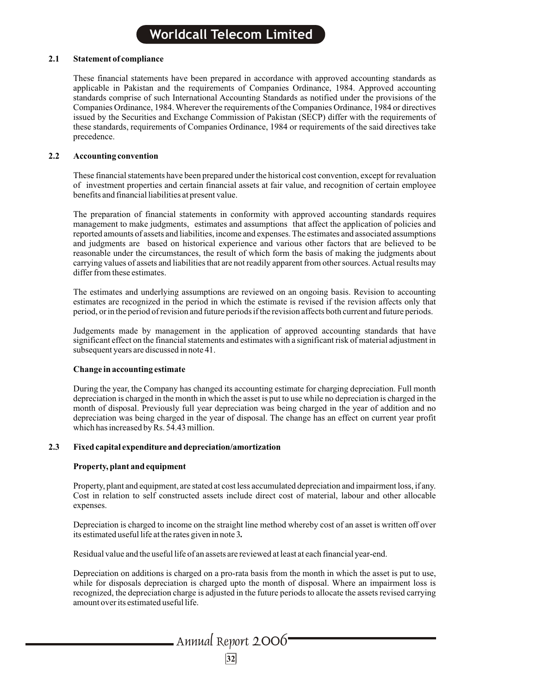# **2.1 Statement of compliance**

These financial statements have been prepared in accordance with approved accounting standards as applicable in Pakistan and the requirements of Companies Ordinance, 1984. Approved accounting standards comprise of such International Accounting Standards as notified under the provisions of the Companies Ordinance, 1984. Wherever the requirements of the Companies Ordinance, 1984 or directives issued by the Securities and Exchange Commission of Pakistan (SECP) differ with the requirements of these standards, requirements of Companies Ordinance, 1984 or requirements of the said directives take precedence.

### **2.2 Accounting convention**

These financial statements have been prepared under the historical cost convention, except for revaluation of investment properties and certain financial assets at fair value, and recognition of certain employee benefits and financial liabilities at present value.

The preparation of financial statements in conformity with approved accounting standards requires management to make judgments, estimates and assumptions that affect the application of policies and reported amounts of assets and liabilities, income and expenses. The estimates and associated assumptions and judgments are based on historical experience and various other factors that are believed to be reasonable under the circumstances, the result of which form the basis of making the judgments about carrying values of assets and liabilities that are not readily apparent from other sources. Actual results may differ from these estimates.

The estimates and underlying assumptions are reviewed on an ongoing basis. Revision to accounting estimates are recognized in the period in which the estimate is revised if the revision affects only that period, or in the period of revision and future periods if the revision affects both current and future periods.

Judgements made by management in the application of approved accounting standards that have significant effect on the financial statements and estimates with a significant risk of material adjustment in subsequent years are discussed in note 41.

# **Change in accounting estimate**

During the year, the Company has changed its accounting estimate for charging depreciation. Full month depreciation is charged in the month in which the asset is put to use while no depreciation is charged in the month of disposal. Previously full year depreciation was being charged in the year of addition and no depreciation was being charged in the year of disposal. The change has an effect on current year profit which has increased by Rs. 54.43 million.

# **2.3 Fixed capital expenditure and depreciation/amortization**

# **Property, plant and equipment**

Property, plant and equipment, are stated at cost less accumulated depreciation and impairment loss, if any. Cost in relation to self constructed assets include direct cost of material, labour and other allocable expenses.

Depreciation is charged to income on the straight line method whereby cost of an asset is written off over its estimated useful life at the rates given in note 3*.*

Residual value and the useful life of an assets are reviewed at least at each financial year-end.

Depreciation on additions is charged on a pro-rata basis from the month in which the asset is put to use, while for disposals depreciation is charged upto the month of disposal. Where an impairment loss is recognized, the depreciation charge is adjusted in the future periods to allocate the assets revised carrying amount over its estimated useful life.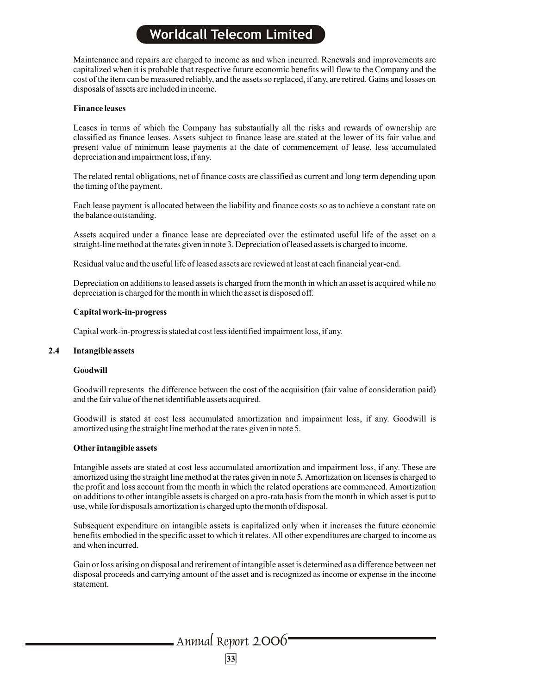Maintenance and repairs are charged to income as and when incurred. Renewals and improvements are capitalized when it is probable that respective future economic benefits will flow to the Company and the cost of the item can be measured reliably, and the assets so replaced, if any, are retired. Gains and losses on disposals of assets are included in income.

### **Finance leases**

Leases in terms of which the Company has substantially all the risks and rewards of ownership are classified as finance leases. Assets subject to finance lease are stated at the lower of its fair value and present value of minimum lease payments at the date of commencement of lease, less accumulated depreciation and impairment loss, if any.

The related rental obligations, net of finance costs are classified as current and long term depending upon the timing of the payment.

Each lease payment is allocated between the liability and finance costs so as to achieve a constant rate on the balance outstanding.

Assets acquired under a finance lease are depreciated over the estimated useful life of the asset on a straight-line method at the rates given in note 3. Depreciation of leased assets is charged to income.

Residual value and the useful life of leased assets are reviewed at least at each financial year-end.

Depreciation on additions to leased assets is charged from the month in which an asset is acquired while no depreciation is charged for the month in which the asset is disposed off.

### **Capital work-in-progress**

Capital work-in-progress is stated at cost less identified impairment loss, if any.

### **2.4 Intangible assets**

### **Goodwill**

Goodwill represents the difference between the cost of the acquisition (fair value of consideration paid) and the fair value of the net identifiable assets acquired.

Goodwill is stated at cost less accumulated amortization and impairment loss, if any. Goodwill is amortized using the straight line method at the rates given in note 5.

### **Other intangible assets**

Intangible assets are stated at cost less accumulated amortization and impairment loss, if any. These are amortized using the straight line method at the rates given in note 5*.* Amortization on licenses is charged to the profit and loss account from the month in which the related operations are commenced. Amortization on additions to other intangible assets is charged on a pro-rata basis from the month in which asset is put to use, while for disposals amortization is charged upto the month of disposal.

Subsequent expenditure on intangible assets is capitalized only when it increases the future economic benefits embodied in the specific asset to which it relates. All other expenditures are charged to income as and when incurred.

Gain or loss arising on disposal and retirement of intangible asset is determined as a difference between net disposal proceeds and carrying amount of the asset and is recognized as income or expense in the income statement.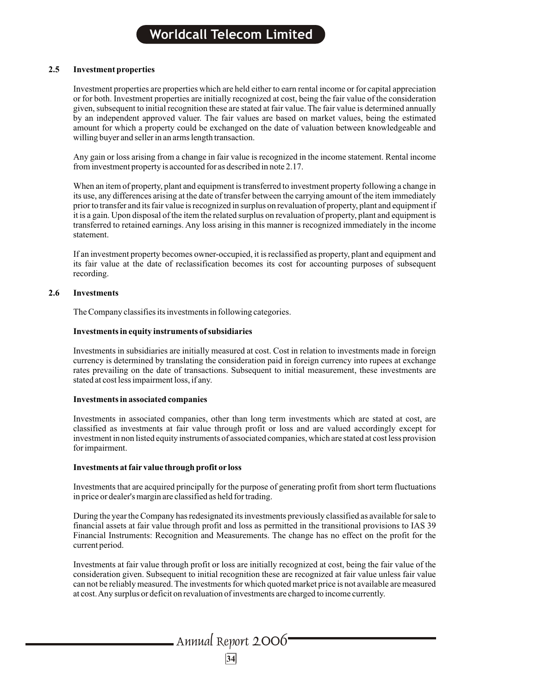### **2.5 Investment properties**

Investment properties are properties which are held either to earn rental income or for capital appreciation or for both. Investment properties are initially recognized at cost, being the fair value of the consideration given, subsequent to initial recognition these are stated at fair value. The fair value is determined annually by an independent approved valuer. The fair values are based on market values, being the estimated amount for which a property could be exchanged on the date of valuation between knowledgeable and willing buyer and seller in an arms length transaction.

Any gain or loss arising from a change in fair value is recognized in the income statement. Rental income from investment property is accounted for as described in note 2.17.

When an item of property, plant and equipment is transferred to investment property following a change in its use, any differences arising at the date of transfer between the carrying amount of the item immediately prior to transfer and its fair value is recognized in surplus on revaluation of property, plant and equipment if it is a gain. Upon disposal of the item the related surplus on revaluation of property, plant and equipment is transferred to retained earnings. Any loss arising in this manner is recognized immediately in the income statement.

If an investment property becomes owner-occupied, it is reclassified as property, plant and equipment and its fair value at the date of reclassification becomes its cost for accounting purposes of subsequent recording.

### **2.6 Investments**

The Company classifies its investments in following categories.

### **Investments in equity instruments of subsidiaries**

Investments in subsidiaries are initially measured at cost. Cost in relation to investments made in foreign currency is determined by translating the consideration paid in foreign currency into rupees at exchange rates prevailing on the date of transactions. Subsequent to initial measurement, these investments are stated at cost less impairment loss, if any.

### **Investments in associated companies**

Investments in associated companies, other than long term investments which are stated at cost, are classified as investments at fair value through profit or loss and are valued accordingly except for investment in non listed equity instruments of associated companies, which are stated at cost less provision for impairment.

### **Investments at fair value through profit or loss**

Investments that are acquired principally for the purpose of generating profit from short term fluctuations in price or dealer's margin are classified as held for trading.

During the year the Company has redesignated its investments previously classified as available for sale to financial assets at fair value through profit and loss as permitted in the transitional provisions to IAS 39 Financial Instruments: Recognition and Measurements. The change has no effect on the profit for the current period.

Investments at fair value through profit or loss are initially recognized at cost, being the fair value of the consideration given. Subsequent to initial recognition these are recognized at fair value unless fair value can not be reliably measured. The investments for which quoted market price is not available are measured at cost. Any surplus or deficit on revaluation of investments are charged to income currently.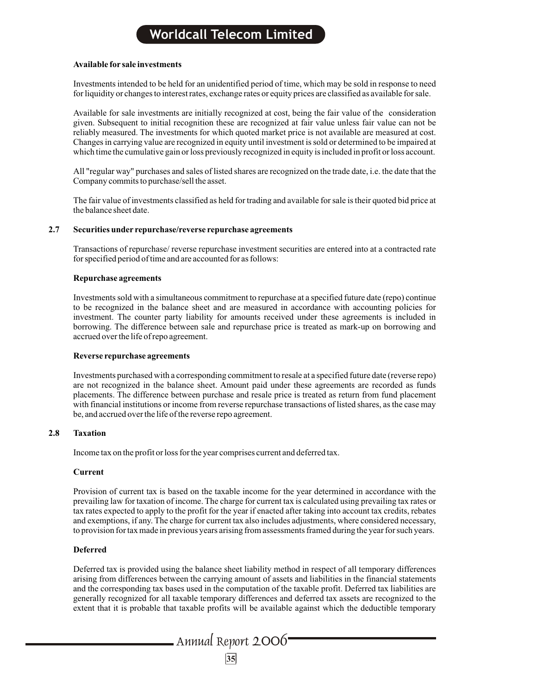### **Available for sale investments**

Investments intended to be held for an unidentified period of time, which may be sold in response to need for liquidity or changes to interest rates, exchange rates or equity prices are classified as available for sale.

Available for sale investments are initially recognized at cost, being the fair value of the consideration given. Subsequent to initial recognition these are recognized at fair value unless fair value can not be reliably measured. The investments for which quoted market price is not available are measured at cost. Changes in carrying value are recognized in equity until investment is sold or determined to be impaired at which time the cumulative gain or loss previously recognized in equity is included in profit or loss account.

All "regular way" purchases and sales of listed shares are recognized on the trade date, i.e. the date that the Company commits to purchase/sell the asset.

The fair value of investments classified as held for trading and available for sale is their quoted bid price at the balance sheet date.

### **2.7 Securities under repurchase/reverse repurchase agreements**

Transactions of repurchase/ reverse repurchase investment securities are entered into at a contracted rate for specified period of time and are accounted for as follows:

### **Repurchase agreements**

Investments sold with a simultaneous commitment to repurchase at a specified future date (repo) continue to be recognized in the balance sheet and are measured in accordance with accounting policies for investment. The counter party liability for amounts received under these agreements is included in borrowing. The difference between sale and repurchase price is treated as mark-up on borrowing and accrued over the life of repo agreement.

### **Reverse repurchase agreements**

Investments purchased with a corresponding commitment to resale at a specified future date (reverse repo) are not recognized in the balance sheet. Amount paid under these agreements are recorded as funds placements. The difference between purchase and resale price is treated as return from fund placement with financial institutions or income from reverse repurchase transactions of listed shares, as the case may be, and accrued over the life of the reverse repo agreement.

# **2.8 Taxation**

Income tax on the profit or loss for the year comprises current and deferred tax.

# **Current**

Provision of current tax is based on the taxable income for the year determined in accordance with the prevailing law for taxation of income. The charge for current tax is calculated using prevailing tax rates or tax rates expected to apply to the profit for the year if enacted after taking into account tax credits, rebates and exemptions, if any. The charge for current tax also includes adjustments, where considered necessary, to provision for tax made in previous years arising from assessments framed during the year for such years.

# **Deferred**

Deferred tax is provided using the balance sheet liability method in respect of all temporary differences arising from differences between the carrying amount of assets and liabilities in the financial statements and the corresponding tax bases used in the computation of the taxable profit. Deferred tax liabilities are generally recognized for all taxable temporary differences and deferred tax assets are recognized to the extent that it is probable that taxable profits will be available against which the deductible temporary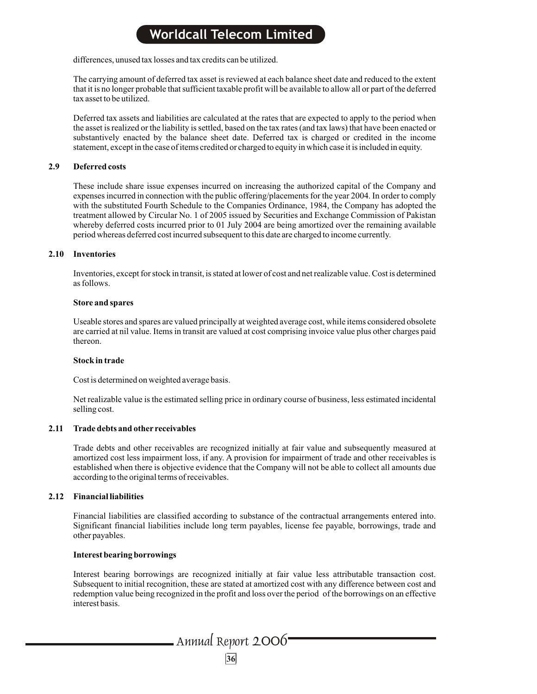differences, unused tax losses and tax credits can be utilized.

The carrying amount of deferred tax asset is reviewed at each balance sheet date and reduced to the extent that it is no longer probable that sufficient taxable profit will be available to allow all or part of the deferred tax asset to be utilized.

Deferred tax assets and liabilities are calculated at the rates that are expected to apply to the period when the asset is realized or the liability is settled, based on the tax rates (and tax laws) that have been enacted or substantively enacted by the balance sheet date. Deferred tax is charged or credited in the income statement, except in the case of items credited or charged to equity in which case it is included in equity.

### **2.9 Deferred costs**

These include share issue expenses incurred on increasing the authorized capital of the Company and expenses incurred in connection with the public offering/placements for the year 2004. In order to comply with the substituted Fourth Schedule to the Companies Ordinance, 1984, the Company has adopted the treatment allowed by Circular No. 1 of 2005 issued by Securities and Exchange Commission of Pakistan whereby deferred costs incurred prior to 01 July 2004 are being amortized over the remaining available period whereas deferred cost incurred subsequent to this date are charged to income currently.

### **2.10 Inventories**

Inventories, except for stock in transit, is stated at lower of cost and net realizable value. Cost is determined as follows.

### **Store and spares**

Useable stores and spares are valued principally at weighted average cost, while items considered obsolete are carried at nil value. Items in transit are valued at cost comprising invoice value plus other charges paid thereon.

### **Stock in trade**

Cost is determined on weighted average basis.

Net realizable value is the estimated selling price in ordinary course of business, less estimated incidental selling cost.

### **2.11 Trade debts and other receivables**

Trade debts and other receivables are recognized initially at fair value and subsequently measured at amortized cost less impairment loss, if any. A provision for impairment of trade and other receivables is established when there is objective evidence that the Company will not be able to collect all amounts due according to the original terms of receivables.

### **2.12 Financial liabilities**

Financial liabilities are classified according to substance of the contractual arrangements entered into. Significant financial liabilities include long term payables, license fee payable, borrowings, trade and other payables.

### **Interest bearing borrowings**

Interest bearing borrowings are recognized initially at fair value less attributable transaction cost. Subsequent to initial recognition, these are stated at amortized cost with any difference between cost and redemption value being recognized in the profit and loss over the period of the borrowings on an effective interest basis.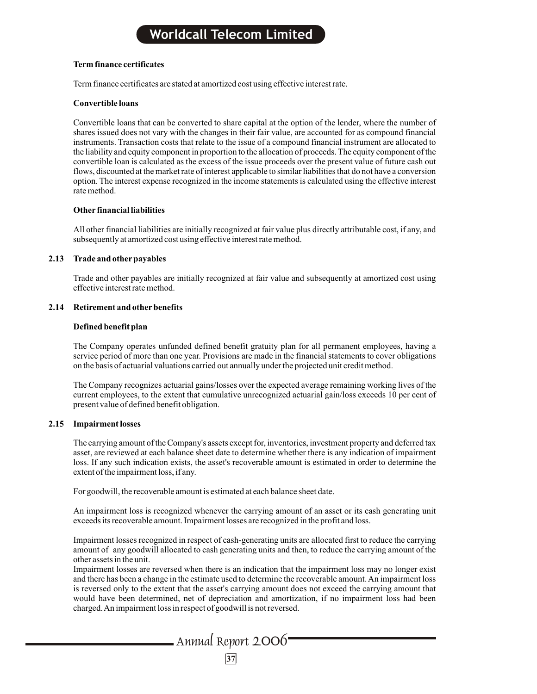#### **Term finance certificates**

Term finance certificates are stated at amortized cost using effective interest rate.

#### **Convertible loans**

Convertible loans that can be converted to share capital at the option of the lender, where the number of shares issued does not vary with the changes in their fair value, are accounted for as compound financial instruments. Transaction costs that relate to the issue of a compound financial instrument are allocated to the liability and equity component in proportion to the allocation of proceeds. The equity component of the convertible loan is calculated as the excess of the issue proceeds over the present value of future cash out flows, discounted at the market rate of interest applicable to similar liabilities that do not have a conversion option. The interest expense recognized in the income statements is calculated using the effective interest rate method.

#### **Other financial liabilities**

All other financial liabilities are initially recognized at fair value plus directly attributable cost, if any, and subsequently at amortized cost using effective interest rate method.

#### **2.13 Trade and otherpayables**

Trade and other payables are initially recognized at fair value and subsequently at amortized cost using effective interest rate method.

#### **2.14 Retirement and otherbenefits**

#### **Defined benefit plan**

The Company operates unfunded defined benefit gratuity plan for all permanent employees, having a service period of more than one year. Provisions are made in the financial statements to cover obligations on the basis of actuarial valuations carried out annually under the projected unit credit method.

The Company recognizes actuarial gains/losses over the expected average remaining working lives of the current employees, to the extent that cumulative unrecognized actuarial gain/loss exceeds 10 per cent of present value of defined benefit obligation.

## **2.15 Impairment losses**

The carrying amount of the Company's assets except for, inventories, investment property and deferred tax asset, are reviewed at each balance sheet date to determine whether there is any indication of impairment loss. If any such indication exists, the asset's recoverable amount is estimated in order to determine the extent of the impairment loss, if any.

For goodwill, the recoverable amount is estimated at each balance sheet date.

An impairment loss is recognized whenever the carrying amount of an asset or its cash generating unit exceeds its recoverable amount. Impairment losses are recognized in the profit and loss.

Impairment losses recognized in respect of cash-generating units are allocated first to reduce the carrying amount of any goodwill allocated to cash generating units and then, to reduce the carrying amount of the other assets in the unit.

Impairment losses are reversed when there is an indication that the impairment loss may no longer exist and there has been a change in the estimate used to determine the recoverable amount. An impairment loss is reversed only to the extent that the asset's carrying amount does not exceed the carrying amount that would have been determined, net of depreciation and amortization, if no impairment loss had been charged. An impairment loss in respect of goodwill is not reversed.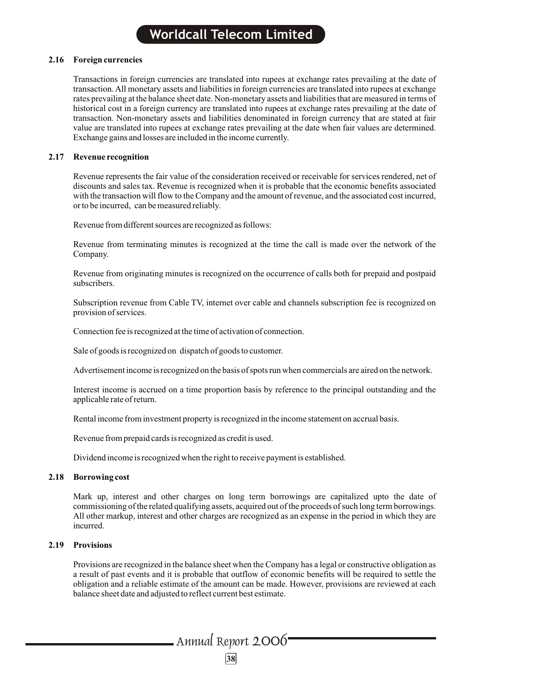#### **2.16 Foreign currencies**

Transactions in foreign currencies are translated into rupees at exchange rates prevailing at the date of transaction. All monetary assets and liabilities in foreign currencies are translated into rupees at exchange rates prevailing at the balance sheet date. Non-monetary assets and liabilities that are measured in terms of historical cost in a foreign currency are translated into rupees at exchange rates prevailing at the date of transaction. Non-monetary assets and liabilities denominated in foreign currency that are stated at fair value are translated into rupees at exchange rates prevailing at the date when fair values are determined. Exchange gains and losses are included in the income currently.

#### **2.17 Revenue recognition**

Revenue represents the fair value of the consideration received or receivable for services rendered, net of discounts and sales tax. Revenue is recognized when it is probable that the economic benefits associated with the transaction will flow to the Company and the amount of revenue, and the associated cost incurred, or to be incurred, can be measured reliably.

Revenue from different sources are recognized as follows:

Revenue from terminating minutes is recognized at the time the call is made over the network of the Company.

Revenue from originating minutes is recognized on the occurrence of calls both for prepaid and postpaid subscribers.

Subscription revenue from Cable TV, internet over cable and channels subscription fee is recognized on provision of services.

Connection fee is recognized at the time of activation of connection.

Sale of goods is recognized on dispatch of goods to customer.

Advertisement income is recognized on the basis of spots run when commercials are aired on the network.

Interest income is accrued on a time proportion basis by reference to the principal outstanding and the applicable rate of return.

Rental income from investment property is recognized in the income statement on accrual basis.

Revenue from prepaid cards is recognized as credit is used.

Dividend income is recognized when the right to receive payment is established.

#### **2.18 Borrowing cost**

Mark up, interest and other charges on long term borrowings are capitalized upto the date of commissioning of the related qualifying assets, acquired out of the proceeds of such long term borrowings. All other markup, interest and other charges are recognized as an expense in the period in which they are incurred.

#### **2.19 Provisions**

Provisions are recognized in the balance sheet when the Company has a legal or constructive obligation as a result of past events and it is probable that outflow of economic benefits will be required to settle the obligation and a reliable estimate of the amount can be made. However, provisions are reviewed at each balance sheet date and adjusted to reflect current best estimate.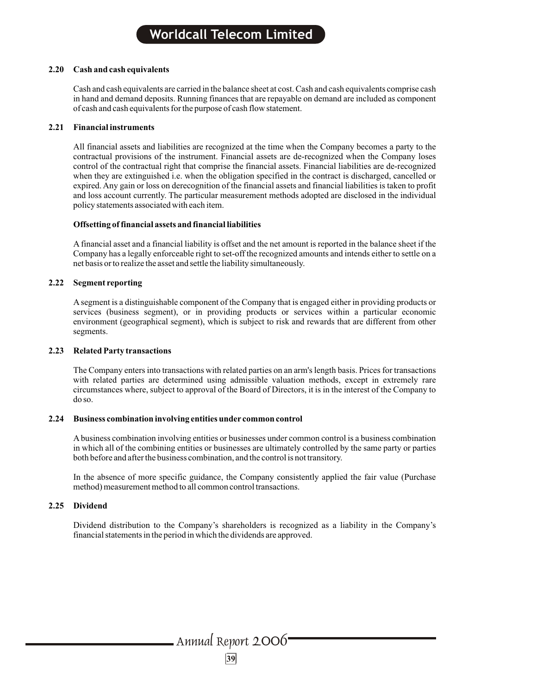#### **2.20 Cash and cash equivalents**

Cash and cash equivalents are carried in the balance sheet at cost. Cash and cash equivalents comprise cash in hand and demand deposits. Running finances that are repayable on demand are included as component of cash and cash equivalents for the purpose of cash flow statement.

#### **2.21 Financial instruments**

All financial assets and liabilities are recognized at the time when the Company becomes a party to the contractual provisions of the instrument. Financial assets are de-recognized when the Company loses control of the contractual right that comprise the financial assets. Financial liabilities are de-recognized when they are extinguished i.e. when the obligation specified in the contract is discharged, cancelled or expired. Any gain or loss on derecognition of the financial assets and financial liabilities is taken to profit and loss account currently. The particular measurement methods adopted are disclosed in the individual policy statements associated with each item.

#### **Offsetting of financial assets and financial liabilities**

A financial asset and a financial liability is offset and the net amount is reported in the balance sheet if the Company has a legally enforceable right to set-off the recognized amounts and intends either to settle on a net basis or to realize the asset and settle the liability simultaneously.

#### **2.22 Segment reporting**

Asegment is a distinguishable component of the Company that is engaged either in providing products or services (business segment), or in providing products or services within a particular economic environment (geographical segment), which is subject to risk and rewards that are different from other segments.

#### **2.23 Related Party transactions**

The Company enters into transactions with related parties on an arm's length basis. Prices for transactions with related parties are determined using admissible valuation methods, except in extremely rare circumstances where, subject to approval of the Board of Directors, it is in the interest of the Company to do so.

#### **2.24 Business combination involving entities under common control**

Abusiness combination involving entities or businesses under common control is a business combination in which all of the combining entities or businesses are ultimately controlled by the same party or parties both before and after the business combination, and the control is not transitory.

In the absence of more specific guidance, the Company consistently applied the fair value (Purchase method) measurement method to all common control transactions.

#### **2.25 Dividend**

Dividend distribution to the Company's shareholders is recognized as a liability in the Company's financial statements in the period in which the dividends are approved.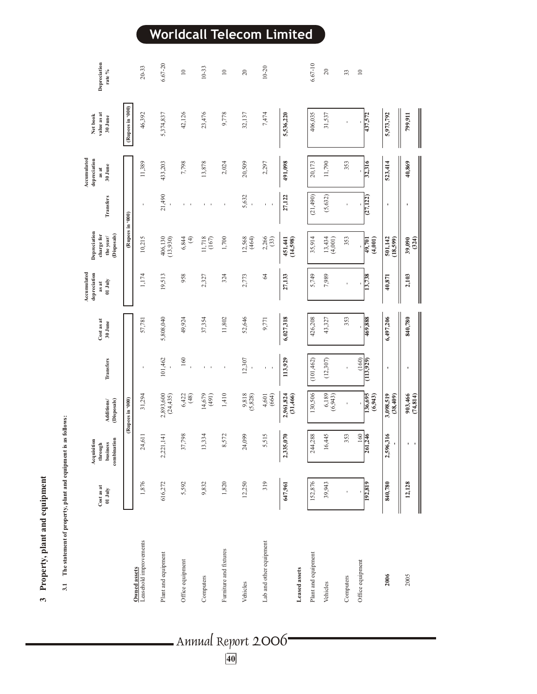

3.1 The statement of property, plant and equipment is as follows: **3.1 The statement of property, plant and equipment is as follows:**

|                         | Cost as at<br>01 July | Acquisition<br>business<br>through | Additions/             | Transfers           | Cost as at<br>30 June | Accumulated<br>depreciation<br>01 July<br>as at | Depreciation<br>charge for<br>the year/ | Transfers | Accumulated<br>depreciation<br>30 June<br>as at | value as at<br>Net book<br>30 June | Depreciation<br>rate % |
|-------------------------|-----------------------|------------------------------------|------------------------|---------------------|-----------------------|-------------------------------------------------|-----------------------------------------|-----------|-------------------------------------------------|------------------------------------|------------------------|
|                         |                       | combination                        | (Disposals)            |                     |                       |                                                 | (Disposals)                             |           |                                                 |                                    |                        |
| Owned assets            |                       |                                    | (Rupees in '000)       |                     |                       |                                                 | (Rupees in '000)                        |           |                                                 | (Rupees in '000)                   |                        |
| Leasehold improvements  | 1,876                 | 24,611                             | 31,294                 |                     | 57,781                | 1,174                                           | 10,215                                  |           | 11,389                                          | 46,392                             | $20 - 33$              |
| Plant and equipment     | 616,272               | 2,221,141                          | 2,893,600<br>(24, 435) | 101,462             | 5,808,040             | 19,513                                          | 406,130<br>(13,930)                     | 21,490    | 433,203                                         | 5,374,837                          | $6.67 - 20$            |
| Office equipment        | 5,592                 | 37,798                             | 6,422<br>(48)          | 160                 | 49,924                | 958                                             | 6,844<br>$\bigoplus$                    |           | 7,798                                           | 42,126                             | $\approx$              |
| Computers               | 9,832                 | 13,334                             | 14,679<br>(191)        |                     | 37,354                | 2,327                                           | $11,718$<br>(167)                       |           | 13,878                                          | 23,476                             | $10 - 33$              |
| Furniture and fixtures  | 1,820                 | 8,572                              | 1,410                  |                     | 11,802                | 324                                             | 1,700                                   |           | 2,024                                           | 9,778                              | $\supseteq$            |
| Vehicles                | 12,250                | 24,099                             | 9,818<br>(5,828)       | 12,307              | 52,646                | 2,773                                           | 12,568<br>(464)                         | 5,632     | 20,509                                          | 32,137                             | 20                     |
| Lab and other equipment | 319                   | 5,515                              | 4,601<br>(664)         | ı                   | 9,771                 | 2                                               | 2,266                                   |           | 2,297                                           | 7,474                              | $10 - 20$              |
|                         | 647,961               | 2,335,070                          | 2,961,824<br>(31, 466) | 113,929             | 6,027,318             | 27,133                                          | (14,598)<br>451,441                     | 27,122    | 491,098                                         | 5,536,220                          |                        |
| Leased assets           |                       |                                    |                        |                     |                       |                                                 |                                         |           |                                                 |                                    |                        |
| Plant and equipment     | 152,876               | 244,288                            | 130,506                | (101, 462)          | 426,208               | 5,749                                           | 35,914                                  | (21,490)  | 20,173                                          | 406,035                            | $6.67 - 10$            |
| Vehicles                | 39,943                | 16,445                             | $6,189$<br>$(6,943)$   | (12, 307)           | 43,327                | 7,989                                           | 13,434<br>(4,001)                       | (5, 632)  | 11,790                                          | 31,537                             | $20\,$                 |
| Computers               |                       | 353                                |                        |                     | 353                   |                                                 | 353                                     |           | 353                                             |                                    | 33                     |
| Office equipment        | 192,819               | 160<br>261,246                     | 136,695<br>(6,943)     | (160)<br>(113, 929) | 469,888               | 13,738                                          | (4,001)<br>49,701                       | (27, 122) | 32,316                                          | 437,572                            | $\Xi$                  |
| 2006                    | 840,780               | 2,596,316                          | 3,098,519<br>(38,409)  | J.                  | 6,497,206             | 40,871                                          | 501,142<br>(18, 599)                    | J.        | 523,414                                         | 5,973,792                          |                        |
| 2005                    | 12,128                |                                    | 903,466<br>(74,814)    |                     | 840,780               | 2,103                                           | (324)<br>39,090                         |           | 40,869                                          | 799,911                            |                        |

## Annual Report 2006

## **Worldcall Telecom Limited**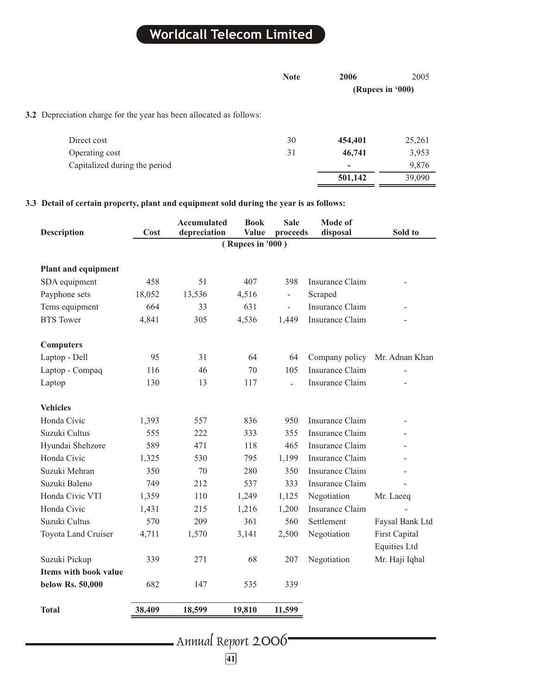|                                                                     | <b>Note</b> | 2006                     | 2005   |
|---------------------------------------------------------------------|-------------|--------------------------|--------|
|                                                                     |             | (Rupees in '000)         |        |
| 3.2 Depreciation charge for the year has been allocated as follows: |             |                          |        |
| Direct cost                                                         | 30          | 454,401                  | 25,261 |
| Operating cost                                                      | 31          | 46,741                   | 3,953  |
| Capitalized during the period                                       |             | $\overline{\phantom{0}}$ | 9,876  |
|                                                                     |             | 501,142                  | 39,090 |
|                                                                     |             |                          |        |

**3.3 Detail of certain property, plant and equipment sold during the year is as follows:**

| <b>Description</b>           | Cost   | <b>Accumulated</b><br>depreciation | <b>Book</b><br><b>Value</b> | <b>Sale</b><br>proceeds  | Mode of<br>disposal    | Sold to              |
|------------------------------|--------|------------------------------------|-----------------------------|--------------------------|------------------------|----------------------|
|                              |        |                                    | (Rupees in '000)            |                          |                        |                      |
|                              |        |                                    |                             |                          |                        |                      |
| Plant and equipment          |        |                                    |                             |                          |                        |                      |
| SDA equipment                | 458    | 51                                 | 407                         | 398                      | Insurance Claim        |                      |
| Payphone sets                | 18,052 | 13,536                             | 4,516                       | $\overline{\phantom{0}}$ | Scraped                |                      |
| Tems equipment               | 664    | 33                                 | 631                         | $\overline{a}$           | Insurance Claim        |                      |
| <b>BTS</b> Tower             | 4,841  | 305                                | 4,536                       | 1,449                    | Insurance Claim        |                      |
| <b>Computers</b>             |        |                                    |                             |                          |                        |                      |
| Laptop - Dell                | 95     | 31                                 | 64                          | 64                       | Company policy         | Mr. Adnan Khan       |
| Laptop - Compaq              | 116    | 46                                 | 70                          | 105                      | <b>Insurance Claim</b> |                      |
| Laptop                       | 130    | 13                                 | 117                         | $\overline{a}$           | Insurance Claim        |                      |
| <b>Vehicles</b>              |        |                                    |                             |                          |                        |                      |
| Honda Civic                  | 1,393  | 557                                | 836                         | 950                      | Insurance Claim        |                      |
| Suzuki Cultus                | 555    | 222                                | 333                         | 355                      | Insurance Claim        |                      |
| Hyundai Shehzore             | 589    | 471                                | 118                         | 465                      | Insurance Claim        |                      |
| Honda Civic                  | 1,325  | 530                                | 795                         | 1,199                    | Insurance Claim        |                      |
| Suzuki Mehran                | 350    | 70                                 | 280                         | 350                      | <b>Insurance Claim</b> |                      |
| Suzuki Baleno                | 749    | 212                                | 537                         | 333                      | <b>Insurance Claim</b> |                      |
| Honda Civic VTI              | 1,359  | 110                                | 1,249                       | 1,125                    | Negotiation            | Mr. Laeeq            |
| Honda Civic                  | 1,431  | 215                                | 1,216                       | 1,200                    | <b>Insurance Claim</b> |                      |
| Suzuki Cultus                | 570    | 209                                | 361                         | 560                      | Settlement             | Faysal Bank Ltd      |
| Toyota Land Cruiser          | 4,711  | 1,570                              | 3,141                       | 2,500                    | Negotiation            | <b>First Capital</b> |
|                              |        |                                    |                             |                          |                        | <b>Equities Ltd</b>  |
| Suzuki Pickup                | 339    | 271                                | 68                          | 207                      | Negotiation            | Mr. Haji Iqbal       |
| <b>Items with book value</b> |        |                                    |                             |                          |                        |                      |
| below Rs. 50,000             | 682    | 147                                | 535                         | 339                      |                        |                      |
| <b>Total</b>                 | 38,409 | 18,599                             | 19,810                      | 11,599                   |                        |                      |

 $\blacksquare$  Annual Report 2006 $\blacksquare$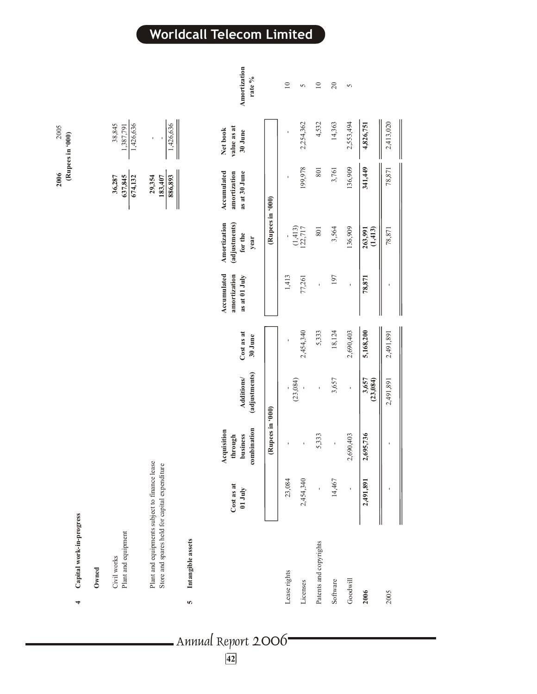|              |                                               |            |                         |                                   |                       |                             |                               | 2006                        | 2005<br>(Rupees in '000)         |                        |
|--------------|-----------------------------------------------|------------|-------------------------|-----------------------------------|-----------------------|-----------------------------|-------------------------------|-----------------------------|----------------------------------|------------------------|
| 4            | Capital work-in-progress                      |            |                         |                                   |                       |                             |                               |                             |                                  |                        |
|              | Owned                                         |            |                         |                                   |                       |                             |                               |                             |                                  |                        |
|              | Civil works                                   |            |                         |                                   |                       |                             |                               | 36,287                      | 38,845                           |                        |
|              | Plant and equipment                           |            |                         |                                   |                       |                             |                               | 637,845<br>674,132          | 1,426,636<br>1,387,791           |                        |
|              | Plant and equipments subject to finance lease |            |                         |                                   |                       |                             |                               | 29,354                      |                                  |                        |
|              | Store and spares held for capital expenditure |            |                         |                                   |                       |                             |                               | 183,407<br>886,893          | 1,426,636<br>ı<br>$\blacksquare$ |                        |
|              |                                               |            |                         |                                   |                       |                             |                               |                             |                                  |                        |
| Ю            | Intangible assets                             |            |                         |                                   |                       |                             |                               |                             |                                  |                        |
|              |                                               | Cost as at | Acquisition<br>through  |                                   |                       | Accumulated<br>amortization | Amortization<br>(adjustments) | Accumulated<br>amortization | value as at<br>Net book          |                        |
|              |                                               | 01 July    | combination<br>business | (adjustments)<br><b>Additions</b> | Cost as at<br>30 June | as at 01 July               | for the<br>year               | as at 30 June               | 30 June                          | Amortization<br>rate % |
|              |                                               |            | (Rupees in '000)        |                                   |                       |                             | (Rupees in '000)              |                             |                                  |                        |
| Lease rights |                                               | 23,084     |                         |                                   |                       | 1,413                       |                               |                             | $\overline{1}$                   | $\approx$              |
| Licenses     |                                               | 2,454,340  | ı                       | (23,084)                          | 2,454,340             | 77,261                      | $(1, 413)$<br>$122, 717$      | 199,978                     | 2,254,362                        | 5                      |
|              | Patents and copyrights                        |            | 5,333                   | ı                                 | 5,333                 | ï                           | 801                           | 801                         | 4,532                            | $\supseteq$            |
| Software     |                                               | 14,467     | $\mathbf{I}$            | 3,657                             | 18,124                | 197                         | 3,564                         | 3,761                       | 14,363                           | $20\,$                 |
| Goodwill     |                                               |            | 2,690,403               |                                   | 2,690,403             |                             | 136,909                       | 136,909                     | 2,553,494                        | 5                      |

**2**

2005

 $2006$   $2,491,491,801,805,736$   $3,657$   $3,657$   $3,657$   $5,169,206$   $5,169,206$   $5,169,206$   $5,169,206$   $5,169,206$   $5,169,206$   $5,169,206$   $5,169,206$   $5,169,206$   $5,169,206$   $5,169,206$   $5,169,206$   $5,169,206$   $5,169,206$ 

5,168,200

5 - 920, 91 8,871 8,872 , 91 89, 91 89, 91 , 92, 92, 93, 93, 92, 93, 93, 93, 93, 93, 93, 93, 93, 94, 94, 94, 9

2,491,891

l,

J,

2,491,891

**, 84 ( 4 ) 23 0 ) 1, 13**

2,413,020

78,871

78,871

j

4,826,751

341,449

 $\frac{263,991}{(1,413)}$ 

78,871

 $\frac{3,657}{(23,084)}$ 

2,695,736

2,491,891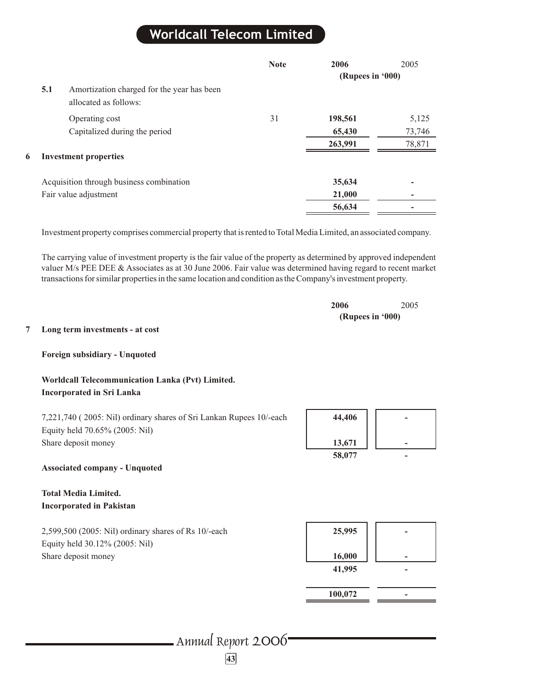|   |     |                                            | <b>Note</b> | 2006             | 2005   |
|---|-----|--------------------------------------------|-------------|------------------|--------|
|   |     |                                            |             | (Rupees in '000) |        |
|   | 5.1 | Amortization charged for the year has been |             |                  |        |
|   |     | allocated as follows:                      |             |                  |        |
|   |     | Operating cost                             | 31          | 198,561          | 5,125  |
|   |     | Capitalized during the period              |             | 65,430           | 73,746 |
|   |     |                                            |             | 263,991          | 78,871 |
| 6 |     | <b>Investment properties</b>               |             |                  |        |
|   |     | Acquisition through business combination   |             | 35,634           |        |
|   |     | Fair value adjustment                      |             | 21,000           |        |
|   |     |                                            |             | 56,634           |        |
|   |     |                                            |             |                  |        |

Investment property comprises commercial property that is rented to Total Media Limited, an associated company.

The carrying value of investment property is the fair value of the property as determined by approved independent valuer M/s PEE DEE & Associates as at 30 June 2006. Fair value was determined having regard to recent market transactions for similar properties in the same location and condition as the Company's investment property.

| 2006             | 2005 |
|------------------|------|
| (Rupees in '000) |      |

## **7 Long term investments - at cost**

**Foreign subsidiary - Unquoted**

## **Worldcall Telecommunication Lanka (Pvt) Limited. Incorporated in Sri Lanka**

| 7,221,740 (2005: Nil) ordinary shares of Sri Lankan Rupees 10/-each | 44,406 | $\sim$ |
|---------------------------------------------------------------------|--------|--------|
| Equity held 70.65% (2005: Nil)                                      |        |        |
| Share deposit money                                                 | 13,671 |        |
|                                                                     | 58.077 | -      |

**Associated company - Unquoted**

## **Total Media Limited. Incorporated in Pakistan**

2,599,500 (2005: Nil) ordinary shares of Rs 10/-each **25,995 -** Equity held 30.12% (2005: Nil) Share deposit money

| 25,995  |  |
|---------|--|
| 16,000  |  |
| 41,995  |  |
| 100,072 |  |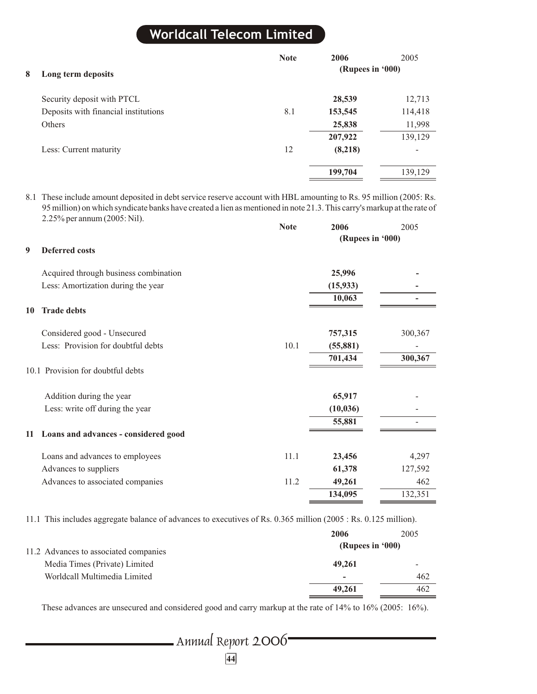|   |                                      | <b>Note</b> | 2006             | 2005    |
|---|--------------------------------------|-------------|------------------|---------|
| 8 | Long term deposits                   |             | (Rupees in '000) |         |
|   | Security deposit with PTCL           |             | 28,539           | 12,713  |
|   | Deposits with financial institutions | 8.1         | 153,545          | 114,418 |
|   | Others                               |             | 25,838           | 11,998  |
|   |                                      |             | 207,922          | 139,129 |
|   | Less: Current maturity               | 12          | (8,218)          |         |
|   |                                      |             | 199,704          | 139,129 |

8.1 These include amount deposited in debt service reserve account with HBL amounting to Rs. 95 million (2005: Rs. 95 million) on which syndicate banks have created a lien as mentioned in note 21.3. This carry's markup at the rate of 2.25% per annum (2005: Nil).

|    |                                       | <b>Note</b> | 2006             | 2005    |
|----|---------------------------------------|-------------|------------------|---------|
|    |                                       |             | (Rupees in '000) |         |
| 9  | <b>Deferred costs</b>                 |             |                  |         |
|    | Acquired through business combination |             | 25,996           |         |
|    | Less: Amortization during the year    |             | (15, 933)        |         |
|    |                                       |             | 10,063           |         |
| 10 | <b>Trade debts</b>                    |             |                  |         |
|    | Considered good - Unsecured           |             | 757,315          | 300,367 |
|    | Less: Provision for doubtful debts    | 10.1        | (55, 881)        |         |
|    |                                       |             | 701,434          | 300,367 |
|    | 10.1 Provision for doubtful debts     |             |                  |         |
|    | Addition during the year              |             | 65,917           |         |
|    | Less: write off during the year       |             | (10, 036)        |         |
|    |                                       |             | 55,881           |         |
| 11 | Loans and advances - considered good  |             |                  |         |
|    | Loans and advances to employees       | 11.1        | 23,456           | 4,297   |
|    | Advances to suppliers                 |             | 61,378           | 127,592 |
|    | Advances to associated companies      | 11.2        | 49,261           | 462     |
|    |                                       |             | 134,095          | 132,351 |

11.1 This includes aggregate balance of advances to executives of Rs. 0.365 million (2005 : Rs. 0.125 million).

|                                       | 2006                     | 2005 |
|---------------------------------------|--------------------------|------|
| 11.2 Advances to associated companies | (Rupees in '000)         |      |
| Media Times (Private) Limited         | 49.261                   |      |
| Worldcall Multimedia Limited          | $\overline{\phantom{a}}$ | 462  |
|                                       | 49,261                   | 462  |

These advances are unsecured and considered good and carry markup at the rate of 14% to 16% (2005: 16%).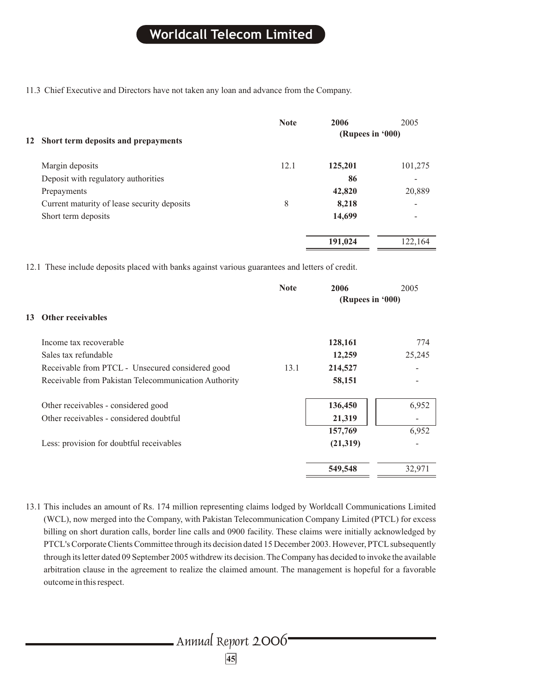11.3 Chief Executive and Directors have not taken any loan and advance from the Company.

| 12 | Short term deposits and prepayments         | <b>Note</b> | 2006<br>(Rupees in '000) | 2005                     |
|----|---------------------------------------------|-------------|--------------------------|--------------------------|
|    | Margin deposits                             | 12.1        | 125,201                  | 101,275                  |
|    | Deposit with regulatory authorities         |             | 86                       | -                        |
|    | Prepayments                                 |             | 42,820                   | 20,889                   |
|    | Current maturity of lease security deposits | 8           | 8,218                    | $\overline{\phantom{a}}$ |
|    | Short term deposits                         |             | 14,699                   |                          |
|    |                                             |             | 191,024                  | 122.164                  |
|    |                                             |             |                          |                          |

12.1 These include deposits placed with banks against various guarantees and letters of credit.

|    |                                                      | <b>Note</b> | 2006             | 2005   |
|----|------------------------------------------------------|-------------|------------------|--------|
|    |                                                      |             | (Rupees in '000) |        |
| 13 | <b>Other receivables</b>                             |             |                  |        |
|    | Income tax recoverable                               |             | 128,161          | 774    |
|    | Sales tax refundable                                 |             | 12,259           | 25,245 |
|    | Receivable from PTCL - Unsecured considered good     | 13.1        | 214,527          |        |
|    | Receivable from Pakistan Telecommunication Authority |             | 58,151           |        |
|    | Other receivables - considered good                  |             | 136,450          | 6,952  |
|    | Other receivables - considered doubtful              |             | 21,319           |        |
|    |                                                      |             | 157,769          | 6,952  |
|    | Less: provision for doubtful receivables             |             | (21,319)         |        |
|    |                                                      |             | 549,548          | 32,971 |
|    |                                                      |             |                  |        |

13.1 This includes an amount of Rs. 174 million representing claims lodged by Worldcall Communications Limited (WCL), now merged into the Company, with Pakistan Telecommunication Company Limited (PTCL) for excess billing on short duration calls, border line calls and 0900 facility. These claims were initially acknowledged by PTCL's Corporate Clients Committee through its decision dated 15 December 2003. However, PTCL subsequently through its letter dated 09 September 2005 withdrew its decision. The Company has decided to invoke the available arbitration clause in the agreement to realize the claimed amount. The management is hopeful for a favorable outcome in this respect.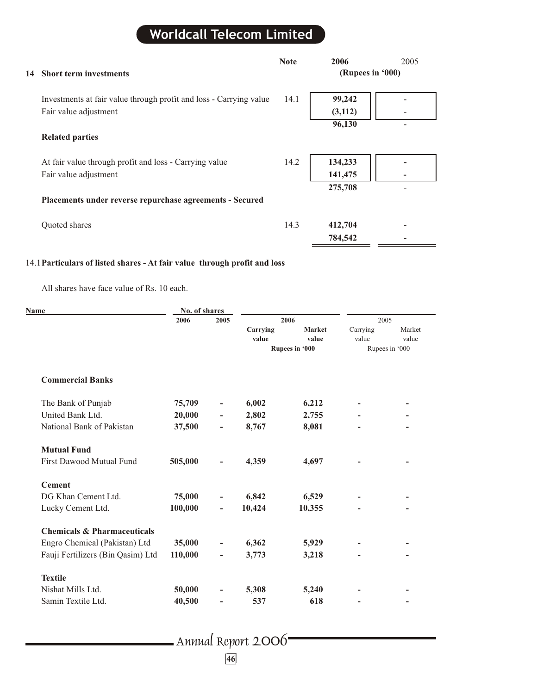|    |                                                                    | <b>Note</b> | 2006             | 2005 |
|----|--------------------------------------------------------------------|-------------|------------------|------|
| 14 | <b>Short term investments</b>                                      |             | (Rupees in '000) |      |
|    | Investments at fair value through profit and loss - Carrying value | 14.1        | 99,242           |      |
|    | Fair value adjustment                                              |             | (3, 112)         |      |
|    |                                                                    |             | 96,130           |      |
|    | <b>Related parties</b>                                             |             |                  |      |
|    | At fair value through profit and loss - Carrying value             | 14.2        | 134,233          |      |
|    | Fair value adjustment                                              |             | 141,475          |      |
|    |                                                                    |             | 275,708          |      |
|    | Placements under reverse repurchase agreements - Secured           |             |                  |      |
|    | Quoted shares                                                      | 14.3        | 412,704          |      |
|    |                                                                    |             | 784,542          |      |
|    |                                                                    |             |                  |      |

## 14.1**Particulars of listed shares - At fair value through profit and loss**

All shares have face value of Rs. 10 each.

| <b>Name</b>                            | No. of shares |                          |          |                |          |                |
|----------------------------------------|---------------|--------------------------|----------|----------------|----------|----------------|
|                                        | 2006          | 2005                     |          | 2006           | 2005     |                |
|                                        |               |                          | Carrying | Market         | Carrying | Market         |
|                                        |               |                          | value    | value          | value    | value          |
|                                        |               |                          |          | Rupees in '000 |          | Rupees in '000 |
| <b>Commercial Banks</b>                |               |                          |          |                |          |                |
| The Bank of Punjab                     | 75,709        | -                        | 6,002    | 6,212          |          |                |
| United Bank Ltd.                       | 20,000        |                          | 2,802    | 2,755          |          |                |
| National Bank of Pakistan              | 37,500        | $\overline{\phantom{a}}$ | 8,767    | 8,081          |          |                |
| <b>Mutual Fund</b>                     |               |                          |          |                |          |                |
| First Dawood Mutual Fund               | 505,000       |                          | 4,359    | 4,697          |          |                |
| <b>Cement</b>                          |               |                          |          |                |          |                |
| DG Khan Cement Ltd.                    | 75,000        |                          | 6,842    | 6,529          |          |                |
| Lucky Cement Ltd.                      | 100,000       | $\overline{\phantom{a}}$ | 10,424   | 10,355         |          |                |
| <b>Chemicals &amp; Pharmaceuticals</b> |               |                          |          |                |          |                |
| Engro Chemical (Pakistan) Ltd          | 35,000        |                          | 6,362    | 5,929          |          |                |
| Fauji Fertilizers (Bin Qasim) Ltd      | 110,000       | $\overline{\phantom{a}}$ | 3,773    | 3,218          |          |                |
| <b>Textile</b>                         |               |                          |          |                |          |                |
| Nishat Mills Ltd.                      | 50,000        |                          | 5,308    | 5,240          |          |                |
| Samin Textile Ltd.                     | 40,500        |                          | 537      | 618            |          |                |

## $\_$ Annual Report 2006 $^{\circ}$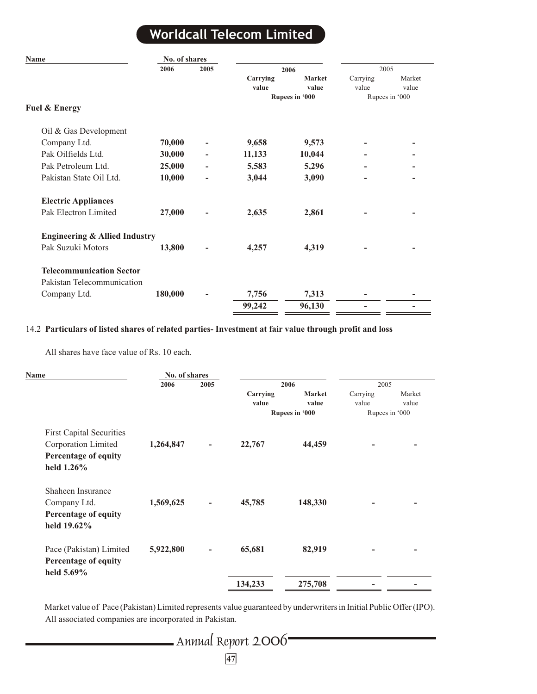| <b>Name</b>                              | No. of shares |                              |          |                |          |                |
|------------------------------------------|---------------|------------------------------|----------|----------------|----------|----------------|
|                                          | 2006          | 2005                         |          | 2006           | 2005     |                |
|                                          |               |                              | Carrying | <b>Market</b>  | Carrying | Market         |
|                                          |               |                              | value    | value          | value    | value          |
|                                          |               |                              |          | Rupees in '000 |          | Rupees in '000 |
| <b>Fuel &amp; Energy</b>                 |               |                              |          |                |          |                |
| Oil & Gas Development                    |               |                              |          |                |          |                |
| Company Ltd.                             | 70,000        | $\qquad \qquad \blacksquare$ | 9,658    | 9,573          |          |                |
| Pak Oilfields Ltd.                       | 30,000        | -                            | 11,133   | 10,044         |          |                |
| Pak Petroleum Ltd.                       | 25,000        | ۰                            | 5,583    | 5,296          |          |                |
| Pakistan State Oil Ltd.                  | 10,000        | -                            | 3,044    | 3,090          |          |                |
| <b>Electric Appliances</b>               |               |                              |          |                |          |                |
| Pak Electron Limited                     | 27,000        |                              | 2,635    | 2,861          |          |                |
| <b>Engineering &amp; Allied Industry</b> |               |                              |          |                |          |                |
| Pak Suzuki Motors                        | 13,800        |                              | 4,257    | 4,319          |          |                |
| <b>Telecommunication Sector</b>          |               |                              |          |                |          |                |
| Pakistan Telecommunication               |               |                              |          |                |          |                |
| Company Ltd.                             | 180,000       |                              | 7,756    | 7,313          |          |                |
|                                          |               |                              | 99,242   | 96,130         |          |                |
|                                          |               |                              |          |                |          |                |

## 14.2 **Particulars of listed shares of related parties- Investment at fair value through profit and loss**

All shares have face value of Rs. 10 each.

| 2006      | 2005                   |               |               | 2005                             |                |
|-----------|------------------------|---------------|---------------|----------------------------------|----------------|
|           |                        | Carrying      | <b>Market</b> | Carrying                         | Market         |
|           |                        | value         | value         | value                            | value          |
|           |                        |               |               |                                  | Rupees in '000 |
|           |                        |               |               |                                  |                |
|           |                        |               |               |                                  |                |
|           |                        |               |               |                                  |                |
|           |                        |               |               |                                  |                |
|           |                        |               |               |                                  |                |
| 1,569,625 |                        | 45,785        | 148,330       |                                  |                |
|           |                        |               |               |                                  |                |
|           |                        |               |               |                                  |                |
|           |                        | 65,681        | 82,919        |                                  |                |
|           |                        |               |               |                                  |                |
|           |                        |               |               |                                  |                |
|           |                        | 134,233       | 275,708       |                                  |                |
|           | 1,264,847<br>5,922,800 | No. of shares | 22,767        | 2006<br>Rupees in '000<br>44,459 |                |

Market value of Pace (Pakistan) Limited represents value guaranteed by underwriters in Initial Public Offer (IPO). All associated companies are incorporated in Pakistan.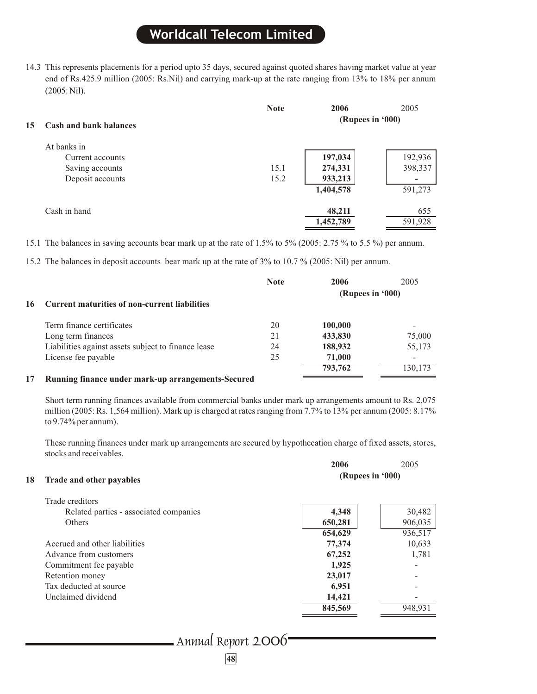14.3 This represents placements for a period upto 35 days, secured against quoted shares having market value at year end of Rs.425.9 million (2005: Rs.Nil) and carrying mark-up at the rate ranging from 13% to 18% per annum (2005: Nil).

|    |                               | <b>Note</b> | 2006             | 2005    |
|----|-------------------------------|-------------|------------------|---------|
| 15 | <b>Cash and bank balances</b> |             | (Rupees in '000) |         |
|    | At banks in                   |             |                  |         |
|    | Current accounts              |             | 197,034          | 192,936 |
|    | Saving accounts               | 15.1        | 274,331          | 398,337 |
|    | Deposit accounts              | 15.2        | 933,213          |         |
|    |                               |             | 1,404,578        | 591,273 |
|    | Cash in hand                  |             | 48,211           | 655     |
|    |                               |             | 1,452,789        | 591,928 |

15.1 The balances in saving accounts bear mark up at the rate of 1.5% to 5% (2005: 2.75 % to 5.5 %) per annum.

15.2 The balances in deposit accounts bear mark up at the rate of 3% to 10.7 % (2005: Nil) per annum.

|    |                                                      | <b>Note</b> | 2006             | 2005    |
|----|------------------------------------------------------|-------------|------------------|---------|
|    |                                                      |             | (Rupees in '000) |         |
| 16 | <b>Current maturities of non-current liabilities</b> |             |                  |         |
|    | Term finance certificates                            | 20          | 100,000          |         |
|    | Long term finances                                   | 21          | 433,830          | 75,000  |
|    | Liabilities against assets subject to finance lease  | 24          | 188,932          | 55,173  |
|    | License fee payable                                  | 25          | 71,000           |         |
|    |                                                      |             | 793,762          | 130,173 |
| 17 | Dunning finance under mark un expansements Cequred   |             |                  |         |

#### **17 Running finance under mark-up arrangements-Secured**

Short term running finances available from commercial banks under mark up arrangements amount to Rs. 2,075 million (2005: Rs. 1,564 million). Mark up is charged at rates ranging from 7.7% to 13% per annum (2005: 8.17% to 9.74% per annum).

These running finances under mark up arrangements are secured by hypothecation charge of fixed assets, stores, stocks and receivables.

|    |                                        | 2006             | 2005    |
|----|----------------------------------------|------------------|---------|
| 18 | Trade and other payables               | (Rupees in '000) |         |
|    | Trade creditors                        |                  |         |
|    | Related parties - associated companies | 4,348            | 30,482  |
|    | Others                                 | 650,281          | 906,035 |
|    |                                        | 654,629          | 936,517 |
|    | Accrued and other liabilities          | 77,374           | 10,633  |
|    | Advance from customers                 | 67,252           | 1,781   |
|    | Commitment fee payable                 | 1.925            |         |
|    | Retention money                        | 23,017           |         |
|    | Tax deducted at source                 | 6,951            |         |
|    | Unclaimed dividend                     | 14,421           |         |
|    |                                        | 845,569          | 948.931 |
|    |                                        |                  |         |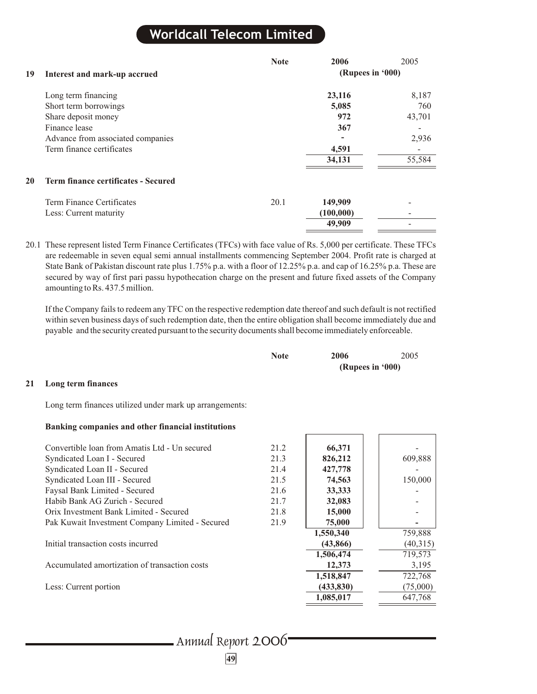|    |                                            | <b>Note</b> | 2006             | 2005   |
|----|--------------------------------------------|-------------|------------------|--------|
| 19 | Interest and mark-up accrued               |             | (Rupees in '000) |        |
|    | Long term financing                        |             | 23,116           | 8,187  |
|    | Short term borrowings                      |             | 5,085            | 760    |
|    | Share deposit money                        |             | 972              | 43,701 |
|    | Finance lease                              |             | 367              |        |
|    | Advance from associated companies          |             |                  | 2,936  |
|    | Term finance certificates                  |             | 4,591            |        |
|    |                                            |             | 34,131           | 55,584 |
| 20 | <b>Term finance certificates - Secured</b> |             |                  |        |
|    | Term Finance Certificates                  | 20.1        | 149,909          |        |
|    | Less: Current maturity                     |             | (100,000)        |        |
|    |                                            |             | 49,909           |        |

20.1 These represent listed Term Finance Certificates (TFCs) with face value of Rs. 5,000 per certificate. These TFCs are redeemable in seven equal semi annual installments commencing September 2004. Profit rate is charged at State Bank of Pakistan discount rate plus 1.75% p.a. with a floor of 12.25% p.a. and cap of 16.25% p.a. These are secured by way of first pari passu hypothecation charge on the present and future fixed assets of the Company amounting to Rs. 437.5 million.

If the Company fails to redeem any TFC on the respective redemption date thereof and such default is not rectified within seven business days of such redemption date, then the entire obligation shall become immediately due and payable and the security created pursuant to the security documents shall become immediately enforceable.

| <b>Note</b> | 2006             | 2005 |
|-------------|------------------|------|
|             | (Rupees in '000) |      |

#### **21 Long term finances**

Long term finances utilized under mark up arrangements:

#### **Banking companies and other financial institutions**

| 21.2 | 66,371     |          |
|------|------------|----------|
| 21.3 | 826,212    | 609,888  |
| 21.4 | 427,778    |          |
| 21.5 | 74,563     | 150,000  |
| 21.6 | 33,333     |          |
| 21.7 | 32,083     |          |
| 21.8 | 15,000     |          |
| 21.9 | 75,000     |          |
|      | 1,550,340  | 759,888  |
|      | (43, 866)  | (40,315) |
|      | 1,506,474  | 719,573  |
|      | 12,373     | 3,195    |
|      | 1,518,847  | 722,768  |
|      | (433, 830) | (75,000) |
|      | 1,085,017  | 647,768  |
|      |            |          |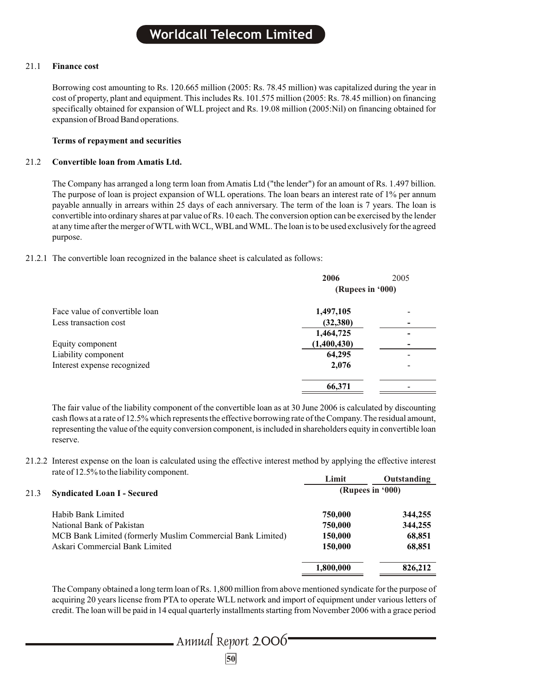#### 21.1 **Finance cost**

Borrowing cost amounting to Rs. 120.665 million (2005: Rs. 78.45 million) was capitalized during the year in cost of property, plant and equipment. This includes Rs. 101.575 million (2005: Rs. 78.45 million) on financing specifically obtained for expansion of WLL project and Rs. 19.08 million (2005:Nil) on financing obtained for expansion of Broad Band operations.

#### **Terms of repayment and securities**

#### 21.2 **Convertible loan from Amatis Ltd.**

The Company has arranged a long term loan from Amatis Ltd ("the lender") for an amount of Rs. 1.497 billion. The purpose of loan is project expansion of WLL operations. The loan bears an interest rate of 1% per annum payable annually in arrears within 25 days of each anniversary. The term of the loan is 7 years. The loan is convertible into ordinary shares at par value of Rs. 10 each. The conversion option can be exercised by the lender at any time after the merger of WTLwith WCL, WBLand WML. The loan is to be used exclusively for the agreed purpose.

#### 21.2.1 The convertible loan recognized in the balance sheet is calculated as follows:

|                                | 2006             | 2005 |  |  |
|--------------------------------|------------------|------|--|--|
|                                | (Rupees in '000) |      |  |  |
| Face value of convertible loan | 1,497,105        |      |  |  |
| Less transaction cost          | (32, 380)        |      |  |  |
|                                | 1,464,725        |      |  |  |
| Equity component               | (1,400,430)      |      |  |  |
| Liability component            | 64,295           |      |  |  |
| Interest expense recognized    | 2,076            |      |  |  |
|                                | 66,371           |      |  |  |

The fair value of the liability component of the convertible loan as at 30 June 2006 is calculated by discounting cash flows at a rate of 12.5% which represents the effective borrowing rate of the Company. The residual amount, representing the value of the equity conversion component, is included in shareholders equity in convertible loan reserve.

21.2.2 Interest expense on the loan is calculated using the effective interest method by applying the effective interest rate of 12.5% to the liability component.

|      |                                                            | Limit     | Outstanding      |
|------|------------------------------------------------------------|-----------|------------------|
| 21.3 | <b>Syndicated Loan I - Secured</b>                         |           | (Rupees in '000) |
|      | Habib Bank Limited                                         | 750,000   | 344,255          |
|      | National Bank of Pakistan                                  | 750,000   | 344,255          |
|      | MCB Bank Limited (formerly Muslim Commercial Bank Limited) | 150,000   | 68,851           |
|      | Askari Commercial Bank Limited                             | 150,000   | 68,851           |
|      |                                                            | 1,800,000 | 826,212          |
|      |                                                            |           |                  |

The Company obtained a long term loan of Rs. 1,800 million from above mentioned syndicate for the purpose of acquiring 20 years license from PTA to operate WLL network and import of equipment under various letters of credit. The loan will be paid in 14 equal quarterly installments starting from November 2006 with a grace period

Annual Report 2006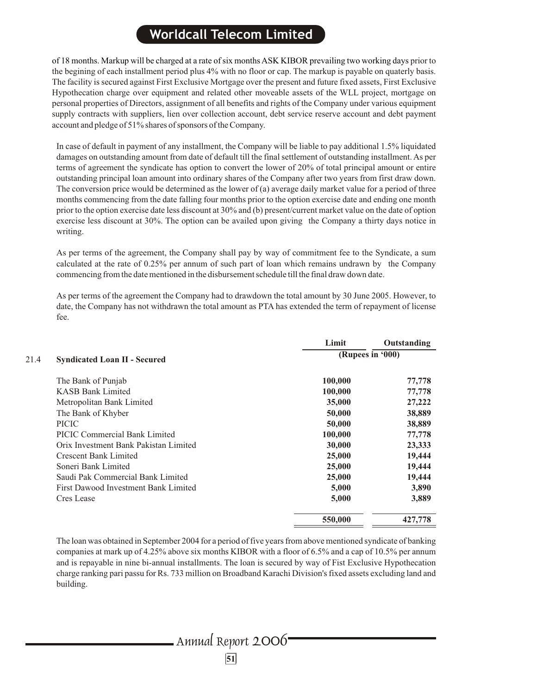of 18 months. Markup will be charged at a rate of six months ASK KIBOR prevailing two working days prior to the begining of each installment period plus 4% with no floor or cap. The markup is payable on quaterly basis. The facility is secured against First Exclusive Mortgage over the present and future fixed assets, First Exclusive Hypothecation charge over equipment and related other moveable assets of the WLL project, mortgage on personal properties of Directors, assignment of all benefits and rights of the Company under various equipment supply contracts with suppliers, lien over collection account, debt service reserve account and debt payment account and pledge of 51% shares of sponsors of the Company.

In case of default in payment of any installment, the Company will be liable to pay additional 1.5% liquidated damages on outstanding amount from date of default till the final settlement of outstanding installment. As per terms of agreement the syndicate has option to convert the lower of 20% of total principal amount or entire outstanding principal loan amount into ordinary shares of the Company after two years from first draw down. The conversion price would be determined as the lower of (a) average daily market value for a period of three months commencing from the date falling four months prior to the option exercise date and ending one month prior to the option exercise date less discount at 30% and (b) present/current market value on the date of option exercise less discount at 30%. The option can be availed upon giving the Company a thirty days notice in writing.

As per terms of the agreement, the Company shall pay by way of commitment fee to the Syndicate, a sum calculated at the rate of 0.25% per annum of such part of loan which remains undrawn by the Company commencing from the date mentioned in the disbursement schedule till the final draw down date.

As per terms of the agreement the Company had to drawdown the total amount by 30 June 2005. However, to date, the Company has not withdrawn the total amount as PTA has extended the term of repayment of license fee.

|      |                                       | Limit   | Outstanding      |
|------|---------------------------------------|---------|------------------|
| 21.4 | <b>Syndicated Loan II - Secured</b>   |         | (Rupees in '000) |
|      | The Bank of Punjab                    | 100,000 | 77,778           |
|      | <b>KASB Bank Limited</b>              | 100,000 | 77,778           |
|      | Metropolitan Bank Limited             | 35,000  | 27,222           |
|      | The Bank of Khyber                    | 50,000  | 38,889           |
|      | <b>PICIC</b>                          | 50,000  | 38,889           |
|      | <b>PICIC Commercial Bank Limited</b>  | 100,000 | 77,778           |
|      | Orix Investment Bank Pakistan Limited | 30,000  | 23,333           |
|      | <b>Crescent Bank Limited</b>          | 25,000  | 19,444           |
|      | Soneri Bank Limited                   | 25,000  | 19,444           |
|      | Saudi Pak Commercial Bank Limited     | 25,000  | 19,444           |
|      | First Dawood Investment Bank Limited  | 5,000   | 3,890            |
|      | Cres Lease                            | 5,000   | 3,889            |
|      |                                       | 550,000 | 427,778          |

The loan was obtained in September 2004 for a period of five years from above mentioned syndicate of banking companies at mark up of 4.25% above six months KIBOR with a floor of 6.5% and a cap of 10.5% per annum and is repayable in nine bi-annual installments. The loan is secured by way of Fist Exclusive Hypothecation charge ranking pari passu for Rs. 733 million on Broadband Karachi Division's fixed assets excluding land and building.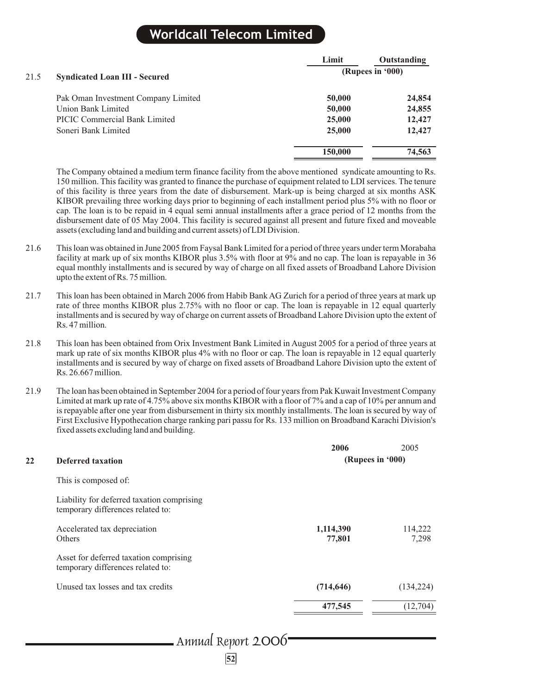|                                      | Limit   | Outstanding      |
|--------------------------------------|---------|------------------|
| <b>Syndicated Loan III - Secured</b> |         | (Rupees in '000) |
| Pak Oman Investment Company Limited  | 50,000  | 24,854           |
| Union Bank Limited                   | 50,000  | 24,855           |
| <b>PICIC Commercial Bank Limited</b> | 25,000  | 12,427           |
| Soneri Bank Limited                  | 25,000  | 12,427           |
|                                      | 150,000 | 74,563           |
|                                      |         |                  |

The Company obtained a medium term finance facility from the above mentioned syndicate amounting to Rs. 150 million. This facility was granted to finance the purchase of equipment related to LDI services. The tenure of this facility is three years from the date of disbursement. Mark-up is being charged at six months ASK KIBOR prevailing three working days prior to beginning of each installment period plus 5% with no floor or cap. The loan is to be repaid in 4 equal semi annual installments after a grace period of 12 months from the disbursement date of 05 May 2004. This facility is secured against all present and future fixed and moveable assets (excluding land and building and current assets) of LDI Division.

- 21.6 This loan was obtained in June 2005 from Faysal Bank Limited for a period of three years under term Morabaha facility at mark up of six months KIBOR plus 3.5% with floor at 9% and no cap. The loan is repayable in 36 equal monthly installments and is secured by way of charge on all fixed assets of Broadband Lahore Division upto the extent of Rs. 75 million.
- 21.7 This loan has been obtained in March 2006 from Habib Bank AG Zurich for a period of three years at mark up rate of three months KIBOR plus 2.75% with no floor or cap. The loan is repayable in 12 equal quarterly installments and is secured by way of charge on current assets of Broadband Lahore Division upto the extent of Rs. 47 million.
- 21.8 This loan has been obtained from Orix Investment Bank Limited in August 2005 for a period of three years at mark up rate of six months KIBOR plus 4% with no floor or cap. The loan is repayable in 12 equal quarterly installments and is secured by way of charge on fixed assets of Broadband Lahore Division upto the extent of Rs. 26.667 million.
- 21.9 The loan has been obtained in September 2004 for a period of four years from Pak Kuwait Investment Company Limited at mark up rate of 4.75% above six months KIBOR with a floor of 7% and a cap of 10% per annum and is repayable after one year from disbursement in thirty six monthly installments. The loan is secured by way of First Exclusive Hypothecation charge ranking pari passu for Rs. 133 million on Broadband Karachi Division's fixed assets excluding land and building.

|    |                                                                                 | 2006                | 2005             |
|----|---------------------------------------------------------------------------------|---------------------|------------------|
| 22 | Deferred taxation                                                               |                     | (Rupees in '000) |
|    | This is composed of:                                                            |                     |                  |
|    | Liability for deferred taxation comprising<br>temporary differences related to: |                     |                  |
|    | Accelerated tax depreciation<br>Others                                          | 1,114,390<br>77,801 | 114,222<br>7,298 |
|    | Asset for deferred taxation comprising<br>temporary differences related to:     |                     |                  |
|    | Unused tax losses and tax credits                                               | (714, 646)          | (134, 224)       |
|    |                                                                                 | 477,545             | (12,704)         |
|    |                                                                                 |                     |                  |

Annual Report 2006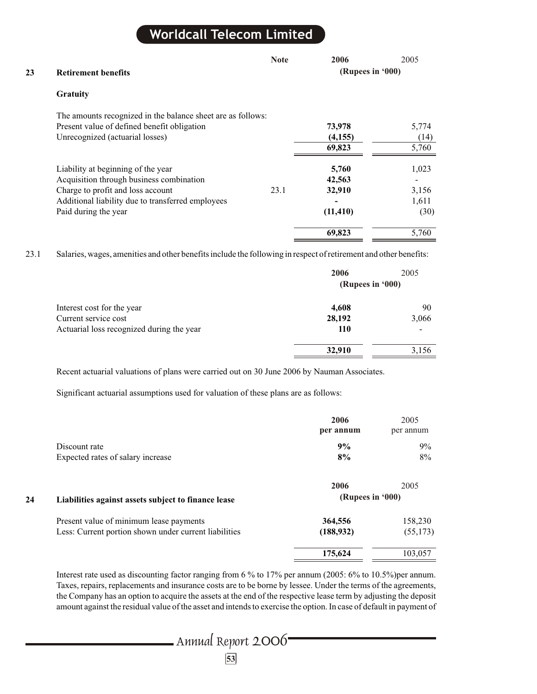|    |                                                             | <b>Note</b> | 2006             | 2005  |
|----|-------------------------------------------------------------|-------------|------------------|-------|
| 23 | <b>Retirement benefits</b>                                  |             | (Rupees in '000) |       |
|    | Gratuity                                                    |             |                  |       |
|    | The amounts recognized in the balance sheet are as follows: |             |                  |       |
|    | Present value of defined benefit obligation                 |             | 73,978           | 5,774 |
|    | Unrecognized (actuarial losses)                             |             | (4,155)          | (14)  |
|    |                                                             |             | 69,823           | 5,760 |
|    | Liability at beginning of the year                          |             | 5,760            | 1,023 |
|    | Acquisition through business combination                    |             | 42,563           |       |
|    | Charge to profit and loss account                           | 23.1        | 32,910           | 3,156 |
|    | Additional liability due to transferred employees           |             |                  | 1,611 |
|    | Paid during the year                                        |             | (11, 410)        | (30)  |
|    |                                                             |             | 69,823           | 5,760 |
|    |                                                             |             |                  |       |

23.1 Salaries, wages, amenities and other benefits include the following in respect of retirement and other benefits:

|                                           | 2006             | 2005  |
|-------------------------------------------|------------------|-------|
|                                           | (Rupees in '000) |       |
| Interest cost for the year                | 4,608            | 90    |
| Current service cost                      | 28,192           | 3,066 |
| Actuarial loss recognized during the year | <b>110</b>       |       |
|                                           | 32,910           | 3,156 |

Recent actuarial valuations of plans were carried out on 30 June 2006 by Nauman Associates.

Significant actuarial assumptions used for valuation of these plans are as follows:

|    |                                                       | 2006<br>per annum | 2005<br>per annum |
|----|-------------------------------------------------------|-------------------|-------------------|
|    | Discount rate                                         | 9%                | $9\%$             |
|    | Expected rates of salary increase                     | 8%                | 8%                |
|    |                                                       | 2006              | 2005              |
| 24 | Liabilities against assets subject to finance lease   | (Rupees in '000)  |                   |
|    | Present value of minimum lease payments               | 364,556           | 158,230           |
|    | Less: Current portion shown under current liabilities | (188, 932)        | (55, 173)         |
|    |                                                       | 175,624           | 103,057           |

Interest rate used as discounting factor ranging from 6 % to 17% per annum (2005: 6% to 10.5%)per annum. Taxes, repairs, replacements and insurance costs are to be borne by lessee. Under the terms of the agreements, the Company has an option to acquire the assets at the end of the respective lease term by adjusting the deposit amount against the residual value of the asset and intends to exercise the option. In case of default in payment of

Annual Report 2006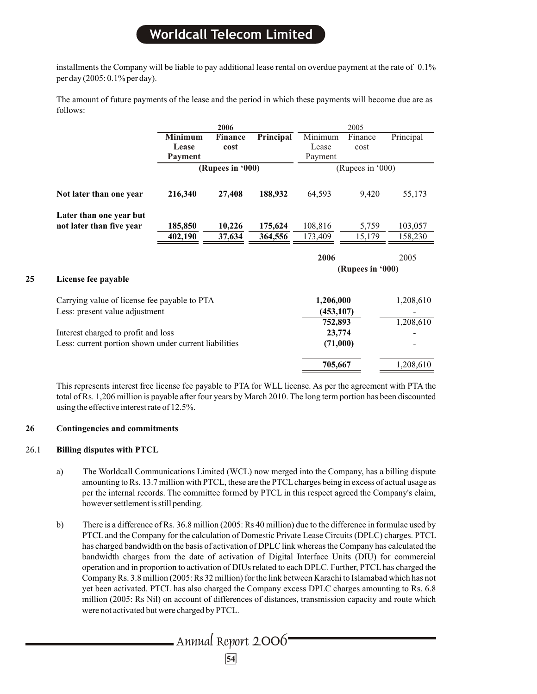installments the Company will be liable to pay additional lease rental on overdue payment at the rate of 0.1% per day (2005: 0.1% per day).

The amount of future payments of the lease and the period in which these payments will become due are as follows:

|    |                                                       |                | 2006             |           |            | 2005             |           |
|----|-------------------------------------------------------|----------------|------------------|-----------|------------|------------------|-----------|
|    |                                                       | <b>Minimum</b> | <b>Finance</b>   | Principal | Minimum    | Finance          | Principal |
|    |                                                       | Lease          | cost             |           | Lease      | cost             |           |
|    |                                                       | Payment        |                  |           | Payment    |                  |           |
|    |                                                       |                | (Rupees in '000) |           |            | (Rupees in '000) |           |
|    | Not later than one year                               | 216,340        | 27,408           | 188,932   | 64,593     | 9,420            | 55,173    |
|    | Later than one year but                               |                |                  |           |            |                  |           |
|    | not later than five year                              | 185,850        | 10,226           | 175,624   | 108,816    | 5,759            | 103,057   |
|    |                                                       | 402,190        | 37,634           | 364,556   | 173,409    | 15,179           | 158,230   |
|    |                                                       |                |                  |           | 2006       |                  | 2005      |
|    |                                                       |                |                  |           |            | (Rupees in '000) |           |
| 25 | License fee payable                                   |                |                  |           |            |                  |           |
|    | Carrying value of license fee payable to PTA          |                |                  |           | 1,206,000  |                  | 1,208,610 |
|    | Less: present value adjustment                        |                |                  |           | (453, 107) |                  |           |
|    |                                                       |                |                  |           | 752,893    |                  | 1,208,610 |
|    | Interest charged to profit and loss                   |                |                  |           | 23,774     |                  |           |
|    | Less: current portion shown under current liabilities |                |                  |           | (71,000)   |                  |           |
|    |                                                       |                |                  |           | 705,667    |                  | 1,208,610 |

This represents interest free license fee payable to PTA for WLL license. As per the agreement with PTA the total of Rs. 1,206 million is payable after four years by March 2010. The long term portion has been discounted using the effective interest rate of 12.5%.

#### **26 Contingencies and commitments**

#### 26.1 **Billing disputes with PTCL**

- a) The Worldcall Communications Limited (WCL) now merged into the Company, has a billing dispute amounting to Rs. 13.7 million with PTCL, these are the PTCL charges being in excess of actual usage as per the internal records. The committee formed by PTCL in this respect agreed the Company's claim, however settlement is still pending.
- b) There is a difference of Rs. 36.8 million (2005: Rs 40 million) due to the difference in formulae used by PTCL and the Company for the calculation of Domestic Private Lease Circuits (DPLC) charges. PTCL has charged bandwidth on the basis of activation of DPLC link whereas the Company has calculated the bandwidth charges from the date of activation of Digital Interface Units (DIU) for commercial operation and in proportion to activation of DIUs related to each DPLC. Further, PTCLhas charged the Company Rs. 3.8 million (2005: Rs 32 million) for the link between Karachi to Islamabad which has not yet been activated. PTCL has also charged the Company excess DPLC charges amounting to Rs. 6.8 million (2005: Rs Nil) on account of differences of distances, transmission capacity and route which were not activated but were charged by PTCL.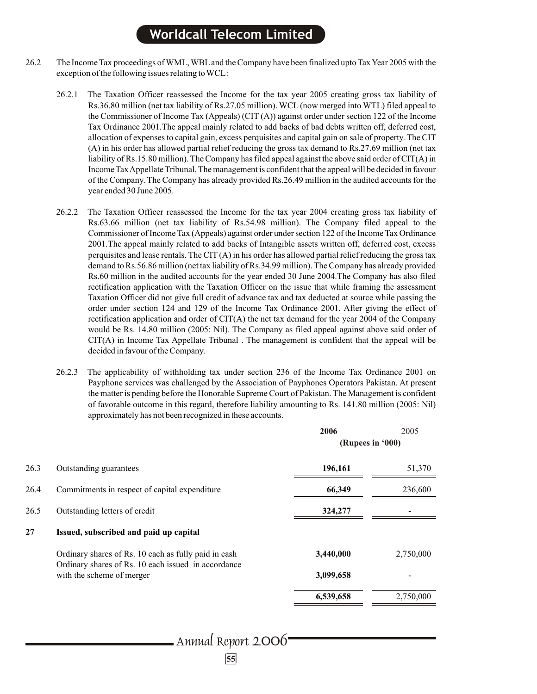- 26.2 The Income Tax proceedings of WML, WBLand the Company have been finalized upto Tax Year 2005 with the exception of the following issues relating to WCL:
	- 26.2.1 The Taxation Officer reassessed the Income for the tax year 2005 creating gross tax liability of Rs.36.80 million (net tax liability of Rs.27.05 million). WCL (now merged into WTL) filed appeal to the Commissioner of Income Tax (Appeals) (CIT (A)) against order under section 122 of the Income Tax Ordinance 2001.The appeal mainly related to add backs of bad debts written off, deferred cost, allocation of expenses to capital gain, excess perquisites and capital gain on sale of property. The CIT (A) in his order has allowed partial relief reducing the gross tax demand to Rs.27.69 million (net tax liability of Rs.15.80 million). The Company has filed appeal against the above said order of CIT(A) in Income Tax Appellate Tribunal. The management is confident that the appeal will be decided in favour of the Company. The Company has already provided Rs.26.49 million in the audited accounts for the year ended 30 June 2005.
	- 26.2.2 The Taxation Officer reassessed the Income for the tax year 2004 creating gross tax liability of Rs.63.66 million (net tax liability of Rs.54.98 million). The Company filed appeal to the Commissioner of Income Tax (Appeals) against order under section 122 of the Income Tax Ordinance 2001.The appeal mainly related to add backs of Intangible assets written off, deferred cost, excess perquisites and lease rentals. The CIT (A) in his order has allowed partial relief reducing the gross tax demand to Rs.56.86 million (net tax liability of Rs.34.99 million). The Company has already provided Rs.60 million in the audited accounts for the year ended 30 June 2004.The Company has also filed rectification application with the Taxation Officer on the issue that while framing the assessment Taxation Officer did not give full credit of advance tax and tax deducted at source while passing the order under section 124 and 129 of the Income Tax Ordinance 2001. After giving the effect of rectification application and order of CIT(A) the net tax demand for the year 2004 of the Company would be Rs. 14.80 million (2005: Nil). The Company as filed appeal against above said order of CIT(A) in Income Tax Appellate Tribunal . The management is confident that the appeal will be decided in favour of the Company.
	- 26.2.3 The applicability of withholding tax under section 236 of the Income Tax Ordinance 2001 on Payphone services was challenged by the Association of Payphones Operators Pakistan. At present the matter is pending before the Honorable Supreme Court of Pakistan. The Management is confident of favorable outcome in this regard, therefore liability amounting to Rs. 141.80 million (2005: Nil) approximately has not been recognized in these accounts.

|      |                                                                                                             | 2006             | 2005      |
|------|-------------------------------------------------------------------------------------------------------------|------------------|-----------|
|      |                                                                                                             | (Rupees in '000) |           |
| 26.3 | Outstanding guarantees                                                                                      | 196,161          | 51,370    |
| 26.4 | Commitments in respect of capital expenditure                                                               | 66,349           | 236,600   |
| 26.5 | Outstanding letters of credit                                                                               | 324,277          |           |
| 27   | Issued, subscribed and paid up capital                                                                      |                  |           |
|      | Ordinary shares of Rs. 10 each as fully paid in cash<br>Ordinary shares of Rs. 10 each issued in accordance | 3,440,000        | 2,750,000 |
|      | with the scheme of merger                                                                                   | 3,099,658        |           |
|      |                                                                                                             | 6,539,658        | 2,750,000 |
|      |                                                                                                             |                  |           |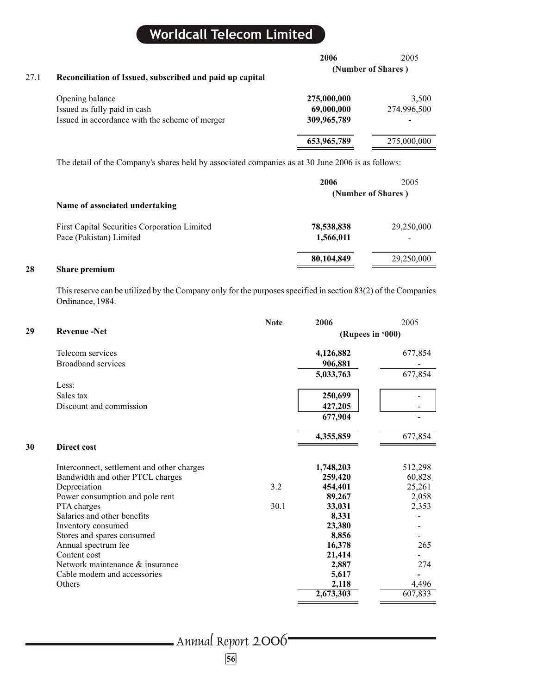|      |                                                          | 2006        | 2005               |
|------|----------------------------------------------------------|-------------|--------------------|
| 27.1 | Reconciliation of Issued, subscribed and paid up capital |             | (Number of Shares) |
|      | Opening balance                                          | 275,000,000 | 3,500              |
|      | Issued as fully paid in cash                             | 69,000,000  | 274,996,500        |
|      | Issued in accordance with the scheme of merger           | 309,965,789 |                    |
|      |                                                          | 653,965,789 | 275,000,000        |
|      |                                                          |             |                    |

The detail of the Company's shares held by associated companies as at 30 June 2006 is as follows:

|    |                                              | 2006               | 2005       |
|----|----------------------------------------------|--------------------|------------|
|    |                                              | (Number of Shares) |            |
|    | Name of associated undertaking               |                    |            |
|    | First Capital Securities Corporation Limited | 78,538,838         | 29,250,000 |
|    | Pace (Pakistan) Limited                      | 1,566,011          | $\,$       |
|    |                                              | 80,104,849         | 29,250,000 |
| 28 | Share premium                                |                    |            |

This reserve can be utilized by the Company only for the purposes specified in section 83(2) of the Companies Ordinance, 1984.

|    |                                            | <b>Note</b> | 2006             | 2005    |
|----|--------------------------------------------|-------------|------------------|---------|
| 29 | <b>Revenue -Net</b>                        |             | (Rupees in '000) |         |
|    | Telecom services                           |             | 4,126,882        | 677,854 |
|    | Broadband services                         |             | 906,881          |         |
|    |                                            |             | 5,033,763        | 677,854 |
|    | Less:                                      |             |                  |         |
|    | Sales tax                                  |             | 250,699          |         |
|    | Discount and commission                    |             | 427,205          |         |
|    |                                            |             | 677,904          |         |
|    |                                            |             | 4,355,859        | 677,854 |
| 30 | <b>Direct cost</b>                         |             |                  |         |
|    | Interconnect, settlement and other charges |             | 1,748,203        | 512,298 |
|    | Bandwidth and other PTCL charges           |             | 259,420          | 60,828  |
|    | Depreciation                               | 3.2         | 454,401          | 25,261  |
|    | Power consumption and pole rent            |             | 89,267           | 2,058   |
|    | PTA charges                                | 30.1        | 33,031           | 2,353   |
|    | Salaries and other benefits                |             | 8,331            |         |
|    | Inventory consumed                         |             | 23,380           |         |
|    | Stores and spares consumed                 |             | 8,856            |         |
|    | Annual spectrum fee                        |             | 16,378           | 265     |
|    | Content cost                               |             | 21,414           |         |
|    | Network maintenance & insurance            |             | 2,887            | 274     |
|    | Cable modem and accessories                |             | 5,617            |         |
|    | Others                                     |             | 2,118            | 4,496   |
|    |                                            |             | 2,673,303        | 607,833 |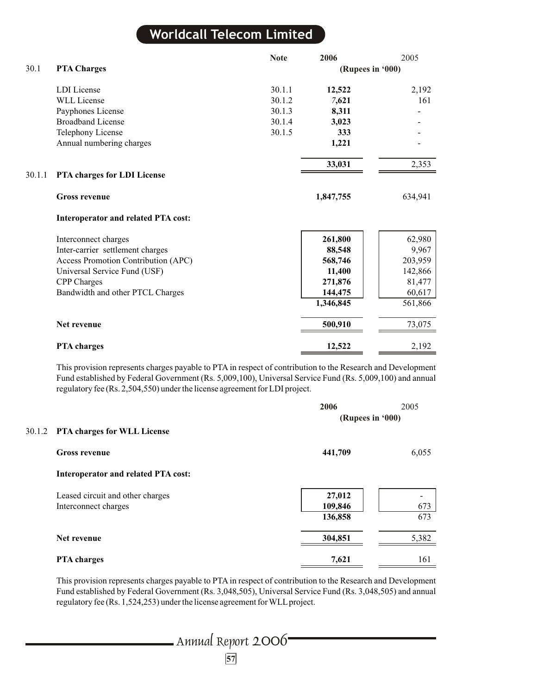|                                     | <b>Note</b>          | 2006      | 2005                        |
|-------------------------------------|----------------------|-----------|-----------------------------|
| <b>PTA Charges</b>                  |                      |           |                             |
| <b>LDI</b> License                  | 30.1.1               | 12,522    | 2,192                       |
| <b>WLL</b> License                  | 30.1.2               | 7,621     | 161                         |
| Payphones License                   | 30.1.3               | 8,311     |                             |
| <b>Broadband License</b>            | 30.1.4               | 3,023     |                             |
| Telephony License                   | 30.1.5               | 333       |                             |
| Annual numbering charges            |                      | 1,221     |                             |
|                                     |                      | 33,031    | 2,353                       |
| PTA charges for LDI License         |                      |           |                             |
| <b>Gross revenue</b>                |                      | 1,847,755 | 634,941                     |
| Interoperator and related PTA cost: |                      |           |                             |
|                                     |                      |           | 62,980                      |
| Inter-carrier settlement charges    |                      | 88,548    | 9,967                       |
| Access Promotion Contribution (APC) |                      | 568,746   | 203,959                     |
| Universal Service Fund (USF)        |                      | 11,400    | 142,866                     |
| <b>CPP</b> Charges                  |                      | 271,876   | 81,477                      |
| Bandwidth and other PTCL Charges    |                      | 144,475   | 60,617                      |
|                                     |                      | 1,346,845 | 561,866                     |
| Net revenue                         |                      | 500,910   | 73,075                      |
| PTA charges                         |                      | 12,522    | 2,192                       |
|                                     | Interconnect charges |           | (Rupees in '000)<br>261,800 |

This provision represents charges payable to PTA in respect of contribution to the Research and Development Fund established by Federal Government (Rs. 5,009,100), Universal Service Fund (Rs. 5,009,100) and annual regulatory fee (Rs. 2,504,550) under the license agreement for LDI project.

|        |                                     | 2006             | 2005  |
|--------|-------------------------------------|------------------|-------|
|        |                                     | (Rupees in '000) |       |
| 30.1.2 | <b>PTA charges for WLL License</b>  |                  |       |
|        | <b>Gross revenue</b>                | 441,709          | 6,055 |
|        | Interoperator and related PTA cost: |                  |       |
|        | Leased circuit and other charges    | 27,012           |       |
|        | Interconnect charges                | 109,846          | 673   |
|        |                                     | 136,858          | 673   |
|        | Net revenue                         | 304,851          | 5,382 |
|        | PTA charges                         | 7,621            | 161   |

This provision represents charges payable to PTA in respect of contribution to the Research and Development Fund established by Federal Government (Rs. 3,048,505), Universal Service Fund (Rs. 3,048,505) and annual regulatory fee (Rs. 1,524,253) under the license agreement for WLL project.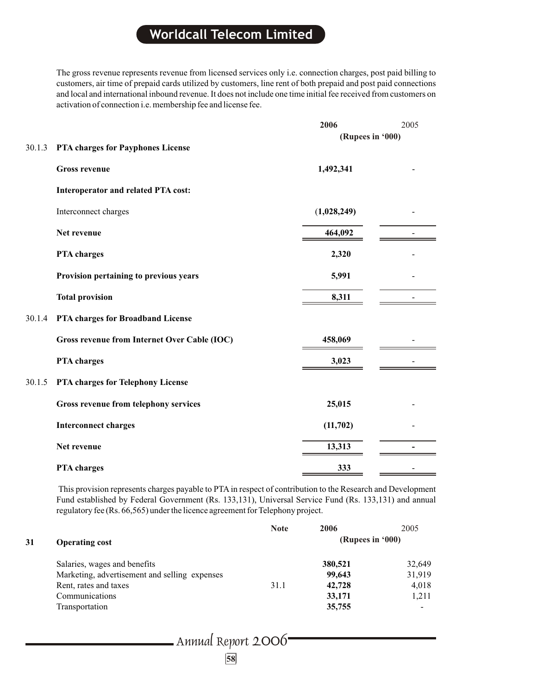The gross revenue represents revenue from licensed services only i.e. connection charges, post paid billing to customers, air time of prepaid cards utilized by customers, line rent of both prepaid and post paid connections and local and international inbound revenue. It does not include one time initial fee received from customers on activation of connection i.e. membership fee and license fee.

|        |                                              | 2006             | 2005 |
|--------|----------------------------------------------|------------------|------|
|        |                                              | (Rupees in '000) |      |
| 30.1.3 | PTA charges for Payphones License            |                  |      |
|        | <b>Gross revenue</b>                         | 1,492,341        |      |
|        | Interoperator and related PTA cost:          |                  |      |
|        | Interconnect charges                         | (1,028,249)      |      |
|        | Net revenue                                  | 464,092          |      |
|        | PTA charges                                  | 2,320            |      |
|        | Provision pertaining to previous years       | 5,991            |      |
|        | <b>Total provision</b>                       | 8,311            |      |
| 30.1.4 | PTA charges for Broadband License            |                  |      |
|        | Gross revenue from Internet Over Cable (IOC) | 458,069          |      |
|        | PTA charges                                  | 3,023            |      |
| 30.1.5 | PTA charges for Telephony License            |                  |      |
|        | Gross revenue from telephony services        | 25,015           |      |
|        | <b>Interconnect charges</b>                  | (11,702)         |      |
|        | Net revenue                                  | 13,313           |      |
|        | PTA charges                                  | 333              |      |
|        |                                              |                  |      |

This provision represents charges payable to PTA in respect of contribution to the Research and Development Fund established by Federal Government (Rs. 133,131), Universal Service Fund (Rs. 133,131) and annual regulatory fee (Rs. 66,565) under the licence agreement for Telephony project.

| <b>Note</b> | 2006                                          | 2005   |
|-------------|-----------------------------------------------|--------|
|             | (Rupees in '000)                              |        |
|             | 380,521                                       | 32,649 |
|             | 99,643                                        | 31,919 |
| 31.1        | 42,728                                        | 4,018  |
|             | 33,171                                        | 1,211  |
|             | 35,755                                        |        |
|             | Marketing, advertisement and selling expenses |        |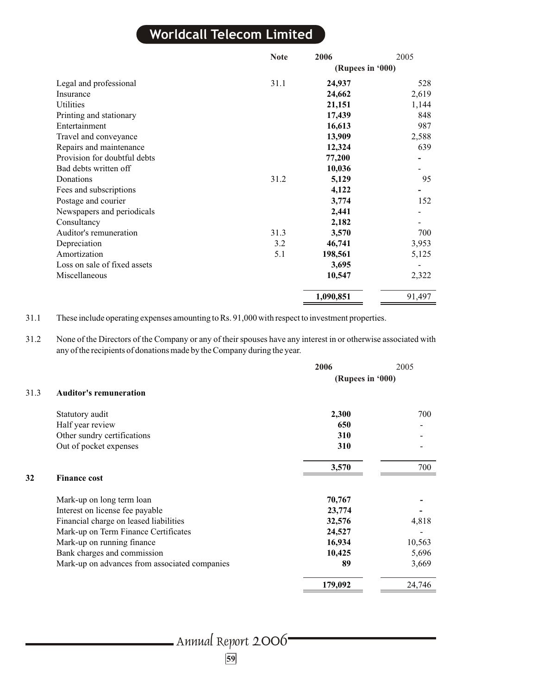| <b>Note</b>                    | 2006             | 2005   |
|--------------------------------|------------------|--------|
|                                | (Rupees in '000) |        |
| 31.1<br>Legal and professional | 24,937           | 528    |
| Insurance                      | 24,662           | 2,619  |
| Utilities                      | 21,151           | 1,144  |
| Printing and stationary        | 17,439           | 848    |
| Entertainment                  | 16,613           | 987    |
| Travel and conveyance          | 13,909           | 2,588  |
| Repairs and maintenance        | 12,324           | 639    |
| Provision for doubtful debts   | 77,200           |        |
| Bad debts written off          | 10,036           |        |
| Donations<br>31.2              | 5,129            | 95     |
| Fees and subscriptions         | 4,122            |        |
| Postage and courier            | 3,774            | 152    |
| Newspapers and periodicals     | 2,441            |        |
| Consultancy                    | 2,182            |        |
| Auditor's remuneration<br>31.3 | 3,570            | 700    |
| Depreciation<br>3.2            | 46,741           | 3,953  |
| Amortization<br>5.1            | 198,561          | 5,125  |
| Loss on sale of fixed assets   | 3,695            |        |
| Miscellaneous                  | 10,547           | 2,322  |
|                                | 1,090,851        | 91,497 |

31.1 These include operating expenses amounting to Rs. 91,000 with respect to investment properties.

31.2 None of the Directors of the Company or any of their spouses have any interest in or otherwise associated with any of the recipients of donations made by the Company during the year.

|                                               |                  | 2005   |
|-----------------------------------------------|------------------|--------|
|                                               | (Rupees in '000) |        |
|                                               |                  |        |
|                                               | 2,300            | 700    |
|                                               | 650              |        |
|                                               | 310              |        |
|                                               | 310              |        |
|                                               | 3,570            | 700    |
|                                               |                  |        |
|                                               | 70,767           |        |
|                                               | 23,774           |        |
| Financial charge on leased liabilities        | 32,576           | 4,818  |
| Mark-up on Term Finance Certificates          | 24,527           |        |
|                                               | 16,934           | 10,563 |
|                                               | 10,425           | 5,696  |
| Mark-up on advances from associated companies | 89               | 3,669  |
|                                               | 179,092          | 24,746 |
|                                               |                  | 2006   |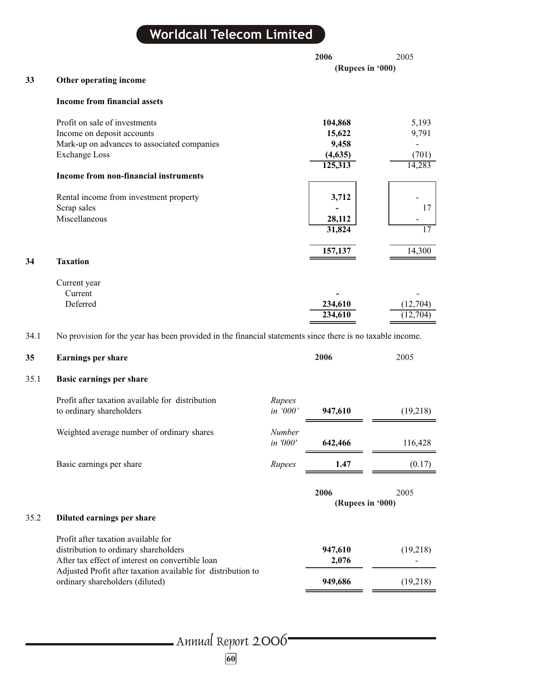|      |                                                                                                                                    |                    | 2006<br>(Rupees in '000)               | 2005                    |
|------|------------------------------------------------------------------------------------------------------------------------------------|--------------------|----------------------------------------|-------------------------|
| 33   | Other operating income                                                                                                             |                    |                                        |                         |
|      | <b>Income from financial assets</b>                                                                                                |                    |                                        |                         |
|      | Profit on sale of investments<br>Income on deposit accounts<br>Mark-up on advances to associated companies<br><b>Exchange Loss</b> |                    | 104,868<br>15,622<br>9,458<br>(4, 635) | 5,193<br>9,791<br>(701) |
|      | Income from non-financial instruments                                                                                              |                    | 125,313                                | 14,283                  |
|      | Rental income from investment property<br>Scrap sales<br>Miscellaneous                                                             |                    | 3,712<br>28,112<br>31,824              | 17<br>$\overline{17}$   |
| 34   | <b>Taxation</b>                                                                                                                    |                    | 157,137                                | 14,300                  |
|      | Current year<br>Current<br>Deferred                                                                                                |                    | 234,610<br>234,610                     | (12,704)<br>(12,704)    |
| 34.1 | No provision for the year has been provided in the financial statements since there is no taxable income.                          |                    |                                        |                         |
| 35   | <b>Earnings per share</b>                                                                                                          |                    | 2006                                   | 2005                    |
| 35.1 | Basic earnings per share                                                                                                           |                    |                                        |                         |
|      | Profit after taxation available for distribution<br>to ordinary shareholders                                                       | Rupees<br>in '000' | 947,610                                | (19,218)                |
|      | Weighted average number of ordinary shares                                                                                         | Number<br>in '000' | 642,466                                | 116,428                 |
|      | Basic earnings per share                                                                                                           | Rupees             | 1.47                                   | (0.17)                  |
| 35.2 | Diluted earnings per share                                                                                                         |                    | 2006<br>(Rupees in '000)               | 2005                    |
|      |                                                                                                                                    |                    |                                        |                         |
|      | Profit after taxation available for<br>distribution to ordinary shareholders<br>After tax effect of interest on convertible loan   |                    | 947,610<br>2,076                       | (19,218)                |
|      | Adjusted Profit after taxation available for distribution to<br>ordinary shareholders (diluted)                                    |                    | 949,686                                | (19,218)                |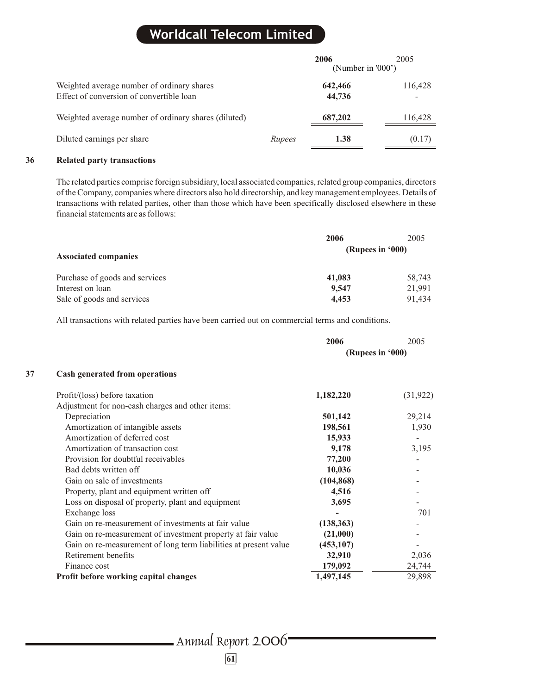|                                                                                        |        | 2006<br>(Number in '000') | 2005    |
|----------------------------------------------------------------------------------------|--------|---------------------------|---------|
| Weighted average number of ordinary shares<br>Effect of conversion of convertible loan |        | 642,466<br>44,736         | 116,428 |
| Weighted average number of ordinary shares (diluted)                                   |        | 687,202                   | 116,428 |
| Diluted earnings per share                                                             | Rupees | 1.38                      | (0.17)  |

#### **36 Related party transactions**

The related parties comprise foreign subsidiary, local associated companies, related group companies, directors of the Company, companies where directors also hold directorship, and key management employees. Details of transactions with related parties, other than those which have been specifically disclosed elsewhere in these financial statements are as follows:

|                                | 2006             | 2005   |  |
|--------------------------------|------------------|--------|--|
| <b>Associated companies</b>    | (Rupees in '000) |        |  |
| Purchase of goods and services | 41,083           | 58,743 |  |
| Interest on loan               | 9.547            | 21.991 |  |
| Sale of goods and services     | 4,453            | 91.434 |  |

All transactions with related parties have been carried out on commercial terms and conditions.

|    |                                                                  | 2006             | 2005      |
|----|------------------------------------------------------------------|------------------|-----------|
|    |                                                                  | (Rupees in '000) |           |
| 37 | Cash generated from operations                                   |                  |           |
|    | Profit/(loss) before taxation                                    | 1,182,220        | (31, 922) |
|    | Adjustment for non-cash charges and other items:                 |                  |           |
|    | Depreciation                                                     | 501,142          | 29,214    |
|    | Amortization of intangible assets                                | 198,561          | 1,930     |
|    | Amortization of deferred cost                                    | 15,933           |           |
|    | Amortization of transaction cost                                 | 9,178            | 3,195     |
|    | Provision for doubtful receivables                               | 77,200           |           |
|    | Bad debts written off                                            | 10,036           |           |
|    | Gain on sale of investments                                      | (104, 868)       |           |
|    | Property, plant and equipment written off                        | 4,516            |           |
|    | Loss on disposal of property, plant and equipment                | 3,695            |           |
|    | Exchange loss                                                    |                  | 701       |
|    | Gain on re-measurement of investments at fair value              | (138, 363)       |           |
|    | Gain on re-measurement of investment property at fair value      | (21,000)         |           |
|    | Gain on re-measurement of long term liabilities at present value | (453, 107)       |           |
|    | Retirement benefits                                              | 32,910           | 2,036     |
|    | Finance cost                                                     | 179,092          | 24,744    |
|    | Profit before working capital changes                            | 1,497,145        | 29,898    |
|    |                                                                  |                  |           |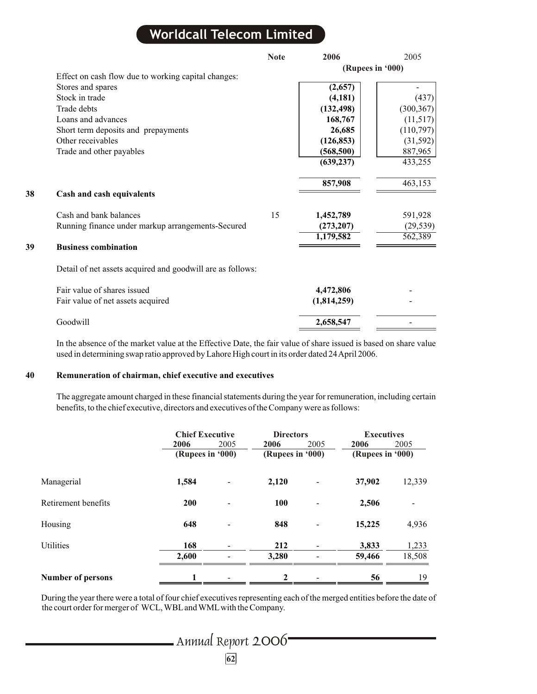|    |                                                            | <b>Note</b> | 2006             | 2005       |
|----|------------------------------------------------------------|-------------|------------------|------------|
|    |                                                            |             | (Rupees in '000) |            |
|    | Effect on cash flow due to working capital changes:        |             |                  |            |
|    | Stores and spares                                          |             | (2,657)          |            |
|    | Stock in trade                                             |             | (4, 181)         | (437)      |
|    | Trade debts                                                |             | (132, 498)       | (300, 367) |
|    | Loans and advances                                         |             | 168,767          | (11,517)   |
|    | Short term deposits and prepayments                        |             | 26,685           | (110,797)  |
|    | Other receivables                                          |             | (126, 853)       | (31,592)   |
|    | Trade and other payables                                   |             | (568, 500)       | 887,965    |
|    |                                                            |             | (639, 237)       | 433,255    |
|    |                                                            |             | 857,908          | 463,153    |
| 38 | Cash and cash equivalents                                  |             |                  |            |
|    | Cash and bank balances                                     | 15          | 1,452,789        | 591,928    |
|    | Running finance under markup arrangements-Secured          |             | (273, 207)       | (29, 539)  |
|    |                                                            |             | 1,179,582        | 562,389    |
| 39 | <b>Business combination</b>                                |             |                  |            |
|    | Detail of net assets acquired and goodwill are as follows: |             |                  |            |
|    | Fair value of shares issued                                |             | 4,472,806        |            |
|    | Fair value of net assets acquired                          |             | (1,814,259)      |            |
|    | Goodwill                                                   |             | 2,658,547        |            |
|    |                                                            |             |                  |            |

In the absence of the market value at the Effective Date, the fair value of share issued is based on share value used in determining swap ratio approved by Lahore High court in its order dated 24 April 2006.

## **40 Remuneration of chairman, chief executive and executives**

The aggregate amount charged in these financial statements during the year for remuneration, including certain benefits, to the chief executive, directors and executives of the Company were as follows:

|                          |                  | <b>Chief Executive</b>   |                  | <b>Directors</b> |                  | <b>Executives</b> |
|--------------------------|------------------|--------------------------|------------------|------------------|------------------|-------------------|
|                          | 2006             | 2005                     | 2006             | 2005             | 2006             | 2005              |
|                          | (Rupees in '000) |                          | (Rupees in '000) |                  | (Rupees in '000) |                   |
| Managerial               | 1,584            |                          | 2,120            |                  | 37,902           | 12,339            |
| Retirement benefits      | <b>200</b>       |                          | <b>100</b>       |                  | 2,506            |                   |
| Housing                  | 648              |                          | 848              |                  | 15,225           | 4,936             |
| Utilities                | 168              | $\overline{\phantom{a}}$ | 212              |                  | 3,833            | 1,233             |
|                          | 2,600            |                          | 3,280            |                  | 59,466           | 18,508            |
| <b>Number of persons</b> |                  |                          | 2                |                  | 56               | 19                |

During the year there were a total of four chief executives representing each of the merged entities before the date of the court order for merger of WCL, WBL and WML with the Company.

Annual Report 2006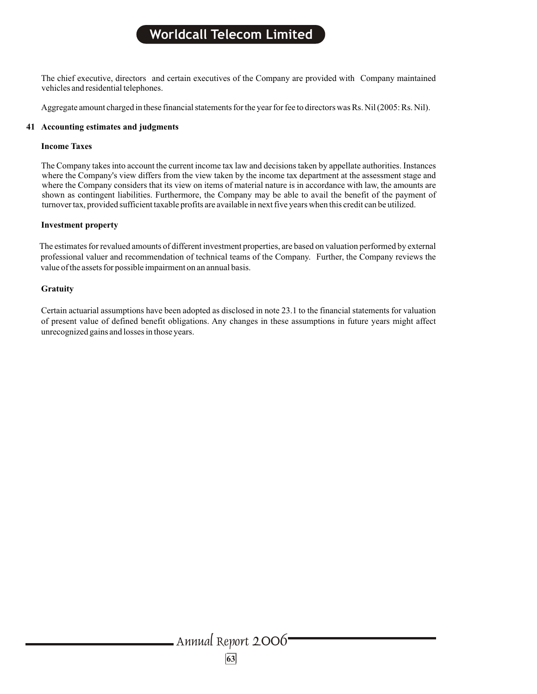The chief executive, directors and certain executives of the Company are provided with Company maintained vehicles and residential telephones.

Aggregate amount charged in these financial statements for the year for fee to directors was Rs. Nil (2005: Rs. Nil).

#### **41 Accounting estimates and judgments**

#### **Income Taxes**

The Company takes into account the current income tax law and decisions taken by appellate authorities. Instances where the Company's view differs from the view taken by the income tax department at the assessment stage and where the Company considers that its view on items of material nature is in accordance with law, the amounts are shown as contingent liabilities. Furthermore, the Company may be able to avail the benefit of the payment of turnover tax, provided sufficient taxable profits are available in next five years when this credit can be utilized.

## **Investment property**

The estimates for revalued amounts of different investment properties, are based on valuation performed by external professional valuer and recommendation of technical teams of the Company. Further, the Company reviews the value of the assets for possible impairment on an annual basis.

## **Gratuity**

Certain actuarial assumptions have been adopted as disclosed in note 23.1 to the financial statements for valuation of present value of defined benefit obligations. Any changes in these assumptions in future years might affect unrecognized gains and losses in those years.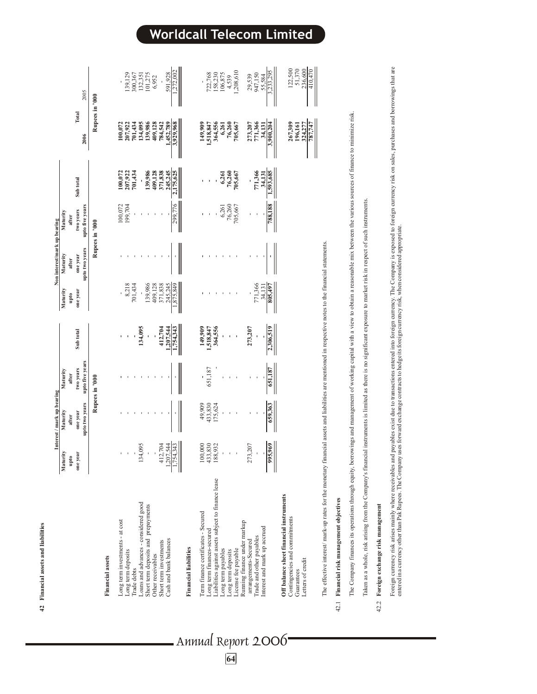|                                                                                                                                                        |                                  | Interest / mark up bearing |                 |                      |                    | Non interest/mark up bearing |                            |                    |                      |                     |
|--------------------------------------------------------------------------------------------------------------------------------------------------------|----------------------------------|----------------------------|-----------------|----------------------|--------------------|------------------------------|----------------------------|--------------------|----------------------|---------------------|
|                                                                                                                                                        | Maturity                         | Maturity                   | Maturity        |                      | Maturity           | Maturity                     | Maturity                   |                    |                      |                     |
|                                                                                                                                                        | upto                             | after                      | after           |                      | upto               | after                        | after                      |                    |                      |                     |
|                                                                                                                                                        | one year                         | one year                   | two years       | Sub total            | one year           | one year                     | two years                  | Sub total          | Total                |                     |
|                                                                                                                                                        |                                  | upto two years             | upto five years |                      |                    | upto two years               | upto five years            |                    | 2006                 | 2005                |
|                                                                                                                                                        |                                  |                            | Rupees in '000  |                      |                    |                              | Rupees in '000             |                    |                      | Rupees in '000      |
| <b>Financial</b> assets                                                                                                                                |                                  |                            |                 |                      |                    |                              |                            |                    |                      |                     |
| Long term investments - at cost                                                                                                                        |                                  |                            |                 |                      |                    |                              |                            | 100,072            | 100,072              |                     |
| Long term deposits                                                                                                                                     |                                  |                            |                 |                      | 8,218              |                              | 100,072<br>199,704         | 207,922            | 207,922              | 139,129             |
| Trade debts                                                                                                                                            |                                  |                            |                 |                      | 701,434            |                              |                            | 701,434            | 701,434              | 300,367             |
| Loans and advances - considered good                                                                                                                   | 34,095                           |                            |                 | 134,095              |                    |                              |                            |                    | 134,095              |                     |
| Short term deposits and prepayments                                                                                                                    |                                  |                            |                 |                      | 139,986            |                              |                            | 139,986            | 139,986              | 132,351<br>101,275  |
| Other receivables                                                                                                                                      |                                  |                            |                 |                      |                    |                              |                            |                    | 409,128              | 6,952               |
| Short term investments                                                                                                                                 |                                  |                            |                 | 412,704              | 409,128<br>371,838 |                              |                            | 409,128<br>371,838 | 784,542              |                     |
| Cash and bank balances                                                                                                                                 |                                  |                            |                 | 1,207,544            | 245,245            |                              |                            | 245,245            | 1,452,789            | 591,928             |
|                                                                                                                                                        | $\frac{412,704}{1,207,544}$      |                            |                 | 1,754,343            | 1,875,849          |                              | 299,776                    | 2,175,625          | 3,929,968            | 1,272,002           |
|                                                                                                                                                        |                                  |                            |                 |                      |                    |                              |                            |                    |                      |                     |
| Financial liabilities                                                                                                                                  |                                  |                            |                 |                      |                    |                              |                            |                    |                      |                     |
| Term finance certificates - Secured                                                                                                                    |                                  |                            |                 |                      |                    |                              |                            |                    | 149,909<br>1,518,847 |                     |
| ong term finances-secured                                                                                                                              |                                  | 49,909<br>433,830          | 651,187         | 149,909<br>1,518,847 |                    |                              |                            |                    |                      |                     |
| iabilities against assets subject to finance lease                                                                                                     | $00,000$<br>$13,830$<br>$88,932$ | 175,624                    |                 | 364,556              |                    |                              |                            |                    | 364,556              | 722,768<br>158,230  |
| ong term payables                                                                                                                                      |                                  |                            |                 |                      |                    |                              |                            | 6,261              | 6,261                | 106,875             |
| ong term deposits                                                                                                                                      |                                  |                            |                 |                      |                    |                              |                            |                    |                      | 4,539               |
| icense fee payable                                                                                                                                     |                                  |                            |                 |                      |                    |                              | 6,261<br>76,260<br>705,667 | 76,260<br>705,667  | 76,260<br>705,667    | ,208,610            |
| Running finance under markup                                                                                                                           |                                  |                            |                 |                      |                    |                              |                            |                    |                      |                     |
| arrangements-Secured                                                                                                                                   | 273,207                          |                            |                 | 273,207              |                    |                              |                            |                    |                      | 29,539              |
| Trade and other payables                                                                                                                               |                                  |                            |                 |                      | 771,366            |                              |                            | 771,366            | 273,207<br>771,366   | 947,150             |
| Interest and mark up accrued                                                                                                                           |                                  |                            |                 |                      | 34,131             |                              |                            | 34,131             | 34,131               | 55,584              |
|                                                                                                                                                        | 995,969<br>Ί                     | 659,363                    | 651,187         | 2,306,519            | 805,497            |                              | 788,188                    | 1,593,685          | 3,900,204            | 3,233,295           |
| Off balance sheet financial instruments                                                                                                                |                                  |                            |                 |                      |                    |                              |                            |                    |                      |                     |
| Contingencies and commitments                                                                                                                          |                                  |                            |                 |                      |                    |                              |                            |                    | 267,309              |                     |
| Guarantees                                                                                                                                             |                                  |                            |                 |                      |                    |                              |                            |                    | 196,161              | $122,500$<br>51,370 |
| Letters of credit                                                                                                                                      |                                  |                            |                 |                      |                    |                              |                            |                    |                      | 236,600             |
|                                                                                                                                                        |                                  |                            |                 |                      |                    |                              |                            |                    | 324,277<br>787,747   | 410,470             |
|                                                                                                                                                        |                                  |                            |                 |                      |                    |                              |                            |                    |                      |                     |
| The effective interest/ mark-up rates for the monetary financial assets and liabilities are mentioned in respective notes to the financial statements. |                                  |                            |                 |                      |                    |                              |                            |                    |                      |                     |

**42 Financial assets and liabilities**

42 Financial assets and liabilities

**64**

Annual Report 2006

The effective interest/ mark-up rates for the monetary financial assets and liabilities are mentioned in respective notes to the financial statements.

# 42.1 Financial risk management objectives 42.1 **Financial risk management objectives**

The Company finances its operations through equity, borrowings and management of working capital with a view to obtain a reasonable mix between the various sources of finance to minimize risk. The Company finances its operations through equity, borrowings and management of working capital with a view to obtain a reasonable mix between the various sources of finance to minimize risk.

Taken as a whole, risk arising from the Company's financial instruments is limited as there is no significant exposure to market risk in respect of such instruments. Taken as a whole, risk arising from the Company's financial instruments is limited as there is no significant exposure to market risk in respect of such instruments.

## Foreign exchange risk management 42.2 **Foreign exchange risk management**  $42.2$

Foreign currency risk arises mainly where receivables and payables exist due to transactions entered into foreign currency. The Company is exposed to foreign currency risk on sales, purchases and borrowings that are entere Foreign currency risk arises mainly where receivables and payables exist due to transactions entered into foreign currency. The Company is exposed to foreign currency risk on sales, purchases and borrowings that are entered in a currency otherthan PakRupees.TheCompany usesforward exchange contractsto hedge itsforeign currency risk, when considered appropriate.

## **Worldcall Telecom Limited**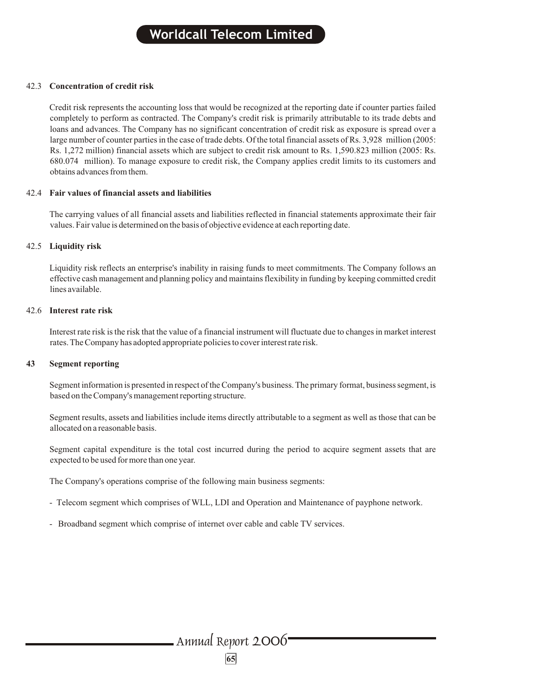## 42.3 **Concentration of credit risk**

Credit risk represents the accounting loss that would be recognized at the reporting date if counter parties failed completely to perform as contracted. The Company's credit risk is primarily attributable to its trade debts and loans and advances. The Company has no significant concentration of credit risk as exposure is spread over a large number of counter parties in the case of trade debts. Of the total financial assets of Rs. 3,928 million (2005: Rs. 1,272 million) financial assets which are subject to credit risk amount to Rs. 1,590.823 million (2005: Rs. 680.074 million). To manage exposure to credit risk, the Company applies credit limits to its customers and obtains advances from them.

### 42.4 **Fair values of financial assets and liabilities**

The carrying values of all financial assets and liabilities reflected in financial statements approximate their fair values. Fair value is determined on the basis of objective evidence at each reporting date.

#### 42.5 **Liquidity risk**

Liquidity risk reflects an enterprise's inability in raising funds to meet commitments. The Company follows an effective cash management and planning policy and maintains flexibility in funding by keeping committed credit lines available.

#### 42.6 **Interest rate risk**

Interest rate risk is the risk that the value of a financial instrument will fluctuate due to changes in market interest rates. The Company has adopted appropriate policies to cover interest rate risk.

#### **43 Segment reporting**

Segment information is presented in respect of the Company's business. The primary format, business segment, is based on the Company's management reporting structure.

Segment results, assets and liabilities include items directly attributable to a segment as well as those that can be allocated on a reasonable basis.

Segment capital expenditure is the total cost incurred during the period to acquire segment assets that are expected to be used for more than one year.

The Company's operations comprise of the following main business segments:

- Telecom segment which comprises of WLL, LDI and Operation and Maintenance of payphone network.
- Broadband segment which comprise of internet over cable and cable TV services.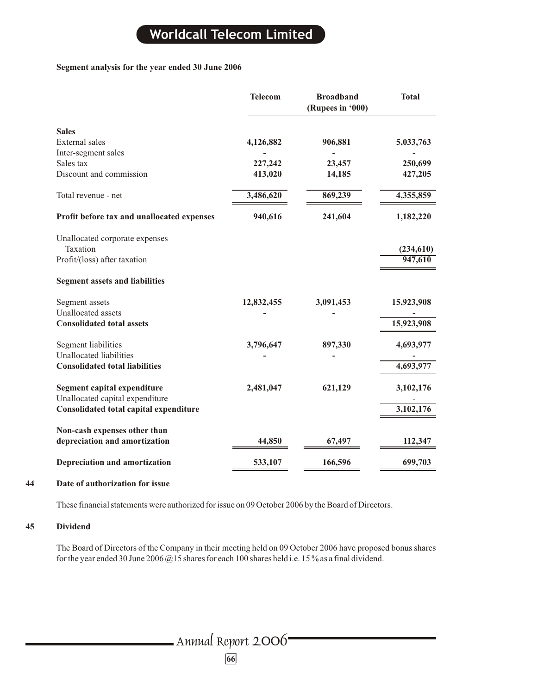## **Segment analysis for the year ended 30 June 2006**

|                                            | <b>Telecom</b> | <b>Broadband</b><br>(Rupees in '000) | <b>Total</b> |
|--------------------------------------------|----------------|--------------------------------------|--------------|
| <b>Sales</b>                               |                |                                      |              |
| External sales                             | 4,126,882      | 906,881                              | 5,033,763    |
| Inter-segment sales                        |                |                                      |              |
| Sales tax                                  | 227,242        | 23,457                               | 250,699      |
| Discount and commission                    | 413,020        | 14,185                               | 427,205      |
| Total revenue - net                        | 3,486,620      | 869,239                              | 4,355,859    |
| Profit before tax and unallocated expenses | 940,616        | 241,604                              | 1,182,220    |
| Unallocated corporate expenses             |                |                                      |              |
| Taxation                                   |                |                                      | (234, 610)   |
| Profit/(loss) after taxation               |                |                                      | 947,610      |
| <b>Segment assets and liabilities</b>      |                |                                      |              |
| Segment assets                             | 12,832,455     | 3,091,453                            | 15,923,908   |
| Unallocated assets                         |                |                                      |              |
| <b>Consolidated total assets</b>           |                |                                      | 15,923,908   |
| Segment liabilities                        | 3,796,647      | 897,330                              | 4,693,977    |
| Unallocated liabilities                    |                |                                      |              |
| <b>Consolidated total liabilities</b>      |                |                                      | 4,693,977    |
| Segment capital expenditure                | 2,481,047      | 621,129                              | 3,102,176    |
| Unallocated capital expenditure            |                |                                      |              |
| Consolidated total capital expenditure     |                |                                      | 3,102,176    |
| Non-cash expenses other than               |                |                                      |              |
| depreciation and amortization              | 44,850         | 67,497                               | 112,347      |
| Depreciation and amortization              | 533,107        | 166,596                              | 699,703      |

## **44 Date of authorization for issue**

These financial statements were authorized for issue on 09 October 2006 by the Board of Directors.

## **45 Dividend**

The Board of Directors of the Company in their meeting held on 09 October 2006 have proposed bonus shares for the year ended 30 June 2006 @15 shares for each 100 shares held i.e. 15 % as a final dividend.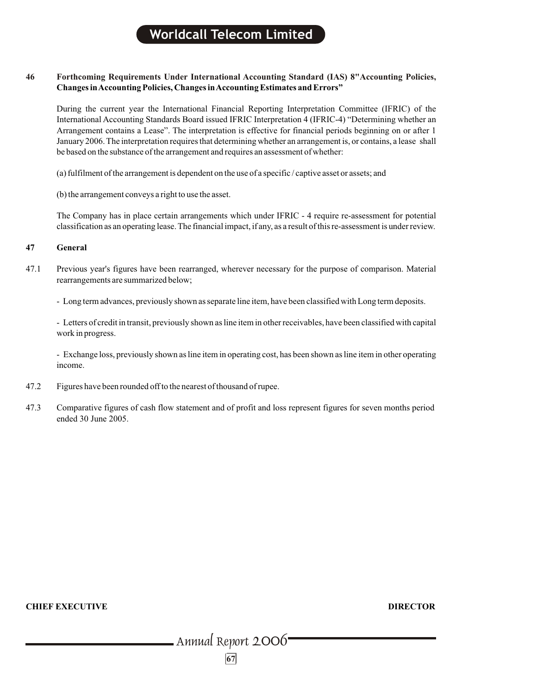#### **46 Forthcoming Requirements Under International Accounting Standard (IAS) 8"Accounting Policies, Changes in Accounting Policies, Changes in Accounting Estimates and Errors"**

During the current year the International Financial Reporting Interpretation Committee (IFRIC) of the International Accounting Standards Board issued IFRIC Interpretation 4 (IFRIC-4) "Determining whether an Arrangement contains a Lease". The interpretation is effective for financial periods beginning on or after 1 January 2006. The interpretation requires that determining whether an arrangement is, or contains, a lease shall be based on the substance of the arrangement and requires an assessment of whether:

(a) fulfilment of the arrangement is dependent on the use of a specific / captive asset or assets; and

(b) the arrangement conveys a right to use the asset.

The Company has in place certain arrangements which under IFRIC - 4 require re-assessment for potential classification as an operating lease. The financial impact, if any, as a result of this re-assessment is under review.

#### **47 General**

47.1 Previous year's figures have been rearranged, wherever necessary for the purpose of comparison. Material rearrangements are summarized below;

- Long term advances, previously shown as separate line item, have been classified with Long term deposits.

- Letters of credit in transit, previously shown as line item in other receivables, have been classified with capital work in progress.

- Exchange loss, previously shown as line item in operating cost, has been shown as line item in other operating income.

- 47.2 Figures have been rounded off to the nearest of thousand of rupee.
- 47.3 Comparative figures of cash flow statement and of profit and loss represent figures for seven months period ended 30 June 2005.

## **CHIEF EXECUTIVE DIRECTOR**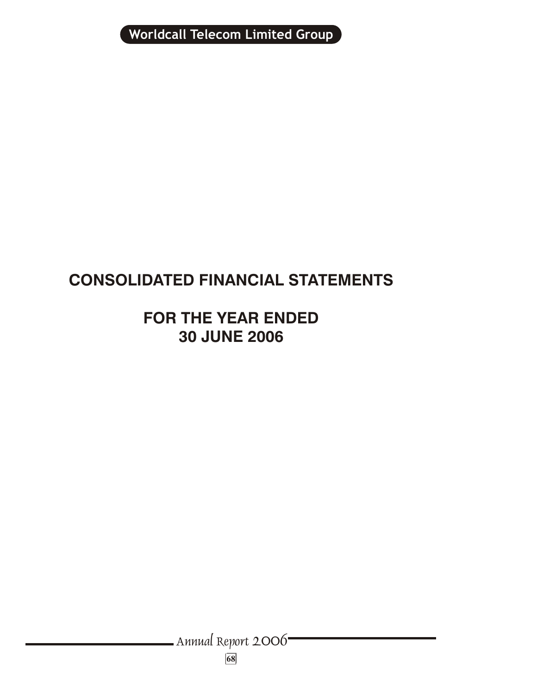## **CONSOLIDATED FINANCIAL STATEMENTS**

## **FOR THE YEAR ENDED 30 JUNE 2006**

 $\_$ Annual Report 2006 $^{\circ}$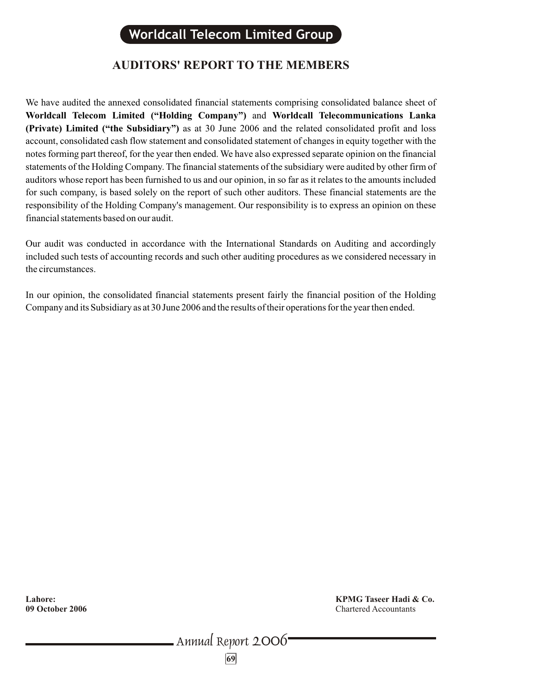## **AUDITORS' REPORT TO THE MEMBERS**

We have audited the annexed consolidated financial statements comprising consolidated balance sheet of **Worldcall Telecom Limited ("Holding Company")** and **Worldcall Telecommunications Lanka (Private) Limited ("the Subsidiary")** as at 30 June 2006 and the related consolidated profit and loss account, consolidated cash flow statement and consolidated statement of changes in equity together with the notes forming part thereof, for the year then ended. We have also expressed separate opinion on the financial statements of the Holding Company. The financial statements of the subsidiary were audited by other firm of auditors whose report has been furnished to us and our opinion, in so far as it relates to the amounts included for such company, is based solely on the report of such other auditors. These financial statements are the responsibility of the Holding Company's management. Our responsibility is to express an opinion on these financial statements based on our audit.

Our audit was conducted in accordance with the International Standards on Auditing and accordingly included such tests of accounting records and such other auditing procedures as we considered necessary in the circumstances.

In our opinion, the consolidated financial statements present fairly the financial position of the Holding Company and its Subsidiary as at 30 June 2006 and the results of their operations for the year then ended.

**Lahore:** KPMG Taseer Hadi & Co.<br> **Co.** 09 October 2006 **Chartered Accountants**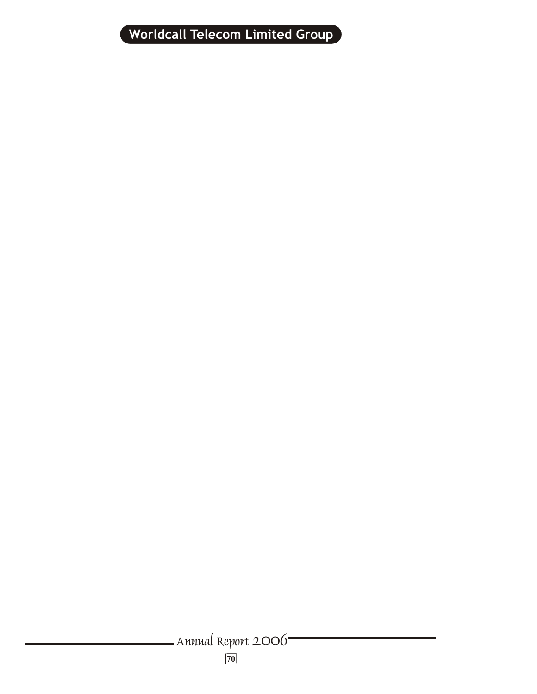$\_$ Annual Report 2006 $^{\circ}$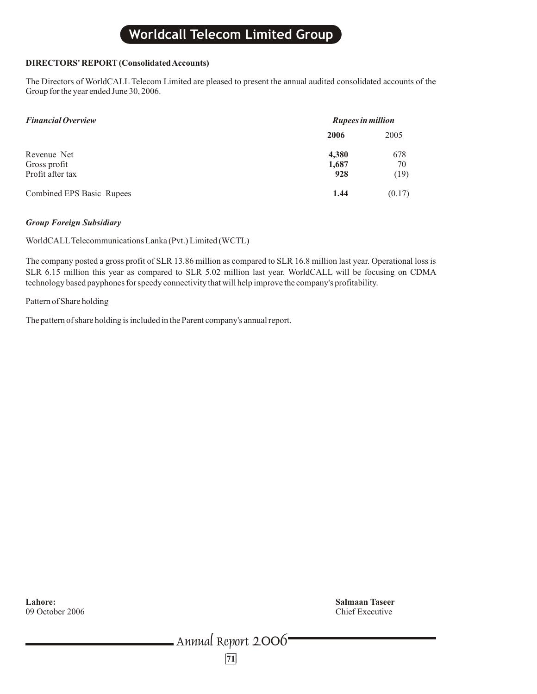## **DIRECTORS' REPORT(Consolidated Accounts)**

The Directors of WorldCALL Telecom Limited are pleased to present the annual audited consolidated accounts of the Group for the year ended June 30, 2006.

| <b>Financial Overview</b> | <b>Rupees in million</b> |        |  |
|---------------------------|--------------------------|--------|--|
|                           | 2006                     | 2005   |  |
| Revenue Net               | 4,380                    | 678    |  |
| Gross profit              | 1,687                    | 70     |  |
| Profit after tax          | 928                      | (19)   |  |
| Combined EPS Basic Rupees | 1.44                     | (0.17) |  |

#### *Group Foreign Subsidiary*

WorldCALLTelecommunications Lanka (Pvt.) Limited (WCTL)

The company posted a gross profit of SLR 13.86 million as compared to SLR 16.8 million last year. Operational loss is SLR 6.15 million this year as compared to SLR 5.02 million last year. WorldCALL will be focusing on CDMA technology based payphones for speedy connectivity that will help improve the company's profitability.

Pattern of Share holding

The pattern of share holding is included in the Parent company's annual report.

09 October 2006

**Lahore:** Salmaan Taseer<br>
09 October 2006<br>
Chief Executive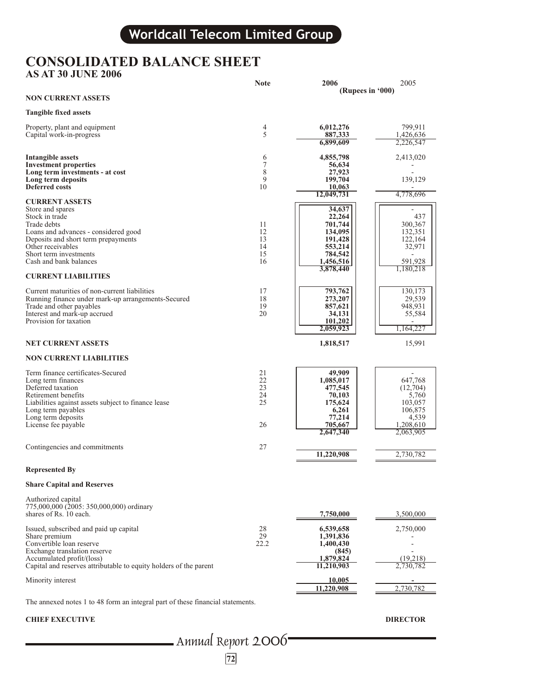## **CONSOLIDATED BALANCE SHEET AS AT 30 JUNE 2006**

|                                                                                                                                                                                                                                    | <b>Note</b>                      | 2006<br>(Rupees in '000)                                                                          | 2005                                                                                                            |
|------------------------------------------------------------------------------------------------------------------------------------------------------------------------------------------------------------------------------------|----------------------------------|---------------------------------------------------------------------------------------------------|-----------------------------------------------------------------------------------------------------------------|
| <b>NON CURRENT ASSETS</b>                                                                                                                                                                                                          |                                  |                                                                                                   |                                                                                                                 |
| <b>Tangible fixed assets</b>                                                                                                                                                                                                       |                                  |                                                                                                   |                                                                                                                 |
| Property, plant and equipment<br>Capital work-in-progress                                                                                                                                                                          | 4<br>5                           | 6,012,276<br>887,333<br>6,899,609                                                                 | 799,911<br>1,426,636<br>2,226,547                                                                               |
| <b>Intangible assets</b><br><b>Investment properties</b><br>Long term investments - at cost<br>Long term deposits<br><b>Deferred costs</b>                                                                                         | 6<br>7<br>8<br>9<br>10           | 4,855,798<br>56,634<br>27,923<br>199,704<br>10,063<br>12,049,731                                  | 2,413,020<br>139,129                                                                                            |
| <b>CURRENT ASSETS</b><br>Store and spares<br>Stock in trade<br>Trade debts<br>Loans and advances - considered good<br>Deposits and short term prepayments<br>Other receivables<br>Short term investments<br>Cash and bank balances | 11<br>12<br>13<br>14<br>15<br>16 | 34,637<br>22,264<br>701,744<br>134,095<br>191,428<br>553,214<br>784,542<br>1,456,516<br>3,878,440 | 4,778,696<br>$\overline{\phantom{a}}$<br>437<br>300,367<br>132,351<br>122,164<br>32,971<br>591,928<br>1,180,218 |
| <b>CURRENT LIABILITIES</b>                                                                                                                                                                                                         |                                  |                                                                                                   |                                                                                                                 |
| Current maturities of non-current liabilities<br>Running finance under mark-up arrangements-Secured<br>Trade and other payables<br>Interest and mark-up accrued<br>Provision for taxation                                          | 17<br>18<br>19<br>20             | 793,762<br>273,207<br>857,621<br>34,131<br>101,202<br>2,059,923                                   | 130,173<br>29,539<br>948,931<br>55,584<br>1,164,227                                                             |
| <b>NET CURRENT ASSETS</b>                                                                                                                                                                                                          |                                  | 1,818,517                                                                                         | 15,991                                                                                                          |
| <b>NON CURRENT LIABILITIES</b>                                                                                                                                                                                                     |                                  |                                                                                                   |                                                                                                                 |
| Term finance certificates-Secured<br>Long term finances<br>Deferred taxation<br>Retirement benefits<br>Liabilities against assets subject to finance lease<br>Long term payables<br>Long term deposits<br>License fee payable      | 21<br>22<br>23<br>24<br>25<br>26 | 49,909<br>1,085,017<br>477,545<br>70,103<br>175,624<br>6,261<br>77,214<br>705,667<br>2,647,340    | 647,768<br>(12,704)<br>5,760<br>103,057<br>106,875<br>4,539<br>1.208.610<br>2,063,905                           |
| Contingencies and commitments                                                                                                                                                                                                      | 27                               | 11,220,908                                                                                        | 2,730,782                                                                                                       |
| <b>Represented By</b>                                                                                                                                                                                                              |                                  |                                                                                                   |                                                                                                                 |
| <b>Share Capital and Reserves</b>                                                                                                                                                                                                  |                                  |                                                                                                   |                                                                                                                 |
| Authorized capital<br>775,000,000 (2005: 350,000,000) ordinary<br>shares of Rs. 10 each.                                                                                                                                           |                                  | 7,750,000                                                                                         | 3,500,000                                                                                                       |
| Issued, subscribed and paid up capital<br>Share premium<br>Convertible loan reserve<br>Exchange translation reserve<br>Accumulated profit/(loss)<br>Capital and reserves attributable to equity holders of the parent              | 28<br>29<br>22.2                 | 6,539,658<br>1,391,836<br>1,400,430<br>(845)<br>1,879,824<br>11,210,903                           | 2,750,000<br>(19,218)<br>2,730,782                                                                              |
| Minority interest                                                                                                                                                                                                                  |                                  | 10,005<br>11,220,908                                                                              | 2,730,782                                                                                                       |
| The annexed notes 1 to 48 form an integral part of these financial statements.                                                                                                                                                     |                                  |                                                                                                   |                                                                                                                 |

## **CHIEF EXECUTIVE DIRECTOR**

 $\_$ Annual Report 2006 $^{\circ}$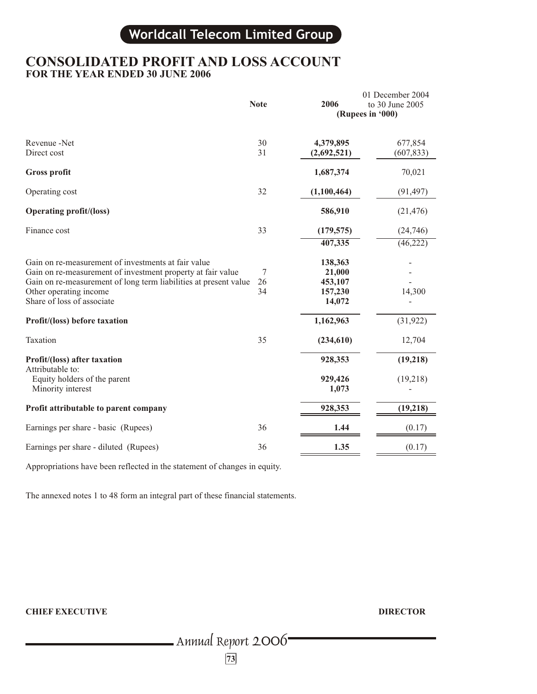### **CONSOLIDATED PROFIT AND LOSS ACCOUNT FOR THE YEAR ENDED 30 JUNE 2006**

|                                                                                                                                                                                                                                                | <b>Note</b>   | 2006<br>(Rupees in '000)                          | 01 December 2004<br>to 30 June 2005 |
|------------------------------------------------------------------------------------------------------------------------------------------------------------------------------------------------------------------------------------------------|---------------|---------------------------------------------------|-------------------------------------|
| Revenue -Net<br>Direct cost                                                                                                                                                                                                                    | 30<br>31      | 4,379,895<br>(2,692,521)                          | 677,854<br>(607, 833)               |
| <b>Gross profit</b>                                                                                                                                                                                                                            |               | 1,687,374                                         | 70,021                              |
| Operating cost                                                                                                                                                                                                                                 | 32            | (1,100,464)                                       | (91, 497)                           |
| <b>Operating profit/(loss)</b>                                                                                                                                                                                                                 |               | 586,910                                           | (21, 476)                           |
| Finance cost                                                                                                                                                                                                                                   | 33            | (179, 575)                                        | (24,746)                            |
|                                                                                                                                                                                                                                                |               | 407,335                                           | (46, 222)                           |
| Gain on re-measurement of investments at fair value<br>Gain on re-measurement of investment property at fair value<br>Gain on re-measurement of long term liabilities at present value<br>Other operating income<br>Share of loss of associate | 7<br>26<br>34 | 138,363<br>21,000<br>453,107<br>157,230<br>14,072 | 14,300                              |
| Profit/(loss) before taxation                                                                                                                                                                                                                  |               | 1,162,963                                         | (31, 922)                           |
| Taxation                                                                                                                                                                                                                                       | 35            | (234, 610)                                        | 12,704                              |
| Profit/(loss) after taxation<br>Attributable to:<br>Equity holders of the parent<br>Minority interest                                                                                                                                          |               | 928,353<br>929,426<br>1,073                       | (19, 218)<br>(19,218)               |
| Profit attributable to parent company                                                                                                                                                                                                          |               | 928,353                                           | (19, 218)                           |
| Earnings per share - basic (Rupees)                                                                                                                                                                                                            | 36            | 1.44                                              | (0.17)                              |
| Earnings per share - diluted (Rupees)                                                                                                                                                                                                          | 36            | 1.35                                              | (0.17)                              |

Appropriations have been reflected in the statement of changes in equity.

The annexed notes 1 to 48 form an integral part of these financial statements.

**CHIEF EXECUTIVE DIRECTOR**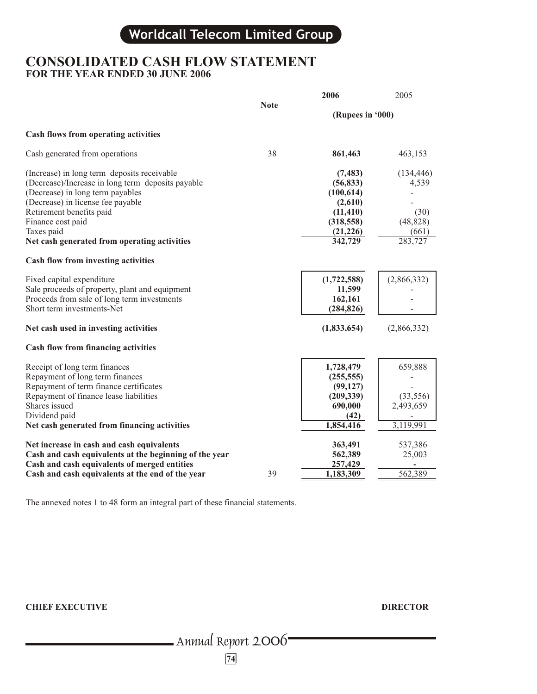### **CONSOLIDATED CASH FLOW STATEMENT FOR THE YEAR ENDED 30 JUNE 2006**

|                                                                                                                                                                                                                                          |             | 2006                                                                                   | 2005                                              |
|------------------------------------------------------------------------------------------------------------------------------------------------------------------------------------------------------------------------------------------|-------------|----------------------------------------------------------------------------------------|---------------------------------------------------|
|                                                                                                                                                                                                                                          | <b>Note</b> | (Rupees in '000)                                                                       |                                                   |
| Cash flows from operating activities                                                                                                                                                                                                     |             |                                                                                        |                                                   |
| Cash generated from operations                                                                                                                                                                                                           | 38          | 861,463                                                                                | 463,153                                           |
| (Increase) in long term deposits receivable<br>(Decrease)/Increase in long term deposits payable<br>(Decrease) in long term payables<br>(Decrease) in license fee payable<br>Retirement benefits paid<br>Finance cost paid<br>Taxes paid |             | (7, 483)<br>(56, 833)<br>(100, 614)<br>(2,610)<br>(11, 410)<br>(318, 558)<br>(21, 226) | (134, 446)<br>4,539<br>(30)<br>(48, 828)<br>(661) |
| Net cash generated from operating activities                                                                                                                                                                                             |             | 342,729                                                                                | 283,727                                           |
| Cash flow from investing activities                                                                                                                                                                                                      |             |                                                                                        |                                                   |
| Fixed capital expenditure<br>Sale proceeds of property, plant and equipment<br>Proceeds from sale of long term investments<br>Short term investments-Net                                                                                 |             | (1,722,588)<br>11,599<br>162,161<br>(284, 826)                                         | (2,866,332)                                       |
| Net cash used in investing activities                                                                                                                                                                                                    |             | (1,833,654)                                                                            | (2,866,332)                                       |
| <b>Cash flow from financing activities</b>                                                                                                                                                                                               |             |                                                                                        |                                                   |
| Receipt of long term finances<br>Repayment of long term finances<br>Repayment of term finance certificates<br>Repayment of finance lease liabilities<br>Shares issued<br>Dividend paid<br>Net cash generated from financing activities   |             | 1,728,479<br>(255, 555)<br>(99, 127)<br>(209, 339)<br>690,000<br>(42)<br>1,854,416     | 659,888<br>(33, 556)<br>2,493,659<br>3,119,991    |
|                                                                                                                                                                                                                                          |             |                                                                                        |                                                   |
| Net increase in cash and cash equivalents<br>Cash and cash equivalents at the beginning of the year<br>Cash and cash equivalents of merged entities                                                                                      |             | 363,491<br>562,389<br>257,429                                                          | 537,386<br>25,003                                 |
| Cash and cash equivalents at the end of the year                                                                                                                                                                                         | 39          | 1,183,309                                                                              | 562,389                                           |

The annexed notes 1 to 48 form an integral part of these financial statements.

**CHIEF EXECUTIVE DIRECTOR**

 $\_$ Annual Report 2006 $^{\circ}$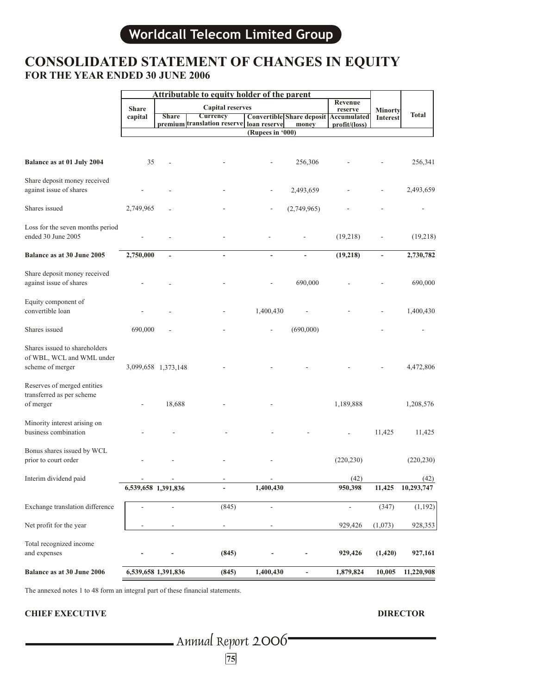### **CONSOLIDATED STATEMENT OF CHANGES IN EQUITY FOR THE YEAR ENDED 30 JUNE 2006**

|                                                                                |                          |                     | <b>Attributable to equity holder of the parent</b> |                          |                                  |                        |                                   |              |
|--------------------------------------------------------------------------------|--------------------------|---------------------|----------------------------------------------------|--------------------------|----------------------------------|------------------------|-----------------------------------|--------------|
|                                                                                | <b>Share</b>             |                     | <b>Capital reserves</b>                            |                          |                                  | Revenue                |                                   |              |
|                                                                                | capital                  | <b>Share</b>        | Currency                                           |                          | <b>Convertible Share deposit</b> | reserve<br>Accumulated | <b>Minorty</b><br><b>Interest</b> | <b>Total</b> |
|                                                                                |                          |                     | premium translation reserve loan reserve           |                          | money                            | profit/loss)           |                                   |              |
|                                                                                |                          |                     |                                                    | (Rupees in '000)         |                                  |                        |                                   |              |
|                                                                                |                          |                     |                                                    |                          |                                  |                        |                                   |              |
| Balance as at 01 July 2004                                                     | 35                       |                     |                                                    |                          | 256,306                          |                        |                                   | 256,341      |
| Share deposit money received<br>against issue of shares                        |                          |                     |                                                    |                          | 2,493,659                        |                        |                                   | 2,493,659    |
| Shares issued                                                                  | 2,749,965                |                     |                                                    |                          | (2,749,965)                      |                        |                                   |              |
| Loss for the seven months period<br>ended 30 June 2005                         |                          |                     |                                                    |                          |                                  | (19,218)               |                                   | (19,218)     |
| Balance as at 30 June 2005                                                     | 2,750,000                | ÷,                  | $\overline{\phantom{0}}$                           | $\overline{\phantom{0}}$ | -                                | (19, 218)              | $\overline{\phantom{a}}$          | 2,730,782    |
| Share deposit money received<br>against issue of shares                        |                          |                     |                                                    |                          | 690,000                          |                        |                                   | 690,000      |
| Equity component of<br>convertible loan                                        |                          |                     |                                                    | 1,400,430                |                                  |                        |                                   | 1,400,430    |
| Shares issued                                                                  | 690,000                  |                     |                                                    |                          | (690,000)                        |                        |                                   |              |
| Shares issued to shareholders<br>of WBL, WCL and WML under<br>scheme of merger |                          | 3,099,658 1,373,148 |                                                    |                          |                                  |                        |                                   | 4,472,806    |
| Reserves of merged entities<br>transferred as per scheme<br>of merger          |                          | 18,688              |                                                    |                          |                                  | 1,189,888              |                                   | 1,208,576    |
| Minority interest arising on<br>business combination                           |                          |                     |                                                    |                          |                                  |                        | 11,425                            | 11,425       |
| Bonus shares issued by WCL<br>prior to court order                             |                          |                     |                                                    |                          |                                  | (220, 230)             |                                   | (220, 230)   |
| Interim dividend paid                                                          |                          |                     |                                                    |                          |                                  | (42)                   |                                   | (42)         |
|                                                                                | 6,539,658 1,391,836      |                     |                                                    | 1,400,430                |                                  | 950,398                | 11,425                            | 10,293,747   |
| Exchange translation difference                                                | $\overline{\phantom{0}}$ | $\overline{a}$      | (845)                                              | $\overline{a}$           |                                  | $\overline{a}$         | (347)                             | (1, 192)     |
| Net profit for the year                                                        |                          |                     | $\overline{\phantom{a}}$                           |                          |                                  | 929,426                | (1,073)                           | 928,353      |
| Total recognized income<br>and expenses                                        |                          |                     | (845)                                              |                          |                                  | 929,426                | (1,420)                           | 927,161      |
| Balance as at 30 June 2006                                                     | 6,539,658 1,391,836      |                     | (845)                                              | 1,400,430                | $\overline{\phantom{0}}$         | 1,879,824              | 10,005                            | 11,220,908   |

The annexed notes 1 to 48 form an integral part of these financial statements.

#### **CHIEF EXECUTIVE DIRECTOR**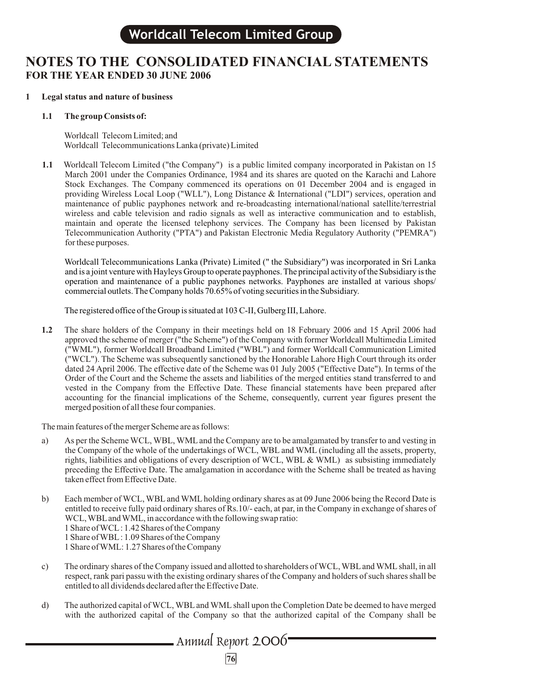### **NOTES TO THE CONSOLIDATED FINANCIAL STATEMENTS FOR THE YEAR ENDED 30 JUNE 2006**

#### **1 Legal status and nature of business**

#### **1.1 The group Consists of:**

Worldcall Telecom Limited; and Worldcall Telecommunications Lanka (private) Limited

**1.1** Worldcall Telecom Limited ("the Company") is a public limited company incorporated in Pakistan on 15 March 2001 under the Companies Ordinance, 1984 and its shares are quoted on the Karachi and Lahore Stock Exchanges. The Company commenced its operations on 01 December 2004 and is engaged in providing Wireless Local Loop ("WLL"), Long Distance & International ("LDI") services, operation and maintenance of public payphones network and re-broadcasting international/national satellite/terrestrial wireless and cable television and radio signals as well as interactive communication and to establish, maintain and operate the licensed telephony services. The Company has been licensed by Pakistan Telecommunication Authority ("PTA") and Pakistan Electronic Media Regulatory Authority ("PEMRA") for these purposes.

Worldcall Telecommunications Lanka (Private) Limited (" the Subsidiary") was incorporated in Sri Lanka and is a joint venture with Hayleys Group to operate payphones. The principal activity of the Subsidiary is the operation and maintenance of a public payphones networks. Payphones are installed at various shops/ commercial outlets. The Company holds 70.65% of voting securities in the Subsidiary.

The registered office of the Group is situated at 103 C-II, Gulberg III, Lahore.

**1.2** The share holders of the Company in their meetings held on 18 February 2006 and 15 April 2006 had approved the scheme of merger ("the Scheme") of the Company with former Worldcall Multimedia Limited ("WML"), former Worldcall Broadband Limited ("WBL") and former Worldcall Communication Limited ("WCL"). The Scheme was subsequently sanctioned by the Honorable Lahore High Court through its order dated 24 April 2006. The effective date of the Scheme was 01 July 2005 ("Effective Date"). In terms of the Order of the Court and the Scheme the assets and liabilities of the merged entities stand transferred to and vested in the Company from the Effective Date. These financial statements have been prepared after accounting for the financial implications of the Scheme, consequently, current year figures present the merged position of all these four companies.

The main features of the merger Scheme are as follows:

- a) As per the Scheme WCL, WBL, WMLand the Company are to be amalgamated by transfer to and vesting in the Company of the whole of the undertakings of WCL, WBL and WML (including all the assets, property, rights, liabilities and obligations of every description of WCL, WBL & WML) as subsisting immediately preceding the Effective Date. The amalgamation in accordance with the Scheme shall be treated as having taken effect from Effective Date.
- b) Each member of WCL, WBL and WML holding ordinary shares as at 09 June 2006 being the Record Date is entitled to receive fully paid ordinary shares of Rs.10/- each, at par, in the Company in exchange of shares of WCL, WBL and WML, in accordance with the following swap ratio: 1 Share of WCL: 1.42 Shares of the Company 1 Share of WBL: 1.09 Shares of the Company 1 Share of WML: 1.27 Shares of the Company
- c) The ordinary shares of the Company issued and allotted to shareholders of WCL, WBLand WMLshall, in all respect, rank pari passu with the existing ordinary shares of the Company and holders of such shares shall be entitled to all dividends declared after the Effective Date.
- d) The authorized capital of WCL, WBL and WML shall upon the Completion Date be deemed to have merged with the authorized capital of the Company so that the authorized capital of the Company shall be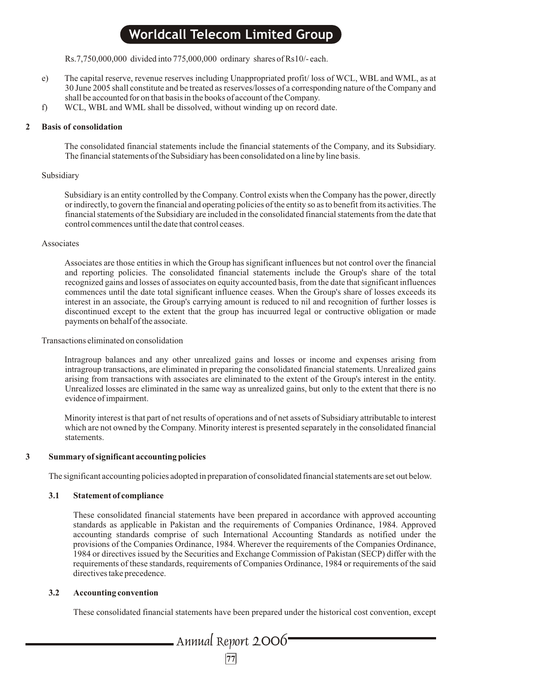Rs.7,750,000,000 divided into 775,000,000 ordinary shares of Rs10/- each.

- e) The capital reserve, revenue reserves including Unappropriated profit/ loss of WCL, WBL and WML, as at 30 June 2005 shall constitute and be treated as reserves/losses of a corresponding nature of the Company and shall be accounted for on that basis in the books of account of the Company.
- f) WCL, WBL and WML shall be dissolved, without winding up on record date.

#### **2 Basis of consolidation**

The consolidated financial statements include the financial statements of the Company, and its Subsidiary. The financial statements of the Subsidiary has been consolidated on a line by line basis.

#### Subsidiary

Subsidiary is an entity controlled by the Company. Control exists when the Company has the power, directly or indirectly, to govern the financial and operating policies of the entity so as to benefit from its activities. The financial statements of the Subsidiary are included in the consolidated financial statements from the date that control commences until the date that control ceases.

#### Associates

Associates are those entities in which the Group has significant influences but not control over the financial and reporting policies. The consolidated financial statements include the Group's share of the total recognized gains and losses of associates on equity accounted basis, from the date that significant influences commences until the date total significant influence ceases. When the Group's share of losses exceeds its interest in an associate, the Group's carrying amount is reduced to nil and recognition of further losses is discontinued except to the extent that the group has incuurred legal or contructive obligation or made payments on behalf of the associate.

#### Transactions eliminated on consolidation

Intragroup balances and any other unrealized gains and losses or income and expenses arising from intragroup transactions, are eliminated in preparing the consolidated financial statements. Unrealized gains arising from transactions with associates are eliminated to the extent of the Group's interest in the entity. Unrealized losses are eliminated in the same way as unrealized gains, but only to the extent that there is no evidence of impairment.

Minority interest is that part of net results of operations and of net assets of Subsidiary attributable to interest which are not owned by the Company. Minority interest is presented separately in the consolidated financial statements.

#### **3 Summary of significant accounting policies**

The significant accounting policies adopted in preparation of consolidated financial statements are set out below.

#### **3.1 Statement of compliance**

These consolidated financial statements have been prepared in accordance with approved accounting standards as applicable in Pakistan and the requirements of Companies Ordinance, 1984. Approved accounting standards comprise of such International Accounting Standards as notified under the provisions of the Companies Ordinance, 1984. Wherever the requirements of the Companies Ordinance, 1984 or directives issued by the Securities and Exchange Commission of Pakistan (SECP) differ with the requirements of these standards, requirements of Companies Ordinance, 1984 or requirements of the said directives take precedence.

#### **3.2 Accounting convention**

These consolidated financial statements have been prepared under the historical cost convention, except

Annual Report 2006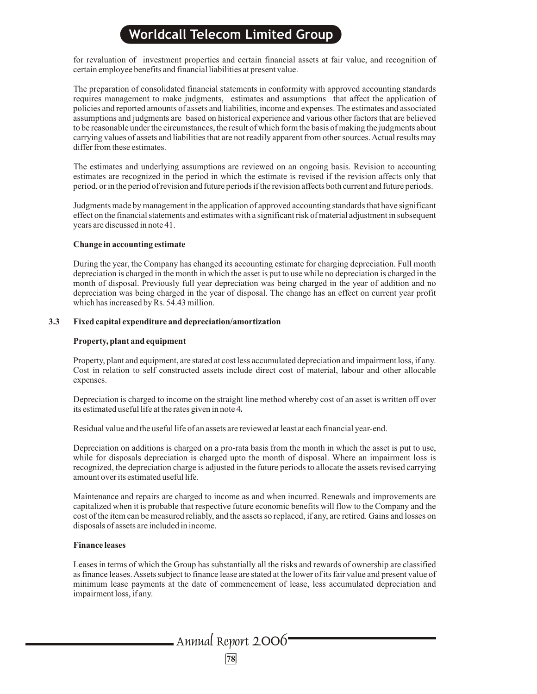for revaluation of investment properties and certain financial assets at fair value, and recognition of certain employee benefits and financial liabilities at present value.

The preparation of consolidated financial statements in conformity with approved accounting standards requires management to make judgments, estimates and assumptions that affect the application of policies and reported amounts of assets and liabilities, income and expenses. The estimates and associated assumptions and judgments are based on historical experience and various other factors that are believed to be reasonable under the circumstances, the result of which form the basis of making the judgments about carrying values of assets and liabilities that are not readily apparent from other sources. Actual results may differ from these estimates.

The estimates and underlying assumptions are reviewed on an ongoing basis. Revision to accounting estimates are recognized in the period in which the estimate is revised if the revision affects only that period, or in the period of revision and future periods if the revision affects both current and future periods.

Judgments made by management in the application of approved accounting standards that have significant effect on the financial statements and estimates with a significant risk of material adjustment in subsequent years are discussed in note 41.

#### **Change in accounting estimate**

During the year, the Company has changed its accounting estimate for charging depreciation. Full month depreciation is charged in the month in which the asset is put to use while no depreciation is charged in the month of disposal. Previously full year depreciation was being charged in the year of addition and no depreciation was being charged in the year of disposal. The change has an effect on current year profit which has increased by Rs. 54.43 million.

#### **3.3 Fixed capital expenditure and depreciation/amortization**

#### **Property, plant and equipment**

Property, plant and equipment, are stated at cost less accumulated depreciation and impairment loss, if any. Cost in relation to self constructed assets include direct cost of material, labour and other allocable expenses.

Depreciation is charged to income on the straight line method whereby cost of an asset is written off over its estimated useful life at the rates given in note 4*.*

Residual value and the useful life of an assets are reviewed at least at each financial year-end.

Depreciation on additions is charged on a pro-rata basis from the month in which the asset is put to use, while for disposals depreciation is charged upto the month of disposal. Where an impairment loss is recognized, the depreciation charge is adjusted in the future periods to allocate the assets revised carrying amount over its estimated useful life.

Maintenance and repairs are charged to income as and when incurred. Renewals and improvements are capitalized when it is probable that respective future economic benefits will flow to the Company and the cost of the item can be measured reliably, and the assets so replaced, if any, are retired. Gains and losses on disposals of assets are included in income.

#### **Finance leases**

Leases in terms of which the Group has substantially all the risks and rewards of ownership are classified as finance leases. Assets subject to finance lease are stated at the lower of its fair value and present value of minimum lease payments at the date of commencement of lease, less accumulated depreciation and impairment loss, if any.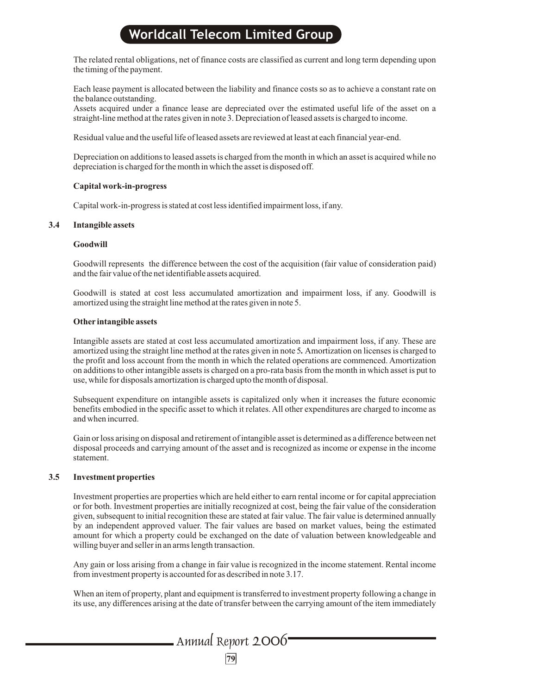The related rental obligations, net of finance costs are classified as current and long term depending upon the timing of the payment.

Each lease payment is allocated between the liability and finance costs so as to achieve a constant rate on the balance outstanding.

Assets acquired under a finance lease are depreciated over the estimated useful life of the asset on a straight-line method at the rates given in note 3. Depreciation of leased assets is charged to income.

Residual value and the useful life of leased assets are reviewed at least at each financial year-end.

Depreciation on additions to leased assets is charged from the month in which an asset is acquired while no depreciation is charged for the month in which the asset is disposed off.

#### **Capital work-in-progress**

Capital work-in-progress is stated at cost less identified impairment loss, if any.

#### **3.4 Intangible assets**

#### **Goodwill**

Goodwill represents the difference between the cost of the acquisition (fair value of consideration paid) and the fair value of the net identifiable assets acquired.

Goodwill is stated at cost less accumulated amortization and impairment loss, if any. Goodwill is amortized using the straight line method at the rates given in note 5.

#### **Other intangible assets**

Intangible assets are stated at cost less accumulated amortization and impairment loss, if any. These are amortized using the straight line method at the rates given in note 5*.* Amortization on licenses is charged to the profit and loss account from the month in which the related operations are commenced. Amortization on additions to other intangible assets is charged on a pro-rata basis from the month in which asset is put to use, while for disposals amortization is charged upto the month of disposal.

Subsequent expenditure on intangible assets is capitalized only when it increases the future economic benefits embodied in the specific asset to which it relates. All other expenditures are charged to income as and when incurred.

Gain or loss arising on disposal and retirement of intangible asset is determined as a difference between net disposal proceeds and carrying amount of the asset and is recognized as income or expense in the income statement.

#### **3.5 Investment properties**

Investment properties are properties which are held either to earn rental income or for capital appreciation or for both. Investment properties are initially recognized at cost, being the fair value of the consideration given, subsequent to initial recognition these are stated at fair value. The fair value is determined annually by an independent approved valuer. The fair values are based on market values, being the estimated amount for which a property could be exchanged on the date of valuation between knowledgeable and willing buyer and seller in an arms length transaction.

Any gain or loss arising from a change in fair value is recognized in the income statement. Rental income from investment property is accounted for as described in note 3.17.

When an item of property, plant and equipment is transferred to investment property following a change in its use, any differences arising at the date of transfer between the carrying amount of the item immediately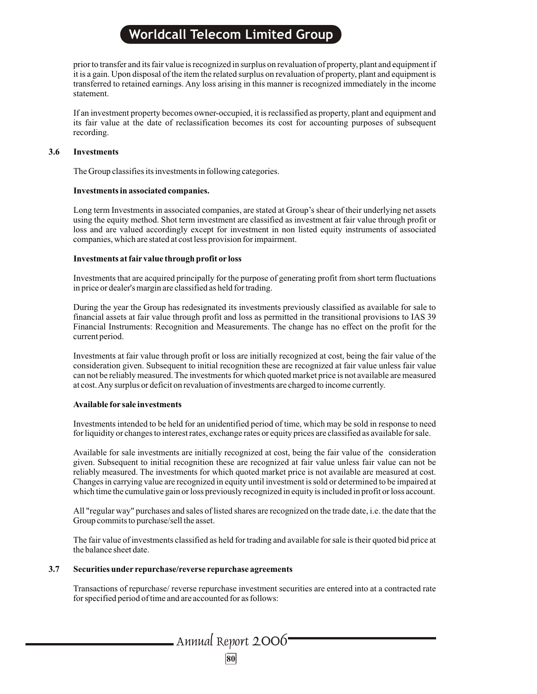prior to transfer and its fair value is recognized in surplus on revaluation of property, plant and equipment if it is a gain. Upon disposal of the item the related surplus on revaluation of property, plant and equipment is transferred to retained earnings. Any loss arising in this manner is recognized immediately in the income statement.

If an investment property becomes owner-occupied, it is reclassified as property, plant and equipment and its fair value at the date of reclassification becomes its cost for accounting purposes of subsequent recording.

#### **3.6 Investments**

The Group classifies its investments in following categories.

#### **Investments in associated companies.**

Long term Investments in associated companies, are stated at Group's shear of their underlying net assets using the equity method. Shot term investment are classified as investment at fair value through profit or loss and are valued accordingly except for investment in non listed equity instruments of associated companies, which are stated at cost less provision for impairment.

#### **Investments at fair value through profit or loss**

Investments that are acquired principally for the purpose of generating profit from short term fluctuations in price or dealer's margin are classified as held for trading.

During the year the Group has redesignated its investments previously classified as available for sale to financial assets at fair value through profit and loss as permitted in the transitional provisions to IAS 39 Financial Instruments: Recognition and Measurements. The change has no effect on the profit for the current period.

Investments at fair value through profit or loss are initially recognized at cost, being the fair value of the consideration given. Subsequent to initial recognition these are recognized at fair value unless fair value can not be reliably measured. The investments for which quoted market price is not available are measured at cost. Any surplus or deficit on revaluation of investments are charged to income currently.

#### **Available for sale investments**

Investments intended to be held for an unidentified period of time, which may be sold in response to need for liquidity or changes to interest rates, exchange rates or equity prices are classified as available for sale.

Available for sale investments are initially recognized at cost, being the fair value of the consideration given. Subsequent to initial recognition these are recognized at fair value unless fair value can not be reliably measured. The investments for which quoted market price is not available are measured at cost. Changes in carrying value are recognized in equity until investment is sold or determined to be impaired at which time the cumulative gain or loss previously recognized in equity is included in profit or loss account.

All "regular way" purchases and sales of listed shares are recognized on the trade date, i.e. the date that the Group commits to purchase/sell the asset.

The fair value of investments classified as held for trading and available for sale is their quoted bid price at the balance sheet date.

#### **3.7 Securities under repurchase/reverse repurchase agreements**

Transactions of repurchase/ reverse repurchase investment securities are entered into at a contracted rate for specified period of time and are accounted for as follows: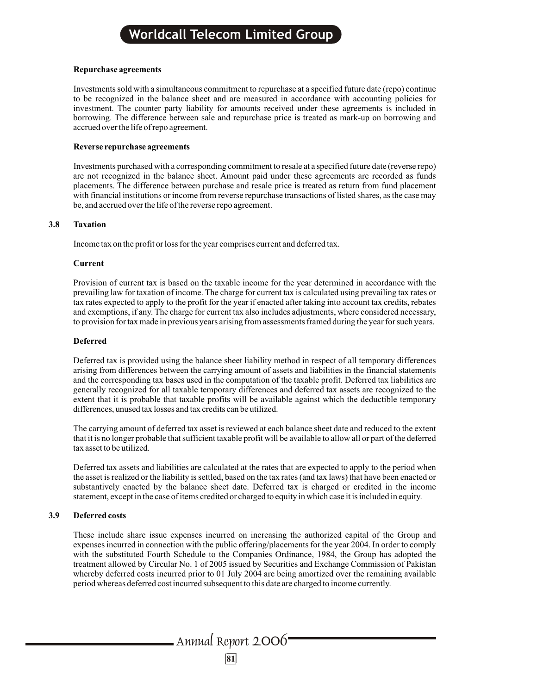#### **Repurchase agreements**

Investments sold with a simultaneous commitment to repurchase at a specified future date (repo) continue to be recognized in the balance sheet and are measured in accordance with accounting policies for investment. The counter party liability for amounts received under these agreements is included in borrowing. The difference between sale and repurchase price is treated as mark-up on borrowing and accrued over the life of repo agreement.

#### **Reverse repurchase agreements**

Investments purchased with a corresponding commitment to resale at a specified future date (reverse repo) are not recognized in the balance sheet. Amount paid under these agreements are recorded as funds placements. The difference between purchase and resale price is treated as return from fund placement with financial institutions or income from reverse repurchase transactions of listed shares, as the case may be, and accrued over the life of the reverse repo agreement.

#### **3.8 Taxation**

Income tax on the profit or loss for the year comprises current and deferred tax.

#### **Current**

Provision of current tax is based on the taxable income for the year determined in accordance with the prevailing law for taxation of income. The charge for current tax is calculated using prevailing tax rates or tax rates expected to apply to the profit for the year if enacted after taking into account tax credits, rebates and exemptions, if any. The charge for current tax also includes adjustments, where considered necessary, to provision for tax made in previous years arising from assessments framed during the year for such years.

#### **Deferred**

Deferred tax is provided using the balance sheet liability method in respect of all temporary differences arising from differences between the carrying amount of assets and liabilities in the financial statements and the corresponding tax bases used in the computation of the taxable profit. Deferred tax liabilities are generally recognized for all taxable temporary differences and deferred tax assets are recognized to the extent that it is probable that taxable profits will be available against which the deductible temporary differences, unused tax losses and tax credits can be utilized.

The carrying amount of deferred tax asset is reviewed at each balance sheet date and reduced to the extent that it is no longer probable that sufficient taxable profit will be available to allow all or part of the deferred tax asset to be utilized.

Deferred tax assets and liabilities are calculated at the rates that are expected to apply to the period when the asset is realized or the liability is settled, based on the tax rates (and tax laws) that have been enacted or substantively enacted by the balance sheet date. Deferred tax is charged or credited in the income statement, except in the case of items credited or charged to equity in which case it is included in equity.

#### **3.9 Deferred costs**

These include share issue expenses incurred on increasing the authorized capital of the Group and expenses incurred in connection with the public offering/placements for the year 2004. In order to comply with the substituted Fourth Schedule to the Companies Ordinance, 1984, the Group has adopted the treatment allowed by Circular No. 1 of 2005 issued by Securities and Exchange Commission of Pakistan whereby deferred costs incurred prior to 01 July 2004 are being amortized over the remaining available period whereas deferred cost incurred subsequent to this date are charged to income currently.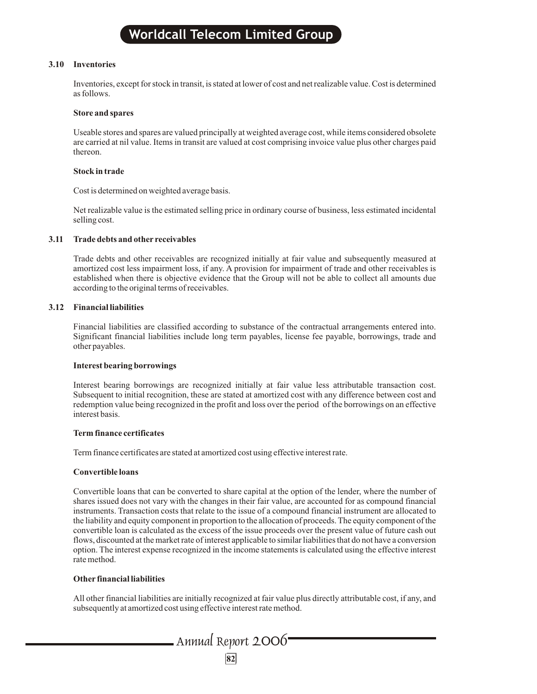#### **3.10 Inventories**

Inventories, except for stock in transit, is stated at lower of cost and net realizable value. Cost is determined as follows.

#### **Store and spares**

Useable stores and spares are valued principally at weighted average cost, while items considered obsolete are carried at nil value. Items in transit are valued at cost comprising invoice value plus other charges paid thereon.

#### **Stock in trade**

Cost is determined on weighted average basis.

Net realizable value is the estimated selling price in ordinary course of business, less estimated incidental selling cost.

#### **3.11 Trade debts and other receivables**

Trade debts and other receivables are recognized initially at fair value and subsequently measured at amortized cost less impairment loss, if any. A provision for impairment of trade and other receivables is established when there is objective evidence that the Group will not be able to collect all amounts due according to the original terms of receivables.

#### **3.12 Financial liabilities**

Financial liabilities are classified according to substance of the contractual arrangements entered into. Significant financial liabilities include long term payables, license fee payable, borrowings, trade and other payables.

#### **Interest bearing borrowings**

Interest bearing borrowings are recognized initially at fair value less attributable transaction cost. Subsequent to initial recognition, these are stated at amortized cost with any difference between cost and redemption value being recognized in the profit and loss over the period of the borrowings on an effective interest basis.

#### **Term finance certificates**

Term finance certificates are stated at amortized cost using effective interest rate.

#### **Convertible loans**

Convertible loans that can be converted to share capital at the option of the lender, where the number of shares issued does not vary with the changes in their fair value, are accounted for as compound financial instruments. Transaction costs that relate to the issue of a compound financial instrument are allocated to the liability and equity component in proportion to the allocation of proceeds. The equity component of the convertible loan is calculated as the excess of the issue proceeds over the present value of future cash out flows, discounted at the market rate of interest applicable to similar liabilities that do not have a conversion option. The interest expense recognized in the income statements is calculated using the effective interest rate method.

#### **Other financial liabilities**

All other financial liabilities are initially recognized at fair value plus directly attributable cost, if any, and subsequently at amortized cost using effective interest rate method.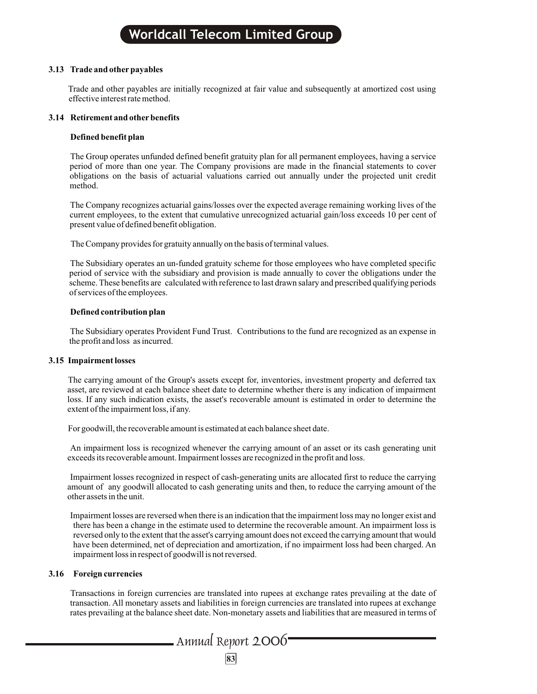#### **3.13 Trade and otherpayables**

Trade and other payables are initially recognized at fair value and subsequently at amortized cost using effective interest rate method.

#### **3.14 Retirement and otherbenefits**

#### **Defined benefit plan**

The Group operates unfunded defined benefit gratuity plan for all permanent employees, having a service period of more than one year. The Company provisions are made in the financial statements to cover obligations on the basis of actuarial valuations carried out annually under the projected unit credit method.

The Company recognizes actuarial gains/losses over the expected average remaining working lives of the current employees, to the extent that cumulative unrecognized actuarial gain/loss exceeds 10 per cent of present value of defined benefit obligation.

The Company provides for gratuity annually on the basis of terminal values.

The Subsidiary operates an un-funded gratuity scheme for those employees who have completed specific period of service with the subsidiary and provision is made annually to cover the obligations under the scheme. These benefits are calculated with reference to last drawn salary and prescribed qualifying periods of services of the employees.

#### **Defined contribution plan**

The Subsidiary operates Provident Fund Trust. Contributions to the fund are recognized as an expense in the profit and loss as incurred.

#### **3.15 Impairment losses**

The carrying amount of the Group's assets except for, inventories, investment property and deferred tax asset, are reviewed at each balance sheet date to determine whether there is any indication of impairment loss. If any such indication exists, the asset's recoverable amount is estimated in order to determine the extent of the impairment loss, if any.

For goodwill, the recoverable amount is estimated at each balance sheet date.

An impairment loss is recognized whenever the carrying amount of an asset or its cash generating unit exceeds its recoverable amount. Impairment losses are recognized in the profit and loss.

Impairment losses recognized in respect of cash-generating units are allocated first to reduce the carrying amount of any goodwill allocated to cash generating units and then, to reduce the carrying amount of the other assets in the unit.

Impairment losses are reversed when there is an indication that the impairment loss may no longer exist and there has been a change in the estimate used to determine the recoverable amount. An impairment loss is reversed only to the extent that the asset's carrying amount does not exceed the carrying amount that would have been determined, net of depreciation and amortization, if no impairment loss had been charged. An impairment loss in respect of goodwill is not reversed.

#### **3.16 Foreign currencies**

Transactions in foreign currencies are translated into rupees at exchange rates prevailing at the date of transaction. All monetary assets and liabilities in foreign currencies are translated into rupees at exchange rates prevailing at the balance sheet date. Non-monetary assets and liabilities that are measured in terms of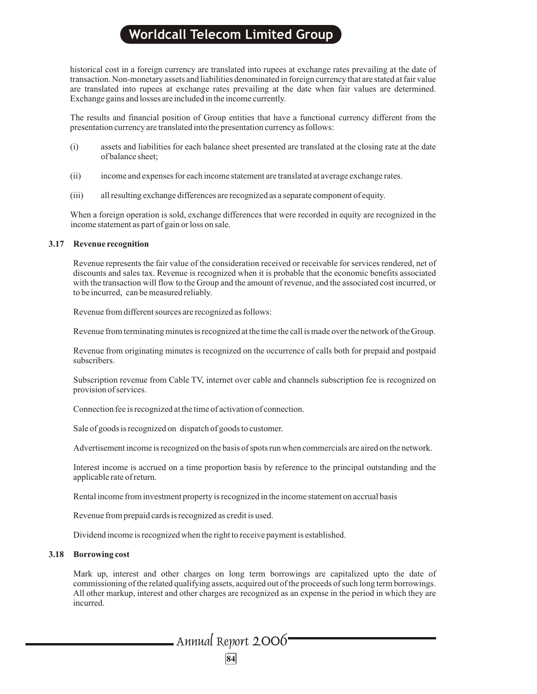historical cost in a foreign currency are translated into rupees at exchange rates prevailing at the date of transaction. Non-monetary assets and liabilities denominated in foreign currency that are stated at fair value are translated into rupees at exchange rates prevailing at the date when fair values are determined. Exchange gains and losses are included in the income currently.

The results and financial position of Group entities that have a functional currency different from the presentation currency are translated into the presentation currency as follows:

- (i) assets and liabilities for each balance sheet presented are translated at the closing rate at the date of balance sheet;
- (ii) income and expenses for each income statement are translated at average exchange rates.
- (iii) all resulting exchange differences are recognized as a separate component of equity.

When a foreign operation is sold, exchange differences that were recorded in equity are recognized in the income statement as part of gain or loss on sale.

#### **3.17 Revenue recognition**

Revenue represents the fair value of the consideration received or receivable for services rendered, net of discounts and sales tax. Revenue is recognized when it is probable that the economic benefits associated with the transaction will flow to the Group and the amount of revenue, and the associated cost incurred, or to be incurred, can be measured reliably.

Revenue from different sources are recognized as follows:

Revenue from terminating minutes is recognized at the time the call is made over the network of the Group.

Revenue from originating minutes is recognized on the occurrence of calls both for prepaid and postpaid subscribers.

Subscription revenue from Cable TV, internet over cable and channels subscription fee is recognized on provision of services.

Connection fee is recognized at the time of activation of connection.

Sale of goods is recognized on dispatch of goods to customer.

Advertisement income is recognized on the basis of spots run when commercials are aired on the network.

Interest income is accrued on a time proportion basis by reference to the principal outstanding and the applicable rate of return.

Rental income from investment property is recognized in the income statement on accrual basis

Revenue from prepaid cards is recognized as credit is used.

Dividend income is recognized when the right to receive payment is established.

#### **3.18 Borrowing cost**

Mark up, interest and other charges on long term borrowings are capitalized upto the date of commissioning of the related qualifying assets, acquired out of the proceeds of such long term borrowings. All other markup, interest and other charges are recognized as an expense in the period in which they are incurred.

 $\blacksquare$  Annual Report 2006 $\spadesuit$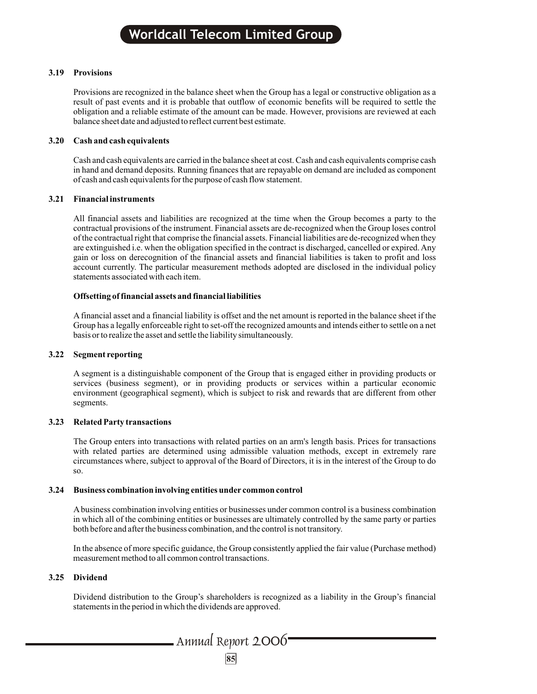#### **3.19 Provisions**

Provisions are recognized in the balance sheet when the Group has a legal or constructive obligation as a result of past events and it is probable that outflow of economic benefits will be required to settle the obligation and a reliable estimate of the amount can be made. However, provisions are reviewed at each balance sheet date and adjusted to reflect current best estimate.

#### **3.20 Cash and cash equivalents**

Cash and cash equivalents are carried in the balance sheet at cost. Cash and cash equivalents comprise cash in hand and demand deposits. Running finances that are repayable on demand are included as component of cash and cash equivalents for the purpose of cash flow statement.

#### **3.21 Financial instruments**

All financial assets and liabilities are recognized at the time when the Group becomes a party to the contractual provisions of the instrument. Financial assets are de-recognized when the Group loses control of the contractual right that comprise the financial assets. Financial liabilities are de-recognized when they are extinguished i.e. when the obligation specified in the contract is discharged, cancelled or expired. Any gain or loss on derecognition of the financial assets and financial liabilities is taken to profit and loss account currently. The particular measurement methods adopted are disclosed in the individual policy statements associated with each item.

#### **Offsetting of financial assets and financial liabilities**

A financial asset and a financial liability is offset and the net amount is reported in the balance sheet if the Group has a legally enforceable right to set-off the recognized amounts and intends either to settle on a net basis or to realize the asset and settle the liability simultaneously.

#### **3.22 Segment reporting**

A segment is a distinguishable component of the Group that is engaged either in providing products or services (business segment), or in providing products or services within a particular economic environment (geographical segment), which is subject to risk and rewards that are different from other segments.

#### **3.23 Related Party transactions**

The Group enters into transactions with related parties on an arm's length basis. Prices for transactions with related parties are determined using admissible valuation methods, except in extremely rare circumstances where, subject to approval of the Board of Directors, it is in the interest of the Group to do so.

#### **3.24 Business combination involving entities under common control**

Abusiness combination involving entities or businesses under common control is a business combination in which all of the combining entities or businesses are ultimately controlled by the same party or parties both before and after the business combination, and the control is not transitory.

In the absence of more specific guidance, the Group consistently applied the fair value (Purchase method) measurement method to all common control transactions.

#### **3.25 Dividend**

Dividend distribution to the Group's shareholders is recognized as a liability in the Group's financial statements in the period in which the dividends are approved.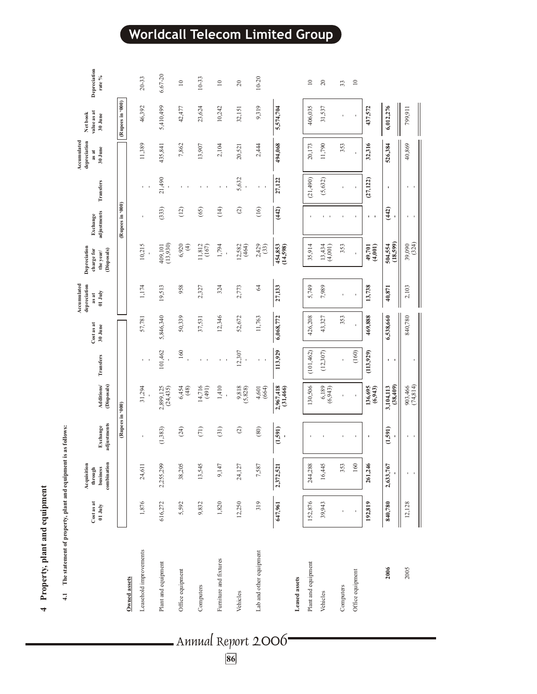| ı<br>ċ<br>ŧ,                                                                                                                  |
|-------------------------------------------------------------------------------------------------------------------------------|
| Ī<br>q<br>١<br>ľ<br>١<br>ı<br>١<br>í                                                                                          |
| I<br>֦֦֦֖֖֧ׅ֧ׅ֖֧֖֧֧֧֧֧֧֦֧֧֧֚֚֚֚֚֚֚֚֚֚֚֚֚֚֚֚֚֚֚֚֚֚֚֚֚֚֕֕֡֡֡֡֡֡֡֡֡֡֡֬֡֡֡֬֞֝֝֬֝֬֞֝֬֞֞֡֞֬֝֬֝֬֝֬֝֬֞֬֞֞֝֬֝֬֝֬<br>í<br>ׇ֚<br>í.<br>ď |
| í.<br>ā                                                                                                                       |

| í<br>i<br>j<br>ŕ.<br>ï<br>ׇ֚֚֘֕<br>i |  |
|--------------------------------------|--|
| i<br>۱<br>j<br>۱<br>ï                |  |
| Ï                                    |  |
| l<br>l<br>֠                          |  |
| í                                    |  |

|                                        | Cost as at<br>01 July | combination<br>Acquisition<br>business<br>through | adjustments<br>Exchange | Additions/<br>(Disposals) | Transfers             | Cost as at<br>30 June | Accumulated<br>depreciation<br>01 July<br>as at | Depreciation<br>charge for<br>(Disposals)<br>the year/ | adjustments<br>Exchange       | Transfers      | Accumulated<br>depreciation<br>30 June<br>as at | value as at<br>Net book<br>30 June | Depreciation<br>rate % |
|----------------------------------------|-----------------------|---------------------------------------------------|-------------------------|---------------------------|-----------------------|-----------------------|-------------------------------------------------|--------------------------------------------------------|-------------------------------|----------------|-------------------------------------------------|------------------------------------|------------------------|
|                                        |                       |                                                   | (Rupees in '000)        |                           |                       |                       |                                                 |                                                        | (Rupees in '000)              |                |                                                 | (Rupees in '000)                   |                        |
| Leasehold improvements<br>Owned assets | 1,876                 | 24,611                                            |                         | 31,294                    | ٠                     | 57,781                | 1,174                                           | 10,215                                                 | ٠                             | $\blacksquare$ | 11,389                                          | 46,392                             | $20 - 33$              |
| Plant and equipment                    | 616,272               | 2,255,299                                         | (1, 383)                | 2,899,125<br>(24,435)     | 101,462               | 5,846,340             | 19,513                                          | 409,101<br>(13,930)                                    | (333)                         | 21,490         | 435,841                                         | 5,410,499                          | $6.67 - 20$            |
| Office equipment                       | 5,592                 | 38,205                                            | (24)                    | $6,454$<br>(48)           | 160<br>$\overline{1}$ | 50,339                | 958                                             | 6,920<br>$\bigoplus$                                   | (12)                          |                | 7,862                                           | 42,477                             | $\supseteq$            |
| Computers                              | 9,832                 | 13,545                                            | $\left($ 71)            | 14,716<br>(491)           |                       | 37,531                | 2,327                                           | $\frac{11,812}{(167)}$                                 | (65)                          |                | 13,907                                          | 23,624                             | $10-33$                |
| Furniture and fixtures                 | 1,820                 | 9,147                                             | (31)                    | 1,410                     |                       | 12,346                | 324                                             | 1,794                                                  | (14)                          |                | 2,104                                           | 10,242                             | $\supseteq$            |
| Vehicles                               | 12,250                | 24,127                                            | $\odot$                 | $9,818$<br>(5,828)        | 12,307                | 52,672                | 2,773                                           | (464)<br>12,582                                        | $\odot$                       | 5,632          | 20,521                                          | 32,151                             | $\overline{20}$        |
| Lab and other equipment                | 319                   | 7,587                                             | (80)                    | (664)<br>4,601            |                       | 11,763                | 34                                              | 2,429<br>(33)                                          | (16)                          |                | 2,444                                           | 9,319                              | $10 - 20$              |
|                                        | 647,961               | 2,372,521                                         | (1,591)                 | 2,967,418<br>(31,466)     | 113,929               | 6,068,772             | 27,133                                          | 454,853<br>(14,598)                                    | (442)                         | 27,122         | 494,068                                         | 5,574,704                          |                        |
| Leased assets                          |                       |                                                   |                         |                           |                       |                       |                                                 |                                                        |                               |                |                                                 |                                    |                        |
| Plant and equipment                    | 152,876               | 244,288                                           |                         | 130,506                   | (101, 462)            | 426,208               | 5,749                                           | 35,914                                                 |                               | (21, 490)      | 20,173                                          | 406,035                            | $\overline{a}$         |
| Vehicles                               | 39,943                | 16,445                                            |                         | $6,189$<br>$(6,943)$      | (12, 307)             | 43,327                | 7,989                                           | $13,434$<br>(4,001)                                    |                               | (5, 632)       | 11,790                                          | 31,537                             | 20                     |
| Computers                              |                       | 353                                               |                         | ï                         |                       | 353                   |                                                 | 353                                                    |                               |                | 353                                             |                                    | 33                     |
| Office equipment                       |                       | 160                                               |                         |                           | (160)                 |                       |                                                 | $\mathbf{I}$                                           |                               |                |                                                 |                                    | $\overline{10}$        |
|                                        | 192,819               | 261,246                                           | J.                      | 136,695<br>(6,943)        | (113,929)             | 469,888               | 13,738                                          | 49,701)<br>(4,001)                                     | $\overline{\phantom{a}}$<br>٠ | (27, 122)      | 32,316                                          | 437,572                            |                        |
| 2006                                   | 840,780               | 2,633,767<br>f,                                   | (1,591)<br>×            | (38, 409)<br>3,104,113    | ٠<br>$\mathbf{I}$     | 6,538,660             | 40,871                                          | 504,554<br>(18,599)                                    | (442)<br>$\mathbf{u}$         | J.             | 526,384                                         | 6,012,276                          |                        |
| 2005                                   | 12,128                |                                                   |                         | 903,466<br>(74,814)       |                       | 840,780               | 2,103                                           | 39,090<br>(324)                                        |                               |                | 40,869                                          | 799,911                            |                        |

 $\_$ Annual Report 2006 $^{\circ}$ 

### **86**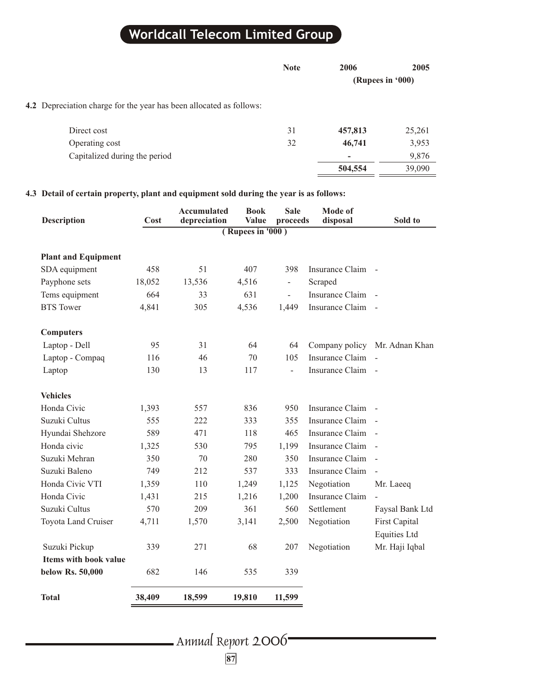|                                                                     | <b>Note</b> | 2006             | 2005   |
|---------------------------------------------------------------------|-------------|------------------|--------|
|                                                                     |             | (Rupees in '000) |        |
| 4.2 Depreciation charge for the year has been allocated as follows: |             |                  |        |
| Direct cost                                                         | 31          | 457,813          | 25,261 |
| Operating cost                                                      | 32          | 46,741           | 3,953  |
| Capitalized during the period                                       |             | ٠                | 9,876  |
|                                                                     |             | 504,554          | 39,090 |
|                                                                     |             |                  |        |

### **4.3 Detail of certain property, plant and equipment sold during the year is as follows:**

| <b>Description</b>           | Cost   | <b>Accumulated</b><br>depreciation | <b>Book</b><br><b>Value</b> | <b>Sale</b><br>proceeds | Mode of<br>disposal    | Sold to             |
|------------------------------|--------|------------------------------------|-----------------------------|-------------------------|------------------------|---------------------|
|                              |        | (Rupees in '000)                   |                             |                         |                        |                     |
| <b>Plant and Equipment</b>   |        |                                    |                             |                         |                        |                     |
| SDA equipment                | 458    | 51                                 | 407                         | 398                     | Insurance Claim -      |                     |
| Payphone sets                | 18,052 | 13,536                             | 4,516                       | $\blacksquare$          | Scraped                |                     |
| Tems equipment               | 664    | 33                                 | 631                         | $\overline{a}$          | Insurance Claim        |                     |
| <b>BTS</b> Tower             | 4,841  | 305                                | 4,536                       | 1,449                   | Insurance Claim        | $\blacksquare$      |
| <b>Computers</b>             |        |                                    |                             |                         |                        |                     |
| Laptop - Dell                | 95     | 31                                 | 64                          | 64                      | Company policy         | Mr. Adnan Khan      |
| Laptop - Compaq              | 116    | 46                                 | 70                          | 105                     | Insurance Claim        | $\overline{a}$      |
| Laptop                       | 130    | 13                                 | 117                         | $\overline{a}$          | Insurance Claim        | $\overline{a}$      |
| <b>Vehicles</b>              |        |                                    |                             |                         |                        |                     |
| Honda Civic                  | 1,393  | 557                                | 836                         | 950                     | Insurance Claim        |                     |
| Suzuki Cultus                | 555    | 222                                | 333                         | 355                     | Insurance Claim        | $\blacksquare$      |
| Hyundai Shehzore             | 589    | 471                                | 118                         | 465                     | Insurance Claim        |                     |
| Honda civic                  | 1,325  | 530                                | 795                         | 1,199                   | <b>Insurance Claim</b> |                     |
| Suzuki Mehran                | 350    | 70                                 | 280                         | 350                     | <b>Insurance Claim</b> | $\blacksquare$      |
| Suzuki Baleno                | 749    | 212                                | 537                         | 333                     | Insurance Claim        | $\blacksquare$      |
| Honda Civic VTI              | 1,359  | 110                                | 1,249                       | 1,125                   | Negotiation            | Mr. Laeeq           |
| Honda Civic                  | 1,431  | 215                                | 1,216                       | 1,200                   | <b>Insurance Claim</b> |                     |
| Suzuki Cultus                | 570    | 209                                | 361                         | 560                     | Settlement             | Faysal Bank Ltd     |
| Toyota Land Cruiser          | 4,711  | 1,570                              | 3,141                       | 2,500                   | Negotiation            | First Capital       |
|                              |        |                                    |                             |                         |                        | <b>Equities Ltd</b> |
| Suzuki Pickup                | 339    | 271                                | 68                          | 207                     | Negotiation            | Mr. Haji Iqbal      |
| <b>Items with book value</b> |        |                                    |                             |                         |                        |                     |
| below Rs. 50,000             | 682    | 146                                | 535                         | 339                     |                        |                     |
| <b>Total</b>                 | 38,409 | 18,599                             | 19,810                      | 11,599                  |                        |                     |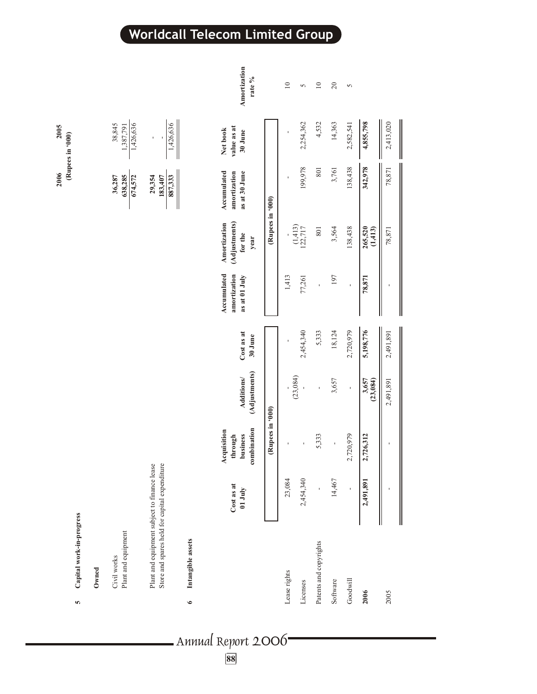| Ю         | Capital work-in-progress                                                                      |                       |                                                   |                                   |                       |                                              |                                                  | 2006                                         | 2005<br>(Rupees in '000)           |                        |
|-----------|-----------------------------------------------------------------------------------------------|-----------------------|---------------------------------------------------|-----------------------------------|-----------------------|----------------------------------------------|--------------------------------------------------|----------------------------------------------|------------------------------------|------------------------|
|           | Owned                                                                                         |                       |                                                   |                                   |                       |                                              |                                                  |                                              |                                    |                        |
|           | Plant and equipment<br>Civil works                                                            |                       |                                                   |                                   |                       |                                              |                                                  | 638,285<br>674,572<br>36,287                 | 1,426,636<br>38,845<br>1,387,791   |                        |
|           | Store and spares held for capital expenditure<br>Plant and equipment subject to finance lease |                       |                                                   |                                   |                       |                                              |                                                  | 29,354<br>183,407<br>887,333                 | 1,426,636<br>ı<br>$\mathbf{I}$     |                        |
| $\bullet$ | Intangible assets                                                                             |                       |                                                   |                                   |                       |                                              |                                                  |                                              |                                    |                        |
|           |                                                                                               | Cost as at<br>01 July | combination<br>Acquisition<br>business<br>through | (Adjustments)<br><b>Additions</b> | Cost as at<br>30 June | Accumulated<br>amortization<br>as at 01 July | (Adjustments)<br>Amortization<br>for the<br>year | Accumulated<br>amortization<br>as at 30 June | value as at<br>Net book<br>30 June | Amortization<br>rate % |
|           |                                                                                               |                       | (Rupees in '000)                                  |                                   |                       |                                              | (Rupees in '000)                                 |                                              |                                    |                        |
|           | Lease rights                                                                                  | 23,084                |                                                   |                                   | $\mathbf{I}$          | 1,413                                        |                                                  |                                              | $\mathbf{I}$                       | $\overline{10}$        |
| Licenses  |                                                                                               | 2,454,340             |                                                   | (23,084)                          | 2,454,340             | 77,261                                       | $(1, 413)$<br>$122, 717$                         | 199,978                                      | 2,254,362                          | 5                      |
|           | Patents and copyrights                                                                        |                       | 5,333                                             |                                   | 5,333                 |                                              | 801                                              | 801                                          | 4,532                              | $\equiv$               |
|           | Software                                                                                      | 14,467                | $\mathbf{I}$                                      | 3,657                             | 18,124                | 197                                          | 3,564                                            | 3,761                                        | 14,363                             | $20\,$                 |
|           | Goodwill                                                                                      | $\mathbf{I}$          | 2,720,979                                         | ï                                 | 2,720,979             | ï                                            | 138,438                                          | 138,438                                      | 2,582,541                          | $\sigma$               |
| 2006      |                                                                                               | 2,491,891             | 2,726,312                                         | 3,657<br>(23,084)                 | 5,198,776             | 78,871                                       | 265,520<br>(1, 413)                              | 342,978                                      | 4,855,798                          |                        |
| 2005      |                                                                                               |                       | $\mathbf I$                                       | 2,491,891                         | 2,491,891             | $\mathbf{I}$                                 | 78,871                                           | 78,871                                       | 2,413,020                          |                        |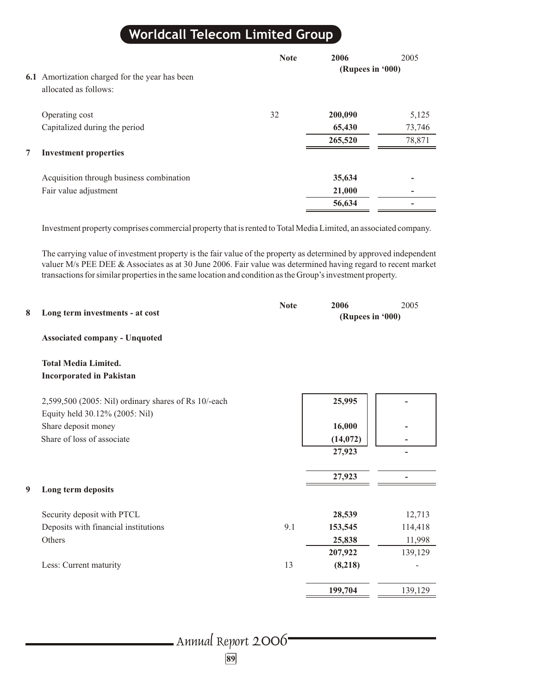|   |                                                                                | <b>Note</b> | 2006             | 2005   |
|---|--------------------------------------------------------------------------------|-------------|------------------|--------|
|   | <b>6.1</b> Amortization charged for the year has been<br>allocated as follows: |             | (Rupees in '000) |        |
|   | Operating cost                                                                 | 32          | 200,090          | 5,125  |
|   | Capitalized during the period                                                  |             | 65,430           | 73,746 |
|   |                                                                                |             | 265,520          | 78,871 |
| 7 | <b>Investment properties</b>                                                   |             |                  |        |
|   | Acquisition through business combination                                       |             | 35,634           |        |
|   | Fair value adjustment                                                          |             | 21,000           |        |
|   |                                                                                |             | 56,634           |        |
|   |                                                                                |             |                  |        |

Investment property comprises commercial property that is rented to Total Media Limited, an associated company.

The carrying value of investment property is the fair value of the property as determined by approved independent valuer M/s PEE DEE & Associates as at 30 June 2006. Fair value was determined having regard to recent market transactions for similar properties in the same location and condition as the Group's investment property.

| 8 | Long term investments - at cost                                                        | <b>Note</b> | 2006<br>(Rupees in '000) | 2005    |
|---|----------------------------------------------------------------------------------------|-------------|--------------------------|---------|
|   | <b>Associated company - Unquoted</b>                                                   |             |                          |         |
|   | <b>Total Media Limited.</b>                                                            |             |                          |         |
|   | <b>Incorporated in Pakistan</b>                                                        |             |                          |         |
|   | 2,599,500 (2005: Nil) ordinary shares of Rs 10/-each<br>Equity held 30.12% (2005: Nil) |             | 25,995                   |         |
|   | Share deposit money                                                                    |             | 16,000                   |         |
|   | Share of loss of associate                                                             |             | (14,072)                 |         |
|   |                                                                                        |             | 27,923                   |         |
|   |                                                                                        |             | 27,923                   |         |
| 9 | Long term deposits                                                                     |             |                          |         |
|   | Security deposit with PTCL                                                             |             | 28,539                   | 12,713  |
|   | Deposits with financial institutions                                                   | 9.1         | 153,545                  | 114,418 |
|   | Others                                                                                 |             | 25,838                   | 11,998  |
|   |                                                                                        |             | 207,922                  | 139,129 |
|   | Less: Current maturity                                                                 | 13          | (8,218)                  |         |
|   |                                                                                        |             | 199,704                  | 139,129 |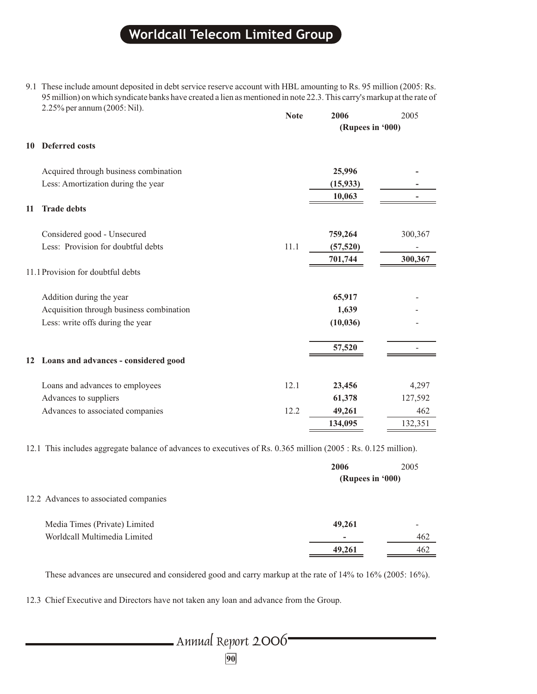9.1 These include amount deposited in debt service reserve account with HBL amounting to Rs. 95 million (2005: Rs. 95 million) on which syndicate banks have created a lien as mentioned in note 22.3. This carry's markup at the rate of 2.25% per annum (2005: Nil).

|    |                                          | <b>Note</b> | 2006             | 2005    |
|----|------------------------------------------|-------------|------------------|---------|
|    |                                          |             | (Rupees in '000) |         |
| 10 | <b>Deferred costs</b>                    |             |                  |         |
|    | Acquired through business combination    |             | 25,996           |         |
|    | Less: Amortization during the year       |             | (15, 933)        |         |
|    |                                          |             | 10,063           |         |
| 11 | <b>Trade debts</b>                       |             |                  |         |
|    | Considered good - Unsecured              |             | 759,264          | 300,367 |
|    | Less: Provision for doubtful debts       | 11.1        | (57, 520)        |         |
|    |                                          |             | 701,744          | 300,367 |
|    | 11.1 Provision for doubtful debts        |             |                  |         |
|    | Addition during the year                 |             | 65,917           |         |
|    | Acquisition through business combination |             | 1,639            |         |
|    | Less: write offs during the year         |             | (10, 036)        |         |
|    |                                          |             | 57,520           |         |
|    | 12 Loans and advances - considered good  |             |                  |         |
|    | Loans and advances to employees          | 12.1        | 23,456           | 4,297   |
|    | Advances to suppliers                    |             | 61,378           | 127,592 |
|    | Advances to associated companies         | 12.2        | 49,261           | 462     |
|    |                                          |             | 134,095          | 132,351 |

12.1 This includes aggregate balance of advances to executives of Rs. 0.365 million (2005 : Rs. 0.125 million).

|                                       | 2006             | 2005 |  |
|---------------------------------------|------------------|------|--|
|                                       | (Rupees in '000) |      |  |
| 12.2 Advances to associated companies |                  |      |  |
| Media Times (Private) Limited         | 49,261           |      |  |
| Worldcall Multimedia Limited          |                  | 462  |  |
|                                       | 49,261           | 462  |  |
|                                       |                  |      |  |

These advances are unsecured and considered good and carry markup at the rate of 14% to 16% (2005: 16%).

12.3 Chief Executive and Directors have not taken any loan and advance from the Group.

Annual Report 2006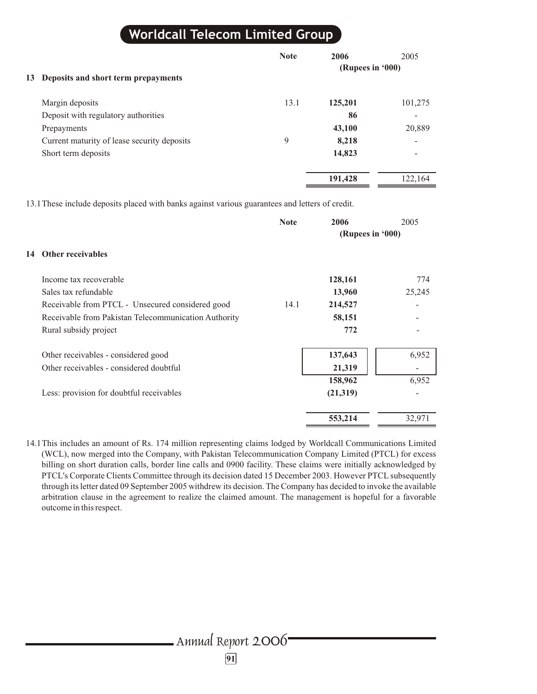|                                             | <b>Note</b>      | 2006    | 2005            |  |
|---------------------------------------------|------------------|---------|-----------------|--|
| 13 Deposits and short term prepayments      | (Rupees in '000) |         |                 |  |
| Margin deposits                             | 13.1             | 125,201 | 101,275         |  |
| Deposit with regulatory authorities         |                  | 86      | $\qquad \qquad$ |  |
| Prepayments                                 |                  | 43,100  | 20,889          |  |
| Current maturity of lease security deposits | 9                | 8,218   |                 |  |
| Short term deposits                         |                  | 14,823  |                 |  |
|                                             |                  | 191,428 | 122,164         |  |
|                                             |                  |         |                 |  |

13.1These include deposits placed with banks against various guarantees and letters of credit.

|    |                                                      | <b>Note</b> | 2006             | 2005   |
|----|------------------------------------------------------|-------------|------------------|--------|
|    |                                                      |             | (Rupees in '000) |        |
| 14 | Other receivables                                    |             |                  |        |
|    | Income tax recoverable                               |             | 128,161          | 774    |
|    | Sales tax refundable                                 |             | 13,960           | 25,245 |
|    | Receivable from PTCL - Unsecured considered good     | 14.1        | 214,527          |        |
|    | Receivable from Pakistan Telecommunication Authority |             | 58,151           |        |
|    | Rural subsidy project                                |             | 772              |        |
|    | Other receivables - considered good                  |             | 137,643          | 6,952  |
|    | Other receivables - considered doubtful              |             | 21,319           |        |
|    |                                                      |             | 158,962          | 6,952  |
|    | Less: provision for doubtful receivables             |             | (21,319)         |        |
|    |                                                      |             | 553,214          | 32,971 |
|    |                                                      |             |                  |        |

14.1This includes an amount of Rs. 174 million representing claims lodged by Worldcall Communications Limited (WCL), now merged into the Company, with Pakistan Telecommunication Company Limited (PTCL) for excess billing on short duration calls, border line calls and 0900 facility. These claims were initially acknowledged by PTCL's Corporate Clients Committee through its decision dated 15 December 2003. However PTCL subsequently through its letter dated 09 September 2005 withdrew its decision. The Company has decided to invoke the available arbitration clause in the agreement to realize the claimed amount. The management is hopeful for a favorable outcome in this respect.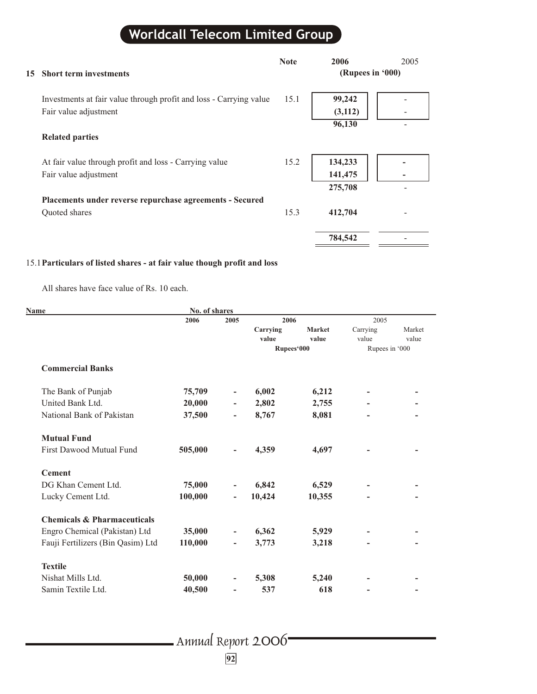|    |                                                                    | <b>Note</b> | 2006             | 2005 |
|----|--------------------------------------------------------------------|-------------|------------------|------|
| 15 | <b>Short term investments</b>                                      |             | (Rupees in '000) |      |
|    | Investments at fair value through profit and loss - Carrying value | 15.1        | 99,242           |      |
|    | Fair value adjustment                                              |             | (3, 112)         |      |
|    |                                                                    |             | 96,130           |      |
|    | <b>Related parties</b>                                             |             |                  |      |
|    | At fair value through profit and loss - Carrying value             | 15.2        | 134,233          |      |
|    | Fair value adjustment                                              |             | 141,475          |      |
|    |                                                                    |             | 275,708          |      |
|    | Placements under reverse repurchase agreements - Secured           |             |                  |      |
|    | Quoted shares                                                      | 15.3        | 412,704          |      |
|    |                                                                    |             | 784,542          |      |
|    |                                                                    |             |                  |      |

#### 15.1**Particulars of listed shares - at fair value though profit and loss**

All shares have face value of Rs. 10 each.

| 2006    | 2005                     |               |               | 2005                        |                |
|---------|--------------------------|---------------|---------------|-----------------------------|----------------|
|         |                          | Carrying      | <b>Market</b> | Carrying                    | Market         |
|         |                          | value         | value         | value                       | value          |
|         |                          |               |               |                             |                |
|         |                          |               |               |                             |                |
| 75,709  | $\overline{a}$           | 6,002         | 6,212         |                             |                |
| 20,000  |                          | 2,802         | 2,755         |                             |                |
| 37,500  | $\overline{\phantom{a}}$ | 8,767         | 8,081         |                             |                |
|         |                          |               |               |                             |                |
| 505,000 | $\overline{a}$           | 4,359         | 4,697         |                             |                |
|         |                          |               |               |                             |                |
| 75,000  | $\overline{\phantom{a}}$ | 6,842         | 6,529         |                             |                |
| 100,000 | $\overline{\phantom{a}}$ | 10,424        | 10,355        |                             |                |
|         |                          |               |               |                             |                |
|         | $\overline{\phantom{a}}$ |               |               |                             |                |
| 110,000 | $\overline{\phantom{a}}$ | 3,773         | 3,218         |                             |                |
|         |                          |               |               |                             |                |
| 50,000  | $\overline{a}$           | 5,308         | 5,240         |                             |                |
| 40,500  | $\overline{a}$           | 537           | 618           |                             |                |
|         | 35,000                   | No. of shares | 6,362         | 2006<br>Rupees'000<br>5,929 | Rupees in '000 |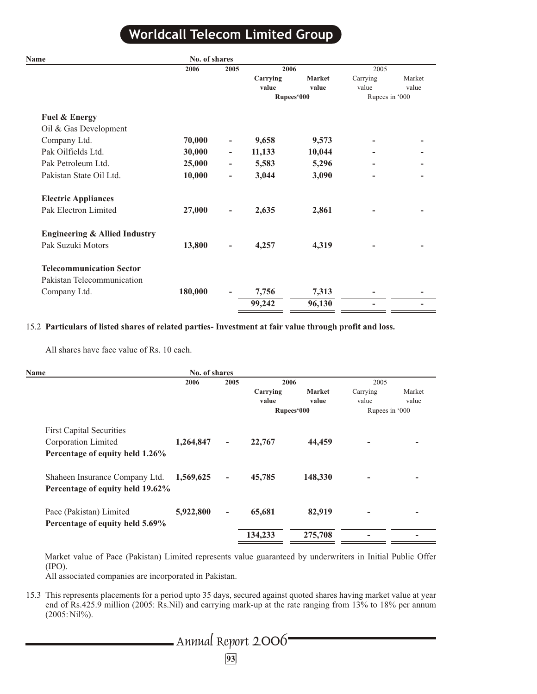| <b>Name</b>                              | No. of shares |                          |            |        |                |        |
|------------------------------------------|---------------|--------------------------|------------|--------|----------------|--------|
|                                          | 2006          | 2005                     | 2006       |        | 2005           |        |
|                                          |               |                          | Carrying   | Market | Carrying       | Market |
|                                          |               |                          | value      | value  | value          | value  |
|                                          |               |                          | Rupees'000 |        | Rupees in '000 |        |
| <b>Fuel &amp; Energy</b>                 |               |                          |            |        |                |        |
| Oil & Gas Development                    |               |                          |            |        |                |        |
| Company Ltd.                             | 70,000        | ۰                        | 9,658      | 9,573  |                |        |
| Pak Oilfields Ltd.                       | 30,000        | $\overline{\phantom{a}}$ | 11,133     | 10,044 | -              |        |
| Pak Petroleum Ltd.                       | 25,000        | ۰                        | 5,583      | 5,296  |                |        |
| Pakistan State Oil Ltd.                  | 10,000        | $\overline{\phantom{a}}$ | 3,044      | 3,090  |                |        |
| <b>Electric Appliances</b>               |               |                          |            |        |                |        |
| Pak Electron Limited                     | 27,000        | ۰                        | 2,635      | 2,861  |                |        |
| <b>Engineering &amp; Allied Industry</b> |               |                          |            |        |                |        |
| Pak Suzuki Motors                        | 13,800        |                          | 4,257      | 4,319  |                |        |
| <b>Telecommunication Sector</b>          |               |                          |            |        |                |        |
| Pakistan Telecommunication               |               |                          |            |        |                |        |
| Company Ltd.                             | 180,000       |                          | 7,756      | 7,313  |                |        |
|                                          |               |                          | 99,242     | 96,130 |                |        |

#### 15.2 **Particulars of listed shares of related parties- Investment at fair value through profit and loss.**

All shares have face value of Rs. 10 each.

| Name                             | No. of shares |                          |          |               |                |        |
|----------------------------------|---------------|--------------------------|----------|---------------|----------------|--------|
|                                  | 2006          | 2005                     | 2006     |               | 2005           |        |
|                                  |               |                          | Carrying | <b>Market</b> | Carrying       | Market |
|                                  |               |                          | value    | value         | value          | value  |
|                                  |               |                          |          | Rupees'000    | Rupees in '000 |        |
| <b>First Capital Securities</b>  |               |                          |          |               |                |        |
| Corporation Limited              | 1,264,847     | -                        | 22,767   | 44,459        |                |        |
| Percentage of equity held 1.26%  |               |                          |          |               |                |        |
| Shaheen Insurance Company Ltd.   | 1,569,625     | $\overline{\phantom{a}}$ | 45,785   | 148,330       |                |        |
| Percentage of equity held 19.62% |               |                          |          |               |                |        |
| Pace (Pakistan) Limited          | 5,922,800     |                          | 65,681   | 82,919        |                |        |
| Percentage of equity held 5.69%  |               |                          |          |               |                |        |
|                                  |               |                          | 134,233  | 275,708       |                |        |
|                                  |               |                          |          |               |                |        |

Market value of Pace (Pakistan) Limited represents value guaranteed by underwriters in Initial Public Offer (IPO).

All associated companies are incorporated in Pakistan.

15.3 This represents placements for a period upto 35 days, secured against quoted shares having market value at year end of Rs.425.9 million (2005: Rs.Nil) and carrying mark-up at the rate ranging from 13% to 18% per annum (2005: Nil%).

Annual Report 2006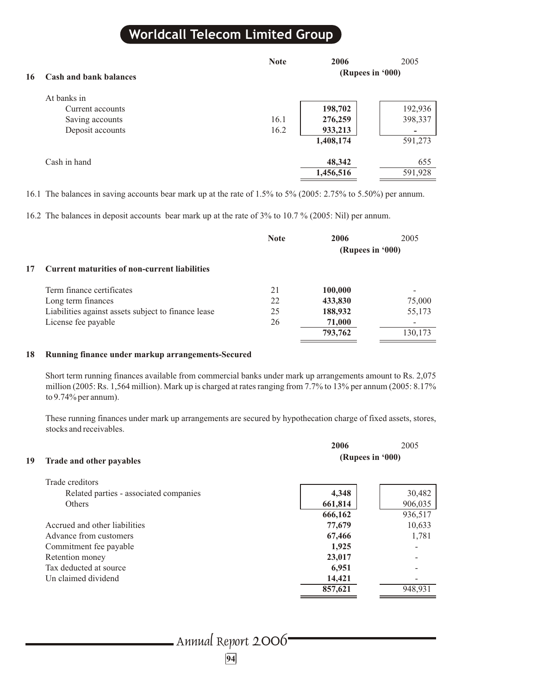|    |                               | <b>Note</b> | 2006<br>(Rupees in '000) | 2005    |
|----|-------------------------------|-------------|--------------------------|---------|
| 16 | <b>Cash and bank balances</b> |             |                          |         |
|    | At banks in                   |             |                          |         |
|    | Current accounts              |             | 198,702                  | 192,936 |
|    | Saving accounts               | 16.1        | 276,259                  | 398,337 |
|    | Deposit accounts              | 16.2        | 933,213                  |         |
|    |                               |             | 1,408,174                | 591,273 |
|    | Cash in hand                  |             | 48,342                   | 655     |
|    |                               |             | 1,456,516                | 591,928 |
|    |                               |             |                          |         |

16.1 The balances in saving accounts bear mark up at the rate of 1.5% to 5% (2005: 2.75% to 5.50%) per annum.

16.2 The balances in deposit accounts bear mark up at the rate of 3% to 10.7 % (2005: Nil) per annum.

|    |                                                      | <b>Note</b> | 2006             | 2005    |
|----|------------------------------------------------------|-------------|------------------|---------|
|    |                                                      |             | (Rupees in '000) |         |
| 17 | <b>Current maturities of non-current liabilities</b> |             |                  |         |
|    | Term finance certificates                            | 21          | 100,000          |         |
|    | Long term finances                                   | 22          | 433,830          | 75,000  |
|    | Liabilities against assets subject to finance lease  | 25          | 188,932          | 55,173  |
|    | License fee payable                                  | 26          | 71,000           |         |
|    |                                                      |             | 793,762          | 130,173 |
|    |                                                      |             |                  |         |

#### **18 Running finance under markup arrangements-Secured**

Short term running finances available from commercial banks under mark up arrangements amount to Rs. 2,075 million (2005: Rs. 1,564 million). Mark up is charged at rates ranging from 7.7% to 13% per annum (2005: 8.17% to 9.74% per annum).

These running finances under mark up arrangements are secured by hypothecation charge of fixed assets, stores, stocks and receivables.

|    |                                        | 2006             | 2005    |
|----|----------------------------------------|------------------|---------|
| 19 | Trade and other payables               | (Rupees in '000) |         |
|    | Trade creditors                        |                  |         |
|    | Related parties - associated companies | 4,348            | 30,482  |
|    | <b>Others</b>                          | 661,814          | 906,035 |
|    |                                        | 666,162          | 936,517 |
|    | Accrued and other liabilities          | 77,679           | 10,633  |
|    | Advance from customers                 | 67,466           | 1,781   |
|    | Commitment fee payable                 | 1,925            |         |
|    | Retention money                        | 23,017           |         |
|    | Tax deducted at source                 | 6,951            |         |
|    | Un claimed dividend                    | 14,421           |         |
|    |                                        | 857,621          | 948.931 |
|    |                                        |                  |         |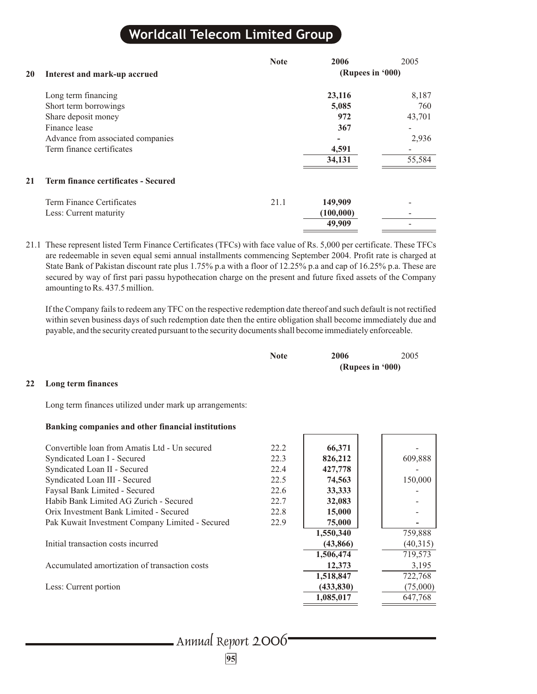|    |                                     | <b>Note</b> | 2006             | 2005   |
|----|-------------------------------------|-------------|------------------|--------|
| 20 | Interest and mark-up accrued        |             | (Rupees in '000) |        |
|    | Long term financing                 |             | 23,116           | 8,187  |
|    | Short term borrowings               |             | 5,085            | 760    |
|    | Share deposit money                 |             | 972              | 43,701 |
|    | Finance lease                       |             | 367              |        |
|    | Advance from associated companies   |             |                  | 2,936  |
|    | Term finance certificates           |             | 4,591            |        |
|    |                                     |             | 34,131           | 55,584 |
| 21 | Term finance certificates - Secured |             |                  |        |
|    | Term Finance Certificates           | 21.1        | 149,909          |        |
|    | Less: Current maturity              |             | (100,000)        |        |
|    |                                     |             | 49,909           |        |
|    |                                     |             |                  |        |

21.1 These represent listed Term Finance Certificates (TFCs) with face value of Rs. 5,000 per certificate. These TFCs are redeemable in seven equal semi annual installments commencing September 2004. Profit rate is charged at State Bank of Pakistan discount rate plus 1.75% p.a with a floor of 12.25% p.a and cap of 16.25% p.a. These are secured by way of first pari passu hypothecation charge on the present and future fixed assets of the Company amounting to Rs. 437.5 million.

If the Company fails to redeem any TFC on the respective redemption date thereof and such default is not rectified within seven business days of such redemption date then the entire obligation shall become immediately due and payable, and the security created pursuant to the security documents shall become immediately enforceable.

| <b>Note</b> | 2006             | 2005 |
|-------------|------------------|------|
|             | (Rupees in '000) |      |

#### **22 Long term finances**

Long term finances utilized under mark up arrangements:

#### **Banking companies and other financial institutions**

| Convertible loan from Amatis Ltd - Un secured   | 22.2 | 66,371     |          |
|-------------------------------------------------|------|------------|----------|
| Syndicated Loan I - Secured                     | 22.3 | 826,212    | 609,888  |
| Syndicated Loan II - Secured                    | 22.4 | 427,778    |          |
| Syndicated Loan III - Secured                   | 22.5 | 74,563     | 150,000  |
| Faysal Bank Limited - Secured                   | 22.6 | 33,333     |          |
| Habib Bank Limited AG Zurich - Secured          | 22.7 | 32,083     |          |
| Orix Investment Bank Limited - Secured          | 22.8 | 15,000     |          |
| Pak Kuwait Investment Company Limited - Secured | 22.9 | 75,000     |          |
|                                                 |      | 1,550,340  | 759,888  |
| Initial transaction costs incurred              |      | (43,866)   | (40,315) |
|                                                 |      | 1,506,474  | 719,573  |
| Accumulated amortization of transaction costs   |      | 12,373     | 3,195    |
|                                                 |      | 1,518,847  | 722,768  |
| Less: Current portion                           |      | (433, 830) | (75,000) |
|                                                 |      | 1,085,017  | 647,768  |
|                                                 |      |            |          |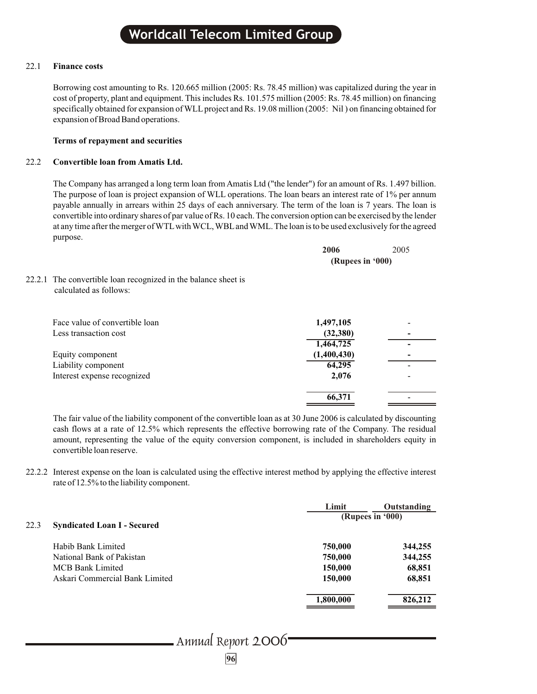#### 22.1 **Finance costs**

Borrowing cost amounting to Rs. 120.665 million (2005: Rs. 78.45 million) was capitalized during the year in cost of property, plant and equipment. This includes Rs. 101.575 million (2005: Rs. 78.45 million) on financing specifically obtained for expansion of WLL project and Rs. 19.08 million (2005: Nil) on financing obtained for expansion of Broad Band operations.

#### **Terms of repayment and securities**

#### 22.2 **Convertible loan from Amatis Ltd.**

The Company has arranged a long term loan from Amatis Ltd ("the lender") for an amount of Rs. 1.497 billion. The purpose of loan is project expansion of WLL operations. The loan bears an interest rate of 1% per annum payable annually in arrears within 25 days of each anniversary. The term of the loan is 7 years. The loan is convertible into ordinary shares of par value of Rs. 10 each. The conversion option can be exercised by the lender at any time after the merger of WTL with WCL, WBL and WML. The loan is to be used exclusively for the agreed purpose.

|                                                                                                        | 2006             | 2005 |
|--------------------------------------------------------------------------------------------------------|------------------|------|
|                                                                                                        | (Rupees in '000) |      |
| 22.2.1 The convertible loan recognized in the balance sheet is<br>$1 \quad 1 \quad 1 \quad 0 \quad 11$ |                  |      |

calculated as follows:

| Face value of convertible loan | 1,497,105   |   |
|--------------------------------|-------------|---|
| Less transaction cost          | (32,380)    |   |
|                                | 1,464,725   |   |
| Equity component               | (1,400,430) |   |
| Liability component            | 64,295      |   |
| Interest expense recognized    | 2,076       | - |
|                                | 66,371      |   |

The fair value of the liability component of the convertible loan as at 30 June 2006 is calculated by discounting cash flows at a rate of 12.5% which represents the effective borrowing rate of the Company. The residual amount, representing the value of the equity conversion component, is included in shareholders equity in convertible loan reserve.

22.2.2 Interest expense on the loan is calculated using the effective interest method by applying the effective interest rate of 12.5% to the liability component.

|      |                                    | Limit                         | Outstanding |
|------|------------------------------------|-------------------------------|-------------|
| 22.3 | <b>Syndicated Loan I - Secured</b> | (Rupees in $\overline{000}$ ) |             |
|      | Habib Bank Limited                 | 750,000                       | 344,255     |
|      | National Bank of Pakistan          | 750,000                       | 344,255     |
|      | <b>MCB Bank Limited</b>            | 150,000                       | 68,851      |
|      | Askari Commercial Bank Limited     | 150,000                       | 68,851      |
|      |                                    | 1,800,000                     | 826,212     |

Annual Report 2006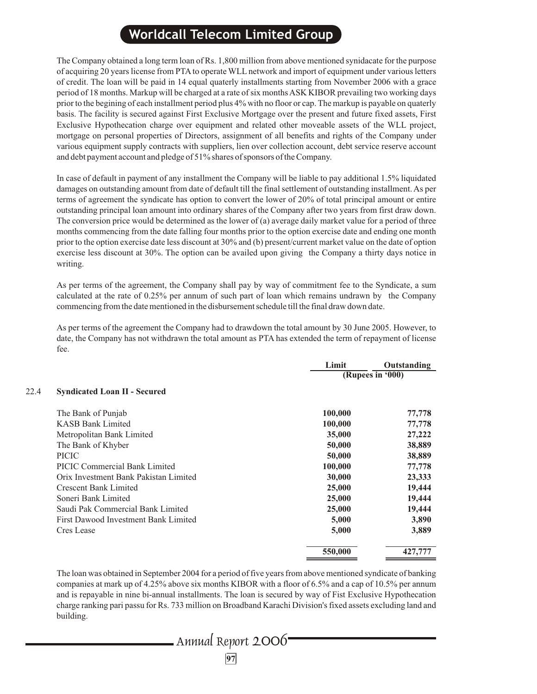The Company obtained a long term loan of Rs. 1,800 million from above mentioned synidacate for the purpose of acquiring 20 years license from PTA to operate WLL network and import of equipment under various letters of credit. The loan will be paid in 14 equal quaterly installments starting from November 2006 with a grace period of 18 months. Markup will be charged at a rate of six months ASK KIBOR prevailing two working days prior to the begining of each installment period plus 4% with no floor or cap. The markup is payable on quaterly basis. The facility is secured against First Exclusive Mortgage over the present and future fixed assets, First Exclusive Hypothecation charge over equipment and related other moveable assets of the WLL project, mortgage on personal properties of Directors, assignment of all benefits and rights of the Company under various equipment supply contracts with suppliers, lien over collection account, debt service reserve account and debt payment account and pledge of 51% shares of sponsors of the Company.

In case of default in payment of any installment the Company will be liable to pay additional 1.5% liquidated damages on outstanding amount from date of default till the final settlement of outstanding installment. As per terms of agreement the syndicate has option to convert the lower of 20% of total principal amount or entire outstanding principal loan amount into ordinary shares of the Company after two years from first draw down. The conversion price would be determined as the lower of (a) average daily market value for a period of three months commencing from the date falling four months prior to the option exercise date and ending one month prior to the option exercise date less discount at 30% and (b) present/current market value on the date of option exercise less discount at 30%. The option can be availed upon giving the Company a thirty days notice in writing.

As per terms of the agreement, the Company shall pay by way of commitment fee to the Syndicate, a sum calculated at the rate of 0.25% per annum of such part of loan which remains undrawn by the Company commencing from the date mentioned in the disbursement schedule till the final draw down date.

As per terms of the agreement the Company had to drawdown the total amount by 30 June 2005. However, to date, the Company has not withdrawn the total amount as PTA has extended the term of repayment of license fee.

|      |                                       | Limit            | Outstanding |
|------|---------------------------------------|------------------|-------------|
|      |                                       | (Rupees in '000) |             |
| 22.4 | <b>Syndicated Loan II - Secured</b>   |                  |             |
|      | The Bank of Punjab                    | 100,000          | 77,778      |
|      | <b>KASB Bank Limited</b>              | 100,000          | 77,778      |
|      | Metropolitan Bank Limited             | 35,000           | 27,222      |
|      | The Bank of Khyber                    | 50,000           | 38,889      |
|      | <b>PICIC</b>                          | 50,000           | 38,889      |
|      | <b>PICIC Commercial Bank Limited</b>  | 100,000          | 77,778      |
|      | Orix Investment Bank Pakistan Limited | 30,000           | 23,333      |
|      | <b>Crescent Bank Limited</b>          | 25,000           | 19,444      |
|      | Soneri Bank Limited                   | 25,000           | 19,444      |
|      | Saudi Pak Commercial Bank Limited     | 25,000           | 19,444      |
|      | First Dawood Investment Bank Limited  | 5,000            | 3,890       |
|      | Cres Lease                            | 5,000            | 3,889       |
|      |                                       | 550,000          | 427,777     |

The loan was obtained in September 2004 for a period of five years from above mentioned syndicate of banking companies at mark up of 4.25% above six months KIBOR with a floor of 6.5% and a cap of 10.5% per annum and is repayable in nine bi-annual installments. The loan is secured by way of Fist Exclusive Hypothecation charge ranking pari passu for Rs. 733 million on Broadband Karachi Division's fixed assets excluding land and building.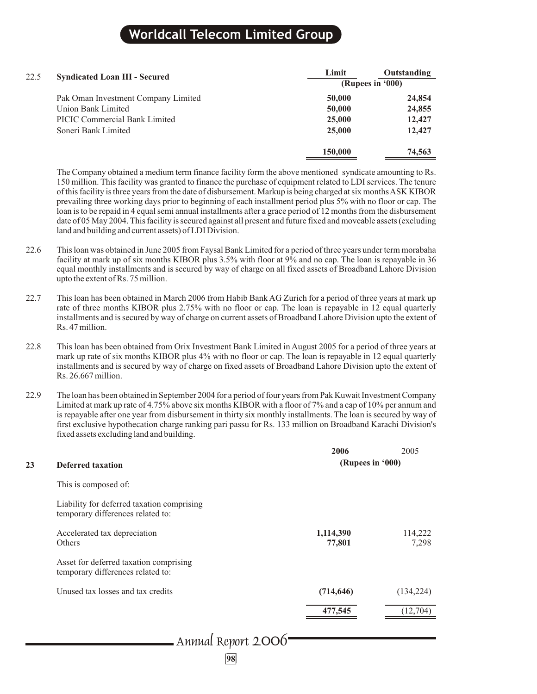| 22.5 | <b>Syndicated Loan III - Secured</b> | Limit   | Outstanding<br>(Rupees in '000) |
|------|--------------------------------------|---------|---------------------------------|
|      | Pak Oman Investment Company Limited  | 50,000  | 24,854                          |
|      | Union Bank Limited                   | 50,000  | 24,855                          |
|      | <b>PICIC Commercial Bank Limited</b> | 25,000  | 12,427                          |
|      | Soneri Bank Limited                  | 25,000  | 12,427                          |
|      |                                      | 150,000 | 74,563                          |

The Company obtained a medium term finance facility form the above mentioned syndicate amounting to Rs. 150 million. This facility was granted to finance the purchase of equipment related to LDI services. The tenure of this facility is three years from the date of disbursement. Markup is being charged at six months ASK KIBOR prevailing three working days prior to beginning of each installment period plus 5% with no floor or cap. The loan is to be repaid in 4 equal semi annual installments after a grace period of 12 months from the disbursement date of 05 May 2004. This facility is secured against all present and future fixed and moveable assets (excluding land and building and current assets) of LDI Division.

- 22.6 This loan was obtained in June 2005 from Faysal Bank Limited for a period of three years under term morabaha facility at mark up of six months KIBOR plus 3.5% with floor at 9% and no cap. The loan is repayable in 36 equal monthly installments and is secured by way of charge on all fixed assets of Broadband Lahore Division upto the extent of Rs. 75 million.
- 22.7 This loan has been obtained in March 2006 from Habib Bank AG Zurich for a period of three years at mark up rate of three months KIBOR plus 2.75% with no floor or cap. The loan is repayable in 12 equal quarterly installments and is secured by way of charge on current assets of Broadband Lahore Division upto the extent of Rs. 47 million.
- 22.8 This loan has been obtained from Orix Investment Bank Limited in August 2005 for a period of three years at mark up rate of six months KIBOR plus 4% with no floor or cap. The loan is repayable in 12 equal quarterly installments and is secured by way of charge on fixed assets of Broadband Lahore Division upto the extent of Rs. 26.667 million.
- 22.9 The loan has been obtained in September 2004 for a period of four years from Pak Kuwait Investment Company Limited at mark up rate of 4.75% above six months KIBOR with a floor of 7% and a cap of 10% per annum and is repayable after one year from disbursement in thirty six monthly installments. The loan is secured by way of first exclusive hypothecation charge ranking pari passu for Rs. 133 million on Broadband Karachi Division's fixed assets excluding land and building.

|    |                                                                                 | 2006                | 2005             |
|----|---------------------------------------------------------------------------------|---------------------|------------------|
| 23 | Deferred taxation                                                               | (Rupees in '000)    |                  |
|    | This is composed of:                                                            |                     |                  |
|    | Liability for deferred taxation comprising<br>temporary differences related to: |                     |                  |
|    | Accelerated tax depreciation<br>Others                                          | 1,114,390<br>77,801 | 114,222<br>7,298 |
|    | Asset for deferred taxation comprising<br>temporary differences related to:     |                     |                  |
|    | Unused tax losses and tax credits                                               | (714, 646)          | (134, 224)       |
|    |                                                                                 | 477,545             | (12,704)         |
|    |                                                                                 |                     |                  |

Annual Report 2006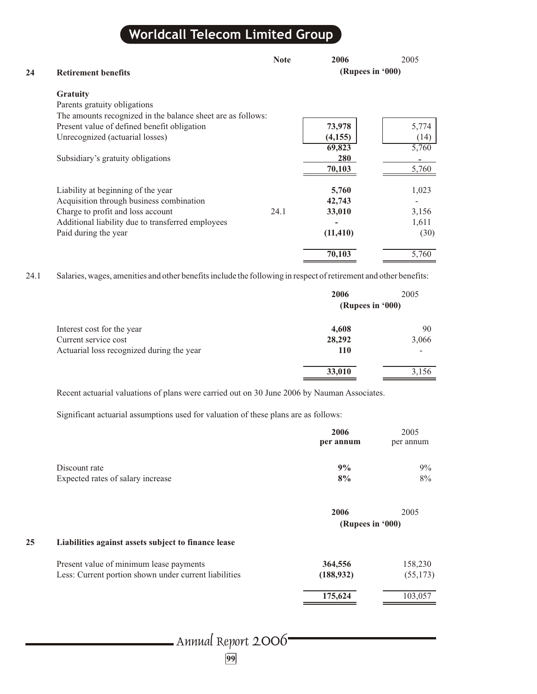|    |                                                             | <b>Note</b> | 2006             | 2005  |  |
|----|-------------------------------------------------------------|-------------|------------------|-------|--|
| 24 | <b>Retirement benefits</b>                                  |             | (Rupees in '000) |       |  |
|    | <b>Gratuity</b>                                             |             |                  |       |  |
|    | Parents gratuity obligations                                |             |                  |       |  |
|    | The amounts recognized in the balance sheet are as follows: |             |                  |       |  |
|    | Present value of defined benefit obligation                 |             | 73,978           | 5,774 |  |
|    | Unrecognized (actuarial losses)                             |             | (4, 155)         | (14)  |  |
|    |                                                             |             | 69,823           | 5,760 |  |
|    | Subsidiary's gratuity obligations                           |             | 280              |       |  |
|    |                                                             |             | 70,103           | 5,760 |  |
|    | Liability at beginning of the year                          |             | 5,760            | 1,023 |  |
|    | Acquisition through business combination                    |             | 42,743           |       |  |
|    | Charge to profit and loss account                           | 24.1        | 33,010           | 3,156 |  |
|    | Additional liability due to transferred employees           |             |                  | 1,611 |  |
|    | Paid during the year                                        |             | (11, 410)        | (30)  |  |
|    |                                                             |             | 70,103           | 5,760 |  |
|    |                                                             |             |                  |       |  |

24.1 Salaries, wages, amenities and other benefits include the following in respect of retirement and other benefits:

|                                                                                                 | 2006<br>(Rupees in '000)      | 2005        |
|-------------------------------------------------------------------------------------------------|-------------------------------|-------------|
| Interest cost for the year<br>Current service cost<br>Actuarial loss recognized during the year | 4,608<br>28,292<br><b>110</b> | 90<br>3,066 |
|                                                                                                 | 33,010                        | 3,156       |

Recent actuarial valuations of plans were carried out on 30 June 2006 by Nauman Associates.

Significant actuarial assumptions used for valuation of these plans are as follows:

|    |                                                       | 2006<br>per annum | 2005<br>per annum |
|----|-------------------------------------------------------|-------------------|-------------------|
|    | Discount rate                                         | 9%                | 9%                |
|    | Expected rates of salary increase                     | 8%                | $8\%$             |
|    |                                                       | 2006              | 2005              |
|    |                                                       | (Rupees in '000)  |                   |
| 25 | Liabilities against assets subject to finance lease   |                   |                   |
|    | Present value of minimum lease payments               | 364,556           | 158,230           |
|    | Less: Current portion shown under current liabilities | (188, 932)        | (55, 173)         |
|    |                                                       | 175,624           | 103,057           |
|    |                                                       |                   |                   |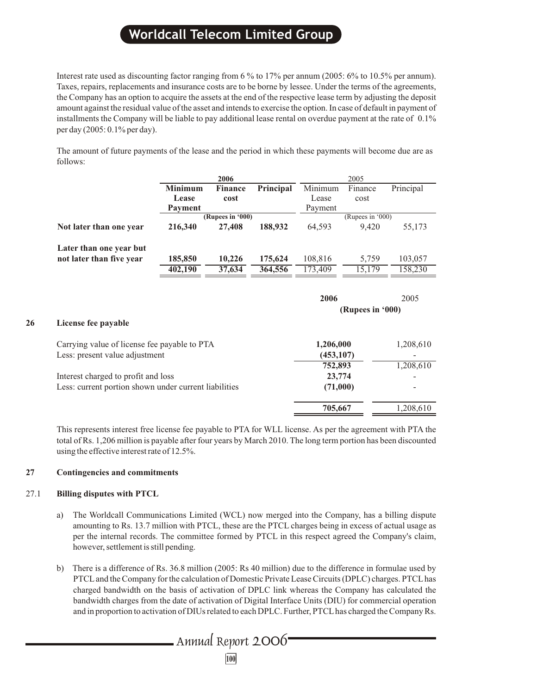Interest rate used as discounting factor ranging from 6 % to 17% per annum (2005: 6% to 10.5% per annum). Taxes, repairs, replacements and insurance costs are to be borne by lessee. Under the terms of the agreements, the Company has an option to acquire the assets at the end of the respective lease term by adjusting the deposit amount against the residual value of the asset and intends to exercise the option. In case of default in payment of installments the Company will be liable to pay additional lease rental on overdue payment at the rate of 0.1% per day (2005: 0.1% per day).

The amount of future payments of the lease and the period in which these payments will become due are as follows:

|    |                                                       | 2006           |                  | 2005      |            |                  |                        |
|----|-------------------------------------------------------|----------------|------------------|-----------|------------|------------------|------------------------|
|    |                                                       | <b>Minimum</b> | <b>Finance</b>   | Principal | Minimum    | Finance          | Principal              |
|    |                                                       | Lease          | cost             |           | Lease      | cost             |                        |
|    |                                                       | Payment        |                  |           | Payment    |                  |                        |
|    |                                                       |                | (Rupees in '000) |           |            | (Rupees in '000) |                        |
|    | Not later than one year                               | 216,340        | 27,408           | 188,932   | 64,593     | 9,420            | 55,173                 |
|    | Later than one year but                               |                |                  |           |            |                  |                        |
|    | not later than five year                              | 185,850        | 10,226           | 175,624   | 108,816    | 5,759            | 103,057                |
|    |                                                       | 402,190        | 37,634           | 364,556   | 173,409    | 15,179           | 158,230                |
|    |                                                       |                |                  |           |            |                  |                        |
|    |                                                       |                |                  |           | 2006       |                  | 2005                   |
|    |                                                       |                |                  |           |            | (Rupees in '000) |                        |
| 26 | License fee payable                                   |                |                  |           |            |                  |                        |
|    | Carrying value of license fee payable to PTA          |                |                  |           | 1,206,000  |                  | 1,208,610              |
|    | Less: present value adjustment                        |                |                  |           | (453, 107) |                  |                        |
|    |                                                       |                |                  |           | 752,893    |                  | $1,208,\overline{610}$ |
|    | Interest charged to profit and loss                   |                |                  |           | 23,774     |                  |                        |
|    | Less: current portion shown under current liabilities |                |                  |           | (71,000)   |                  |                        |
|    |                                                       |                |                  |           | 705,667    |                  | 1,208,610              |
|    |                                                       |                |                  |           |            |                  |                        |

This represents interest free license fee payable to PTA for WLL license. As per the agreement with PTA the total of Rs. 1,206 million is payable after four years by March 2010. The long term portion has been discounted using the effective interest rate of 12.5%.

#### **27 Contingencies and commitments**

#### 27.1 **Billing disputes with PTCL**

- a) The Worldcall Communications Limited (WCL) now merged into the Company, has a billing dispute amounting to Rs. 13.7 million with PTCL, these are the PTCL charges being in excess of actual usage as per the internal records. The committee formed by PTCL in this respect agreed the Company's claim, however, settlement is still pending.
- b) There is a difference of Rs. 36.8 million (2005: Rs 40 million) due to the difference in formulae used by PTCLand the Company for the calculation of Domestic Private Lease Circuits (DPLC) charges. PTCLhas charged bandwidth on the basis of activation of DPLC link whereas the Company has calculated the bandwidth charges from the date of activation of Digital Interface Units (DIU) for commercial operation and in proportion to activation of DIUs related to each DPLC. Further, PTCLhas charged the Company Rs.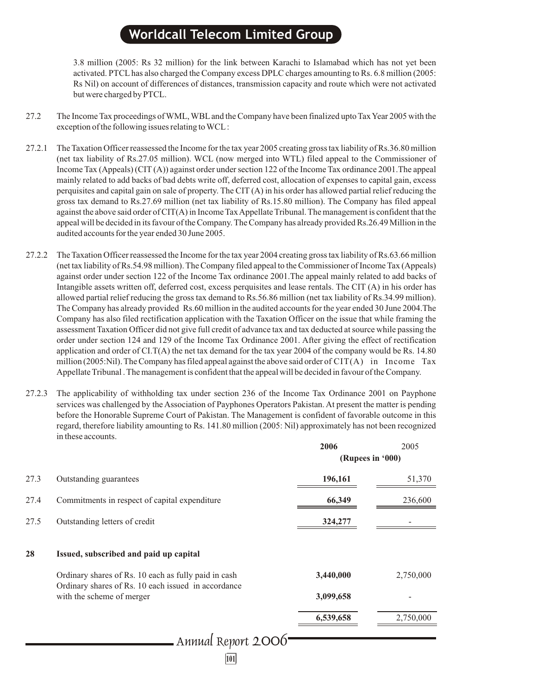3.8 million (2005: Rs 32 million) for the link between Karachi to Islamabad which has not yet been activated. PTCLhas also charged the Company excess DPLC charges amounting to Rs. 6.8 million (2005: Rs Nil) on account of differences of distances, transmission capacity and route which were not activated but were charged by PTCL.

- 27.2 The Income Tax proceedings of WML, WBLand the Company have been finalized upto Tax Year 2005 with the exception of the following issues relating to WCL:
- 27.2.1 The Taxation Officer reassessed the Income for the tax year 2005 creating gross tax liability of Rs.36.80 million (net tax liability of Rs.27.05 million). WCL (now merged into WTL) filed appeal to the Commissioner of Income Tax (Appeals) (CIT (A)) against order under section 122 of the Income Tax ordinance 2001.The appeal mainly related to add backs of bad debts write off, deferred cost, allocation of expenses to capital gain, excess perquisites and capital gain on sale of property. The CIT (A) in his order has allowed partial relief reducing the gross tax demand to Rs.27.69 million (net tax liability of Rs.15.80 million). The Company has filed appeal against the above said order of CIT(A) in Income Tax Appellate Tribunal. The management is confident that the appeal will be decided in its favour of the Company. The Company has already provided Rs.26.49 Million in the audited accounts for the year ended 30 June 2005.
- 27.2.2 The Taxation Officer reassessed the Income for the tax year 2004 creating gross tax liability of Rs.63.66 million (net tax liability of Rs.54.98 million). The Company filed appeal to the Commissioner of Income Tax (Appeals) against order under section 122 of the Income Tax ordinance 2001.The appeal mainly related to add backs of Intangible assets written off, deferred cost, excess perquisites and lease rentals. The CIT (A) in his order has allowed partial relief reducing the gross tax demand to Rs.56.86 million (net tax liability of Rs.34.99 million). The Company has already provided Rs.60 million in the audited accounts for the year ended 30 June 2004.The Company has also filed rectification application with the Taxation Officer on the issue that while framing the assessment Taxation Officer did not give full credit of advance tax and tax deducted at source while passing the order under section 124 and 129 of the Income Tax Ordinance 2001. After giving the effect of rectification application and order of  $CLT(A)$  the net tax demand for the tax year 2004 of the company would be Rs. 14.80 million (2005:Nil). The Company has filed appeal against the above said order of CIT(A) in Income Tax Appellate Tribunal . The management is confident that the appeal will be decided in favour of the Company.
- 27.2.3 The applicability of withholding tax under section 236 of the Income Tax Ordinance 2001 on Payphone services was challenged by the Association of Payphones Operators Pakistan. At present the matter is pending before the Honorable Supreme Court of Pakistan. The Management is confident of favorable outcome in this regard, therefore liability amounting to Rs. 141.80 million (2005: Nil) approximately has not been recognized in these accounts.

|      |                                                                                                             | 2006             | 2005      |
|------|-------------------------------------------------------------------------------------------------------------|------------------|-----------|
|      |                                                                                                             | (Rupees in '000) |           |
| 27.3 | Outstanding guarantees                                                                                      | 196,161          | 51,370    |
| 27.4 | Commitments in respect of capital expenditure                                                               | 66,349           | 236,600   |
| 27.5 | Outstanding letters of credit                                                                               | 324,277          |           |
| 28   | Issued, subscribed and paid up capital                                                                      |                  |           |
|      | Ordinary shares of Rs. 10 each as fully paid in cash<br>Ordinary shares of Rs. 10 each issued in accordance | 3,440,000        | 2,750,000 |
|      | with the scheme of merger                                                                                   | 3,099,658        |           |
|      |                                                                                                             | 6,539,658        | 2,750,000 |
|      | Annual Report 2006                                                                                          |                  |           |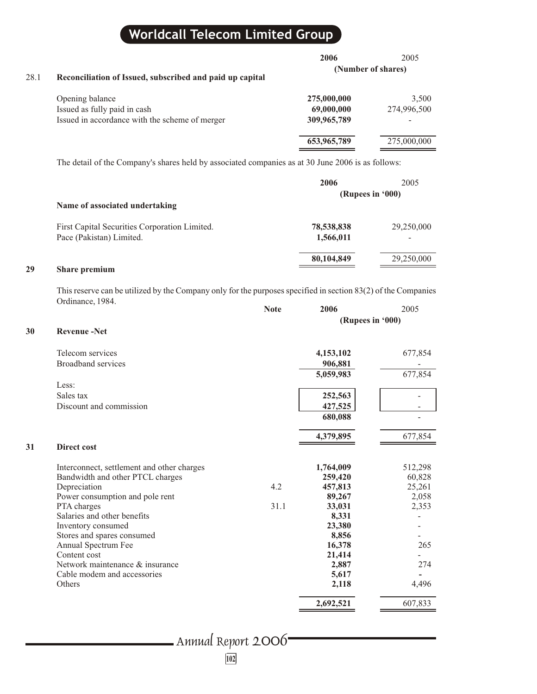|      |                                                          | 2006        | 2005               |
|------|----------------------------------------------------------|-------------|--------------------|
| 28.1 | Reconciliation of Issued, subscribed and paid up capital |             | (Number of shares) |
|      | Opening balance                                          | 275,000,000 | 3,500              |
|      | Issued as fully paid in cash                             | 69,000,000  | 274,996,500        |
|      | Issued in accordance with the scheme of merger           | 309,965,789 |                    |
|      |                                                          | 653,965,789 | 275,000,000        |
|      |                                                          |             |                    |

The detail of the Company's shares held by associated companies as at 30 June 2006 is as follows:

|    |                                               | 2006             | 2005       |
|----|-----------------------------------------------|------------------|------------|
|    |                                               | (Rupees in '000) |            |
|    | Name of associated undertaking                |                  |            |
|    | First Capital Securities Corporation Limited. | 78,538,838       | 29,250,000 |
|    | Pace (Pakistan) Limited.                      | 1,566,011        |            |
|    |                                               | 80,104,849       | 29,250,000 |
| 29 | Share premium                                 |                  |            |

This reserve can be utilized by the Company only for the purposes specified in section 83(2) of the Companies Ordinance, 1984. **Note**

|    |                                            | <b>Note</b> | 2006             | 2005    |
|----|--------------------------------------------|-------------|------------------|---------|
|    |                                            |             | (Rupees in '000) |         |
| 30 | <b>Revenue -Net</b>                        |             |                  |         |
|    | Telecom services                           |             | 4,153,102        | 677,854 |
|    | <b>Broadband services</b>                  |             | 906,881          |         |
|    |                                            |             | 5,059,983        | 677,854 |
|    | Less:                                      |             |                  |         |
|    | Sales tax                                  |             | 252,563          |         |
|    | Discount and commission                    |             | 427,525          |         |
|    |                                            |             | 680,088          |         |
|    |                                            |             | 4,379,895        | 677,854 |
| 31 | <b>Direct cost</b>                         |             |                  |         |
|    | Interconnect, settlement and other charges |             | 1,764,009        | 512,298 |
|    | Bandwidth and other PTCL charges           |             | 259,420          | 60,828  |
|    | Depreciation                               | 4.2         | 457,813          | 25,261  |
|    | Power consumption and pole rent            |             | 89,267           | 2,058   |
|    | PTA charges                                | 31.1        | 33,031           | 2,353   |
|    | Salaries and other benefits                |             | 8,331            |         |
|    | Inventory consumed                         |             | 23,380           |         |
|    | Stores and spares consumed                 |             | 8,856            |         |
|    | Annual Spectrum Fee                        |             | 16,378           | 265     |
|    | Content cost                               |             | 21,414           |         |
|    | Network maintenance & insurance            |             | 2,887            | 274     |
|    | Cable modem and accessories                |             | 5,617            |         |
|    | Others                                     |             | 2,118            | 4,496   |
|    |                                            |             | 2,692,521        | 607,833 |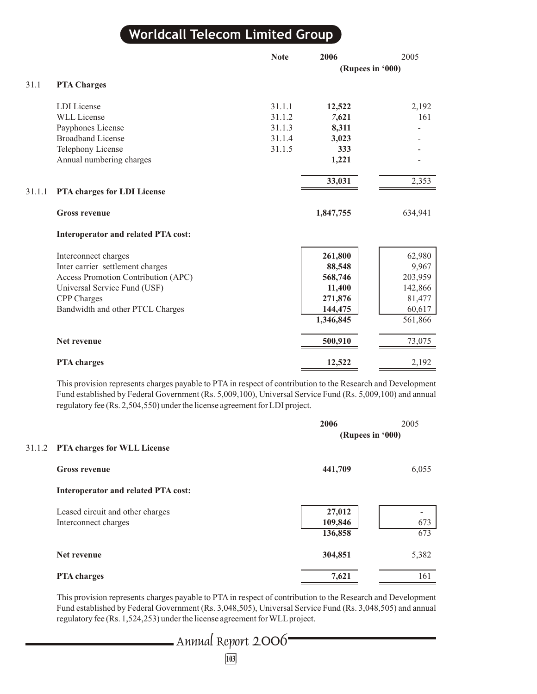|        |                                            | <b>Note</b> | 2006             | 2005    |
|--------|--------------------------------------------|-------------|------------------|---------|
|        |                                            |             | (Rupees in '000) |         |
| 31.1   | <b>PTA Charges</b>                         |             |                  |         |
|        | LDI License                                | 31.1.1      | 12,522           | 2,192   |
|        | <b>WLL</b> License                         | 31.1.2      | 7,621            | 161     |
|        | Payphones License                          | 31.1.3      | 8,311            |         |
|        | <b>Broadband License</b>                   | 31.1.4      | 3,023            |         |
|        | Telephony License                          | 31.1.5      | 333              |         |
|        | Annual numbering charges                   |             | 1,221            |         |
|        |                                            |             | 33,031           | 2,353   |
| 31.1.1 | PTA charges for LDI License                |             |                  |         |
|        | <b>Gross revenue</b>                       |             | 1,847,755        | 634,941 |
|        | <b>Interoperator and related PTA cost:</b> |             |                  |         |
|        | Interconnect charges                       |             | 261,800          | 62,980  |
|        | Inter carrier settlement charges           |             | 88,548           | 9,967   |
|        | Access Promotion Contribution (APC)        |             | 568,746          | 203,959 |
|        | Universal Service Fund (USF)               |             | 11,400           | 142,866 |
|        | <b>CPP</b> Charges                         |             | 271,876          | 81,477  |
|        | Bandwidth and other PTCL Charges           |             | 144,475          | 60,617  |
|        |                                            |             | 1,346,845        | 561,866 |
|        | Net revenue                                |             | 500,910          | 73,075  |
|        | PTA charges                                |             | 12,522           | 2,192   |

This provision represents charges payable to PTA in respect of contribution to the Research and Development Fund established by Federal Government (Rs. 5,009,100), Universal Service Fund (Rs. 5,009,100) and annual regulatory fee (Rs. 2,504,550) under the license agreement for LDI project.

|        |                                            | 2006             | 2005  |
|--------|--------------------------------------------|------------------|-------|
|        |                                            | (Rupees in '000) |       |
| 31.1.2 | <b>PTA charges for WLL License</b>         |                  |       |
|        | <b>Gross revenue</b>                       | 441,709          | 6,055 |
|        | <b>Interoperator and related PTA cost:</b> |                  |       |
|        | Leased circuit and other charges           | 27,012           |       |
|        | Interconnect charges                       | 109,846          | 673   |
|        |                                            | 136,858          | 673   |
|        | Net revenue                                | 304,851          | 5,382 |
|        | PTA charges                                | 7,621            | 161   |
|        |                                            |                  |       |

This provision represents charges payable to PTA in respect of contribution to the Research and Development Fund established by Federal Government (Rs. 3,048,505), Universal Service Fund (Rs. 3,048,505) and annual regulatory fee (Rs. 1,524,253) under the license agreement for WLL project.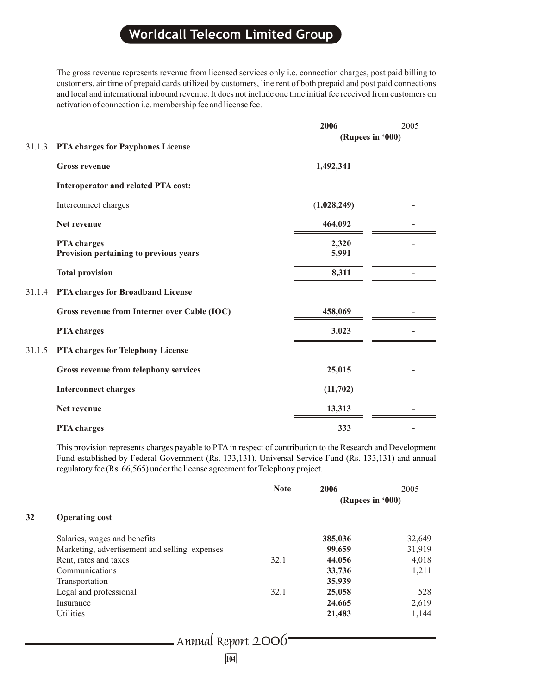The gross revenue represents revenue from licensed services only i.e. connection charges, post paid billing to customers, air time of prepaid cards utilized by customers, line rent of both prepaid and post paid connections and local and international inbound revenue. It does not include one time initial fee received from customers on activation of connection i.e. membership fee and license fee.

|        |                                              | 2006             | 2005 |
|--------|----------------------------------------------|------------------|------|
|        |                                              | (Rupees in '000) |      |
| 31.1.3 | PTA charges for Payphones License            |                  |      |
|        | <b>Gross revenue</b>                         | 1,492,341        |      |
|        | <b>Interoperator and related PTA cost:</b>   |                  |      |
|        | Interconnect charges                         | (1,028,249)      |      |
|        | Net revenue                                  | 464,092          |      |
|        | PTA charges                                  | 2,320            |      |
|        | Provision pertaining to previous years       | 5,991            |      |
|        | <b>Total provision</b>                       | 8,311            |      |
| 31.1.4 | PTA charges for Broadband License            |                  |      |
|        | Gross revenue from Internet over Cable (IOC) | 458,069          |      |
|        | PTA charges                                  | 3,023            |      |
| 31.1.5 | PTA charges for Telephony License            |                  |      |
|        | Gross revenue from telephony services        | 25,015           |      |
|        | <b>Interconnect charges</b>                  | (11,702)         |      |
|        | Net revenue                                  | 13,313           |      |
|        | <b>PTA</b> charges                           | 333              |      |

This provision represents charges payable to PTA in respect of contribution to the Research and Development Fund established by Federal Government (Rs. 133,131), Universal Service Fund (Rs. 133,131) and annual regulatory fee (Rs. 66,565) under the license agreement for Telephony project.

|    |                                               | <b>Note</b> | 2006    | 2005             |  |
|----|-----------------------------------------------|-------------|---------|------------------|--|
|    |                                               |             |         | (Rupees in '000) |  |
| 32 | <b>Operating cost</b>                         |             |         |                  |  |
|    | Salaries, wages and benefits                  |             | 385,036 | 32,649           |  |
|    | Marketing, advertisement and selling expenses |             | 99,659  | 31,919           |  |
|    | Rent, rates and taxes                         | 32.1        | 44,056  | 4,018            |  |
|    | Communications                                |             | 33,736  | 1,211            |  |
|    | Transportation                                |             | 35,939  |                  |  |
|    | Legal and professional                        | 32.1        | 25,058  | 528              |  |
|    | Insurance                                     |             | 24,665  | 2,619            |  |
|    | Utilities                                     |             | 21,483  | 1,144            |  |
|    |                                               |             |         |                  |  |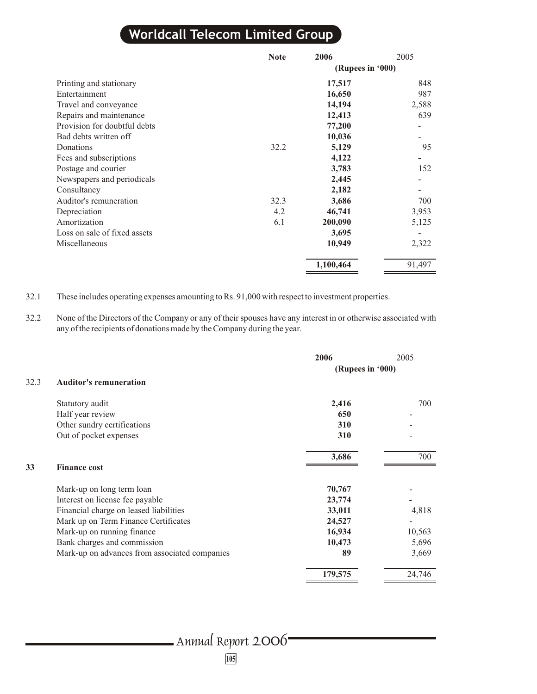|                              | <b>Note</b> | 2006             | 2005   |
|------------------------------|-------------|------------------|--------|
|                              |             | (Rupees in '000) |        |
| Printing and stationary      |             | 17,517           | 848    |
| Entertainment                |             | 16,650           | 987    |
| Travel and conveyance        |             | 14,194           | 2,588  |
| Repairs and maintenance      |             | 12,413           | 639    |
| Provision for doubtful debts |             | 77,200           |        |
| Bad debts written off        |             | 10,036           |        |
| Donations                    | 32.2        | 5,129            | 95     |
| Fees and subscriptions       |             | 4,122            |        |
| Postage and courier          |             | 3,783            | 152    |
| Newspapers and periodicals   |             | 2,445            |        |
| Consultancy                  |             | 2,182            |        |
| Auditor's remuneration       | 32.3        | 3,686            | 700    |
| Depreciation                 | 4.2         | 46,741           | 3,953  |
| Amortization                 | 6.1         | 200,090          | 5,125  |
| Loss on sale of fixed assets |             | 3,695            |        |
| Miscellaneous                |             | 10,949           | 2,322  |
|                              |             | 1,100,464        | 91,497 |

32.1 These includes operating expenses amounting to Rs. 91,000 with respect to investment properties.

32.2 None of the Directors of the Company or any of their spouses have any interest in or otherwise associated with any of the recipients of donations made by the Company during the year.

|      |                                               | 2006             | 2005   |
|------|-----------------------------------------------|------------------|--------|
|      |                                               | (Rupees in '000) |        |
| 32.3 | <b>Auditor's remuneration</b>                 |                  |        |
|      | Statutory audit                               | 2,416            | 700    |
|      | Half year review                              | 650              |        |
|      | Other sundry certifications                   | 310              |        |
|      | Out of pocket expenses                        | 310              |        |
|      |                                               | 3,686            | 700    |
| 33   | <b>Finance cost</b>                           |                  |        |
|      | Mark-up on long term loan                     | 70,767           |        |
|      | Interest on license fee payable               | 23,774           |        |
|      | Financial charge on leased liabilities        | 33,011           | 4,818  |
|      | Mark up on Term Finance Certificates          | 24,527           |        |
|      | Mark-up on running finance                    | 16,934           | 10,563 |
|      | Bank charges and commission                   | 10,473           | 5,696  |
|      | Mark-up on advances from associated companies | 89               | 3,669  |
|      |                                               | 179,575          | 24,746 |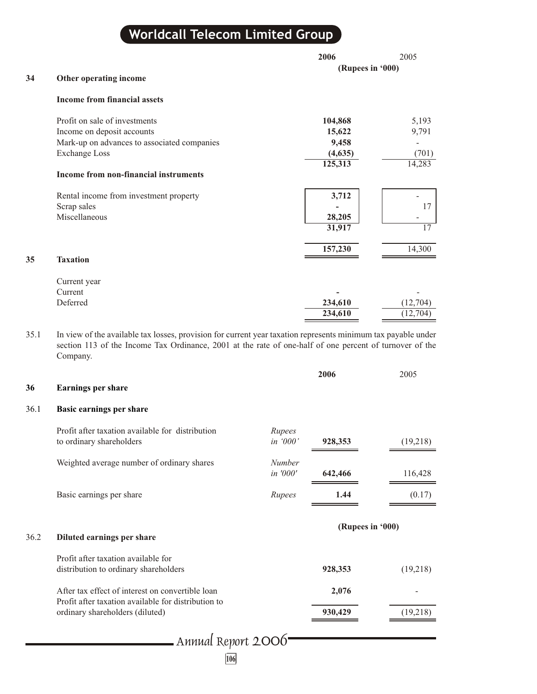|    |                                             | 2006             | 2005     |
|----|---------------------------------------------|------------------|----------|
| 34 | Other operating income                      | (Rupees in '000) |          |
|    | Income from financial assets                |                  |          |
|    | Profit on sale of investments               | 104,868          | 5,193    |
|    | Income on deposit accounts                  | 15,622           | 9,791    |
|    | Mark-up on advances to associated companies | 9,458            |          |
|    | <b>Exchange Loss</b>                        | (4, 635)         | (701)    |
|    |                                             | 125,313          | 14,283   |
|    | Income from non-financial instruments       |                  |          |
|    | Rental income from investment property      | 3,712            |          |
|    | Scrap sales                                 |                  | 17       |
|    | Miscellaneous                               | 28,205           |          |
|    |                                             | 31,917           | 17       |
|    |                                             | 157,230          | 14,300   |
| 35 | <b>Taxation</b>                             |                  |          |
|    | Current year                                |                  |          |
|    | Current                                     |                  |          |
|    | Deferred                                    | 234,610          | (12,704) |
|    |                                             | 234,610          | (12,704) |
|    |                                             |                  |          |

35.1 In view of the available tax losses, provision for current year taxation represents minimum tax payable under section 113 of the Income Tax Ordinance, 2001 at the rate of one-half of one percent of turnover of the Company.

|      |                                                                                                         |                           | 2006             | 2005     |
|------|---------------------------------------------------------------------------------------------------------|---------------------------|------------------|----------|
| 36   | <b>Earnings per share</b>                                                                               |                           |                  |          |
| 36.1 | Basic earnings per share                                                                                |                           |                  |          |
|      | Profit after taxation available for distribution<br>to ordinary shareholders                            | Rupees<br><i>in '000'</i> | 928,353          | (19,218) |
|      | Weighted average number of ordinary shares                                                              | <b>Number</b><br>in '000' | 642,466          | 116,428  |
|      | Basic earnings per share                                                                                | Rupees                    | 1.44             | (0.17)   |
| 36.2 | Diluted earnings per share                                                                              |                           | (Rupees in '000) |          |
|      |                                                                                                         |                           |                  |          |
|      | Profit after taxation available for<br>distribution to ordinary shareholders                            |                           | 928,353          | (19,218) |
|      | After tax effect of interest on convertible loan<br>Profit after taxation available for distribution to |                           | 2,076            |          |
|      | ordinary shareholders (diluted)                                                                         |                           | 930,429          | (19,218) |
|      |                                                                                                         |                           |                  |          |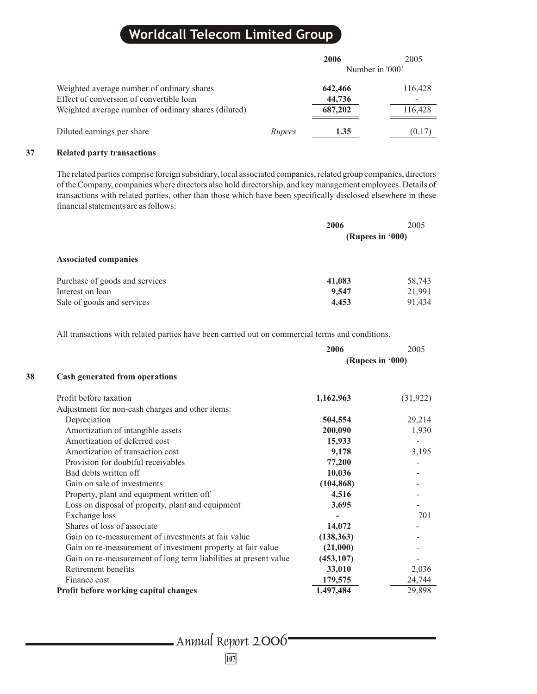|                                                      |        | 2006            | 2005    |
|------------------------------------------------------|--------|-----------------|---------|
|                                                      |        | Number in '000' |         |
| Weighted average number of ordinary shares           |        | 642,466         | 116,428 |
| Effect of conversion of convertible loan             |        | 44,736          |         |
| Weighted average number of ordinary shares (diluted) |        | 687,202         | 116,428 |
| Diluted earnings per share                           | Rupees | 1.35            | (0.17)  |

#### **37 Related party transactions**

The related parties comprise foreign subsidiary, local associated companies, related group companies, directors of the Company, companies where directors also hold directorship, and key management employees. Details of transactions with related parties, other than those which have been specifically disclosed elsewhere in these financial statements are as follows:

|                                | 2006             | 2005   |  |
|--------------------------------|------------------|--------|--|
|                                | (Rupees in '000) |        |  |
| <b>Associated companies</b>    |                  |        |  |
| Purchase of goods and services | 41,083           | 58,743 |  |
| Interest on loan               | 9,547            | 21,991 |  |
| Sale of goods and services     | 4,453            | 91,434 |  |

All transactions with related parties have been carried out on commercial terms and conditions.

|    |                                                                  | 2006             | 2005      |
|----|------------------------------------------------------------------|------------------|-----------|
|    |                                                                  | (Rupees in '000) |           |
| 38 | Cash generated from operations                                   |                  |           |
|    | Profit before taxation                                           | 1,162,963        | (31, 922) |
|    | Adjustment for non-cash charges and other items:                 |                  |           |
|    | Depreciation                                                     | 504,554          | 29,214    |
|    | Amortization of intangible assets                                | 200,090          | 1,930     |
|    | Amortization of deferred cost                                    | 15,933           |           |
|    | Amortization of transaction cost                                 | 9,178            | 3,195     |
|    | Provision for doubtful receivables                               | 77,200           |           |
|    | Bad debts written off                                            | 10,036           |           |
|    | Gain on sale of investments                                      | (104, 868)       |           |
|    | Property, plant and equipment written off                        | 4,516            |           |
|    | Loss on disposal of property, plant and equipment                | 3,695            |           |
|    | Exchange loss                                                    |                  | 701       |
|    | Shares of loss of associate                                      | 14,072           |           |
|    | Gain on re-measurement of investments at fair value              | (138, 363)       |           |
|    | Gain on re-measurement of investment property at fair value      | (21,000)         |           |
|    | Gain on re-measurement of long term liabilities at present value | (453, 107)       |           |
|    | Retirement benefits                                              | 33,010           | 2,036     |
|    | Finance cost                                                     | 179,575          | 24,744    |
|    | Profit before working capital changes                            | 1,497,484        | 29,898    |
|    |                                                                  |                  |           |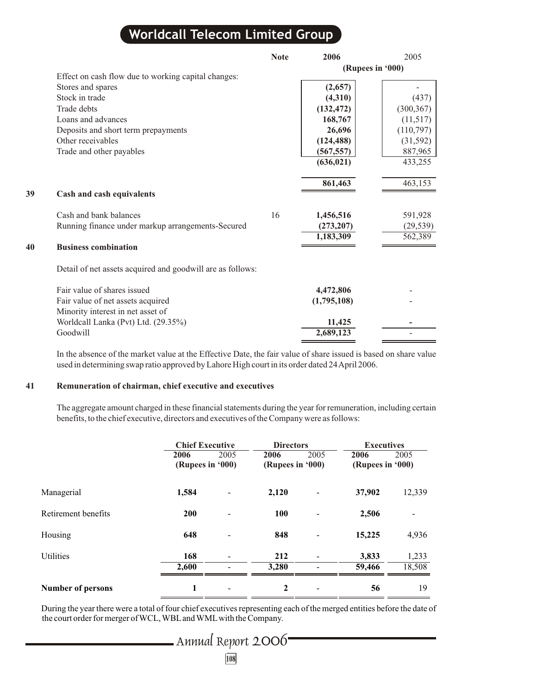|    |                                                            | <b>Note</b> | 2006        | 2005             |  |
|----|------------------------------------------------------------|-------------|-------------|------------------|--|
|    |                                                            |             |             | (Rupees in '000) |  |
|    | Effect on cash flow due to working capital changes:        |             |             |                  |  |
|    | Stores and spares                                          |             | (2,657)     |                  |  |
|    | Stock in trade                                             |             | (4,310)     | (437)            |  |
|    | Trade debts                                                |             | (132, 472)  | (300, 367)       |  |
|    | Loans and advances                                         |             | 168,767     | (11,517)         |  |
|    | Deposits and short term prepayments                        |             | 26,696      | (110,797)        |  |
|    | Other receivables                                          |             | (124, 488)  | (31,592)         |  |
|    | Trade and other payables                                   |             | (567, 557)  | 887,965          |  |
|    |                                                            |             | (636, 021)  | 433,255          |  |
|    |                                                            |             | 861,463     | 463,153          |  |
| 39 | Cash and cash equivalents                                  |             |             |                  |  |
|    | Cash and bank balances                                     | 16          | 1,456,516   | 591,928          |  |
|    | Running finance under markup arrangements-Secured          |             | (273, 207)  | (29, 539)        |  |
| 40 | <b>Business combination</b>                                |             | 1,183,309   | 562,389          |  |
|    | Detail of net assets acquired and goodwill are as follows: |             |             |                  |  |
|    | Fair value of shares issued                                |             | 4,472,806   |                  |  |
|    | Fair value of net assets acquired                          |             | (1,795,108) |                  |  |
|    | Minority interest in net asset of                          |             |             |                  |  |
|    | Worldcall Lanka (Pvt) Ltd. (29.35%)                        |             | 11,425      |                  |  |
|    | Goodwill                                                   |             | 2,689,123   |                  |  |

In the absence of the market value at the Effective Date, the fair value of share issued is based on share value used in determining swap ratio approved by Lahore High court in its order dated 24 April 2006.

#### **41 Remuneration of chairman, chief executive and executives**

The aggregate amount charged in these financial statements during the year for remuneration, including certain benefits, to the chief executive, directors and executives of the Company were as follows:

|                          | <b>Chief Executive</b> |                  | <b>Directors</b> |      | <b>Executives</b> |        |
|--------------------------|------------------------|------------------|------------------|------|-------------------|--------|
|                          | 2006                   | 2005             | 2006             | 2005 | 2006              | 2005   |
|                          |                        | (Rupees in '000) | (Rupees in '000) |      | (Rupees in '000)  |        |
| Managerial               | 1,584                  |                  | 2,120            |      | 37,902            | 12,339 |
| Retirement benefits      | <b>200</b>             |                  | <b>100</b>       |      | 2,506             |        |
| Housing                  | 648                    |                  | 848              |      | 15,225            | 4,936  |
| Utilities                | 168                    |                  | 212              |      | 3,833             | 1,233  |
|                          | 2,600                  |                  | 3,280            |      | 59,466            | 18,508 |
| <b>Number of persons</b> | 1                      |                  | 2                |      | 56                | 19     |

During the year there were a total of four chief executives representing each of the merged entities before the date of the court order for merger of WCL, WBLand WMLwith the Company.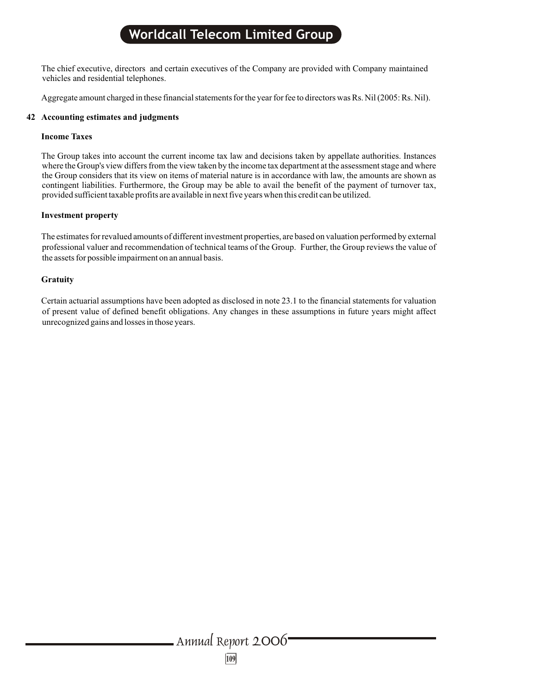# **Worldcall Telecom Limited Group**

The chief executive, directors and certain executives of the Company are provided with Company maintained vehicles and residential telephones.

Aggregate amount charged in these financial statements for the year for fee to directors was Rs. Nil (2005: Rs. Nil).

### **42 Accounting estimates and judgments**

### **Income Taxes**

The Group takes into account the current income tax law and decisions taken by appellate authorities. Instances where the Group's view differs from the view taken by the income tax department at the assessment stage and where the Group considers that its view on items of material nature is in accordance with law, the amounts are shown as contingent liabilities. Furthermore, the Group may be able to avail the benefit of the payment of turnover tax, provided sufficient taxable profits are available in next five years when this credit can be utilized.

### **Investment property**

The estimates for revalued amounts of different investment properties, are based on valuation performed by external professional valuer and recommendation of technical teams of the Group. Further, the Group reviews the value of the assets for possible impairment on an annual basis.

### **Gratuity**

Certain actuarial assumptions have been adopted as disclosed in note 23.1 to the financial statements for valuation of present value of defined benefit obligations. Any changes in these assumptions in future years might affect unrecognized gains and losses in those years.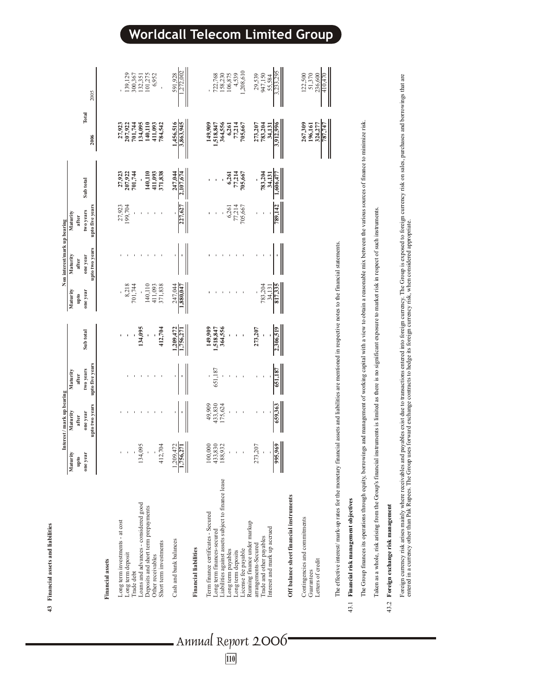|                                                                                                                                                                                                                          |                                                | Interest / mark up bearing    |                                |                                |                                                     | Non interest/mark up bearing  |                                |                                                               |                                                               |                                                    |
|--------------------------------------------------------------------------------------------------------------------------------------------------------------------------------------------------------------------------|------------------------------------------------|-------------------------------|--------------------------------|--------------------------------|-----------------------------------------------------|-------------------------------|--------------------------------|---------------------------------------------------------------|---------------------------------------------------------------|----------------------------------------------------|
|                                                                                                                                                                                                                          | Maturity<br>one year<br>upto                   | Maturity<br>one year<br>after | two years<br>Maturity<br>after | Sub total                      | Maturity<br>one year<br>upto                        | Maturity<br>one year<br>after | two years<br>Maturity<br>after | Sub total                                                     | Total                                                         |                                                    |
|                                                                                                                                                                                                                          |                                                | upto two years                | upto five years                |                                |                                                     | upto two years                | upto five years                |                                                               | 2006                                                          | 2005                                               |
| <b>Financial</b> assets                                                                                                                                                                                                  |                                                |                               |                                |                                |                                                     |                               |                                |                                                               |                                                               |                                                    |
| Loans and advances - considered good<br>Deposits and short term prepayments<br>Long term investments - at cost<br>Long term deposit<br>Other receivables<br>Trade debt                                                   | 134,095                                        |                               |                                | 134,095                        | $8,218$<br>701,744<br>140,110<br>411,093<br>371,838 |                               | 27,923<br>199,704              | 140,110<br>411,093<br>371,838<br>27,923<br>207,922<br>701,744 | 134,095<br>207,922<br>701,744<br>140,110<br>27,923            | 139,129<br>101,275<br>6,952<br>300,367<br>132,351  |
| Short term investments                                                                                                                                                                                                   | 412,704                                        |                               |                                | 412,704                        |                                                     |                               |                                |                                                               | 411,093<br>784,542                                            | ï                                                  |
| Cash and bank balances                                                                                                                                                                                                   | $\frac{1,209,472}{1,756,271}$                  | ı                             |                                | $\frac{1,209,472}{1,756,271}$  | 247,044<br>1,880,047                                |                               | 227,627                        | 2,107,674<br>247,044                                          | 1,456,516<br>3,863,945                                        | 1.272.002<br>591,928                               |
| <b>Financial liabilities</b>                                                                                                                                                                                             |                                                |                               |                                |                                |                                                     |                               |                                |                                                               |                                                               |                                                    |
| Liabilities against assets subject to finance lease<br>Term finance certificates - Secured<br>Long term finances-secured<br>Long term payables<br>License fee payable<br>Long term deposits                              | 433,830<br>188,932<br>100,000                  | 49,909<br>433,830<br>175,624  | 651,187                        | 149,909<br>,518,847<br>364,556 |                                                     |                               | 6,261<br>77,214<br>705,667     | 6,261<br>77,214<br>705,667                                    | 1,518,847<br>77,214<br>705,667<br>149,909<br>364,556<br>6,261 | ,208,610<br>4,539<br>722,768<br>158,230<br>106,875 |
| Running finance under markup<br>Interest and mark up accrued<br>Trade and other payables<br>arrangements-Secured                                                                                                         | 273,207<br>995,969<br>$\overline{\phantom{a}}$ | 659,363                       | 651,187                        | 273,207<br>2,306,519           | 783,204<br>817,335<br>34,131                        |                               | 789,142                        | 783,204<br>34,131<br>1,606,47                                 | 783,204<br>273,207<br>3,912,996<br>34,131                     | 3,233,295<br>947,150<br>29,539<br>55,584           |
| Off balance sheet financial instruments                                                                                                                                                                                  |                                                |                               |                                |                                |                                                     |                               |                                |                                                               |                                                               |                                                    |
| The effective interest/mark-un-rates for the monetary financial assets and liabilities are mentioned in respective notes to the financial statements<br>Contingencies and commitments<br>Letters of credit<br>Guarantees |                                                |                               |                                |                                |                                                     |                               |                                |                                                               | 267,309<br>$\frac{324,277}{787,747}$<br>196,161               | 122,500<br>236,600<br>51,370<br>410,470            |

# The effective interest/ mark-up rates for the monetary financial assets and liabilities are mentioned in respective notes to the financial statements.

# 43.1 Financial risk management objectives 43.1 **Financial risk management objectives**

The Group finances its operations through equity, borrowings and management of working capital with a view to obtain a reasonable mix between the various sources of finance to minimize risk. The Group finances its operations through equity, borrowings and management of working capital with a view to obtain a reasonable mix between the various sources of finance to minimize risk.

Taken as a whole, risk arising from the Group's financial instruments is limited as there is no significant exposure to market risk in respect of such instruments. Taken as a whole, risk arising from the Group's financial instruments is limited as there is no significant exposure to market risk in respect of such instruments.

# Foreign exchange risk management 43.2 **Foreign exchange risk management** 43.2

Foreign currency risk arises mainly where receivables and payables exist due to transactions entered into foreign currency. The Group is exposed to foreign currency risk on sales, purchases and borrowings that are entered Foreign currency risk arises mainly where receivables and payables exist due to transactions entered into foreign currency. The Group is exposed to foreign currency risk on sales, purchases and borrowings that are entered in a currency other than Pak Rupees. The Group uses forward exchange contracts to hedge its foreign currency risk, when considered appropriate.

### **Worldcall Telecom Limited Group**

**110**

Annual Report 2006

**43 Financial assets and liabilities**

43 Financial assets and liabilities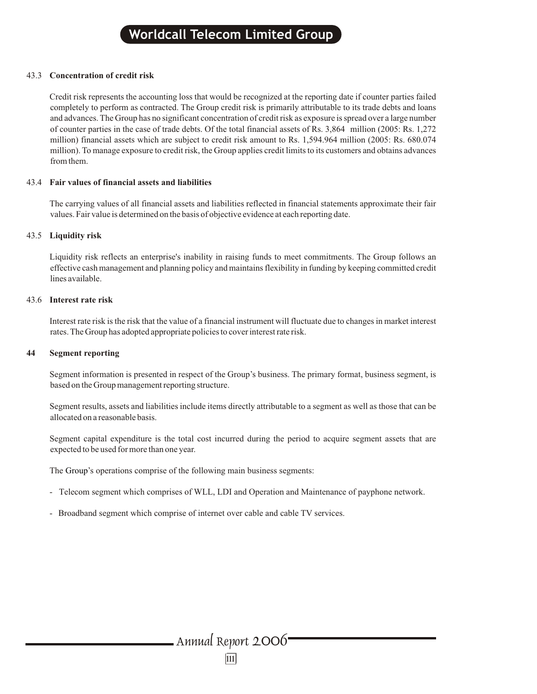### 43.3 **Concentration of credit risk**

Credit risk represents the accounting loss that would be recognized at the reporting date if counter parties failed completely to perform as contracted. The Group credit risk is primarily attributable to its trade debts and loans and advances. The Group has no significant concentration of credit risk as exposure is spread over a large number of counter parties in the case of trade debts. Of the total financial assets of Rs. 3,864 million (2005: Rs. 1,272 million) financial assets which are subject to credit risk amount to Rs. 1,594.964 million (2005: Rs. 680.074 million). To manage exposure to credit risk, the Group applies credit limits to its customers and obtains advances from them.

### 43.4 **Fair values of financial assets and liabilities**

The carrying values of all financial assets and liabilities reflected in financial statements approximate their fair values. Fair value is determined on the basis of objective evidence at each reporting date.

### 43.5 **Liquidity risk**

Liquidity risk reflects an enterprise's inability in raising funds to meet commitments. The Group follows an effective cash management and planning policy and maintains flexibility in funding by keeping committed credit lines available.

### 43.6 **Interest rate risk**

Interest rate risk is the risk that the value of a financial instrument will fluctuate due to changes in market interest rates. The Group has adopted appropriate policies to cover interest rate risk.

### **44 Segment reporting**

Segment information is presented in respect of the Group's business. The primary format, business segment, is based on the Group management reporting structure.

Segment results, assets and liabilities include items directly attributable to a segment as well as those that can be allocated on a reasonable basis.

Segment capital expenditure is the total cost incurred during the period to acquire segment assets that are expected to be used for more than one year.

The Group's operations comprise of the following main business segments:

- Telecom segment which comprises of WLL, LDI and Operation and Maintenance of payphone network.
- Broadband segment which comprise of internet over cable and cable TV services.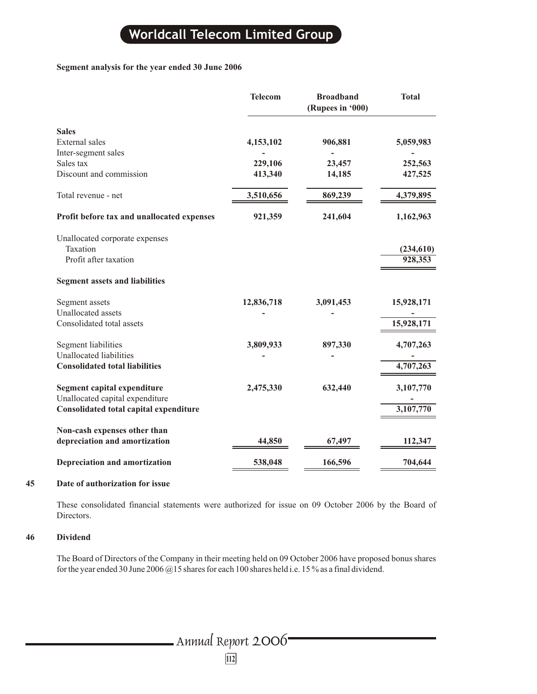# **Worldcall Telecom Limited Group**

### **Segment analysis for the year ended 30 June 2006**

|                                            | <b>Telecom</b> | <b>Broadband</b><br>(Rupees in '000) | <b>Total</b> |
|--------------------------------------------|----------------|--------------------------------------|--------------|
| <b>Sales</b>                               |                |                                      |              |
| External sales                             | 4,153,102      | 906,881                              | 5,059,983    |
| Inter-segment sales                        |                |                                      |              |
| Sales tax                                  | 229,106        | 23,457                               | 252,563      |
| Discount and commission                    | 413,340        | 14,185                               | 427,525      |
| Total revenue - net                        | 3,510,656      | 869,239                              | 4,379,895    |
| Profit before tax and unallocated expenses | 921,359        | 241,604                              | 1,162,963    |
| Unallocated corporate expenses             |                |                                      |              |
| Taxation                                   |                |                                      | (234, 610)   |
| Profit after taxation                      |                |                                      | 928,353      |
| <b>Segment assets and liabilities</b>      |                |                                      |              |
| Segment assets                             | 12,836,718     | 3,091,453                            | 15,928,171   |
| Unallocated assets                         |                |                                      |              |
| Consolidated total assets                  |                |                                      | 15,928,171   |
| Segment liabilities                        | 3,809,933      | 897,330                              | 4,707,263    |
| Unallocated liabilities                    |                |                                      |              |
| <b>Consolidated total liabilities</b>      |                |                                      | 4,707,263    |
| Segment capital expenditure                | 2,475,330      | 632,440                              | 3,107,770    |
| Unallocated capital expenditure            |                |                                      |              |
| Consolidated total capital expenditure     |                |                                      | 3,107,770    |
| Non-cash expenses other than               |                |                                      |              |
| depreciation and amortization              | 44,850         | 67,497                               | 112,347      |
| Depreciation and amortization              | 538,048        | 166,596                              | 704,644      |

### **45 Date of authorization for issue**

These consolidated financial statements were authorized for issue on 09 October 2006 by the Board of Directors.

### **46 Dividend**

The Board of Directors of the Company in their meeting held on 09 October 2006 have proposed bonus shares for the year ended 30 June 2006 @15 shares for each 100 shares held i.e. 15 % as a final dividend.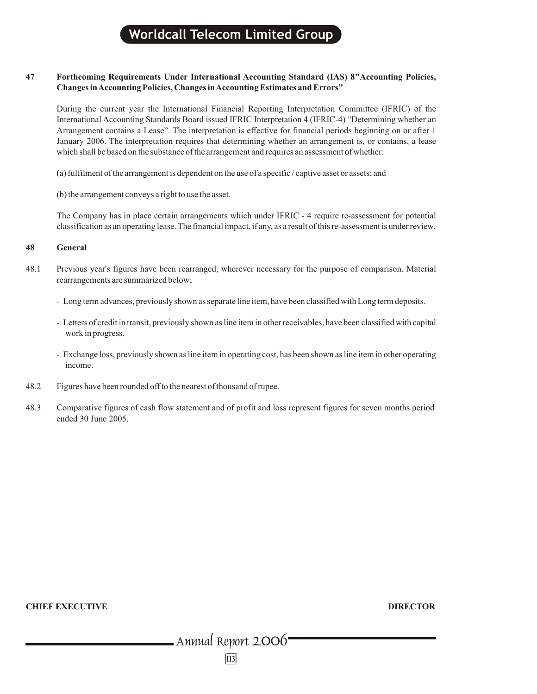## **Worldcall Telecom Limited Group**

### **47 Forthcoming Requirements Under International Accounting Standard (IAS) 8"Accounting Policies, Changes in Accounting Policies, Changes in Accounting Estimates and Errors"**

During the current year the International Financial Reporting Interpretation Committee (IFRIC) of the International Accounting Standards Board issued IFRIC Interpretation 4 (IFRIC-4) "Determining whether an Arrangement contains a Lease". The interpretation is effective for financial periods beginning on or after 1 January 2006. The interpretation requires that determining whether an arrangement is, or contains, a lease which shall be based on the substance of the arrangement and requires an assessment of whether:

(a) fulfilment of the arrangement is dependent on the use of a specific / captive asset or assets; and

(b) the arrangement conveys a right to use the asset.

The Company has in place certain arrangements which under IFRIC - 4 require re-assessment for potential classification as an operating lease. The financial impact, if any, as a result of this re-assessment is under review.

### **48 General**

- 48.1 Previous year's figures have been rearranged, wherever necessary for the purpose of comparison. Material rearrangements are summarized below;
	- Long term advances, previously shown as separate line item, have been classified with Long term deposits.
	- Letters of credit in transit, previously shown as line item in other receivables, have been classified with capital work in progress.
	- Exchange loss, previously shown as line item in operating cost, has been shown as line item in other operating income.
- 48.2 Figures have been rounded off to the nearest of thousand of rupee.
- 48.3 Comparative figures of cash flow statement and of profit and loss represent figures for seven months period ended 30 June 2005.

### **CHIEF EXECUTIVE DIRECTOR**

### Annual Report 2006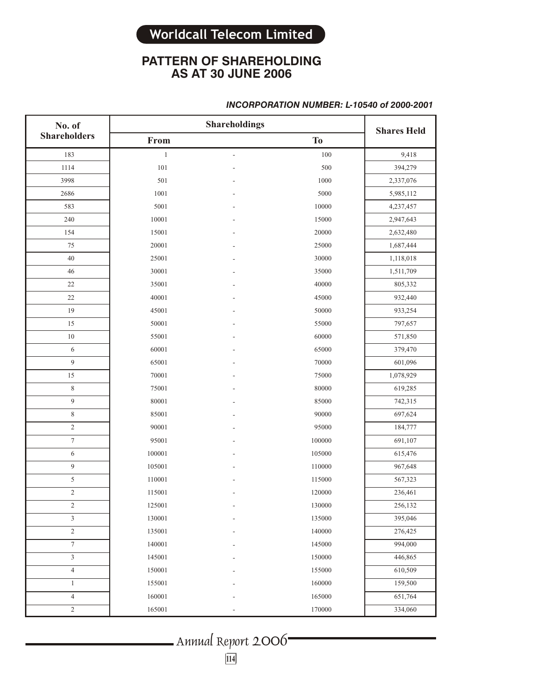### **PATTERN OF SHAREHOLDING AS AT 30 JUNE 2006**

### *INCORPORATION NUMBER: L-10540 of 2000-2001*

| No. of              |              | <b>Shares Held</b> |           |
|---------------------|--------------|--------------------|-----------|
| <b>Shareholders</b> | From         | T <sub>o</sub>     |           |
| 183                 | $\mathbf{1}$ | 100                | 9,418     |
| 1114                | 101          | 500                | 394,279   |
| 3998                | 501          | 1000               | 2,337,076 |
| 2686                | 1001         | 5000               | 5,985,112 |
| 583                 | 5001         | 10000              | 4,237,457 |
| 240                 | 10001        | 15000              | 2,947,643 |
| 154                 | 15001        | 20000              | 2,632,480 |
| 75                  | 20001        | 25000              | 1,687,444 |
| $40\,$              | 25001        | 30000              | 1,118,018 |
| 46                  | 30001        | 35000              | 1,511,709 |
| $22\,$              | 35001        | 40000              | 805,332   |
| $22\,$              | 40001        | 45000              | 932,440   |
| 19                  | 45001        | 50000              | 933,254   |
| 15                  | 50001        | 55000              | 797,657   |
| $10\,$              | 55001        | 60000              | 571,850   |
| 6                   | 60001        | 65000              | 379,470   |
| 9                   | 65001        | 70000              | 601,096   |
| 15                  | 70001        | 75000              | 1,078,929 |
| $\,$ $\,$           | 75001        | 80000              | 619,285   |
| $\mathbf{9}$        | 80001        | 85000              | 742,315   |
| $\,$ 8 $\,$         | 85001        | 90000              | 697,624   |
| $\sqrt{2}$          | 90001        | 95000              | 184,777   |
| $\tau$              | 95001        | 100000             | 691,107   |
| $\sqrt{6}$          | 100001       | 105000             | 615,476   |
| $\overline{9}$      | 105001       | 110000             | 967,648   |
| $\mathfrak s$       | 110001       | 115000             | 567,323   |
| $\sqrt{2}$          | 115001       | 120000             | 236,461   |
| $\overline{c}$      | 125001       | 130000             | 256,132   |
| 3                   | 130001       | 135000             | 395,046   |
| $\overline{c}$      | 135001       | 140000             | 276,425   |
| $\overline{7}$      | 140001       | 145000             | 994,000   |
| $\mathfrak{Z}$      | 145001       | 150000             | 446,865   |
| $\overline{4}$      | 150001       | 155000             | 610,509   |
| $\mathbf{1}$        | 155001       | 160000             | 159,500   |
| $\overline{4}$      | 160001       | 165000             | 651,764   |
| $\sqrt{2}$          | 165001       | 170000             | 334,060   |

Annual Report 2006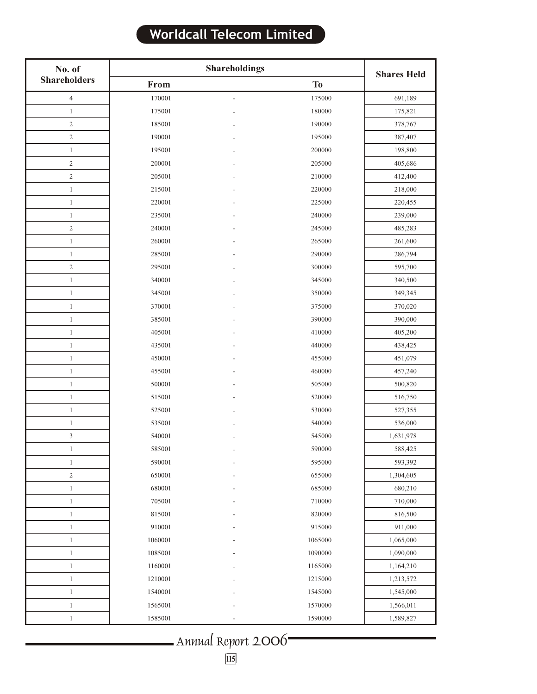| No. of              |         | <b>Shares Held</b> |           |
|---------------------|---------|--------------------|-----------|
| <b>Shareholders</b> | From    | T <sub>0</sub>     |           |
| $\overline{4}$      | 170001  | 175000             | 691,189   |
| $\mathbf{1}$        | 175001  | 180000             | 175,821   |
| $\overline{c}$      | 185001  | 190000             | 378,767   |
| $\sqrt{2}$          | 190001  | 195000             | 387,407   |
| $\mathbf{1}$        | 195001  | 200000             | 198,800   |
| $\mathbf{2}$        | 200001  | 205000             | 405,686   |
| $\sqrt{2}$          | 205001  | 210000             | 412,400   |
| $\,1$               | 215001  | 220000             | 218,000   |
| $\,1\,$             | 220001  | 225000             | 220,455   |
| $\,1\,$             | 235001  | 240000             | 239,000   |
| $\sqrt{2}$          | 240001  | 245000             | 485,283   |
| $\,1\,$             | 260001  | 265000             | 261,600   |
| $\,1\,$             | 285001  | 290000             | 286,794   |
| $\sqrt{2}$          | 295001  | 300000             | 595,700   |
| $\,1\,$             | 340001  | 345000             | 340,500   |
| $\,1\,$             | 345001  | 350000             | 349,345   |
| $\,1$               | 370001  | 375000             | 370,020   |
| $\,1\,$             | 385001  | 390000             | 390,000   |
| $\,1\,$             | 405001  | 410000             | 405,200   |
| $\mathbf{1}$        | 435001  | 440000             | 438,425   |
| $\mathbf{1}$        | 450001  | 455000             | 451,079   |
| $\mathbf{1}$        | 455001  | 460000             | 457,240   |
| $\mathbf{1}$        | 500001  | 505000             | 500,820   |
| $\mathbf{1}$        | 515001  | 520000             | 516,750   |
| $\mathbf{1}$        | 525001  | 530000             | 527,355   |
| $\,1$               | 535001  | 540000             | 536,000   |
| $\mathfrak{Z}$      | 540001  | 545000             | 1,631,978 |
| 1                   | 585001  | 590000             | 588,425   |
| $\mathbf{1}$        | 590001  | 595000             | 593,392   |
| $\sqrt{2}$          | 650001  | 655000             | 1,304,605 |
| $\,1$               | 680001  | 685000             | 680,210   |
| $\,1$               | 705001  | 710000             | 710,000   |
| $\mathbf{1}$        | 815001  | 820000             | 816,500   |
| $\mathbf{1}$        | 910001  | 915000             | 911,000   |
| $\mathbf{1}$        | 1060001 | 1065000            | 1,065,000 |
| $\,1$               | 1085001 | 1090000            | 1,090,000 |
| $\mathbf{1}$        | 1160001 | 1165000            | 1,164,210 |
| $\mathbf{1}$        | 1210001 | 1215000            | 1,213,572 |
| $\mathbf{1}$        | 1540001 | 1545000            | 1,545,000 |
| $\mathbf{1}$        | 1565001 | 1570000            | 1,566,011 |
| $\mathbf{1}$        | 1585001 | 1590000            | 1,589,827 |

 $\_$ Annual Report 2006 $^{\circ}$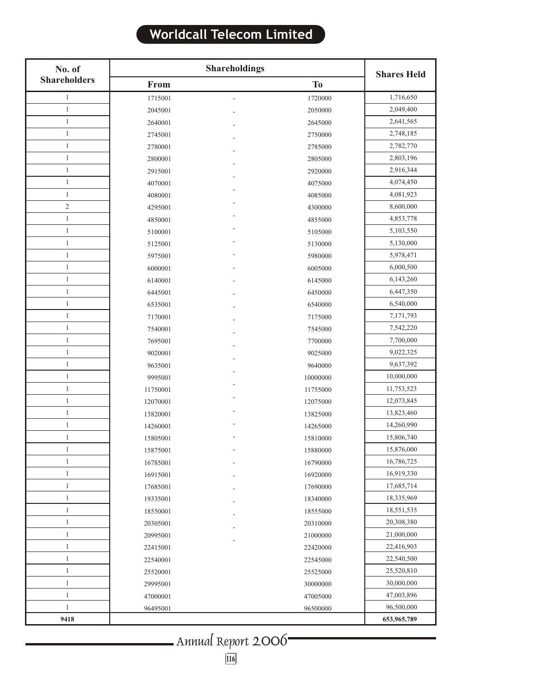| No. of              |          | <b>Shares Held</b> |             |
|---------------------|----------|--------------------|-------------|
| <b>Shareholders</b> | From     | T <sub>0</sub>     |             |
| $\mathbf{1}$        | 1715001  | 1720000            | 1,716,650   |
| $\mathbf{1}$        | 2045001  | 2050000            | 2,049,400   |
| $\mathbf{1}$        | 2640001  | 2645000            | 2,641,565   |
| $\,1$               | 2745001  | 2750000            | 2,748,185   |
| $\mathbf{1}$        | 2780001  | 2785000            | 2,782,770   |
| $\mathbf{1}$        | 2800001  | 2805000            | 2,803,196   |
| $\mathbf{1}$        | 2915001  | 2920000            | 2,916,344   |
| $\mathbf{1}$        | 4070001  | 4075000            | 4,074,450   |
| $\mathbf{1}$        | 4080001  | 4085000            | 4,081,923   |
| $\sqrt{2}$          | 4295001  | 4300000            | 8,600,000   |
| $\mathbf{1}$        | 4850001  | 4855000            | 4,853,778   |
| $\mathbf{1}$        | 5100001  | 5105000            | 5,103,550   |
| $\mathbf{1}$        | 5125001  | 5130000            | 5,130,000   |
| $\mathbf{1}$        | 5975001  | 5980000            | 5,978,471   |
| $\mathbf{1}$        | 6000001  | 6005000            | 6,000,500   |
| $\mathbf{1}$        | 6140001  | 6145000            | 6,143,260   |
| $\mathbf{1}$        | 6445001  | 6450000            | 6,447,350   |
| $\mathbf{1}$        | 6535001  | 6540000            | 6,540,000   |
| $\mathbf{1}$        | 7170001  | 7175000            | 7,171,793   |
| $\mathbf{1}$        | 7540001  | 7545000            | 7,542,220   |
| $\mathbf{1}$        | 7695001  | 7700000            | 7,700,000   |
| $\mathbf{1}$        | 9020001  | 9025000            | 9,022,325   |
| $\mathbf{1}$        | 9635001  | 9640000            | 9,637,392   |
| $\mathbf{1}$        | 9995001  | 10000000           | 10,000,000  |
| $\mathbf{1}$        | 11750001 | 11755000           | 11,753,523  |
| $\mathbf{1}$        | 12070001 | 12075000           | 12,073,845  |
| $\mathbf{1}$        | 13820001 | 13825000           | 13,823,460  |
| $\mathbf{1}$        | 14260001 | 14265000           | 14,260,990  |
| $\mathbf{1}$        | 15805001 | 15810000           | 15,806,740  |
| $\mathbf{1}$        | 15875001 | 15880000           | 15,876,000  |
| $\mathbf{1}$        | 16785001 | 16790000           | 16,786,725  |
| $\mathbf{1}$        | 16915001 | 16920000           | 16,919,330  |
| $\mathbf{1}$        | 17685001 | 17690000           | 17,685,714  |
| $\mathbf{1}$        | 19335001 | 18340000           | 18,335,969  |
| $\mathbf{1}$        | 18550001 | 18555000           | 18,551,535  |
| $\mathbf{1}$        | 20305001 | 20310000           | 20,308,380  |
| $\mathbf{1}$        | 20995001 | 21000000           | 21,000,000  |
| $\mathbf{1}$        | 22415001 | 22420000           | 22,416,903  |
| $\mathbf{1}$        | 22540001 | 22545000           | 22,540,500  |
| $\mathbf{1}$        | 25520001 | 25525000           | 25,520,810  |
| $\mathbf{1}$        | 29995001 | 30000000           | 30,000,000  |
| $\mathbf{1}$        | 47000001 | 47005000           | 47,003,896  |
| $\mathbf{1}$        | 96495001 | 96500000           | 96,500,000  |
| 9418                |          |                    | 653,965,789 |

 $\_$ Annual Report 2006 $-$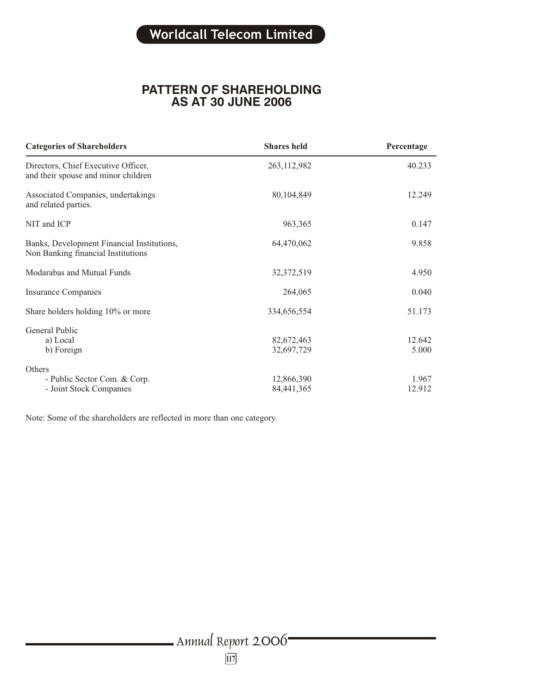### **PATTERN OF SHAREHOLDING AS AT 30 JUNE 2006**

| <b>Categories of Shareholders</b>                                                | <b>Shares</b> held       | Percentage      |
|----------------------------------------------------------------------------------|--------------------------|-----------------|
| Directors, Chief Executive Officer,<br>and their spouse and minor children       | 263,112,982              | 40.233          |
| Associated Companies, undertakings<br>and related parties.                       | 80,104,849               | 12.249          |
| NIT and ICP                                                                      | 963,365                  | 0.147           |
| Banks, Development Financial Institutions,<br>Non Banking financial Institutions | 64,470,062               | 9.858           |
| Modarabas and Mutual Funds                                                       | 32,372,519               | 4.950           |
| <b>Insurance Companies</b>                                                       | 264,065                  | 0.040           |
| Share holders holding 10% or more                                                | 334,656,554              | 51.173          |
| General Public<br>a) Local<br>b) Foreign                                         | 82,672,463<br>32,697,729 | 12.642<br>5.000 |
| Others<br>- Public Sector Com. & Corp.<br>- Joint Stock Companies                | 12,866,390<br>84,441,365 | 1.967<br>12.912 |

Note: Some of the shareholders are reflected in more than one category.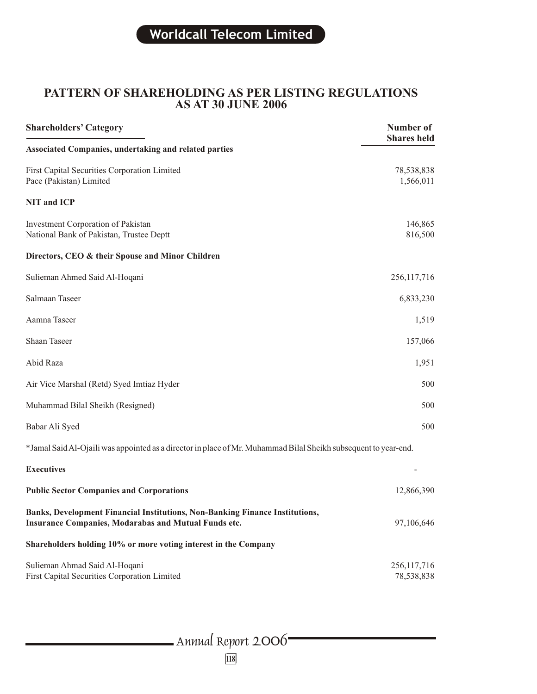### **PATTERN OF SHAREHOLDING AS PER LISTING REGULATIONS AS AT 30 JUNE 2006**

| <b>Shareholders' Category</b>                                                                                                               | Number of<br><b>Shares</b> held |
|---------------------------------------------------------------------------------------------------------------------------------------------|---------------------------------|
| <b>Associated Companies, undertaking and related parties</b>                                                                                |                                 |
| First Capital Securities Corporation Limited<br>Pace (Pakistan) Limited                                                                     | 78,538,838<br>1,566,011         |
| <b>NIT and ICP</b>                                                                                                                          |                                 |
| Investment Corporation of Pakistan<br>National Bank of Pakistan, Trustee Deptt                                                              | 146,865<br>816,500              |
| Directors, CEO & their Spouse and Minor Children                                                                                            |                                 |
| Sulieman Ahmed Said Al-Hoqani                                                                                                               | 256, 117, 716                   |
| Salmaan Taseer                                                                                                                              | 6,833,230                       |
| Aamna Taseer                                                                                                                                | 1,519                           |
| <b>Shaan Taseer</b>                                                                                                                         | 157,066                         |
| Abid Raza                                                                                                                                   | 1,951                           |
| Air Vice Marshal (Retd) Syed Imtiaz Hyder                                                                                                   | 500                             |
| Muhammad Bilal Sheikh (Resigned)                                                                                                            | 500                             |
| Babar Ali Syed                                                                                                                              | 500                             |
| *Jamal Said Al-Ojaili was appointed as a director in place of Mr. Muhammad Bilal Sheikh subsequent to year-end.                             |                                 |
| <b>Executives</b>                                                                                                                           |                                 |
| <b>Public Sector Companies and Corporations</b>                                                                                             | 12,866,390                      |
| <b>Banks, Development Financial Institutions, Non-Banking Finance Institutions.</b><br>Insurance Companies, Modarabas and Mutual Funds etc. | 97,106,646                      |
| Shareholders holding 10% or more voting interest in the Company                                                                             |                                 |
| Sulieman Ahmad Said Al-Hoqani<br><b>First Capital Securities Corporation Limited</b>                                                        | 256, 117, 716<br>78,538,838     |

 $\_$ Annual Report 2006 $^{\circ}$